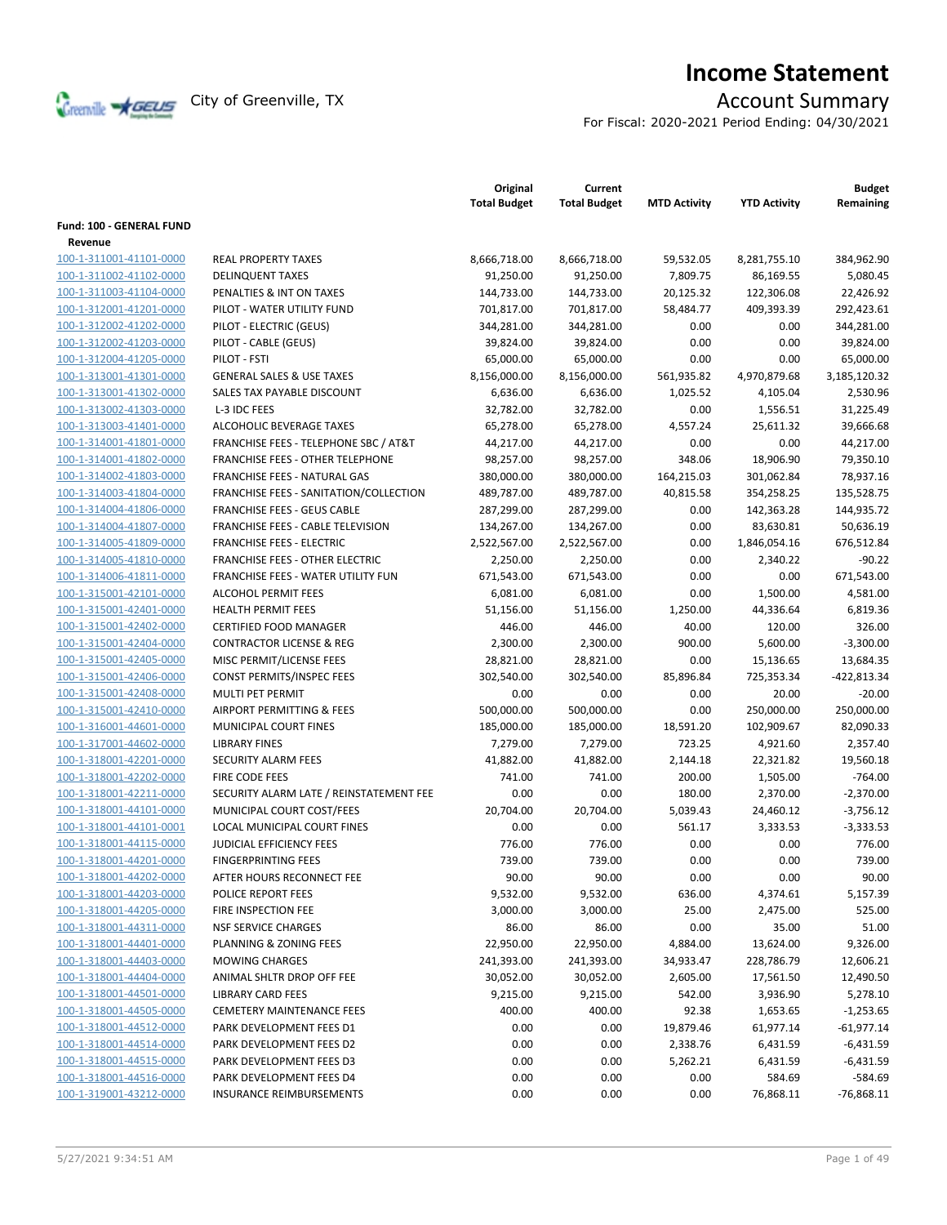

# **Income Statement**

For Fiscal: 2020-2021 Period Ending: 04/30/2021

|                          |                                                  | Original<br><b>Total Budget</b> | Current<br><b>Total Budget</b> | <b>MTD Activity</b> | <b>YTD Activity</b> | <b>Budget</b><br>Remaining |
|--------------------------|--------------------------------------------------|---------------------------------|--------------------------------|---------------------|---------------------|----------------------------|
| Fund: 100 - GENERAL FUND |                                                  |                                 |                                |                     |                     |                            |
| Revenue                  |                                                  |                                 |                                |                     |                     |                            |
| 100-1-311001-41101-0000  | <b>REAL PROPERTY TAXES</b>                       | 8,666,718.00                    | 8,666,718.00                   | 59,532.05           | 8,281,755.10        | 384,962.90                 |
| 100-1-311002-41102-0000  | <b>DELINQUENT TAXES</b>                          | 91,250.00                       | 91,250.00                      | 7,809.75            | 86,169.55           | 5,080.45                   |
| 100-1-311003-41104-0000  | PENALTIES & INT ON TAXES                         | 144,733.00                      | 144,733.00                     | 20,125.32           | 122,306.08          | 22,426.92                  |
| 100-1-312001-41201-0000  | PILOT - WATER UTILITY FUND                       | 701,817.00                      | 701,817.00                     | 58,484.77           | 409,393.39          | 292,423.61                 |
| 100-1-312002-41202-0000  | PILOT - ELECTRIC (GEUS)                          | 344,281.00                      | 344,281.00                     | 0.00                | 0.00                | 344,281.00                 |
| 100-1-312002-41203-0000  | PILOT - CABLE (GEUS)                             | 39,824.00                       | 39,824.00                      | 0.00                | 0.00                | 39,824.00                  |
| 100-1-312004-41205-0000  | PILOT - FSTI                                     | 65,000.00                       | 65,000.00                      | 0.00                | 0.00                | 65,000.00                  |
| 100-1-313001-41301-0000  | <b>GENERAL SALES &amp; USE TAXES</b>             | 8,156,000.00                    | 8,156,000.00                   | 561,935.82          | 4,970,879.68        | 3,185,120.32               |
| 100-1-313001-41302-0000  | SALES TAX PAYABLE DISCOUNT                       | 6,636.00                        | 6,636.00                       | 1,025.52            | 4,105.04            | 2,530.96                   |
| 100-1-313002-41303-0000  | L-3 IDC FEES                                     | 32,782.00                       | 32,782.00                      | 0.00                | 1,556.51            | 31,225.49                  |
| 100-1-313003-41401-0000  | ALCOHOLIC BEVERAGE TAXES                         | 65,278.00                       | 65,278.00                      | 4,557.24            | 25,611.32           | 39,666.68                  |
| 100-1-314001-41801-0000  | <b>FRANCHISE FEES - TELEPHONE SBC / AT&amp;T</b> | 44,217.00                       | 44,217.00                      | 0.00                | 0.00                | 44,217.00                  |
| 100-1-314001-41802-0000  | <b>FRANCHISE FEES - OTHER TELEPHONE</b>          | 98,257.00                       | 98,257.00                      | 348.06              | 18,906.90           | 79,350.10                  |
| 100-1-314002-41803-0000  | FRANCHISE FEES - NATURAL GAS                     | 380,000.00                      | 380,000.00                     | 164,215.03          | 301,062.84          | 78,937.16                  |
| 100-1-314003-41804-0000  | FRANCHISE FEES - SANITATION/COLLECTION           | 489,787.00                      | 489,787.00                     | 40,815.58           | 354,258.25          | 135,528.75                 |
| 100-1-314004-41806-0000  | <b>FRANCHISE FEES - GEUS CABLE</b>               | 287,299.00                      | 287,299.00                     | 0.00                | 142,363.28          | 144,935.72                 |
| 100-1-314004-41807-0000  | FRANCHISE FEES - CABLE TELEVISION                | 134,267.00                      | 134,267.00                     | 0.00                | 83,630.81           | 50,636.19                  |
| 100-1-314005-41809-0000  | <b>FRANCHISE FEES - ELECTRIC</b>                 | 2,522,567.00                    | 2,522,567.00                   | 0.00                | 1,846,054.16        | 676,512.84                 |
| 100-1-314005-41810-0000  | <b>FRANCHISE FEES - OTHER ELECTRIC</b>           | 2,250.00                        | 2,250.00                       | 0.00                | 2,340.22            | $-90.22$                   |
| 100-1-314006-41811-0000  | FRANCHISE FEES - WATER UTILITY FUN               | 671,543.00                      | 671,543.00                     | 0.00                | 0.00                | 671,543.00                 |
| 100-1-315001-42101-0000  | <b>ALCOHOL PERMIT FEES</b>                       | 6,081.00                        | 6,081.00                       | 0.00                | 1,500.00            | 4,581.00                   |
| 100-1-315001-42401-0000  | <b>HEALTH PERMIT FEES</b>                        | 51,156.00                       | 51,156.00                      | 1,250.00            | 44,336.64           | 6,819.36                   |
| 100-1-315001-42402-0000  | <b>CERTIFIED FOOD MANAGER</b>                    | 446.00                          | 446.00                         | 40.00               | 120.00              | 326.00                     |
| 100-1-315001-42404-0000  | <b>CONTRACTOR LICENSE &amp; REG</b>              | 2,300.00                        | 2,300.00                       | 900.00              | 5,600.00            | $-3,300.00$                |
| 100-1-315001-42405-0000  | MISC PERMIT/LICENSE FEES                         | 28,821.00                       | 28,821.00                      | 0.00                | 15,136.65           | 13,684.35                  |
| 100-1-315001-42406-0000  | CONST PERMITS/INSPEC FEES                        | 302,540.00                      | 302,540.00                     | 85,896.84           | 725,353.34          | -422,813.34                |
| 100-1-315001-42408-0000  | MULTI PET PERMIT                                 | 0.00                            | 0.00                           | 0.00                | 20.00               | $-20.00$                   |
| 100-1-315001-42410-0000  | AIRPORT PERMITTING & FEES                        | 500,000.00                      | 500,000.00                     | 0.00                | 250,000.00          | 250,000.00                 |
| 100-1-316001-44601-0000  | MUNICIPAL COURT FINES                            | 185,000.00                      | 185,000.00                     | 18,591.20           | 102,909.67          | 82,090.33                  |
| 100-1-317001-44602-0000  | <b>LIBRARY FINES</b>                             | 7,279.00                        | 7,279.00                       | 723.25              | 4,921.60            | 2,357.40                   |
| 100-1-318001-42201-0000  | <b>SECURITY ALARM FEES</b>                       | 41,882.00                       | 41,882.00                      | 2,144.18            | 22,321.82           | 19,560.18                  |
| 100-1-318001-42202-0000  | FIRE CODE FEES                                   | 741.00                          | 741.00                         | 200.00              | 1,505.00            | $-764.00$                  |
| 100-1-318001-42211-0000  | SECURITY ALARM LATE / REINSTATEMENT FEE          | 0.00                            | 0.00                           | 180.00              | 2,370.00            | $-2,370.00$                |
| 100-1-318001-44101-0000  | MUNICIPAL COURT COST/FEES                        | 20,704.00                       | 20,704.00                      | 5,039.43            | 24,460.12           | $-3,756.12$                |
| 100-1-318001-44101-0001  | LOCAL MUNICIPAL COURT FINES                      | 0.00                            | 0.00                           | 561.17              | 3,333.53            | $-3,333.53$                |
| 100-1-318001-44115-0000  | <b>JUDICIAL EFFICIENCY FEES</b>                  | 776.00                          | 776.00                         | 0.00                | 0.00                | 776.00                     |
| 100-1-318001-44201-0000  | <b>FINGERPRINTING FEES</b>                       | 739.00                          | 739.00                         | 0.00                | 0.00                | 739.00                     |
| 100-1-318001-44202-0000  | AFTER HOURS RECONNECT FEE                        | 90.00                           | 90.00                          | 0.00                | 0.00                | 90.00                      |
| 100-1-318001-44203-0000  | POLICE REPORT FEES                               | 9,532.00                        | 9,532.00                       | 636.00              | 4,374.61            | 5,157.39                   |
| 100-1-318001-44205-0000  | FIRE INSPECTION FEE                              | 3,000.00                        | 3,000.00                       | 25.00               | 2,475.00            | 525.00                     |
| 100-1-318001-44311-0000  | <b>NSF SERVICE CHARGES</b>                       | 86.00                           | 86.00                          | 0.00                | 35.00               | 51.00                      |
| 100-1-318001-44401-0000  | PLANNING & ZONING FEES                           | 22,950.00                       | 22,950.00                      | 4,884.00            | 13,624.00           | 9,326.00                   |
| 100-1-318001-44403-0000  | <b>MOWING CHARGES</b>                            | 241,393.00                      | 241,393.00                     | 34,933.47           | 228,786.79          | 12,606.21                  |
| 100-1-318001-44404-0000  | ANIMAL SHLTR DROP OFF FEE                        | 30,052.00                       | 30,052.00                      | 2,605.00            | 17,561.50           | 12,490.50                  |
| 100-1-318001-44501-0000  | <b>LIBRARY CARD FEES</b>                         | 9,215.00                        | 9,215.00                       | 542.00              | 3,936.90            | 5,278.10                   |
| 100-1-318001-44505-0000  | <b>CEMETERY MAINTENANCE FEES</b>                 | 400.00                          | 400.00                         | 92.38               | 1,653.65            | $-1,253.65$                |
| 100-1-318001-44512-0000  | PARK DEVELOPMENT FEES D1                         | 0.00                            | 0.00                           | 19,879.46           | 61,977.14           | $-61,977.14$               |
| 100-1-318001-44514-0000  | PARK DEVELOPMENT FEES D2                         | 0.00                            | 0.00                           | 2,338.76            | 6,431.59            | $-6,431.59$                |
| 100-1-318001-44515-0000  | PARK DEVELOPMENT FEES D3                         | 0.00                            | 0.00                           | 5,262.21            | 6,431.59            | $-6,431.59$                |
| 100-1-318001-44516-0000  | PARK DEVELOPMENT FEES D4                         | 0.00                            | 0.00                           | 0.00                | 584.69              | $-584.69$                  |
| 100-1-319001-43212-0000  | <b>INSURANCE REIMBURSEMENTS</b>                  | 0.00                            | 0.00                           | 0.00                | 76,868.11           | $-76,868.11$               |
|                          |                                                  |                                 |                                |                     |                     |                            |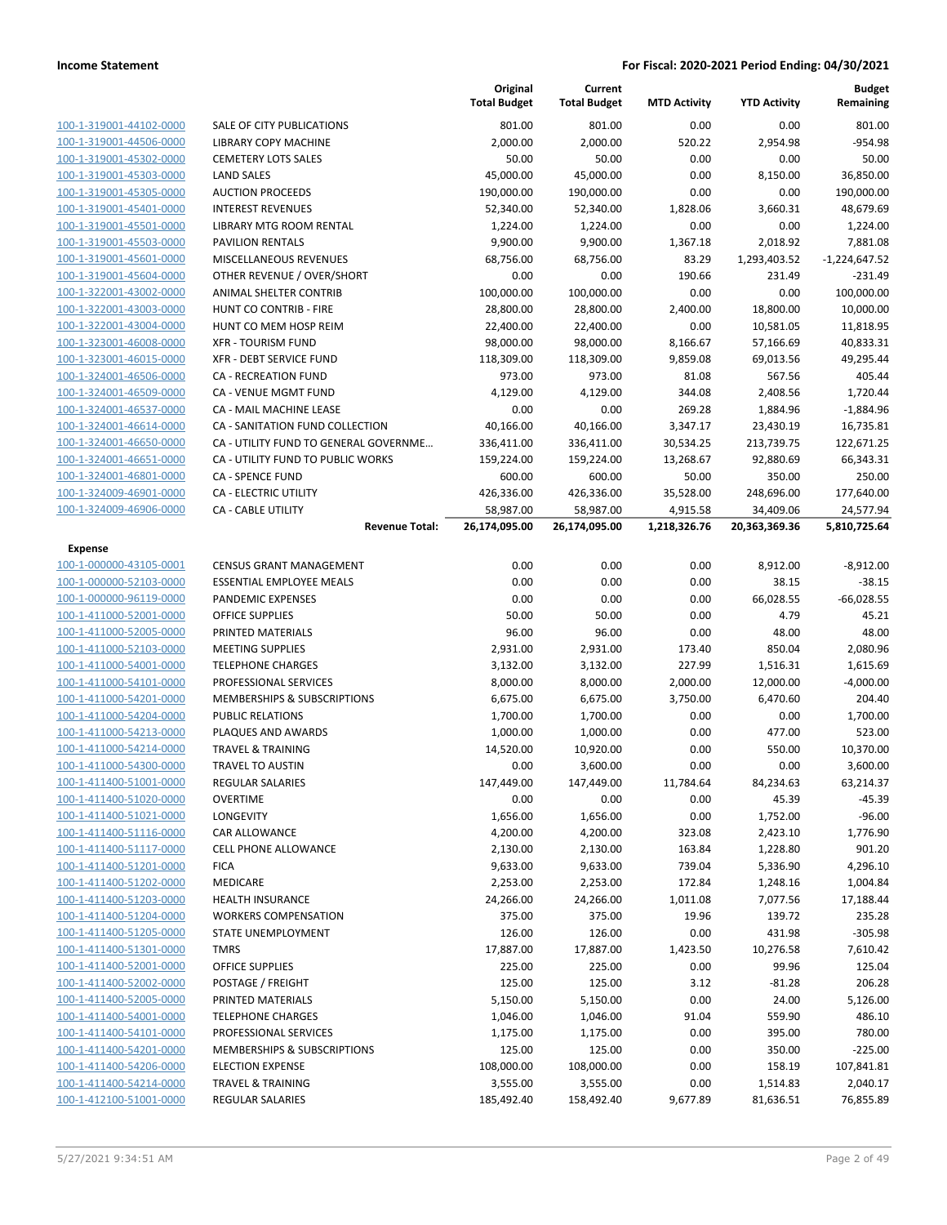|                         |                                       | Original<br><b>Total Budget</b> | Current<br><b>Total Budget</b> | <b>MTD Activity</b> | <b>YTD Activity</b> | <b>Budget</b><br>Remaining |
|-------------------------|---------------------------------------|---------------------------------|--------------------------------|---------------------|---------------------|----------------------------|
| 100-1-319001-44102-0000 | SALE OF CITY PUBLICATIONS             | 801.00                          | 801.00                         | 0.00                | 0.00                | 801.00                     |
| 100-1-319001-44506-0000 | <b>LIBRARY COPY MACHINE</b>           | 2,000.00                        | 2,000.00                       | 520.22              | 2,954.98            | $-954.98$                  |
| 100-1-319001-45302-0000 | <b>CEMETERY LOTS SALES</b>            | 50.00                           | 50.00                          | 0.00                | 0.00                | 50.00                      |
| 100-1-319001-45303-0000 | <b>LAND SALES</b>                     | 45,000.00                       | 45,000.00                      | 0.00                | 8,150.00            | 36,850.00                  |
| 100-1-319001-45305-0000 | <b>AUCTION PROCEEDS</b>               | 190,000.00                      | 190,000.00                     | 0.00                | 0.00                | 190,000.00                 |
| 100-1-319001-45401-0000 | <b>INTEREST REVENUES</b>              | 52,340.00                       | 52,340.00                      | 1,828.06            | 3,660.31            | 48,679.69                  |
| 100-1-319001-45501-0000 | LIBRARY MTG ROOM RENTAL               | 1,224.00                        | 1,224.00                       | 0.00                | 0.00                | 1,224.00                   |
| 100-1-319001-45503-0000 | <b>PAVILION RENTALS</b>               | 9,900.00                        | 9,900.00                       | 1,367.18            | 2,018.92            | 7,881.08                   |
| 100-1-319001-45601-0000 | <b>MISCELLANEOUS REVENUES</b>         | 68,756.00                       | 68,756.00                      | 83.29               | 1,293,403.52        | $-1,224,647.52$            |
| 100-1-319001-45604-0000 | OTHER REVENUE / OVER/SHORT            | 0.00                            | 0.00                           | 190.66              | 231.49              | $-231.49$                  |
| 100-1-322001-43002-0000 | ANIMAL SHELTER CONTRIB                | 100,000.00                      | 100,000.00                     | 0.00                | 0.00                | 100,000.00                 |
| 100-1-322001-43003-0000 | HUNT CO CONTRIB - FIRE                | 28,800.00                       | 28,800.00                      | 2,400.00            | 18,800.00           | 10,000.00                  |
| 100-1-322001-43004-0000 | HUNT CO MEM HOSP REIM                 | 22,400.00                       | 22,400.00                      | 0.00                | 10,581.05           | 11,818.95                  |
| 100-1-323001-46008-0000 | <b>XFR - TOURISM FUND</b>             | 98,000.00                       | 98,000.00                      | 8,166.67            | 57,166.69           | 40,833.31                  |
| 100-1-323001-46015-0000 | XFR - DEBT SERVICE FUND               | 118,309.00                      | 118,309.00                     | 9,859.08            | 69,013.56           | 49,295.44                  |
| 100-1-324001-46506-0000 | CA - RECREATION FUND                  | 973.00                          | 973.00                         | 81.08               | 567.56              | 405.44                     |
| 100-1-324001-46509-0000 | CA - VENUE MGMT FUND                  | 4,129.00                        | 4,129.00                       | 344.08              | 2,408.56            | 1,720.44                   |
| 100-1-324001-46537-0000 | CA - MAIL MACHINE LEASE               | 0.00                            | 0.00                           | 269.28              | 1,884.96            | $-1,884.96$                |
| 100-1-324001-46614-0000 | CA - SANITATION FUND COLLECTION       | 40,166.00                       | 40,166.00                      | 3,347.17            | 23,430.19           | 16,735.81                  |
| 100-1-324001-46650-0000 | CA - UTILITY FUND TO GENERAL GOVERNME | 336,411.00                      | 336,411.00                     | 30,534.25           | 213,739.75          | 122,671.25                 |
| 100-1-324001-46651-0000 | CA - UTILITY FUND TO PUBLIC WORKS     | 159,224.00                      | 159,224.00                     | 13,268.67           | 92,880.69           | 66,343.31                  |
| 100-1-324001-46801-0000 | <b>CA - SPENCE FUND</b>               | 600.00                          | 600.00                         | 50.00               | 350.00              | 250.00                     |
| 100-1-324009-46901-0000 | CA - ELECTRIC UTILITY                 | 426,336.00                      | 426,336.00                     | 35,528.00           | 248,696.00          | 177,640.00                 |
| 100-1-324009-46906-0000 | <b>CA - CABLE UTILITY</b>             | 58,987.00                       | 58,987.00                      | 4,915.58            | 34,409.06           | 24,577.94                  |
|                         | <b>Revenue Total:</b>                 | 26,174,095.00                   | 26,174,095.00                  | 1,218,326.76        | 20,363,369.36       | 5,810,725.64               |
| <b>Expense</b>          |                                       |                                 |                                |                     |                     |                            |
| 100-1-000000-43105-0001 | <b>CENSUS GRANT MANAGEMENT</b>        | 0.00                            | 0.00                           | 0.00                | 8,912.00            | $-8,912.00$                |
| 100-1-000000-52103-0000 | <b>ESSENTIAL EMPLOYEE MEALS</b>       | 0.00                            | 0.00                           | 0.00                | 38.15               | $-38.15$                   |
| 100-1-000000-96119-0000 | PANDEMIC EXPENSES                     | 0.00                            | 0.00                           | 0.00                | 66,028.55           | $-66,028.55$               |
| 100-1-411000-52001-0000 | <b>OFFICE SUPPLIES</b>                | 50.00                           | 50.00                          | 0.00                | 4.79                | 45.21                      |
| 100-1-411000-52005-0000 | PRINTED MATERIALS                     | 96.00                           | 96.00                          | 0.00                | 48.00               | 48.00                      |
| 100-1-411000-52103-0000 | <b>MEETING SUPPLIES</b>               | 2,931.00                        | 2,931.00                       | 173.40              | 850.04              | 2,080.96                   |
| 100-1-411000-54001-0000 | <b>TELEPHONE CHARGES</b>              | 3,132.00                        | 3,132.00                       | 227.99              | 1,516.31            | 1,615.69                   |
| 100-1-411000-54101-0000 | PROFESSIONAL SERVICES                 | 8,000.00                        | 8,000.00                       | 2,000.00            | 12,000.00           | $-4,000.00$                |
| 100-1-411000-54201-0000 | MEMBERSHIPS & SUBSCRIPTIONS           | 6,675.00                        | 6,675.00                       | 3,750.00            | 6,470.60            | 204.40                     |
| 100-1-411000-54204-0000 | <b>PUBLIC RELATIONS</b>               | 1,700.00                        | 1,700.00                       | 0.00                | 0.00                | 1,700.00                   |
| 100-1-411000-54213-0000 | PLAQUES AND AWARDS                    | 1,000.00                        | 1,000.00                       | 0.00                | 477.00              | 523.00                     |
| 100-1-411000-54214-0000 | <b>TRAVEL &amp; TRAINING</b>          | 14,520.00                       | 10,920.00                      | 0.00                | 550.00              | 10,370.00                  |
| 100-1-411000-54300-0000 | <b>TRAVEL TO AUSTIN</b>               | 0.00                            | 3,600.00                       | 0.00                | 0.00                | 3,600.00                   |
| 100-1-411400-51001-0000 | REGULAR SALARIES                      | 147,449.00                      | 147,449.00                     | 11,784.64           | 84,234.63           | 63,214.37                  |
| 100-1-411400-51020-0000 | <b>OVERTIME</b>                       | 0.00                            | 0.00                           | 0.00                | 45.39               | $-45.39$                   |
| 100-1-411400-51021-0000 | <b>LONGEVITY</b>                      | 1,656.00                        | 1,656.00                       | 0.00                | 1,752.00            | $-96.00$                   |
| 100-1-411400-51116-0000 | CAR ALLOWANCE                         | 4,200.00                        | 4,200.00                       | 323.08              | 2,423.10            | 1,776.90                   |
| 100-1-411400-51117-0000 | CELL PHONE ALLOWANCE                  | 2,130.00                        | 2,130.00                       | 163.84              | 1,228.80            | 901.20                     |
| 100-1-411400-51201-0000 | <b>FICA</b>                           | 9,633.00                        | 9,633.00                       | 739.04              | 5,336.90            | 4,296.10                   |
| 100-1-411400-51202-0000 | MEDICARE                              | 2,253.00                        | 2,253.00                       | 172.84              | 1,248.16            | 1,004.84                   |
| 100-1-411400-51203-0000 | <b>HEALTH INSURANCE</b>               | 24,266.00                       | 24,266.00                      | 1,011.08            | 7,077.56            | 17,188.44                  |
| 100-1-411400-51204-0000 | <b>WORKERS COMPENSATION</b>           | 375.00                          | 375.00                         | 19.96               | 139.72              | 235.28                     |
| 100-1-411400-51205-0000 | STATE UNEMPLOYMENT                    | 126.00                          | 126.00                         | 0.00                | 431.98              | $-305.98$                  |
| 100-1-411400-51301-0000 | <b>TMRS</b>                           | 17,887.00                       | 17,887.00                      | 1,423.50            | 10,276.58           | 7,610.42                   |
| 100-1-411400-52001-0000 | <b>OFFICE SUPPLIES</b>                | 225.00                          | 225.00                         | 0.00                | 99.96               | 125.04                     |
| 100-1-411400-52002-0000 | POSTAGE / FREIGHT                     | 125.00                          | 125.00                         | 3.12                | $-81.28$            | 206.28                     |
| 100-1-411400-52005-0000 | PRINTED MATERIALS                     | 5,150.00                        | 5,150.00                       | 0.00                | 24.00               | 5,126.00                   |
| 100-1-411400-54001-0000 | <b>TELEPHONE CHARGES</b>              | 1,046.00                        | 1,046.00                       | 91.04               | 559.90              | 486.10                     |
| 100-1-411400-54101-0000 | PROFESSIONAL SERVICES                 | 1,175.00                        | 1,175.00                       | 0.00                | 395.00              | 780.00                     |
| 100-1-411400-54201-0000 | MEMBERSHIPS & SUBSCRIPTIONS           | 125.00                          | 125.00                         | 0.00                | 350.00              | $-225.00$                  |
| 100-1-411400-54206-0000 | <b>ELECTION EXPENSE</b>               | 108,000.00                      | 108,000.00                     | 0.00                | 158.19              | 107,841.81                 |
| 100-1-411400-54214-0000 | <b>TRAVEL &amp; TRAINING</b>          | 3,555.00                        | 3,555.00                       | 0.00                | 1,514.83            | 2,040.17                   |
| 100-1-412100-51001-0000 | REGULAR SALARIES                      | 185,492.40                      | 158,492.40                     | 9,677.89            | 81,636.51           | 76,855.89                  |
|                         |                                       |                                 |                                |                     |                     |                            |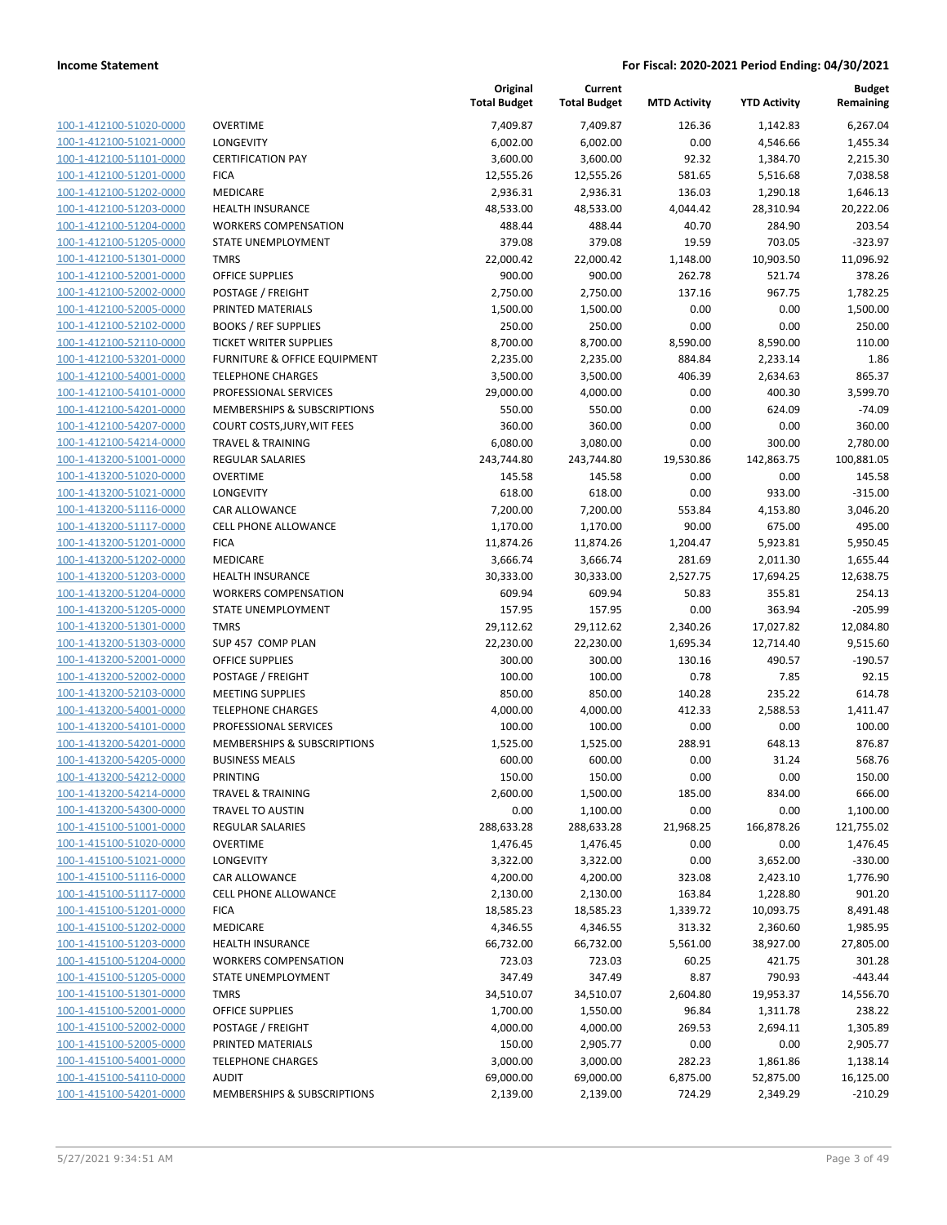| 100-1-412100-51020-0000        |
|--------------------------------|
| 100-1-412100-51021-0000        |
| 100-1-412100-51101-0000        |
| 100-1-412100-51201-0000        |
| 100-1-412100-51202-0000        |
| 100-1-412100-51203-0000        |
| 100-1-412100-51204-0000        |
| 100-1-412100-51205-0000        |
| 100-1-412100-51301-0000        |
| 100-1-412100-52001-0000        |
| 100-1-412100-52002-0000        |
| 100-1-412100-52005-0000        |
| 100-1-412100-52102-0000        |
| 100-1-412100-52110-0000        |
|                                |
| 100-1-412100-53201-0000        |
| 100-1-412100-54001-0000        |
| 100-1-412100-54101-0000        |
| 100-1-412100-54201-0000        |
| 100-1-412100-54207-0000        |
| 100-1-412100-54214-0000        |
| 100-1-413200-51001-0000        |
| 100-1-413200-51020-0000        |
| 100-1-413200-51021-0000        |
| 100-1-413200-51116-0000        |
| 100-1-413200-51117-0000        |
| 100-1-413200-51201-0000        |
| 100-1-413200-51202-0000        |
| 100-1-413200-51203-0000        |
| 100-1-413200-51204-0000        |
| 100-1-413200-51205-0000        |
| 100-1-413200-51301-0000        |
| 100-1-413200-51303-0000        |
|                                |
| 100-1-413200-52001-0000        |
| 100-1-413200-52002-0000        |
| 100-1-413200-52103-0000        |
| 100-1-413200-54001-0000        |
| 100-1-413200-54101-0000        |
| 100-1-413200-54201-0000        |
| 100-1-413200-54205-0000        |
| 100-1-413200-54212-0000        |
| <u>100-1-413200-54214-0000</u> |
| 100-1-413200-54300-0000        |
| <u>100-1-415100-51001-0000</u> |
| 100-1-415100-51020-0000        |
| 100-1-415100-51021-0000        |
| <u>100-1-415100-51116-0000</u> |
| <u>100-1-415100-51117-0000</u> |
| <u>100-1-415100-51201-0000</u> |
| <u>100-1-415100-51202-0000</u> |
| 100-1-415100-51203-0000        |
|                                |
| <u>100-1-415100-51204-0000</u> |
| <u>100-1-415100-51205-0000</u> |
| <u>100-1-415100-51301-0000</u> |
| 100-1-415100-52001-0000        |
| 100-1-415100-52002-0000        |
| <u>100-1-415100-52005-0000</u> |
| <u>100-1-415100-54001-0000</u> |
| <u>100-1-415100-54110-0000</u> |
| <u>100-1-415100-54201-0000</u> |
|                                |

|                         |                               | Original<br><b>Total Budget</b> | Current<br><b>Total Budget</b> | <b>MTD Activity</b> | <b>YTD Activity</b> | Budget<br>Remaining |
|-------------------------|-------------------------------|---------------------------------|--------------------------------|---------------------|---------------------|---------------------|
| 100-1-412100-51020-0000 | <b>OVERTIME</b>               | 7,409.87                        | 7,409.87                       | 126.36              | 1,142.83            | 6,267.04            |
| 100-1-412100-51021-0000 | LONGEVITY                     | 6,002.00                        | 6,002.00                       | 0.00                | 4,546.66            | 1,455.34            |
| 100-1-412100-51101-0000 | <b>CERTIFICATION PAY</b>      | 3,600.00                        | 3,600.00                       | 92.32               | 1,384.70            | 2,215.30            |
| 100-1-412100-51201-0000 | <b>FICA</b>                   | 12,555.26                       | 12,555.26                      | 581.65              | 5,516.68            | 7,038.58            |
| 100-1-412100-51202-0000 | MEDICARE                      | 2,936.31                        | 2,936.31                       | 136.03              | 1,290.18            | 1,646.13            |
| 100-1-412100-51203-0000 | <b>HEALTH INSURANCE</b>       | 48,533.00                       | 48,533.00                      | 4,044.42            | 28,310.94           | 20,222.06           |
| 100-1-412100-51204-0000 | <b>WORKERS COMPENSATION</b>   | 488.44                          | 488.44                         | 40.70               | 284.90              | 203.54              |
| 100-1-412100-51205-0000 | STATE UNEMPLOYMENT            | 379.08                          | 379.08                         | 19.59               | 703.05              | $-323.97$           |
| 100-1-412100-51301-0000 | <b>TMRS</b>                   | 22,000.42                       | 22,000.42                      | 1,148.00            | 10,903.50           | 11,096.92           |
| 100-1-412100-52001-0000 | <b>OFFICE SUPPLIES</b>        | 900.00                          | 900.00                         | 262.78              | 521.74              | 378.26              |
| 100-1-412100-52002-0000 | POSTAGE / FREIGHT             | 2,750.00                        | 2,750.00                       | 137.16              | 967.75              | 1,782.25            |
| 100-1-412100-52005-0000 | PRINTED MATERIALS             | 1,500.00                        | 1,500.00                       | 0.00                | 0.00                | 1,500.00            |
| 100-1-412100-52102-0000 | <b>BOOKS / REF SUPPLIES</b>   | 250.00                          | 250.00                         | 0.00                | 0.00                | 250.00              |
| 100-1-412100-52110-0000 | <b>TICKET WRITER SUPPLIES</b> | 8,700.00                        | 8,700.00                       | 8,590.00            | 8,590.00            | 110.00              |
| 100-1-412100-53201-0000 | FURNITURE & OFFICE EQUIPMENT  | 2,235.00                        | 2,235.00                       | 884.84              | 2,233.14            | 1.86                |
| 100-1-412100-54001-0000 | <b>TELEPHONE CHARGES</b>      | 3,500.00                        | 3,500.00                       | 406.39              | 2,634.63            | 865.37              |
| 100-1-412100-54101-0000 | PROFESSIONAL SERVICES         | 29,000.00                       | 4,000.00                       | 0.00                | 400.30              | 3,599.70            |
| 100-1-412100-54201-0000 | MEMBERSHIPS & SUBSCRIPTIONS   | 550.00                          | 550.00                         | 0.00                | 624.09              | $-74.09$            |
| 100-1-412100-54207-0000 | COURT COSTS, JURY, WIT FEES   | 360.00                          | 360.00                         | 0.00                | 0.00                | 360.00              |
| 100-1-412100-54214-0000 | <b>TRAVEL &amp; TRAINING</b>  | 6,080.00                        | 3,080.00                       | 0.00                | 300.00              | 2,780.00            |
| 100-1-413200-51001-0000 | REGULAR SALARIES              | 243,744.80                      | 243,744.80                     | 19,530.86           | 142,863.75          | 100,881.05          |
| 100-1-413200-51020-0000 | <b>OVERTIME</b>               | 145.58                          | 145.58                         | 0.00                | 0.00                | 145.58              |
| 100-1-413200-51021-0000 | <b>LONGEVITY</b>              | 618.00                          | 618.00                         | 0.00                | 933.00              | $-315.00$           |
| 100-1-413200-51116-0000 | CAR ALLOWANCE                 | 7,200.00                        | 7,200.00                       | 553.84              | 4,153.80            | 3,046.20            |
| 100-1-413200-51117-0000 | <b>CELL PHONE ALLOWANCE</b>   | 1,170.00                        | 1,170.00                       | 90.00               | 675.00              | 495.00              |
| 100-1-413200-51201-0000 | <b>FICA</b>                   | 11,874.26                       | 11,874.26                      | 1,204.47            | 5,923.81            | 5,950.45            |
| 100-1-413200-51202-0000 | MEDICARE                      | 3,666.74                        | 3,666.74                       | 281.69              | 2,011.30            | 1,655.44            |
| 100-1-413200-51203-0000 | HEALTH INSURANCE              | 30,333.00                       | 30,333.00                      | 2,527.75            | 17,694.25           | 12,638.75           |
| 100-1-413200-51204-0000 | <b>WORKERS COMPENSATION</b>   | 609.94                          | 609.94                         | 50.83               | 355.81              | 254.13              |
| 100-1-413200-51205-0000 | STATE UNEMPLOYMENT            | 157.95                          | 157.95                         | 0.00                | 363.94              | $-205.99$           |
| 100-1-413200-51301-0000 | <b>TMRS</b>                   | 29,112.62                       | 29,112.62                      | 2,340.26            | 17,027.82           | 12,084.80           |
| 100-1-413200-51303-0000 | SUP 457 COMP PLAN             | 22,230.00                       | 22,230.00                      | 1,695.34            | 12,714.40           | 9,515.60            |
| 100-1-413200-52001-0000 | <b>OFFICE SUPPLIES</b>        | 300.00                          | 300.00                         | 130.16              | 490.57              | $-190.57$           |
| 100-1-413200-52002-0000 | POSTAGE / FREIGHT             | 100.00                          | 100.00                         | 0.78                | 7.85                | 92.15               |
| 100-1-413200-52103-0000 | <b>MEETING SUPPLIES</b>       | 850.00                          | 850.00                         | 140.28              | 235.22              | 614.78              |
| 100-1-413200-54001-0000 | <b>TELEPHONE CHARGES</b>      | 4,000.00                        | 4,000.00                       | 412.33              | 2,588.53            | 1,411.47            |
| 100-1-413200-54101-0000 | PROFESSIONAL SERVICES         | 100.00                          | 100.00                         | 0.00                | 0.00                | 100.00              |
| 100-1-413200-54201-0000 | MEMBERSHIPS & SUBSCRIPTIONS   | 1,525.00                        | 1,525.00                       | 288.91              | 648.13              | 876.87              |
| 100-1-413200-54205-0000 | <b>BUSINESS MEALS</b>         | 600.00                          | 600.00                         | 0.00                | 31.24               | 568.76              |
| 100-1-413200-54212-0000 | PRINTING                      | 150.00                          | 150.00                         | 0.00                | 0.00                | 150.00              |
| 100-1-413200-54214-0000 | <b>TRAVEL &amp; TRAINING</b>  | 2,600.00                        | 1,500.00                       | 185.00              | 834.00              | 666.00              |
| 100-1-413200-54300-0000 | TRAVEL TO AUSTIN              | 0.00                            | 1,100.00                       | 0.00                | 0.00                | 1,100.00            |
| 100-1-415100-51001-0000 | REGULAR SALARIES              | 288,633.28                      | 288,633.28                     | 21,968.25           | 166,878.26          | 121,755.02          |
| 100-1-415100-51020-0000 | <b>OVERTIME</b>               | 1,476.45                        | 1,476.45                       | 0.00                | 0.00                | 1,476.45            |
| 100-1-415100-51021-0000 | LONGEVITY                     | 3,322.00                        | 3,322.00                       | 0.00                | 3,652.00            | $-330.00$           |
| 100-1-415100-51116-0000 | CAR ALLOWANCE                 | 4,200.00                        | 4,200.00                       | 323.08              | 2,423.10            | 1,776.90            |
| 100-1-415100-51117-0000 | <b>CELL PHONE ALLOWANCE</b>   | 2,130.00                        | 2,130.00                       | 163.84              | 1,228.80            | 901.20              |
| 100-1-415100-51201-0000 | <b>FICA</b>                   | 18,585.23                       | 18,585.23                      | 1,339.72            | 10,093.75           | 8,491.48            |
| 100-1-415100-51202-0000 | MEDICARE                      | 4,346.55                        | 4,346.55                       | 313.32              | 2,360.60            | 1,985.95            |
| 100-1-415100-51203-0000 | <b>HEALTH INSURANCE</b>       | 66,732.00                       | 66,732.00                      | 5,561.00            | 38,927.00           | 27,805.00           |
| 100-1-415100-51204-0000 | <b>WORKERS COMPENSATION</b>   | 723.03                          | 723.03                         | 60.25               | 421.75              | 301.28              |
| 100-1-415100-51205-0000 | STATE UNEMPLOYMENT            | 347.49                          | 347.49                         | 8.87                | 790.93              | $-443.44$           |
| 100-1-415100-51301-0000 | <b>TMRS</b>                   | 34,510.07                       | 34,510.07                      | 2,604.80            | 19,953.37           | 14,556.70           |
| 100-1-415100-52001-0000 | <b>OFFICE SUPPLIES</b>        | 1,700.00                        | 1,550.00                       | 96.84               | 1,311.78            | 238.22              |
| 100-1-415100-52002-0000 | POSTAGE / FREIGHT             | 4,000.00                        | 4,000.00                       | 269.53              | 2,694.11            | 1,305.89            |
| 100-1-415100-52005-0000 | PRINTED MATERIALS             | 150.00                          | 2,905.77                       | 0.00                | 0.00                | 2,905.77            |
| 100-1-415100-54001-0000 | <b>TELEPHONE CHARGES</b>      | 3,000.00                        | 3,000.00                       | 282.23              | 1,861.86            | 1,138.14            |
| 100-1-415100-54110-0000 | <b>AUDIT</b>                  | 69,000.00                       | 69,000.00                      | 6,875.00            | 52,875.00           | 16,125.00           |
| 100-1-415100-54201-0000 | MEMBERSHIPS & SUBSCRIPTIONS   | 2,139.00                        | 2,139.00                       | 724.29              | 2,349.29            | $-210.29$           |
|                         |                               |                                 |                                |                     |                     |                     |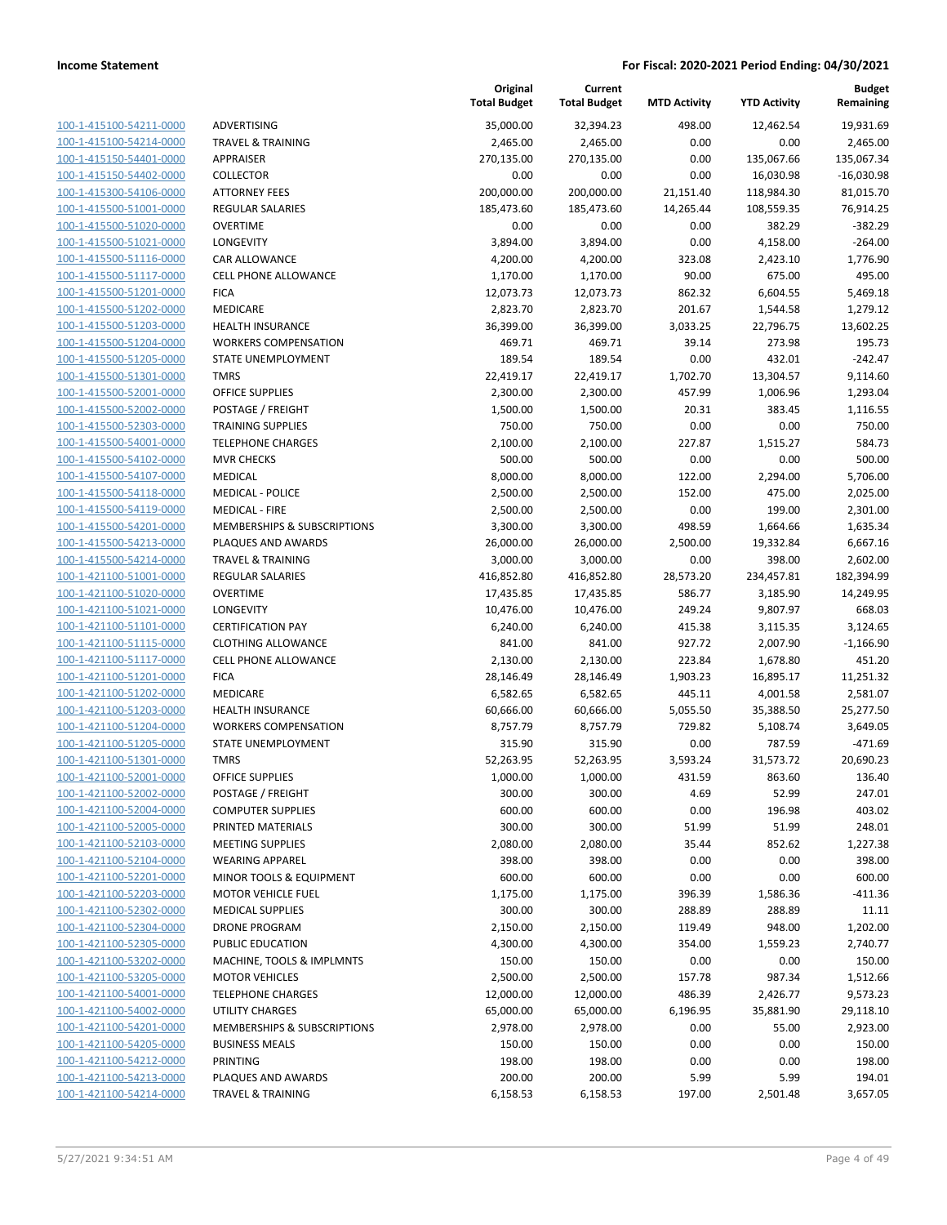| 100-1-415100-54211-0000        |
|--------------------------------|
| 100-1-415100-54214-0000        |
| 100-1-415150-54401-0000        |
| 100-1-415150-54402-0000        |
| 100-1-415300-54106-0000        |
| 100-1-415500-51001-0000        |
|                                |
| 100-1-415500-51020-0000        |
| 100-1-415500-51021-0000        |
| 100-1-415500-51116-0000        |
| 100-1-415500-51117-0000        |
| 100-1-415500-51201-0000        |
| 100-1-415500-51202-0000        |
| 100-1-415500-51203-0000        |
| 100-1-415500-51204-0000        |
| 100-1-415500-51205-0000        |
| 100-1-415500-51301-0000        |
|                                |
| 100-1-415500-52001-0000        |
| 100-1-415500-52002-0000        |
| 100-1-415500-52303-0000        |
| 100-1-415500-54001-0000        |
| 100-1-415500-54102-0000        |
| 100-1-415500-54107-0000        |
| 100-1-415500-54118-0000        |
| 100-1-415500-54119-0000        |
| 100-1-415500-54201-0000        |
|                                |
| 100-1-415500-54213-0000        |
| 100-1-415500-54214-0000        |
| 100-1-421100-51001-0000        |
| 100-1-421100-51020-0000        |
| 100-1-421100-51021-0000        |
| 100-1-421100-51101-0000        |
| 100-1-421100-51115-0000        |
| 100-1-421100-51117-0000        |
| 100-1-421100-51201-0000        |
| 100-1-421100-51202-0000        |
| 100-1-421100-51203-0000        |
|                                |
| 100-1-421100-51204-0000        |
| 100-1-421100-51205-0000        |
| 100-1-421100-51301-0000        |
| 100-1-421100-52001-0000        |
| 100-1-421100-52002-0000        |
| <u>100-1-421100-52004-0000</u> |
| <u>100-1-421100-52005-0000</u> |
| 100-1-421100-52103-0000        |
| 100-1-421100-52104-0000        |
| <u>100-1-421100-52201-0000</u> |
|                                |
| <u>100-1-421100-52203-0000</u> |
| <u>100-1-421100-52302-0000</u> |
| 100-1-421100-52304-0000        |
| 100-1-421100-52305-0000        |
| 100-1-421100-53202-0000        |
| 100-1-421100-53205-0000        |
| <u>100-1-421100-54001-0000</u> |
| 100-1-421100-54002-0000        |
| 100-1-421100-54201-0000        |
| <u>100-1-421100-54205-0000</u> |
| <u>100-1-421100-54212-0000</u> |
|                                |
| <u>100-1-421100-54213-0000</u> |
| 100-1-421100-54214-0000        |
|                                |

|                                                    |                                     | Original<br><b>Total Budget</b> | Current<br><b>Total Budget</b> | <b>MTD Activity</b> | <b>YTD Activity</b>  | <b>Budget</b><br>Remaining |
|----------------------------------------------------|-------------------------------------|---------------------------------|--------------------------------|---------------------|----------------------|----------------------------|
| 100-1-415100-54211-0000                            | ADVERTISING                         | 35,000.00                       | 32,394.23                      | 498.00              | 12,462.54            | 19,931.69                  |
| 100-1-415100-54214-0000                            | <b>TRAVEL &amp; TRAINING</b>        | 2,465.00                        | 2,465.00                       | 0.00                | 0.00                 | 2,465.00                   |
| 100-1-415150-54401-0000                            | APPRAISER                           | 270,135.00                      | 270,135.00                     | 0.00                | 135,067.66           | 135,067.34                 |
| 100-1-415150-54402-0000                            | <b>COLLECTOR</b>                    | 0.00                            | 0.00                           | 0.00                | 16,030.98            | $-16,030.98$               |
| 100-1-415300-54106-0000                            | <b>ATTORNEY FEES</b>                | 200,000.00                      | 200,000.00                     | 21,151.40           | 118,984.30           | 81,015.70                  |
| 100-1-415500-51001-0000                            | <b>REGULAR SALARIES</b>             | 185,473.60                      | 185,473.60                     | 14,265.44           | 108,559.35           | 76,914.25                  |
| 100-1-415500-51020-0000                            | <b>OVERTIME</b>                     | 0.00                            | 0.00                           | 0.00                | 382.29               | $-382.29$                  |
| 100-1-415500-51021-0000                            | <b>LONGEVITY</b>                    | 3,894.00                        | 3,894.00                       | 0.00                | 4,158.00             | $-264.00$                  |
| 100-1-415500-51116-0000                            | <b>CAR ALLOWANCE</b>                | 4,200.00                        | 4,200.00                       | 323.08              | 2,423.10             | 1,776.90                   |
| 100-1-415500-51117-0000                            | <b>CELL PHONE ALLOWANCE</b>         | 1,170.00                        | 1,170.00                       | 90.00               | 675.00               | 495.00                     |
| 100-1-415500-51201-0000                            | <b>FICA</b>                         | 12,073.73                       | 12,073.73                      | 862.32              | 6,604.55             | 5,469.18                   |
| 100-1-415500-51202-0000                            | MEDICARE                            | 2,823.70                        | 2,823.70                       | 201.67              | 1,544.58             | 1,279.12                   |
| 100-1-415500-51203-0000                            | <b>HEALTH INSURANCE</b>             | 36,399.00                       | 36,399.00                      | 3,033.25            | 22,796.75            | 13,602.25                  |
| 100-1-415500-51204-0000                            | <b>WORKERS COMPENSATION</b>         | 469.71                          | 469.71                         | 39.14               | 273.98               | 195.73                     |
| 100-1-415500-51205-0000                            | STATE UNEMPLOYMENT                  | 189.54                          | 189.54                         | 0.00                | 432.01               | $-242.47$                  |
| 100-1-415500-51301-0000                            | <b>TMRS</b>                         | 22,419.17                       | 22,419.17                      | 1,702.70            | 13,304.57            | 9,114.60                   |
| 100-1-415500-52001-0000                            | OFFICE SUPPLIES                     | 2,300.00                        | 2,300.00                       | 457.99              | 1,006.96             | 1,293.04                   |
| 100-1-415500-52002-0000                            | POSTAGE / FREIGHT                   | 1,500.00                        | 1,500.00                       | 20.31               | 383.45               | 1,116.55                   |
| 100-1-415500-52303-0000                            | <b>TRAINING SUPPLIES</b>            | 750.00                          | 750.00                         | 0.00                | 0.00                 | 750.00                     |
| 100-1-415500-54001-0000                            | <b>TELEPHONE CHARGES</b>            | 2,100.00                        | 2,100.00                       | 227.87              | 1,515.27             | 584.73                     |
| 100-1-415500-54102-0000                            | <b>MVR CHECKS</b>                   | 500.00                          | 500.00                         | 0.00                | 0.00                 | 500.00                     |
| 100-1-415500-54107-0000                            | MEDICAL                             | 8,000.00                        | 8,000.00                       | 122.00              | 2,294.00             | 5,706.00                   |
| 100-1-415500-54118-0000                            | <b>MEDICAL - POLICE</b>             | 2,500.00                        | 2,500.00                       | 152.00              | 475.00               | 2,025.00                   |
| 100-1-415500-54119-0000                            | <b>MEDICAL - FIRE</b>               | 2,500.00                        | 2,500.00                       | 0.00                | 199.00               | 2,301.00                   |
| 100-1-415500-54201-0000                            | MEMBERSHIPS & SUBSCRIPTIONS         | 3,300.00                        | 3,300.00                       | 498.59              | 1,664.66             | 1,635.34                   |
| 100-1-415500-54213-0000                            | PLAQUES AND AWARDS                  | 26,000.00                       | 26,000.00                      | 2,500.00            | 19,332.84            | 6,667.16                   |
| 100-1-415500-54214-0000                            | <b>TRAVEL &amp; TRAINING</b>        | 3,000.00                        | 3,000.00                       | 0.00                | 398.00               | 2,602.00                   |
| 100-1-421100-51001-0000<br>100-1-421100-51020-0000 | <b>REGULAR SALARIES</b>             | 416,852.80                      | 416,852.80                     | 28,573.20           | 234,457.81           | 182,394.99                 |
| 100-1-421100-51021-0000                            | <b>OVERTIME</b><br><b>LONGEVITY</b> | 17,435.85<br>10,476.00          | 17,435.85<br>10,476.00         | 586.77<br>249.24    | 3,185.90<br>9,807.97 | 14,249.95<br>668.03        |
| 100-1-421100-51101-0000                            | <b>CERTIFICATION PAY</b>            | 6,240.00                        | 6,240.00                       | 415.38              | 3,115.35             | 3,124.65                   |
| 100-1-421100-51115-0000                            | <b>CLOTHING ALLOWANCE</b>           | 841.00                          | 841.00                         | 927.72              | 2,007.90             | $-1,166.90$                |
| 100-1-421100-51117-0000                            | CELL PHONE ALLOWANCE                | 2,130.00                        | 2,130.00                       | 223.84              | 1,678.80             | 451.20                     |
| 100-1-421100-51201-0000                            | <b>FICA</b>                         | 28,146.49                       | 28,146.49                      | 1,903.23            | 16,895.17            | 11,251.32                  |
| 100-1-421100-51202-0000                            | MEDICARE                            | 6,582.65                        | 6,582.65                       | 445.11              | 4,001.58             | 2,581.07                   |
| 100-1-421100-51203-0000                            | <b>HEALTH INSURANCE</b>             | 60,666.00                       | 60,666.00                      | 5,055.50            | 35,388.50            | 25,277.50                  |
| 100-1-421100-51204-0000                            | <b>WORKERS COMPENSATION</b>         | 8,757.79                        | 8,757.79                       | 729.82              | 5,108.74             | 3,649.05                   |
| 100-1-421100-51205-0000                            | STATE UNEMPLOYMENT                  | 315.90                          | 315.90                         | 0.00                | 787.59               | $-471.69$                  |
| 100-1-421100-51301-0000                            | <b>TMRS</b>                         | 52,263.95                       | 52,263.95                      | 3,593.24            | 31,573.72            | 20,690.23                  |
| 100-1-421100-52001-0000                            | OFFICE SUPPLIES                     | 1,000.00                        | 1,000.00                       | 431.59              | 863.60               | 136.40                     |
| 100-1-421100-52002-0000                            | POSTAGE / FREIGHT                   | 300.00                          | 300.00                         | 4.69                | 52.99                | 247.01                     |
| 100-1-421100-52004-0000                            | <b>COMPUTER SUPPLIES</b>            | 600.00                          | 600.00                         | 0.00                | 196.98               | 403.02                     |
| 100-1-421100-52005-0000                            | PRINTED MATERIALS                   | 300.00                          | 300.00                         | 51.99               | 51.99                | 248.01                     |
| 100-1-421100-52103-0000                            | <b>MEETING SUPPLIES</b>             | 2,080.00                        | 2,080.00                       | 35.44               | 852.62               | 1,227.38                   |
| 100-1-421100-52104-0000                            | <b>WEARING APPAREL</b>              | 398.00                          | 398.00                         | 0.00                | 0.00                 | 398.00                     |
| 100-1-421100-52201-0000                            | MINOR TOOLS & EQUIPMENT             | 600.00                          | 600.00                         | 0.00                | 0.00                 | 600.00                     |
| 100-1-421100-52203-0000                            | <b>MOTOR VEHICLE FUEL</b>           | 1,175.00                        | 1,175.00                       | 396.39              | 1,586.36             | $-411.36$                  |
| 100-1-421100-52302-0000                            | <b>MEDICAL SUPPLIES</b>             | 300.00                          | 300.00                         | 288.89              | 288.89               | 11.11                      |
| 100-1-421100-52304-0000                            | <b>DRONE PROGRAM</b>                | 2,150.00                        | 2,150.00                       | 119.49              | 948.00               | 1,202.00                   |
| 100-1-421100-52305-0000                            | PUBLIC EDUCATION                    | 4,300.00                        | 4,300.00                       | 354.00              | 1,559.23             | 2,740.77                   |
| 100-1-421100-53202-0000                            | MACHINE, TOOLS & IMPLMNTS           | 150.00                          | 150.00                         | 0.00                | 0.00                 | 150.00                     |
| 100-1-421100-53205-0000                            | <b>MOTOR VEHICLES</b>               | 2,500.00                        | 2,500.00                       | 157.78              | 987.34               | 1,512.66                   |
| 100-1-421100-54001-0000                            | <b>TELEPHONE CHARGES</b>            | 12,000.00                       | 12,000.00                      | 486.39              | 2,426.77             | 9,573.23                   |
| 100-1-421100-54002-0000                            | UTILITY CHARGES                     | 65,000.00                       | 65,000.00                      | 6,196.95            | 35,881.90            | 29,118.10                  |
| 100-1-421100-54201-0000                            | MEMBERSHIPS & SUBSCRIPTIONS         | 2,978.00                        | 2,978.00                       | 0.00                | 55.00                | 2,923.00                   |
| 100-1-421100-54205-0000                            | <b>BUSINESS MEALS</b>               | 150.00                          | 150.00                         | 0.00                | 0.00                 | 150.00                     |
| 100-1-421100-54212-0000                            | PRINTING                            | 198.00                          | 198.00                         | 0.00                | 0.00                 | 198.00                     |
| 100-1-421100-54213-0000                            | PLAQUES AND AWARDS                  | 200.00                          | 200.00                         | 5.99                | 5.99                 | 194.01                     |
| 100-1-421100-54214-0000                            | <b>TRAVEL &amp; TRAINING</b>        | 6,158.53                        | 6,158.53                       | 197.00              | 2,501.48             | 3,657.05                   |
|                                                    |                                     |                                 |                                |                     |                      |                            |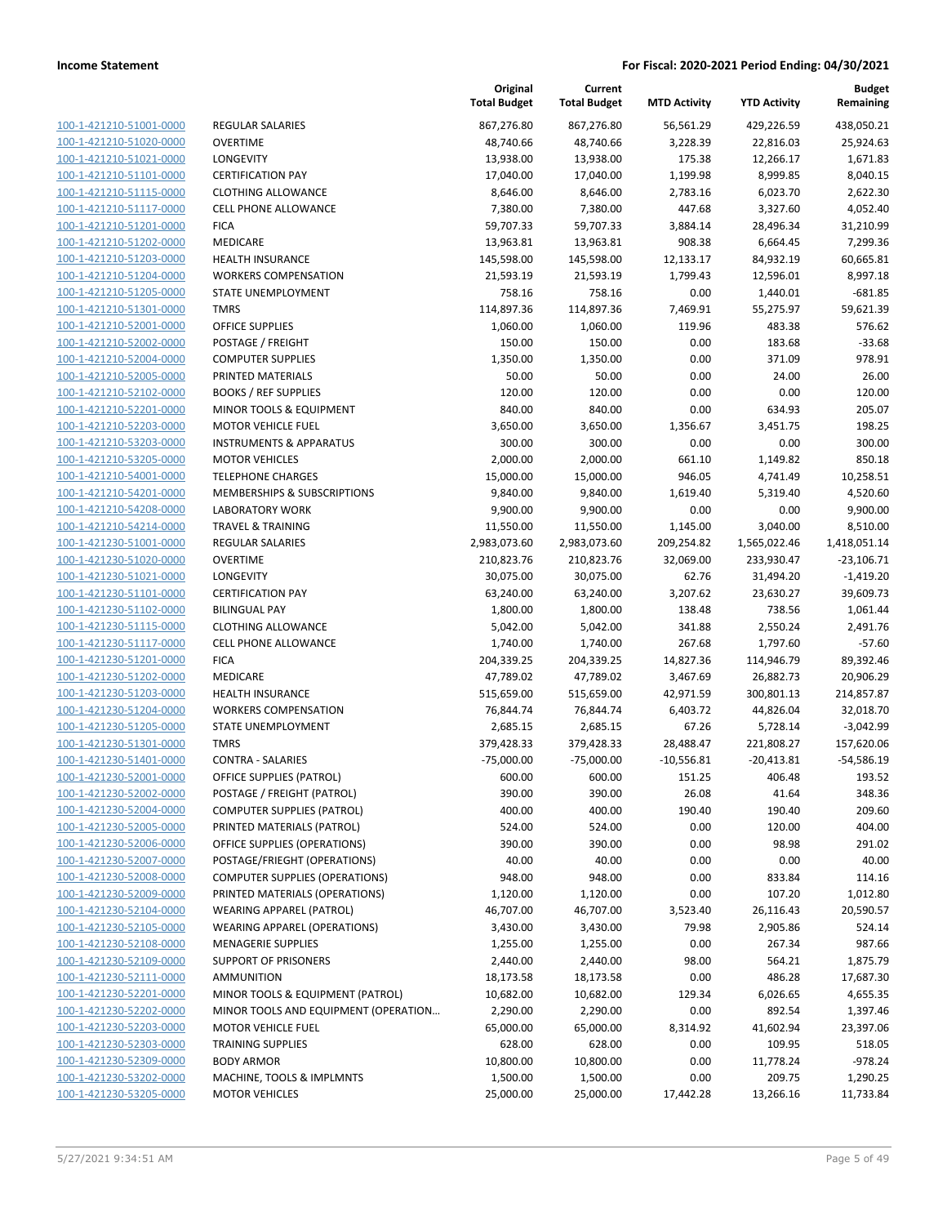| 100-1-421210-51001-0000        |
|--------------------------------|
| 100-1-421210-51020-0000        |
| 100-1-421210-51021-0000        |
| 100-1-421210-51101-0000        |
| 100-1-421210-51115-0000        |
| 100-1-421210-51117-0000        |
| 100-1-421210-51201-0000        |
| 100-1-421210-51202-0000        |
| 100-1-421210-51203-0000        |
| 100-1-421210-51204-0000        |
| 100-1-421210-51205-0000        |
| 100-1-421210-51301-0000        |
| 100-1-421210-52001-0000        |
| 100-1-421210-52002-0000        |
| 100-1-421210-52004-0000        |
| 100-1-421210-52005-0000        |
| 100-1-421210-52102-0000        |
| 100-1-421210-52201-0000        |
| 100-1-421210-52203-0000        |
| 100-1-421210-53203-0000        |
| 100-1-421210-53205-0000        |
| 100-1-421210-54001-0000        |
| 100-1-421210-54201-0000        |
| 100-1-421210-54208-0000        |
| 100-1-421210-54214-0000        |
| 100-1-421230-51001-0000        |
| 100-1-421230-51020-0000        |
|                                |
| 100-1-421230-51021-0000        |
| 100-1-421230-51101-0000        |
| 100-1-421230-51102-0000        |
| 100-1-421230-51115-0000        |
| 100-1-421230-51117-0000        |
| 100-1-421230-51201-0000        |
| 100-1-421230-51202-0000        |
| 100-1-421230-51203-0000        |
| 100-1-421230-51204-0000        |
| 100-1-421230-51205-0000        |
| 100-1-421230-51301-0000        |
| 100-1-421230-51401-0000        |
| 100-1-421230-52001-0000        |
| 100-1-421230-52002-0000        |
| 100-1-421230-52004-0000        |
| 100-1-421230-52005-0000        |
| <u>100-1-421230-52006-0000</u> |
| <u>100-1-421230-52007-0000</u> |
| 100-1-421230-52008-0000        |
| 100-1-421230-52009-0000        |
| 100-1-421230-52104-0000        |
| <u>100-1-421230-52105-0000</u> |
| <u>100-1-421230-52108-0000</u> |
| <u>100-1-421230-52109-0000</u> |
| 100-1-421230-52111-0000        |
| 100-1-421230-52201-0000        |
| <u>100-1-421230-52202-0000</u> |
| <u>100-1-421230-52203-0000</u> |
| <u>100-1-421230-52303-0000</u> |
| 100-1-421230-52309-0000        |
| 100-1-421230-53202-0000        |
| <u>100-1-421230-53205-0000</u> |
|                                |

|                                                    |                                         | Original<br><b>Total Budget</b> | Current<br><b>Total Budget</b> | <b>MTD Activity</b>       | <b>YTD Activity</b>        | <b>Budget</b><br>Remaining |
|----------------------------------------------------|-----------------------------------------|---------------------------------|--------------------------------|---------------------------|----------------------------|----------------------------|
| 100-1-421210-51001-0000                            | REGULAR SALARIES                        | 867,276.80                      | 867,276.80                     | 56,561.29                 | 429,226.59                 | 438,050.21                 |
| 100-1-421210-51020-0000                            | <b>OVERTIME</b>                         | 48,740.66                       | 48,740.66                      | 3,228.39                  | 22,816.03                  | 25,924.63                  |
| 100-1-421210-51021-0000                            | LONGEVITY                               | 13,938.00                       | 13,938.00                      | 175.38                    | 12,266.17                  | 1,671.83                   |
| 100-1-421210-51101-0000                            | <b>CERTIFICATION PAY</b>                | 17,040.00                       | 17,040.00                      | 1,199.98                  | 8,999.85                   | 8,040.15                   |
| 100-1-421210-51115-0000                            | <b>CLOTHING ALLOWANCE</b>               | 8,646.00                        | 8,646.00                       | 2,783.16                  | 6,023.70                   | 2,622.30                   |
| 100-1-421210-51117-0000                            | <b>CELL PHONE ALLOWANCE</b>             | 7,380.00                        | 7,380.00                       | 447.68                    | 3,327.60                   | 4,052.40                   |
| 100-1-421210-51201-0000                            | <b>FICA</b>                             | 59,707.33                       | 59,707.33                      | 3,884.14                  | 28,496.34                  | 31,210.99                  |
| 100-1-421210-51202-0000                            | MEDICARE                                | 13,963.81                       | 13,963.81                      | 908.38                    | 6,664.45                   | 7,299.36                   |
| 100-1-421210-51203-0000                            | <b>HEALTH INSURANCE</b>                 | 145,598.00                      | 145,598.00                     | 12,133.17                 | 84,932.19                  | 60,665.81                  |
| 100-1-421210-51204-0000                            | <b>WORKERS COMPENSATION</b>             | 21,593.19                       | 21,593.19                      | 1,799.43                  | 12,596.01                  | 8,997.18                   |
| 100-1-421210-51205-0000                            | STATE UNEMPLOYMENT                      | 758.16                          | 758.16                         | 0.00                      | 1,440.01                   | $-681.85$                  |
| 100-1-421210-51301-0000                            | <b>TMRS</b>                             | 114,897.36                      | 114,897.36                     | 7,469.91                  | 55,275.97                  | 59,621.39                  |
| 100-1-421210-52001-0000                            | <b>OFFICE SUPPLIES</b>                  | 1,060.00                        | 1,060.00                       | 119.96                    | 483.38                     | 576.62                     |
| 100-1-421210-52002-0000                            | POSTAGE / FREIGHT                       | 150.00                          | 150.00                         | 0.00                      | 183.68                     | $-33.68$                   |
| 100-1-421210-52004-0000                            | <b>COMPUTER SUPPLIES</b>                | 1,350.00                        | 1,350.00                       | 0.00                      | 371.09                     | 978.91                     |
| 100-1-421210-52005-0000                            | PRINTED MATERIALS                       | 50.00                           | 50.00                          | 0.00                      | 24.00                      | 26.00                      |
| 100-1-421210-52102-0000                            | <b>BOOKS / REF SUPPLIES</b>             | 120.00                          | 120.00                         | 0.00                      | 0.00                       | 120.00                     |
| 100-1-421210-52201-0000                            | MINOR TOOLS & EQUIPMENT                 | 840.00                          | 840.00                         | 0.00                      | 634.93                     | 205.07                     |
| 100-1-421210-52203-0000                            | <b>MOTOR VEHICLE FUEL</b>               | 3,650.00                        | 3,650.00                       | 1,356.67                  | 3,451.75                   | 198.25                     |
| 100-1-421210-53203-0000                            | <b>INSTRUMENTS &amp; APPARATUS</b>      | 300.00                          | 300.00                         | 0.00                      | 0.00                       | 300.00                     |
| 100-1-421210-53205-0000                            | <b>MOTOR VEHICLES</b>                   | 2,000.00                        | 2,000.00                       | 661.10                    | 1,149.82                   | 850.18                     |
| 100-1-421210-54001-0000                            | <b>TELEPHONE CHARGES</b>                | 15,000.00                       | 15,000.00                      | 946.05                    | 4,741.49                   | 10,258.51                  |
| 100-1-421210-54201-0000                            | MEMBERSHIPS & SUBSCRIPTIONS             | 9,840.00                        | 9,840.00                       | 1,619.40                  | 5,319.40                   | 4,520.60                   |
| 100-1-421210-54208-0000                            | <b>LABORATORY WORK</b>                  | 9,900.00                        | 9,900.00                       | 0.00                      | 0.00                       | 9,900.00                   |
| 100-1-421210-54214-0000                            | <b>TRAVEL &amp; TRAINING</b>            | 11,550.00                       | 11,550.00                      | 1,145.00                  | 3,040.00                   | 8,510.00                   |
| 100-1-421230-51001-0000                            | REGULAR SALARIES                        | 2,983,073.60                    | 2,983,073.60                   | 209,254.82                | 1,565,022.46               | 1,418,051.14               |
| 100-1-421230-51020-0000                            | <b>OVERTIME</b>                         | 210,823.76                      | 210,823.76                     | 32,069.00                 | 233,930.47                 | $-23,106.71$               |
| 100-1-421230-51021-0000                            | LONGEVITY                               | 30,075.00                       | 30,075.00                      | 62.76                     | 31,494.20                  | $-1,419.20$                |
| 100-1-421230-51101-0000                            | <b>CERTIFICATION PAY</b>                | 63,240.00                       | 63,240.00                      | 3,207.62                  | 23,630.27                  | 39,609.73                  |
| 100-1-421230-51102-0000                            | <b>BILINGUAL PAY</b>                    | 1,800.00                        | 1,800.00                       | 138.48                    | 738.56                     | 1,061.44                   |
| 100-1-421230-51115-0000                            | <b>CLOTHING ALLOWANCE</b>               | 5,042.00                        | 5,042.00                       | 341.88                    | 2,550.24                   | 2,491.76                   |
| 100-1-421230-51117-0000                            | <b>CELL PHONE ALLOWANCE</b>             | 1,740.00                        | 1,740.00                       | 267.68                    | 1,797.60                   | $-57.60$                   |
| 100-1-421230-51201-0000                            | <b>FICA</b>                             | 204,339.25                      | 204,339.25                     | 14,827.36                 | 114,946.79                 | 89,392.46                  |
| 100-1-421230-51202-0000                            | MEDICARE                                | 47,789.02                       | 47,789.02                      | 3,467.69                  | 26,882.73                  | 20,906.29                  |
| 100-1-421230-51203-0000                            | <b>HEALTH INSURANCE</b>                 | 515,659.00                      | 515,659.00                     | 42,971.59                 | 300,801.13                 | 214,857.87                 |
| 100-1-421230-51204-0000                            | <b>WORKERS COMPENSATION</b>             | 76,844.74                       | 76,844.74                      | 6,403.72                  | 44,826.04                  | 32,018.70                  |
| 100-1-421230-51205-0000<br>100-1-421230-51301-0000 | STATE UNEMPLOYMENT                      | 2,685.15                        | 2,685.15<br>379,428.33         | 67.26                     | 5,728.14                   | $-3,042.99$                |
| 100-1-421230-51401-0000                            | <b>TMRS</b><br><b>CONTRA - SALARIES</b> | 379,428.33<br>$-75,000.00$      | $-75,000.00$                   | 28,488.47<br>$-10,556.81$ | 221,808.27<br>$-20,413.81$ | 157,620.06<br>$-54,586.19$ |
| 100-1-421230-52001-0000                            | OFFICE SUPPLIES (PATROL)                | 600.00                          | 600.00                         | 151.25                    | 406.48                     | 193.52                     |
| 100-1-421230-52002-0000                            | POSTAGE / FREIGHT (PATROL)              | 390.00                          | 390.00                         | 26.08                     | 41.64                      | 348.36                     |
| 100-1-421230-52004-0000                            | <b>COMPUTER SUPPLIES (PATROL)</b>       | 400.00                          | 400.00                         | 190.40                    | 190.40                     | 209.60                     |
| 100-1-421230-52005-0000                            | PRINTED MATERIALS (PATROL)              | 524.00                          | 524.00                         | 0.00                      | 120.00                     | 404.00                     |
| 100-1-421230-52006-0000                            | OFFICE SUPPLIES (OPERATIONS)            | 390.00                          | 390.00                         | 0.00                      | 98.98                      | 291.02                     |
| 100-1-421230-52007-0000                            | POSTAGE/FRIEGHT (OPERATIONS)            | 40.00                           | 40.00                          | 0.00                      | 0.00                       | 40.00                      |
| 100-1-421230-52008-0000                            | <b>COMPUTER SUPPLIES (OPERATIONS)</b>   | 948.00                          | 948.00                         | 0.00                      | 833.84                     | 114.16                     |
| 100-1-421230-52009-0000                            | PRINTED MATERIALS (OPERATIONS)          | 1,120.00                        | 1,120.00                       | 0.00                      | 107.20                     | 1,012.80                   |
| 100-1-421230-52104-0000                            | <b>WEARING APPAREL (PATROL)</b>         | 46,707.00                       | 46,707.00                      | 3,523.40                  | 26,116.43                  | 20,590.57                  |
| 100-1-421230-52105-0000                            | <b>WEARING APPAREL (OPERATIONS)</b>     | 3,430.00                        | 3,430.00                       | 79.98                     | 2,905.86                   | 524.14                     |
| 100-1-421230-52108-0000                            | <b>MENAGERIE SUPPLIES</b>               | 1,255.00                        | 1,255.00                       | 0.00                      | 267.34                     | 987.66                     |
| 100-1-421230-52109-0000                            | <b>SUPPORT OF PRISONERS</b>             | 2,440.00                        | 2,440.00                       | 98.00                     | 564.21                     | 1,875.79                   |
| 100-1-421230-52111-0000                            | AMMUNITION                              | 18,173.58                       | 18,173.58                      | 0.00                      | 486.28                     | 17,687.30                  |
| 100-1-421230-52201-0000                            | MINOR TOOLS & EQUIPMENT (PATROL)        | 10,682.00                       | 10,682.00                      | 129.34                    | 6,026.65                   | 4,655.35                   |
| 100-1-421230-52202-0000                            | MINOR TOOLS AND EQUIPMENT (OPERATION    | 2,290.00                        | 2,290.00                       | 0.00                      | 892.54                     | 1,397.46                   |
| 100-1-421230-52203-0000                            | <b>MOTOR VEHICLE FUEL</b>               | 65,000.00                       | 65,000.00                      | 8,314.92                  | 41,602.94                  | 23,397.06                  |
| 100-1-421230-52303-0000                            | <b>TRAINING SUPPLIES</b>                | 628.00                          | 628.00                         | 0.00                      | 109.95                     | 518.05                     |
| 100-1-421230-52309-0000                            | <b>BODY ARMOR</b>                       | 10,800.00                       | 10,800.00                      | 0.00                      | 11,778.24                  | $-978.24$                  |
| 100-1-421230-53202-0000                            | MACHINE, TOOLS & IMPLMNTS               | 1,500.00                        | 1,500.00                       | 0.00                      | 209.75                     | 1,290.25                   |
| 100-1-421230-53205-0000                            | <b>MOTOR VEHICLES</b>                   | 25,000.00                       | 25,000.00                      | 17,442.28                 | 13,266.16                  | 11,733.84                  |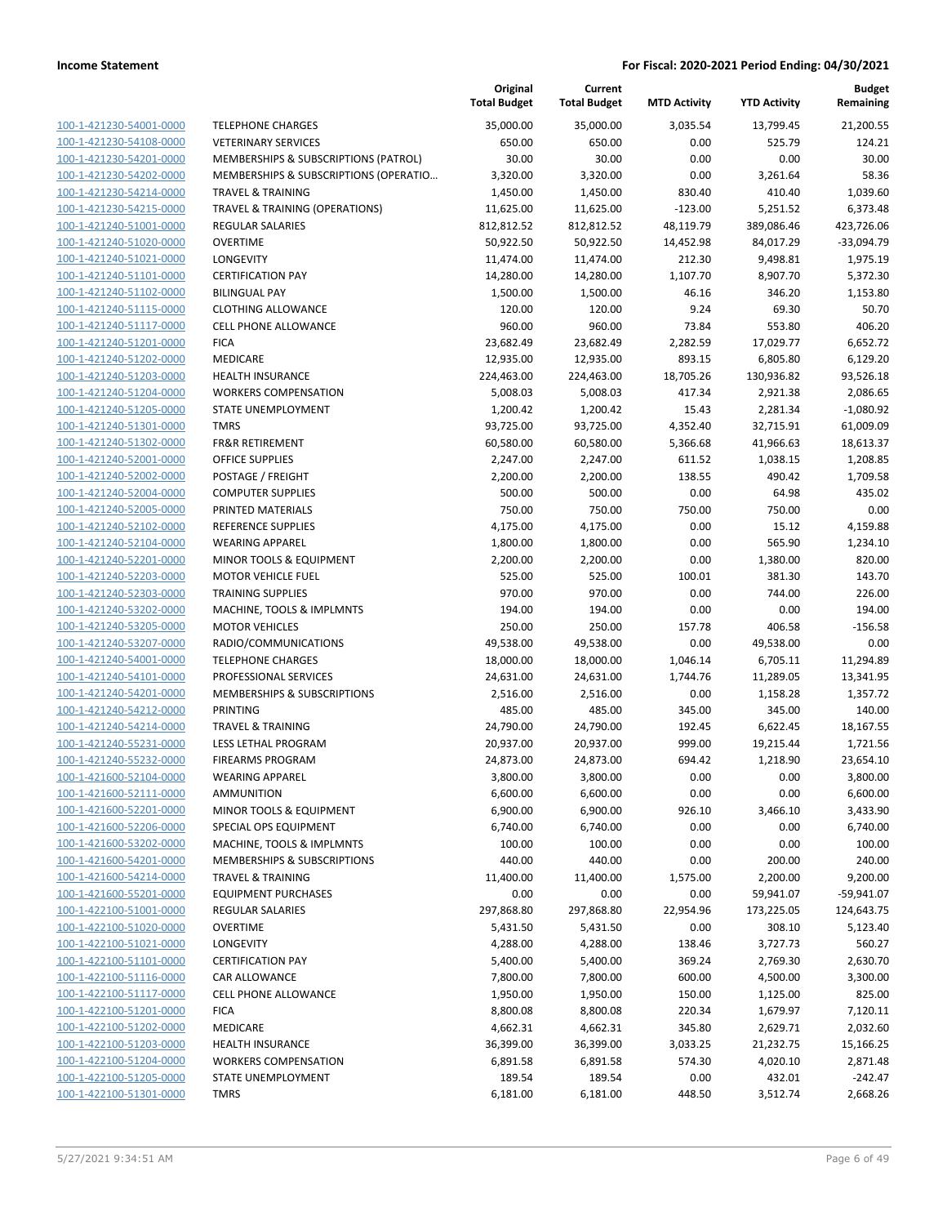|                                                    |                                                      | Original<br><b>Total Budget</b> | Current<br><b>Total Budget</b> | <b>MTD Activity</b> | <b>YTD Activity</b> | <b>Budget</b><br>Remaining |
|----------------------------------------------------|------------------------------------------------------|---------------------------------|--------------------------------|---------------------|---------------------|----------------------------|
| 100-1-421230-54001-0000                            | <b>TELEPHONE CHARGES</b>                             | 35,000.00                       | 35,000.00                      | 3,035.54            | 13,799.45           | 21,200.55                  |
| 100-1-421230-54108-0000                            | <b>VETERINARY SERVICES</b>                           | 650.00                          | 650.00                         | 0.00                | 525.79              | 124.21                     |
| 100-1-421230-54201-0000                            | MEMBERSHIPS & SUBSCRIPTIONS (PATROL)                 | 30.00                           | 30.00                          | 0.00                | 0.00                | 30.00                      |
| 100-1-421230-54202-0000                            | MEMBERSHIPS & SUBSCRIPTIONS (OPERATIO                | 3,320.00                        | 3,320.00                       | 0.00                | 3,261.64            | 58.36                      |
| 100-1-421230-54214-0000                            | <b>TRAVEL &amp; TRAINING</b>                         | 1,450.00                        | 1,450.00                       | 830.40              | 410.40              | 1,039.60                   |
| 100-1-421230-54215-0000                            | TRAVEL & TRAINING (OPERATIONS)                       | 11,625.00                       | 11,625.00                      | $-123.00$           | 5,251.52            | 6,373.48                   |
| 100-1-421240-51001-0000                            | REGULAR SALARIES                                     | 812,812.52                      | 812,812.52                     | 48,119.79           | 389,086.46          | 423,726.06                 |
| 100-1-421240-51020-0000                            | <b>OVERTIME</b>                                      | 50,922.50                       | 50,922.50                      | 14,452.98           | 84,017.29           | $-33,094.79$               |
| 100-1-421240-51021-0000                            | <b>LONGEVITY</b>                                     | 11,474.00                       | 11,474.00                      | 212.30              | 9,498.81            | 1,975.19                   |
| 100-1-421240-51101-0000                            | <b>CERTIFICATION PAY</b>                             | 14,280.00                       | 14,280.00                      | 1,107.70            | 8,907.70            | 5,372.30                   |
| 100-1-421240-51102-0000                            | <b>BILINGUAL PAY</b>                                 | 1,500.00                        | 1,500.00                       | 46.16               | 346.20              | 1,153.80                   |
| 100-1-421240-51115-0000                            | <b>CLOTHING ALLOWANCE</b>                            | 120.00                          | 120.00                         | 9.24                | 69.30               | 50.70                      |
| 100-1-421240-51117-0000                            | <b>CELL PHONE ALLOWANCE</b>                          | 960.00                          | 960.00                         | 73.84               | 553.80              | 406.20                     |
| 100-1-421240-51201-0000                            | <b>FICA</b>                                          | 23,682.49                       | 23,682.49                      | 2,282.59            | 17,029.77           | 6,652.72                   |
| 100-1-421240-51202-0000                            | MEDICARE                                             | 12,935.00                       | 12,935.00                      | 893.15              | 6,805.80            | 6,129.20                   |
| 100-1-421240-51203-0000                            | HEALTH INSURANCE                                     | 224,463.00                      | 224,463.00                     | 18,705.26           | 130,936.82          | 93,526.18                  |
| 100-1-421240-51204-0000                            | <b>WORKERS COMPENSATION</b>                          | 5,008.03                        | 5,008.03                       | 417.34              | 2,921.38            | 2,086.65                   |
| 100-1-421240-51205-0000                            | STATE UNEMPLOYMENT                                   | 1,200.42                        | 1,200.42                       | 15.43               | 2,281.34            | $-1,080.92$                |
| 100-1-421240-51301-0000                            | <b>TMRS</b>                                          | 93,725.00                       | 93,725.00                      | 4,352.40            | 32,715.91           | 61,009.09                  |
| 100-1-421240-51302-0000                            | <b>FR&amp;R RETIREMENT</b>                           | 60,580.00                       | 60,580.00                      | 5,366.68            | 41,966.63           | 18,613.37                  |
| 100-1-421240-52001-0000                            | <b>OFFICE SUPPLIES</b>                               | 2,247.00                        | 2,247.00                       | 611.52              | 1,038.15            | 1,208.85                   |
| 100-1-421240-52002-0000                            | POSTAGE / FREIGHT                                    | 2,200.00                        | 2,200.00                       | 138.55              | 490.42              | 1,709.58                   |
| 100-1-421240-52004-0000                            | <b>COMPUTER SUPPLIES</b>                             | 500.00                          | 500.00                         | 0.00                | 64.98               | 435.02                     |
| 100-1-421240-52005-0000                            | PRINTED MATERIALS                                    | 750.00                          | 750.00                         | 750.00              | 750.00              | 0.00                       |
| 100-1-421240-52102-0000                            | <b>REFERENCE SUPPLIES</b>                            | 4,175.00                        | 4,175.00                       | 0.00                | 15.12               | 4,159.88                   |
| 100-1-421240-52104-0000                            | <b>WEARING APPAREL</b>                               | 1,800.00                        | 1,800.00                       | 0.00                | 565.90              | 1,234.10                   |
| 100-1-421240-52201-0000                            | MINOR TOOLS & EQUIPMENT                              | 2,200.00                        | 2,200.00                       | 0.00                | 1,380.00            | 820.00                     |
| 100-1-421240-52203-0000                            | <b>MOTOR VEHICLE FUEL</b>                            | 525.00                          | 525.00                         | 100.01              | 381.30              | 143.70                     |
| 100-1-421240-52303-0000                            | <b>TRAINING SUPPLIES</b>                             | 970.00                          | 970.00                         | 0.00                | 744.00              | 226.00                     |
| 100-1-421240-53202-0000                            | MACHINE, TOOLS & IMPLMNTS                            | 194.00                          | 194.00                         | 0.00                | 0.00                | 194.00                     |
| 100-1-421240-53205-0000                            | <b>MOTOR VEHICLES</b>                                | 250.00                          | 250.00                         | 157.78              | 406.58              | $-156.58$                  |
| 100-1-421240-53207-0000                            | RADIO/COMMUNICATIONS                                 | 49,538.00                       | 49,538.00                      | 0.00                | 49,538.00           | 0.00                       |
| 100-1-421240-54001-0000                            | <b>TELEPHONE CHARGES</b>                             | 18,000.00                       | 18,000.00                      | 1,046.14            | 6,705.11            | 11,294.89                  |
| 100-1-421240-54101-0000<br>100-1-421240-54201-0000 | PROFESSIONAL SERVICES<br>MEMBERSHIPS & SUBSCRIPTIONS | 24,631.00                       | 24,631.00                      | 1,744.76            | 11,289.05           | 13,341.95<br>1,357.72      |
| 100-1-421240-54212-0000                            | <b>PRINTING</b>                                      | 2,516.00<br>485.00              | 2,516.00<br>485.00             | 0.00<br>345.00      | 1,158.28<br>345.00  | 140.00                     |
| 100-1-421240-54214-0000                            | <b>TRAVEL &amp; TRAINING</b>                         | 24,790.00                       | 24,790.00                      | 192.45              | 6,622.45            | 18,167.55                  |
| 100-1-421240-55231-0000                            | LESS LETHAL PROGRAM                                  | 20,937.00                       | 20,937.00                      | 999.00              | 19,215.44           | 1,721.56                   |
| 100-1-421240-55232-0000                            | <b>FIREARMS PROGRAM</b>                              | 24,873.00                       | 24,873.00                      | 694.42              | 1,218.90            | 23,654.10                  |
| 100-1-421600-52104-0000                            | <b>WEARING APPAREL</b>                               | 3,800.00                        | 3,800.00                       | 0.00                | 0.00                | 3,800.00                   |
| 100-1-421600-52111-0000                            | <b>AMMUNITION</b>                                    | 6,600.00                        | 6,600.00                       | 0.00                | 0.00                | 6,600.00                   |
| 100-1-421600-52201-0000                            | MINOR TOOLS & EQUIPMENT                              | 6,900.00                        | 6,900.00                       | 926.10              | 3,466.10            | 3,433.90                   |
| 100-1-421600-52206-0000                            | SPECIAL OPS EQUIPMENT                                | 6,740.00                        | 6,740.00                       | 0.00                | 0.00                | 6,740.00                   |
| 100-1-421600-53202-0000                            | MACHINE, TOOLS & IMPLMNTS                            | 100.00                          | 100.00                         | 0.00                | 0.00                | 100.00                     |
| 100-1-421600-54201-0000                            | MEMBERSHIPS & SUBSCRIPTIONS                          | 440.00                          | 440.00                         | 0.00                | 200.00              | 240.00                     |
| 100-1-421600-54214-0000                            | <b>TRAVEL &amp; TRAINING</b>                         | 11,400.00                       | 11,400.00                      | 1,575.00            | 2,200.00            | 9,200.00                   |
| 100-1-421600-55201-0000                            | <b>EQUIPMENT PURCHASES</b>                           | 0.00                            | 0.00                           | 0.00                | 59,941.07           | $-59,941.07$               |
| 100-1-422100-51001-0000                            | <b>REGULAR SALARIES</b>                              | 297,868.80                      | 297,868.80                     | 22,954.96           | 173,225.05          | 124,643.75                 |
| 100-1-422100-51020-0000                            | <b>OVERTIME</b>                                      | 5,431.50                        | 5,431.50                       | 0.00                | 308.10              | 5,123.40                   |
| 100-1-422100-51021-0000                            | LONGEVITY                                            | 4,288.00                        | 4,288.00                       | 138.46              | 3,727.73            | 560.27                     |
| 100-1-422100-51101-0000                            | <b>CERTIFICATION PAY</b>                             | 5,400.00                        | 5,400.00                       | 369.24              | 2,769.30            | 2,630.70                   |
| 100-1-422100-51116-0000                            | CAR ALLOWANCE                                        | 7,800.00                        | 7,800.00                       | 600.00              | 4,500.00            | 3,300.00                   |
| 100-1-422100-51117-0000                            | CELL PHONE ALLOWANCE                                 | 1,950.00                        | 1,950.00                       | 150.00              | 1,125.00            | 825.00                     |
| 100-1-422100-51201-0000                            | <b>FICA</b>                                          | 8,800.08                        | 8,800.08                       | 220.34              | 1,679.97            | 7,120.11                   |
| 100-1-422100-51202-0000                            | MEDICARE                                             | 4,662.31                        | 4,662.31                       | 345.80              | 2,629.71            | 2,032.60                   |
| 100-1-422100-51203-0000                            | <b>HEALTH INSURANCE</b>                              | 36,399.00                       | 36,399.00                      | 3,033.25            | 21,232.75           | 15,166.25                  |
| 100-1-422100-51204-0000                            | <b>WORKERS COMPENSATION</b>                          | 6,891.58                        | 6,891.58                       | 574.30              | 4,020.10            | 2,871.48                   |
| 100-1-422100-51205-0000                            | STATE UNEMPLOYMENT                                   | 189.54                          | 189.54                         | 0.00                | 432.01              | $-242.47$                  |
| 100-1-422100-51301-0000                            | <b>TMRS</b>                                          | 6,181.00                        | 6,181.00                       | 448.50              | 3,512.74            | 2,668.26                   |
|                                                    |                                                      |                                 |                                |                     |                     |                            |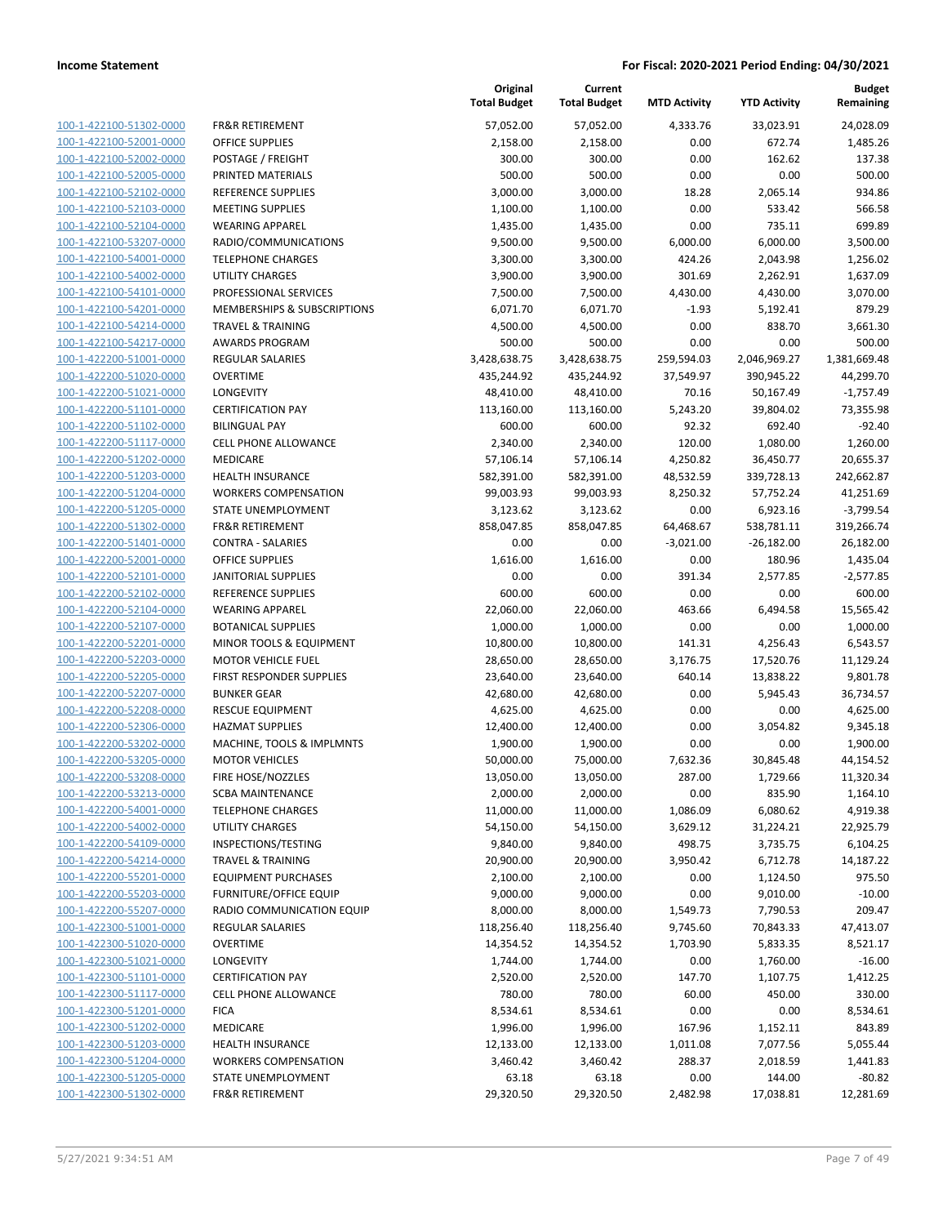100-1-422100-51302-0000 100-1-422100-52001-0000 100-1-422100-52002-0000 100-1-422100-52005-0000 PRINTED MATERIALS 500.00 500.00 0.00 0.00 500.00 100-1-422100-52102-0000 100-1-422100-52103-0000 100-1-422100-52104-0000 100-1-422100-53207-0000 100-1-422100-54001-0000 100-1-422100-54002-0000 100-1-422100-54101-0000 100-1-422100-54201-0000 100-1-422100-54214-0000 100-1-422100-54217-0000 100-1-422200-51001-0000 100-1-422200-51020-0000 100-1-422200-51021-0000 100-1-422200-51101-0000 100-1-422200-51102-0000 BILINGUAL PAY 600.00 600.00 92.32 692.40 -92.40 100-1-422200-51117-0000 100-1-422200-51202-0000 100-1-422200-51203-0000 100-1-422200-51204-0000 100-1-422200-51205-0000 100-1-422200-51302-0000 100-1-422200-51401-0000 100-1-422200-52001-0000 100-1-422200-52101-0000 100-1-422200-52102-0000 REFERENCE SUPPLIES 600.00 600.00 0.00 0.00 600.00 100-1-422200-52104-0000 100-1-422200-52107-0000 100-1-422200-52201-0000 100-1-422200-52203-0000 100-1-422200-52205-0000 100-1-422200-52207-0000 100-1-422200-52208-0000 100-1-422200-52306-0000 100-1-422200-53202-0000 100-1-422200-53205-0000 100-1-422200-53208-0000 100-1-422200-53213-0000 100-1-422200-54001-0000 100-1-422200-54002-0000 100-1-422200-54109-0000 100-1-422200-54214-0000 100-1-422200-55201-0000 100-1-422200-55203-0000 100-1-422200-55207-0000 100-1-422300-51001-0000 100-1-422300-51020-0000 100-1-422300-51021-0000 100-1-422300-51101-0000 100-1-422300-51117-0000 100-1-422300-51201-0000 100-1-422300-51202-0000 100-1-422300-51203-0000 100-1-422300-51204-0000 100-1-422300-51205-0000 100-1-422300-51302-0000

|                               | Original<br><b>Total Budget</b> | Current<br><b>Total Budget</b> | <b>MTD Activity</b> | <b>YTD Activity</b> | <b>Budget</b><br>Remaining |
|-------------------------------|---------------------------------|--------------------------------|---------------------|---------------------|----------------------------|
| <b>FR&amp;R RETIREMENT</b>    | 57,052.00                       | 57,052.00                      | 4,333.76            | 33,023.91           | 24,028.09                  |
| <b>OFFICE SUPPLIES</b>        | 2,158.00                        | 2,158.00                       | 0.00                | 672.74              | 1,485.26                   |
| POSTAGE / FREIGHT             | 300.00                          | 300.00                         | 0.00                | 162.62              | 137.38                     |
| PRINTED MATERIALS             | 500.00                          | 500.00                         | 0.00                | 0.00                | 500.00                     |
| REFERENCE SUPPLIES            | 3,000.00                        | 3,000.00                       | 18.28               | 2,065.14            | 934.86                     |
| <b>MEETING SUPPLIES</b>       | 1,100.00                        | 1,100.00                       | 0.00                | 533.42              | 566.58                     |
| <b>WEARING APPAREL</b>        | 1,435.00                        | 1,435.00                       | 0.00                | 735.11              | 699.89                     |
| RADIO/COMMUNICATIONS          | 9,500.00                        | 9,500.00                       | 6,000.00            | 6,000.00            | 3,500.00                   |
| <b>TELEPHONE CHARGES</b>      | 3,300.00                        | 3,300.00                       | 424.26              | 2,043.98            | 1,256.02                   |
| <b>UTILITY CHARGES</b>        | 3,900.00                        | 3,900.00                       | 301.69              | 2,262.91            | 1,637.09                   |
| PROFESSIONAL SERVICES         | 7,500.00                        | 7,500.00                       | 4,430.00            | 4,430.00            | 3,070.00                   |
| MEMBERSHIPS & SUBSCRIPTIONS   | 6,071.70                        | 6,071.70                       | $-1.93$             | 5,192.41            | 879.29                     |
| <b>TRAVEL &amp; TRAINING</b>  | 4,500.00                        | 4,500.00                       | 0.00                | 838.70              | 3,661.30                   |
| <b>AWARDS PROGRAM</b>         | 500.00                          | 500.00                         | 0.00                | 0.00                | 500.00                     |
| <b>REGULAR SALARIES</b>       | 3,428,638.75                    | 3,428,638.75                   | 259,594.03          | 2,046,969.27        | 1,381,669.48               |
| <b>OVERTIME</b>               | 435,244.92                      | 435,244.92                     | 37,549.97           | 390,945.22          | 44,299.70                  |
| LONGEVITY                     | 48,410.00                       | 48,410.00                      | 70.16               | 50,167.49           | $-1,757.49$                |
| <b>CERTIFICATION PAY</b>      | 113,160.00                      | 113,160.00                     | 5,243.20            | 39,804.02           | 73,355.98                  |
| <b>BILINGUAL PAY</b>          | 600.00                          | 600.00                         | 92.32               | 692.40              | $-92.40$                   |
| CELL PHONE ALLOWANCE          | 2,340.00                        | 2,340.00                       | 120.00              | 1,080.00            | 1,260.00                   |
| <b>MEDICARE</b>               | 57,106.14                       | 57,106.14                      | 4,250.82            | 36,450.77           | 20,655.37                  |
| <b>HEALTH INSURANCE</b>       | 582,391.00                      | 582,391.00                     | 48,532.59           | 339,728.13          | 242,662.87                 |
| <b>WORKERS COMPENSATION</b>   | 99,003.93                       | 99,003.93                      | 8,250.32            | 57,752.24           | 41,251.69                  |
| STATE UNEMPLOYMENT            | 3,123.62                        | 3,123.62                       | 0.00                | 6,923.16            | $-3,799.54$                |
| <b>FR&amp;R RETIREMENT</b>    | 858,047.85                      | 858,047.85                     | 64,468.67           | 538,781.11          | 319,266.74                 |
| <b>CONTRA - SALARIES</b>      | 0.00                            | 0.00                           | $-3,021.00$         | $-26,182.00$        | 26,182.00                  |
| <b>OFFICE SUPPLIES</b>        | 1,616.00                        | 1,616.00                       | 0.00                | 180.96              | 1,435.04                   |
| <b>JANITORIAL SUPPLIES</b>    | 0.00                            | 0.00                           | 391.34              | 2,577.85            | $-2,577.85$                |
| REFERENCE SUPPLIES            | 600.00                          | 600.00                         | 0.00                | 0.00                | 600.00                     |
| <b>WEARING APPAREL</b>        | 22,060.00                       | 22,060.00                      | 463.66              | 6,494.58            | 15,565.42                  |
| <b>BOTANICAL SUPPLIES</b>     | 1,000.00                        | 1,000.00                       | 0.00                | 0.00                | 1,000.00                   |
| MINOR TOOLS & EQUIPMENT       | 10,800.00                       | 10,800.00                      | 141.31              | 4,256.43            | 6,543.57                   |
| <b>MOTOR VEHICLE FUEL</b>     | 28,650.00                       | 28,650.00                      | 3,176.75            | 17,520.76           | 11,129.24                  |
| FIRST RESPONDER SUPPLIES      | 23,640.00                       | 23,640.00                      | 640.14              | 13,838.22           | 9,801.78                   |
| <b>BUNKER GEAR</b>            | 42,680.00                       | 42,680.00                      | 0.00                | 5,945.43            | 36,734.57                  |
| <b>RESCUE EQUIPMENT</b>       | 4,625.00                        | 4,625.00                       | 0.00                | 0.00                | 4,625.00                   |
| <b>HAZMAT SUPPLIES</b>        | 12,400.00                       | 12,400.00                      | 0.00                | 3,054.82            | 9,345.18                   |
| MACHINE, TOOLS & IMPLMNTS     | 1,900.00                        | 1,900.00                       | 0.00                | 0.00                | 1,900.00                   |
| <b>MOTOR VEHICLES</b>         | 50,000.00                       | 75,000.00                      | 7,632.36            | 30,845.48           | 44,154.52                  |
| FIRE HOSE/NOZZLES             | 13,050.00                       | 13,050.00                      | 287.00              | 1,729.66            | 11,320.34                  |
| <b>SCBA MAINTENANCE</b>       | 2,000.00                        | 2,000.00                       | 0.00                | 835.90              | 1,164.10                   |
| <b>TELEPHONE CHARGES</b>      | 11,000.00                       | 11,000.00                      | 1,086.09            | 6,080.62            | 4,919.38                   |
| UTILITY CHARGES               | 54,150.00                       | 54,150.00                      | 3,629.12            | 31,224.21           | 22,925.79                  |
| INSPECTIONS/TESTING           | 9,840.00                        | 9,840.00                       | 498.75              | 3,735.75            | 6,104.25                   |
| <b>TRAVEL &amp; TRAINING</b>  | 20,900.00                       | 20,900.00                      | 3,950.42            | 6,712.78            | 14,187.22                  |
| <b>EQUIPMENT PURCHASES</b>    | 2,100.00                        | 2,100.00                       | 0.00                | 1,124.50            | 975.50                     |
| <b>FURNITURE/OFFICE EQUIP</b> | 9,000.00                        | 9,000.00                       | 0.00                | 9,010.00            | $-10.00$                   |
| RADIO COMMUNICATION EQUIP     | 8,000.00                        | 8,000.00                       | 1,549.73            | 7,790.53            | 209.47                     |
| REGULAR SALARIES              | 118,256.40                      | 118,256.40                     | 9,745.60            | 70,843.33           | 47,413.07                  |
| <b>OVERTIME</b>               | 14,354.52                       | 14,354.52                      | 1,703.90            | 5,833.35            | 8,521.17                   |
| <b>LONGEVITY</b>              | 1,744.00                        | 1,744.00                       | 0.00                | 1,760.00            | $-16.00$                   |
| <b>CERTIFICATION PAY</b>      | 2,520.00                        | 2,520.00                       | 147.70              | 1,107.75            | 1,412.25                   |
| <b>CELL PHONE ALLOWANCE</b>   | 780.00                          | 780.00                         | 60.00               | 450.00              | 330.00                     |
| <b>FICA</b>                   | 8,534.61                        | 8,534.61                       | 0.00                | 0.00                | 8,534.61                   |
| MEDICARE                      | 1,996.00                        | 1,996.00                       | 167.96              | 1,152.11            | 843.89                     |
| <b>HEALTH INSURANCE</b>       | 12,133.00                       | 12,133.00                      | 1,011.08            | 7,077.56            | 5,055.44                   |
| <b>WORKERS COMPENSATION</b>   | 3,460.42                        | 3,460.42                       | 288.37              | 2,018.59            | 1,441.83                   |
| STATE UNEMPLOYMENT            | 63.18                           | 63.18                          | 0.00                | 144.00              | $-80.82$                   |
| FR&R RETIREMENT               | 29,320.50                       | 29,320.50                      | 2,482.98            | 17,038.81           | 12,281.69                  |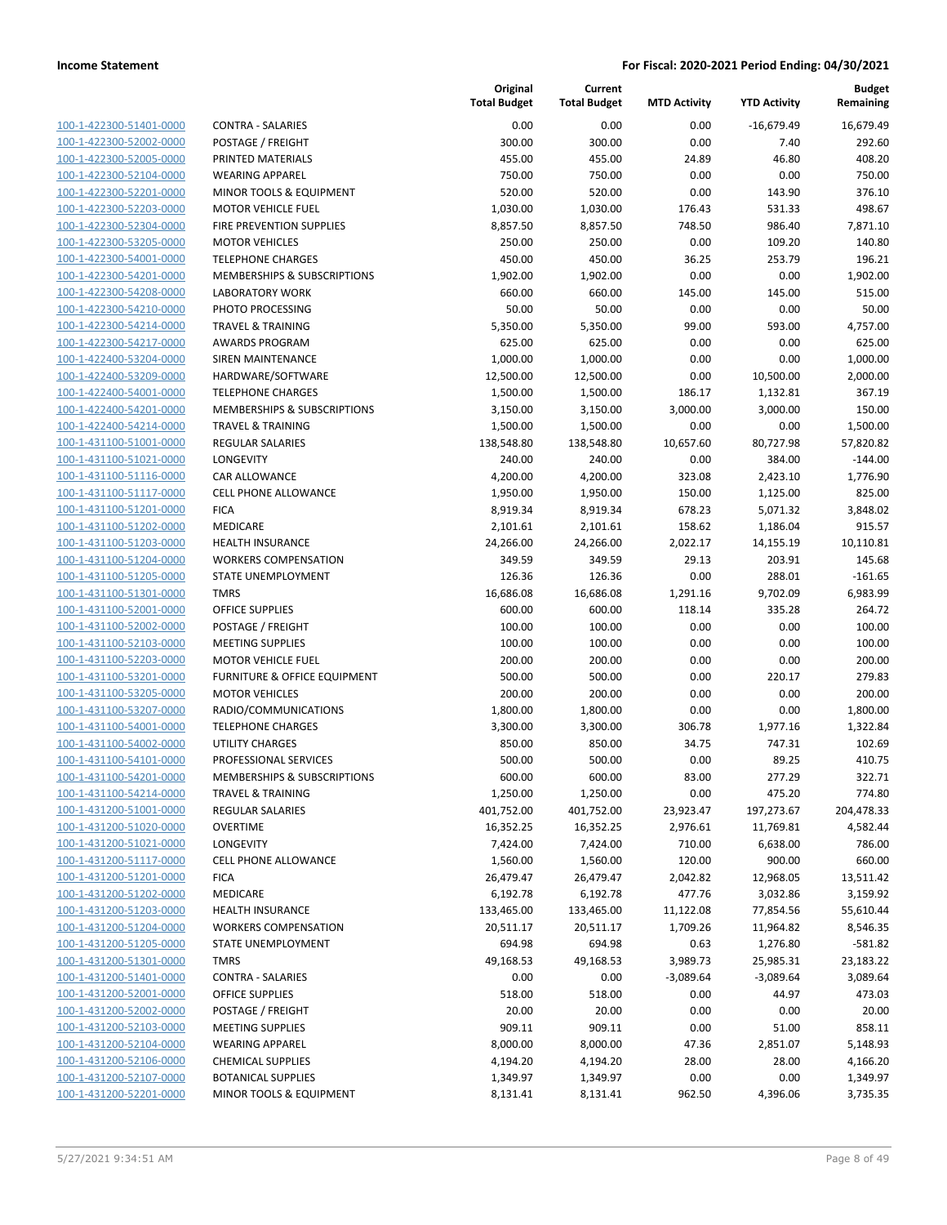| 100-1-422300-51401-0000        |
|--------------------------------|
| 100-1-422300-52002-0000        |
| 100-1-422300-52005-0000        |
| 100-1-422300-52104-0000        |
| 100-1-422300-52201-0000        |
| 100-1-422300-52203-0000        |
| 100-1-422300-52304-0000        |
| 100-1-422300-53205-0000        |
| 100-1-422300-54001-0000        |
| 100-1-422300-54201-0000        |
| 100-1-422300-54208-0000        |
| 100-1-422300-54210-0000        |
| 100-1-422300-54214-0000        |
| 100-1-422300-54217-0000        |
| 100-1-422400-53204-0000        |
| <u>100-1-422400-53209-0000</u> |
| 100-1-422400-54001-0000        |
| 100-1-422400-54201-0000        |
| 100-1-422400-54214-0000        |
| 100-1-431100-51001-0000        |
| 100-1-431100-51021-0000        |
| 100-1-431100-51116-0000        |
| 100-1-431100-51117-0000        |
| 100-1-431100-51201-0000        |
| 100-1-431100-51202-0000        |
| 100-1-431100-51203-0000        |
| 100-1-431100-51204-0000        |
|                                |
| 100-1-431100-51205-0000        |
| 100-1-431100-51301-0000        |
| 100-1-431100-52001-0000        |
| 100-1-431100-52002-0000        |
| 100-1-431100-52103-0000        |
| 100-1-431100-52203-0000        |
| 100-1-431100-53201-0000        |
| 100-1-431100-53205-0000        |
| <u>100-1-431100-53207-0000</u> |
| 100-1-431100-54001-0000        |
| 100-1-431100-54002-0000        |
| 100-1-431100-54101-0000        |
| 100-1-431100-54201-0000        |
| 100-1-431100-54214-0000        |
| 100-1-431200-51001-0000        |
| <u>100-1-431200-51020-0000</u> |
| 100-1-431200-51021-0000        |
| 100-1-431200-51117-0000        |
| <u>100-1-431200-51201-0000</u> |
| <u>100-1-431200-51202-0000</u> |
| <u>100-1-431200-51203-0000</u> |
| <u>100-1-431200-51204-0000</u> |
| <u>100-1-431200-51205-0000</u> |
| <u>100-1-431200-51301-0000</u> |
| 100-1-431200-51401-0000        |
| 100-1-431200-52001-0000        |
| <u>100-1-431200-52002-0000</u> |
| 100-1-431200-52103-0000        |
| <u>100-1-431200-52104-0000</u> |
| <u>100-1-431200-52106-0000</u> |
| <u>100-1-431200-52107-0000</u> |
| 100-1-431200-52201-0000        |
|                                |

|                         |                              | Original<br><b>Total Budget</b> | Current<br><b>Total Budget</b> | <b>MTD Activity</b> | <b>YTD Activity</b> | Budget<br>Remaining |
|-------------------------|------------------------------|---------------------------------|--------------------------------|---------------------|---------------------|---------------------|
| 100-1-422300-51401-0000 | <b>CONTRA - SALARIES</b>     | 0.00                            | 0.00                           | 0.00                | $-16,679.49$        | 16,679.49           |
| 100-1-422300-52002-0000 | POSTAGE / FREIGHT            | 300.00                          | 300.00                         | 0.00                | 7.40                | 292.60              |
| 100-1-422300-52005-0000 | PRINTED MATERIALS            | 455.00                          | 455.00                         | 24.89               | 46.80               | 408.20              |
| 100-1-422300-52104-0000 | <b>WEARING APPAREL</b>       | 750.00                          | 750.00                         | 0.00                | 0.00                | 750.00              |
| 100-1-422300-52201-0000 | MINOR TOOLS & EQUIPMENT      | 520.00                          | 520.00                         | 0.00                | 143.90              | 376.10              |
| 100-1-422300-52203-0000 | <b>MOTOR VEHICLE FUEL</b>    | 1,030.00                        | 1,030.00                       | 176.43              | 531.33              | 498.67              |
| 100-1-422300-52304-0000 | FIRE PREVENTION SUPPLIES     | 8,857.50                        | 8,857.50                       | 748.50              | 986.40              | 7,871.10            |
| 100-1-422300-53205-0000 | <b>MOTOR VEHICLES</b>        | 250.00                          | 250.00                         | 0.00                | 109.20              | 140.80              |
| 100-1-422300-54001-0000 | <b>TELEPHONE CHARGES</b>     | 450.00                          | 450.00                         | 36.25               | 253.79              | 196.21              |
| 100-1-422300-54201-0000 | MEMBERSHIPS & SUBSCRIPTIONS  | 1,902.00                        | 1,902.00                       | 0.00                | 0.00                | 1,902.00            |
| 100-1-422300-54208-0000 | <b>LABORATORY WORK</b>       | 660.00                          | 660.00                         | 145.00              | 145.00              | 515.00              |
| 100-1-422300-54210-0000 | PHOTO PROCESSING             | 50.00                           | 50.00                          | 0.00                | 0.00                | 50.00               |
| 100-1-422300-54214-0000 | <b>TRAVEL &amp; TRAINING</b> | 5,350.00                        | 5,350.00                       | 99.00               | 593.00              | 4,757.00            |
| 100-1-422300-54217-0000 | <b>AWARDS PROGRAM</b>        | 625.00                          | 625.00                         | 0.00                | 0.00                | 625.00              |
| 100-1-422400-53204-0000 | SIREN MAINTENANCE            | 1,000.00                        | 1,000.00                       | 0.00                | 0.00                | 1,000.00            |
| 100-1-422400-53209-0000 | HARDWARE/SOFTWARE            | 12,500.00                       | 12,500.00                      | 0.00                | 10,500.00           | 2,000.00            |
| 100-1-422400-54001-0000 | <b>TELEPHONE CHARGES</b>     | 1,500.00                        | 1,500.00                       | 186.17              | 1,132.81            | 367.19              |
| 100-1-422400-54201-0000 | MEMBERSHIPS & SUBSCRIPTIONS  | 3,150.00                        | 3,150.00                       | 3,000.00            | 3,000.00            | 150.00              |
| 100-1-422400-54214-0000 | <b>TRAVEL &amp; TRAINING</b> | 1,500.00                        | 1,500.00                       | 0.00                | 0.00                | 1,500.00            |
| 100-1-431100-51001-0000 | REGULAR SALARIES             | 138,548.80                      | 138,548.80                     | 10,657.60           | 80,727.98           | 57,820.82           |
| 100-1-431100-51021-0000 | LONGEVITY                    | 240.00                          | 240.00                         | 0.00                | 384.00              | $-144.00$           |
| 100-1-431100-51116-0000 | CAR ALLOWANCE                | 4,200.00                        | 4,200.00                       | 323.08              | 2,423.10            | 1,776.90            |
| 100-1-431100-51117-0000 | CELL PHONE ALLOWANCE         | 1,950.00                        | 1,950.00                       | 150.00              | 1,125.00            | 825.00              |
| 100-1-431100-51201-0000 | <b>FICA</b>                  | 8,919.34                        | 8,919.34                       | 678.23              | 5,071.32            | 3,848.02            |
| 100-1-431100-51202-0000 | MEDICARE                     | 2,101.61                        | 2,101.61                       | 158.62              | 1,186.04            | 915.57              |
| 100-1-431100-51203-0000 | <b>HEALTH INSURANCE</b>      | 24,266.00                       | 24,266.00                      | 2,022.17            | 14,155.19           | 10,110.81           |
| 100-1-431100-51204-0000 | <b>WORKERS COMPENSATION</b>  | 349.59                          | 349.59                         | 29.13               | 203.91              | 145.68              |
| 100-1-431100-51205-0000 | STATE UNEMPLOYMENT           | 126.36                          | 126.36                         | 0.00                | 288.01              | $-161.65$           |
| 100-1-431100-51301-0000 | <b>TMRS</b>                  | 16,686.08                       | 16,686.08                      | 1,291.16            | 9,702.09            | 6,983.99            |
| 100-1-431100-52001-0000 | <b>OFFICE SUPPLIES</b>       | 600.00                          | 600.00                         | 118.14              | 335.28              | 264.72              |
| 100-1-431100-52002-0000 | POSTAGE / FREIGHT            | 100.00                          | 100.00                         | 0.00                | 0.00                | 100.00              |
| 100-1-431100-52103-0000 | <b>MEETING SUPPLIES</b>      | 100.00                          | 100.00                         | 0.00                | 0.00                | 100.00              |
| 100-1-431100-52203-0000 | <b>MOTOR VEHICLE FUEL</b>    | 200.00                          | 200.00                         | 0.00                | 0.00                | 200.00              |
| 100-1-431100-53201-0000 | FURNITURE & OFFICE EQUIPMENT | 500.00                          | 500.00                         | 0.00                | 220.17              | 279.83              |
| 100-1-431100-53205-0000 | <b>MOTOR VEHICLES</b>        | 200.00                          | 200.00                         | 0.00                | 0.00                | 200.00              |
| 100-1-431100-53207-0000 | RADIO/COMMUNICATIONS         | 1,800.00                        | 1,800.00                       | 0.00                | 0.00                | 1,800.00            |
| 100-1-431100-54001-0000 | <b>TELEPHONE CHARGES</b>     | 3,300.00                        | 3,300.00                       | 306.78              | 1,977.16            | 1,322.84            |
| 100-1-431100-54002-0000 | <b>UTILITY CHARGES</b>       | 850.00                          | 850.00                         | 34.75               | 747.31              | 102.69              |
| 100-1-431100-54101-0000 | PROFESSIONAL SERVICES        | 500.00                          | 500.00                         | 0.00                | 89.25               | 410.75              |
| 100-1-431100-54201-0000 | MEMBERSHIPS & SUBSCRIPTIONS  | 600.00                          | 600.00                         | 83.00               | 277.29              | 322.71              |
| 100-1-431100-54214-0000 | <b>TRAVEL &amp; TRAINING</b> | 1,250.00                        | 1,250.00                       | 0.00                | 475.20              | 774.80              |
| 100-1-431200-51001-0000 | REGULAR SALARIES             | 401,752.00                      | 401,752.00                     | 23,923.47           | 197,273.67          | 204,478.33          |
| 100-1-431200-51020-0000 | <b>OVERTIME</b>              | 16,352.25                       | 16,352.25                      | 2,976.61            | 11,769.81           | 4,582.44            |
| 100-1-431200-51021-0000 | LONGEVITY                    | 7,424.00                        | 7,424.00                       | 710.00              | 6,638.00            | 786.00              |
| 100-1-431200-51117-0000 | <b>CELL PHONE ALLOWANCE</b>  | 1,560.00                        | 1,560.00                       | 120.00              | 900.00              | 660.00              |
| 100-1-431200-51201-0000 | <b>FICA</b>                  | 26,479.47                       | 26,479.47                      | 2,042.82            | 12,968.05           | 13,511.42           |
| 100-1-431200-51202-0000 | MEDICARE                     | 6,192.78                        | 6,192.78                       | 477.76              | 3,032.86            | 3,159.92            |
| 100-1-431200-51203-0000 | <b>HEALTH INSURANCE</b>      | 133,465.00                      | 133,465.00                     | 11,122.08           | 77,854.56           | 55,610.44           |
| 100-1-431200-51204-0000 | <b>WORKERS COMPENSATION</b>  | 20,511.17                       | 20,511.17                      | 1,709.26            | 11,964.82           | 8,546.35            |
| 100-1-431200-51205-0000 | STATE UNEMPLOYMENT           | 694.98                          | 694.98                         | 0.63                | 1,276.80            | $-581.82$           |
| 100-1-431200-51301-0000 | <b>TMRS</b>                  | 49,168.53                       | 49,168.53                      | 3,989.73            | 25,985.31           | 23,183.22           |
| 100-1-431200-51401-0000 | <b>CONTRA - SALARIES</b>     | 0.00                            | 0.00                           | $-3,089.64$         | $-3,089.64$         | 3,089.64            |
| 100-1-431200-52001-0000 | <b>OFFICE SUPPLIES</b>       | 518.00                          | 518.00                         | 0.00                | 44.97               | 473.03              |
| 100-1-431200-52002-0000 | POSTAGE / FREIGHT            | 20.00                           | 20.00                          | 0.00                | 0.00                | 20.00               |
| 100-1-431200-52103-0000 | <b>MEETING SUPPLIES</b>      | 909.11                          | 909.11                         | 0.00                | 51.00               | 858.11              |
| 100-1-431200-52104-0000 | <b>WEARING APPAREL</b>       | 8,000.00                        | 8,000.00                       | 47.36               | 2,851.07            | 5,148.93            |
| 100-1-431200-52106-0000 | <b>CHEMICAL SUPPLIES</b>     | 4,194.20                        | 4,194.20                       | 28.00               | 28.00               | 4,166.20            |
| 100-1-431200-52107-0000 | <b>BOTANICAL SUPPLIES</b>    | 1,349.97                        | 1,349.97                       | 0.00                | 0.00                | 1,349.97            |
| 100-1-431200-52201-0000 | MINOR TOOLS & EQUIPMENT      | 8,131.41                        | 8,131.41                       | 962.50              | 4,396.06            | 3,735.35            |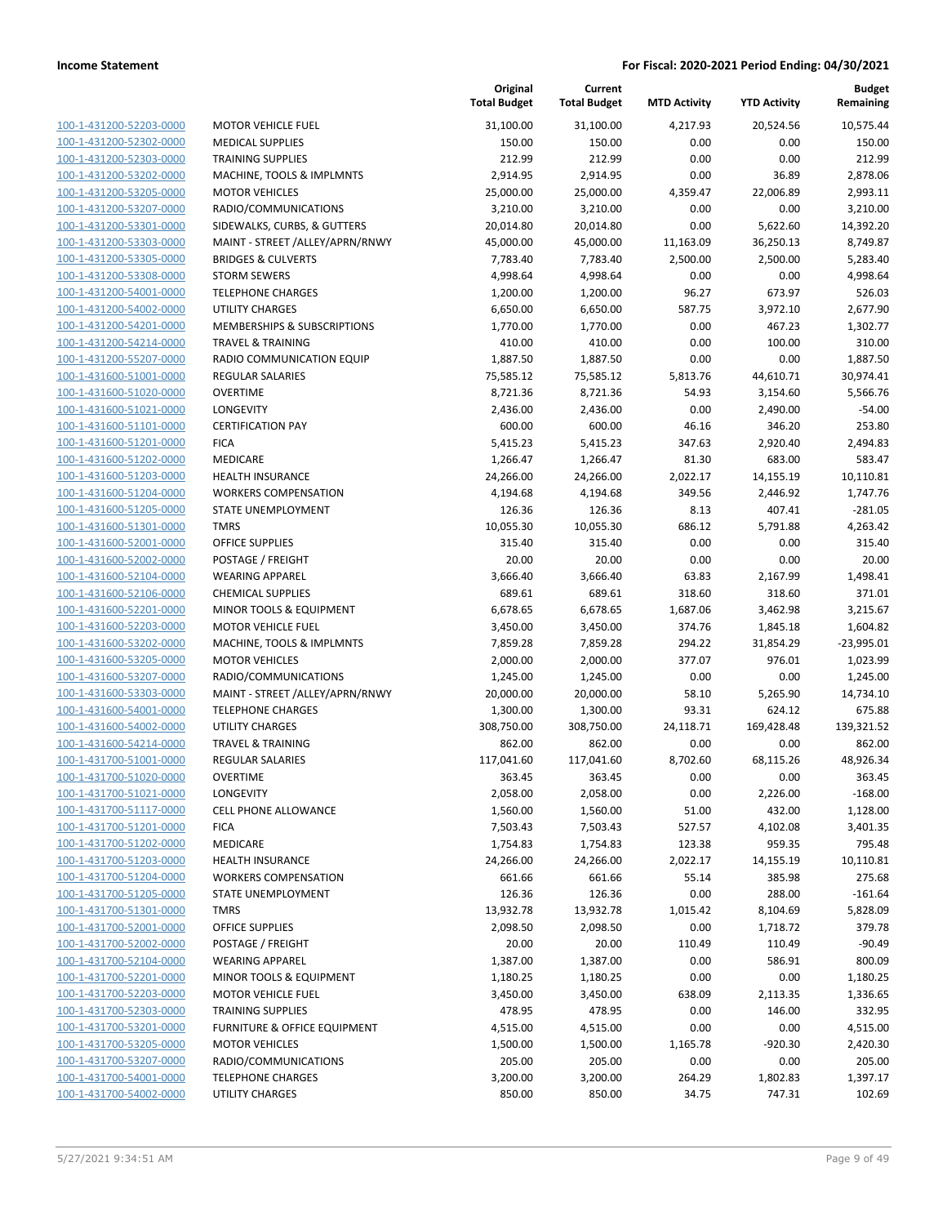| 100-1-431200-52203-0000        |  |
|--------------------------------|--|
| 100-1-431200-52302-0000        |  |
| 100-1-431200-52303-0000        |  |
| <u>100-1-431200-53202-0000</u> |  |
| 100-1-431200-53205-0000        |  |
| 100-1-431200-53207-0000        |  |
| 100-1-431200-53301-0000        |  |
| 100-1-431200-53303-0000        |  |
| <u>100-1-431200-53305-0000</u> |  |
| 100-1-431200-53308-0000        |  |
| 100-1-431200-54001-0000        |  |
| 100-1-431200-54002-0000        |  |
| 100-1-431200-54201-0000        |  |
| <u>100-1-431200-54214-0000</u> |  |
| 100-1-431200-55207-0000        |  |
| 100-1-431600-51001-0000        |  |
| 100-1-431600-51020-0000        |  |
| 100-1-431600-51021-0000        |  |
| <u>100-1-431600-51101-0000</u> |  |
| 100-1-431600-51201-0000        |  |
| 100-1-431600-51202-0000        |  |
| 100-1-431600-51203-0000        |  |
| 100-1-431600-51204-0000        |  |
| 100-1-431600-51205-0000        |  |
| 100-1-431600-51301-0000        |  |
| 100-1-431600-52001-0000        |  |
| 100-1-431600-52002-0000        |  |
| 100-1-431600-52104-0000        |  |
| <u>100-1-431600-52106-0000</u> |  |
| 100-1-431600-52201-0000        |  |
|                                |  |
| 100-1-431600-52203-0000        |  |
| 100-1-431600-53202-0000        |  |
| 100-1-431600-53205-0000        |  |
| <u>100-1-431600-53207-0000</u> |  |
| 100-1-431600-53303-0000        |  |
| 100-1-431600-54001-0000        |  |
| 100-1-431600-54002-0000        |  |
| 100-1-431600-54214-0000        |  |
| 100-1-431700-51001-0000        |  |
| 100-1-431700-51020-0000        |  |
| 100-1-431700-51021-0000        |  |
| 100-1-431700-51117-0000        |  |
| 100-1-431700-51201-0000        |  |
| 100-1-431700-51202-0000        |  |
| <u>100-1-431700-51203-0000</u> |  |
| 100-1-431700-51204-0000        |  |
| 100-1-431700-51205-0000        |  |
| 100-1-431700-51301-0000        |  |
| 100-1-431700-52001-0000        |  |
| 100-1-431700-52002-0000        |  |
| <u>100-1-431700-52104-0000</u> |  |
| 100-1-431700-52201-0000        |  |
| 100-1-431700-52203-0000        |  |
| 100-1-431700-52303-0000        |  |
| <u>100-1-431700-53201-0000</u> |  |
| 100-1-431700-53205-0000        |  |
| 100-1-431700-53207-0000        |  |
| 100-1-431700-54001-0000        |  |
| <u>100-1-431700-54002-0000</u> |  |
|                                |  |

|                         |                                         | Original<br><b>Total Budget</b> | Current<br><b>Total Budget</b> | <b>MTD Activity</b> | <b>YTD Activity</b> | Budget<br>Remaining |
|-------------------------|-----------------------------------------|---------------------------------|--------------------------------|---------------------|---------------------|---------------------|
| 100-1-431200-52203-0000 | <b>MOTOR VEHICLE FUEL</b>               | 31,100.00                       | 31,100.00                      | 4,217.93            | 20,524.56           | 10,575.44           |
| 100-1-431200-52302-0000 | <b>MEDICAL SUPPLIES</b>                 | 150.00                          | 150.00                         | 0.00                | 0.00                | 150.00              |
| 100-1-431200-52303-0000 | <b>TRAINING SUPPLIES</b>                | 212.99                          | 212.99                         | 0.00                | 0.00                | 212.99              |
| 100-1-431200-53202-0000 | MACHINE, TOOLS & IMPLMNTS               | 2,914.95                        | 2,914.95                       | 0.00                | 36.89               | 2,878.06            |
| 100-1-431200-53205-0000 | <b>MOTOR VEHICLES</b>                   | 25,000.00                       | 25,000.00                      | 4,359.47            | 22,006.89           | 2,993.11            |
| 100-1-431200-53207-0000 | RADIO/COMMUNICATIONS                    | 3,210.00                        | 3,210.00                       | 0.00                | 0.00                | 3,210.00            |
| 100-1-431200-53301-0000 | SIDEWALKS, CURBS, & GUTTERS             | 20,014.80                       | 20,014.80                      | 0.00                | 5,622.60            | 14,392.20           |
| 100-1-431200-53303-0000 | MAINT - STREET /ALLEY/APRN/RNWY         | 45,000.00                       | 45,000.00                      | 11,163.09           | 36,250.13           | 8,749.87            |
| 100-1-431200-53305-0000 | <b>BRIDGES &amp; CULVERTS</b>           | 7,783.40                        | 7,783.40                       | 2,500.00            | 2,500.00            | 5,283.40            |
| 100-1-431200-53308-0000 | <b>STORM SEWERS</b>                     | 4,998.64                        | 4,998.64                       | 0.00                | 0.00                | 4,998.64            |
| 100-1-431200-54001-0000 | <b>TELEPHONE CHARGES</b>                | 1,200.00                        | 1,200.00                       | 96.27               | 673.97              | 526.03              |
| 100-1-431200-54002-0000 | <b>UTILITY CHARGES</b>                  | 6,650.00                        | 6,650.00                       | 587.75              | 3,972.10            | 2,677.90            |
| 100-1-431200-54201-0000 | MEMBERSHIPS & SUBSCRIPTIONS             | 1,770.00                        | 1,770.00                       | 0.00                | 467.23              | 1,302.77            |
| 100-1-431200-54214-0000 | <b>TRAVEL &amp; TRAINING</b>            | 410.00                          | 410.00                         | 0.00                | 100.00              | 310.00              |
| 100-1-431200-55207-0000 | RADIO COMMUNICATION EQUIP               | 1,887.50                        | 1,887.50                       | 0.00                | 0.00                | 1,887.50            |
| 100-1-431600-51001-0000 | <b>REGULAR SALARIES</b>                 | 75,585.12                       | 75,585.12                      | 5,813.76            | 44,610.71           | 30,974.41           |
| 100-1-431600-51020-0000 | <b>OVERTIME</b>                         | 8,721.36                        | 8,721.36                       | 54.93               | 3,154.60            | 5,566.76            |
| 100-1-431600-51021-0000 | LONGEVITY                               | 2,436.00                        | 2,436.00                       | 0.00                | 2,490.00            | $-54.00$            |
| 100-1-431600-51101-0000 | <b>CERTIFICATION PAY</b>                | 600.00                          | 600.00                         | 46.16               | 346.20              | 253.80              |
| 100-1-431600-51201-0000 | <b>FICA</b>                             | 5,415.23                        | 5,415.23                       | 347.63              | 2,920.40            | 2,494.83            |
| 100-1-431600-51202-0000 | MEDICARE                                | 1,266.47                        | 1,266.47                       | 81.30               | 683.00              | 583.47              |
| 100-1-431600-51203-0000 | HEALTH INSURANCE                        | 24,266.00                       | 24,266.00                      | 2,022.17            | 14,155.19           | 10,110.81           |
| 100-1-431600-51204-0000 | <b>WORKERS COMPENSATION</b>             | 4,194.68                        | 4,194.68                       | 349.56              | 2,446.92            | 1,747.76            |
| 100-1-431600-51205-0000 | <b>STATE UNEMPLOYMENT</b>               | 126.36                          | 126.36                         | 8.13                | 407.41              | $-281.05$           |
| 100-1-431600-51301-0000 | <b>TMRS</b>                             | 10,055.30                       | 10,055.30                      | 686.12              | 5,791.88            | 4,263.42            |
| 100-1-431600-52001-0000 | <b>OFFICE SUPPLIES</b>                  | 315.40                          | 315.40                         | 0.00                | 0.00                | 315.40              |
| 100-1-431600-52002-0000 | POSTAGE / FREIGHT                       | 20.00                           | 20.00                          | 0.00                | 0.00                | 20.00               |
| 100-1-431600-52104-0000 | <b>WEARING APPAREL</b>                  | 3,666.40                        | 3,666.40                       | 63.83               | 2,167.99            | 1,498.41            |
| 100-1-431600-52106-0000 | <b>CHEMICAL SUPPLIES</b>                | 689.61                          | 689.61                         | 318.60              | 318.60              | 371.01              |
| 100-1-431600-52201-0000 | MINOR TOOLS & EQUIPMENT                 | 6,678.65                        | 6,678.65                       | 1,687.06            | 3,462.98            | 3,215.67            |
| 100-1-431600-52203-0000 | <b>MOTOR VEHICLE FUEL</b>               | 3,450.00                        | 3,450.00                       | 374.76              | 1,845.18            | 1,604.82            |
| 100-1-431600-53202-0000 | MACHINE, TOOLS & IMPLMNTS               | 7,859.28                        | 7,859.28                       | 294.22              | 31,854.29           | $-23,995.01$        |
| 100-1-431600-53205-0000 | <b>MOTOR VEHICLES</b>                   | 2,000.00                        | 2,000.00                       | 377.07              | 976.01              | 1,023.99            |
| 100-1-431600-53207-0000 | RADIO/COMMUNICATIONS                    | 1,245.00                        | 1,245.00                       | 0.00                | 0.00                | 1,245.00            |
| 100-1-431600-53303-0000 | MAINT - STREET / ALLEY/APRN/RNWY        | 20,000.00                       | 20,000.00                      | 58.10               | 5,265.90            | 14,734.10           |
| 100-1-431600-54001-0000 | <b>TELEPHONE CHARGES</b>                | 1,300.00                        | 1,300.00                       | 93.31               | 624.12              | 675.88              |
| 100-1-431600-54002-0000 | UTILITY CHARGES                         | 308,750.00                      | 308,750.00                     | 24,118.71           | 169,428.48          | 139,321.52          |
| 100-1-431600-54214-0000 | <b>TRAVEL &amp; TRAINING</b>            | 862.00                          | 862.00                         | 0.00                | 0.00                | 862.00              |
| 100-1-431700-51001-0000 | REGULAR SALARIES                        | 117,041.60                      | 117,041.60                     | 8,702.60            | 68,115.26           | 48,926.34           |
| 100-1-431700-51020-0000 | OVERTIME                                | 363.45                          | 363.45                         | 0.00                | 0.00                | 363.45              |
| 100-1-431700-51021-0000 | LONGEVITY                               | 2,058.00                        | 2,058.00                       | 0.00                | 2,226.00            | $-168.00$           |
| 100-1-431700-51117-0000 | <b>CELL PHONE ALLOWANCE</b>             | 1,560.00                        | 1,560.00                       | 51.00               | 432.00              | 1,128.00            |
| 100-1-431700-51201-0000 | <b>FICA</b>                             | 7,503.43                        | 7,503.43                       | 527.57              | 4,102.08            | 3,401.35            |
| 100-1-431700-51202-0000 | MEDICARE                                | 1,754.83                        | 1,754.83                       | 123.38              | 959.35              | 795.48              |
| 100-1-431700-51203-0000 | <b>HEALTH INSURANCE</b>                 | 24,266.00                       | 24,266.00                      | 2,022.17            | 14,155.19           | 10,110.81           |
| 100-1-431700-51204-0000 | <b>WORKERS COMPENSATION</b>             | 661.66                          | 661.66                         | 55.14               | 385.98              | 275.68              |
| 100-1-431700-51205-0000 | STATE UNEMPLOYMENT                      | 126.36                          | 126.36                         | 0.00                | 288.00              | $-161.64$           |
| 100-1-431700-51301-0000 | <b>TMRS</b>                             | 13,932.78                       | 13,932.78                      | 1,015.42            | 8,104.69            | 5,828.09            |
| 100-1-431700-52001-0000 | <b>OFFICE SUPPLIES</b>                  | 2,098.50                        | 2,098.50                       | 0.00                | 1,718.72            | 379.78              |
| 100-1-431700-52002-0000 | POSTAGE / FREIGHT                       | 20.00                           | 20.00                          | 110.49              | 110.49              | $-90.49$            |
| 100-1-431700-52104-0000 | <b>WEARING APPAREL</b>                  | 1,387.00                        | 1,387.00                       | 0.00                | 586.91              | 800.09              |
| 100-1-431700-52201-0000 | MINOR TOOLS & EQUIPMENT                 | 1,180.25                        | 1,180.25                       | 0.00                | 0.00                | 1,180.25            |
| 100-1-431700-52203-0000 | MOTOR VEHICLE FUEL                      | 3,450.00                        | 3,450.00                       | 638.09              | 2,113.35            | 1,336.65            |
| 100-1-431700-52303-0000 | <b>TRAINING SUPPLIES</b>                | 478.95                          | 478.95                         | 0.00                | 146.00              | 332.95              |
| 100-1-431700-53201-0000 | <b>FURNITURE &amp; OFFICE EQUIPMENT</b> | 4,515.00                        | 4,515.00                       | 0.00                | 0.00                | 4,515.00            |
| 100-1-431700-53205-0000 | <b>MOTOR VEHICLES</b>                   | 1,500.00                        | 1,500.00                       | 1,165.78            | $-920.30$           | 2,420.30            |
| 100-1-431700-53207-0000 | RADIO/COMMUNICATIONS                    | 205.00                          | 205.00                         | 0.00                | 0.00                | 205.00              |
| 100-1-431700-54001-0000 | <b>TELEPHONE CHARGES</b>                | 3,200.00                        | 3,200.00                       | 264.29              | 1,802.83            | 1,397.17            |
| 100-1-431700-54002-0000 | <b>UTILITY CHARGES</b>                  | 850.00                          | 850.00                         | 34.75               | 747.31              | 102.69              |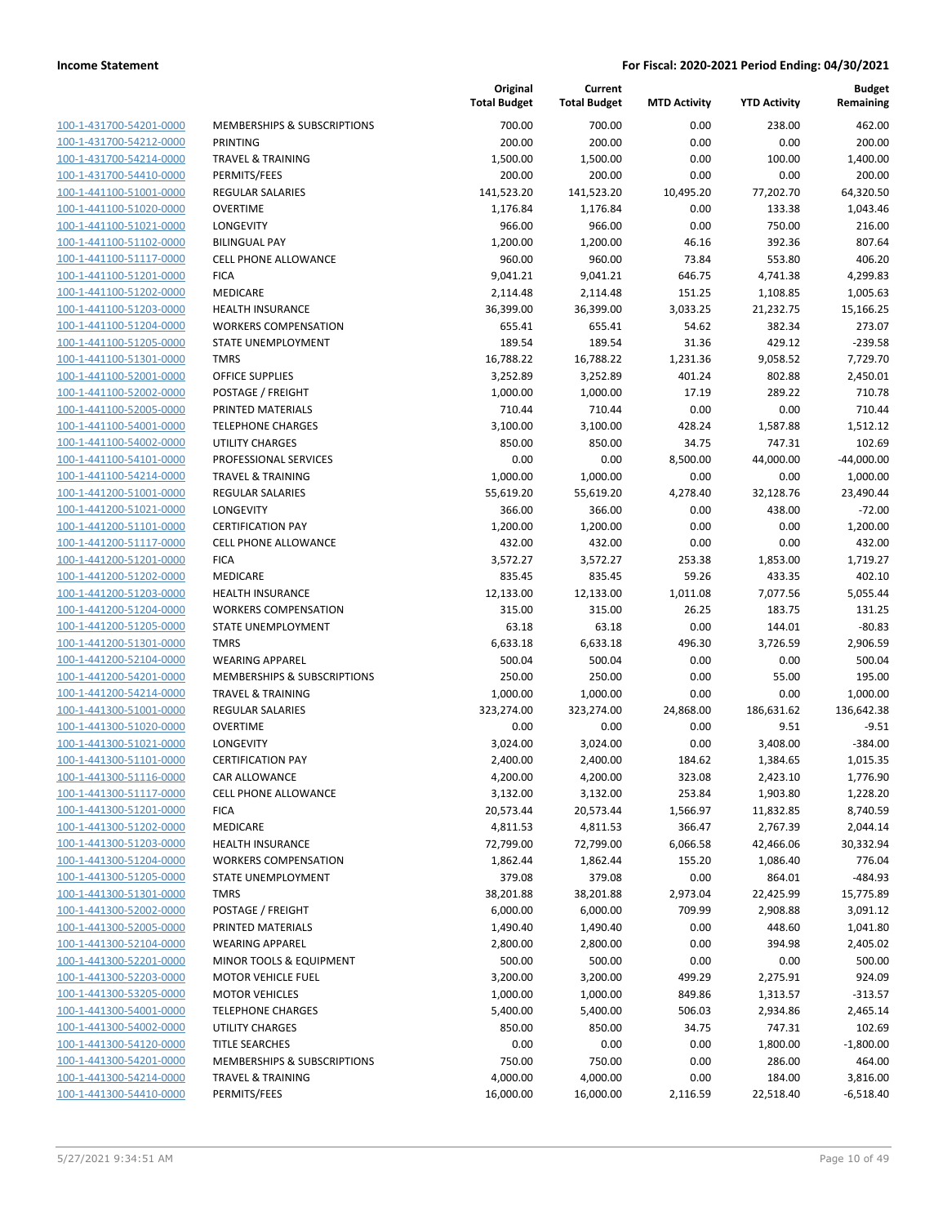| 100-1-431700-54201-0000        |
|--------------------------------|
| 100-1-431700-54212-0000        |
| 100-1-431700-54214-0000        |
| 100-1-431700-54410-0000        |
| 100-1-441100-51001-0000        |
| 100-1-441100-51020-0000        |
| 100-1-441100-51021-0000        |
| 100-1-441100-51102-0000        |
| 100-1-441100-51117-0000        |
|                                |
| 100-1-441100-51201-0000        |
| 100-1-441100-51202-0000        |
| 100-1-441100-51203-0000        |
| 100-1-441100-51204-0000        |
| 100-1-441100-51205-0000        |
| 100-1-441100-51301-0000        |
| 100-1-441100-52001-0000        |
| 100-1-441100-52002-0000        |
| 100-1-441100-52005-0000        |
| 100-1-441100-54001-0000        |
| 100-1-441100-54002-0000        |
|                                |
| 100-1-441100-54101-0000        |
| 100-1-441100-54214-0000        |
| 100-1-441200-51001-0000        |
| 100-1-441200-51021-0000        |
| 100-1-441200-51101-0000        |
| 100-1-441200-51117-0000        |
| 100-1-441200-51201-0000        |
| 100-1-441200-51202-0000        |
| 100-1-441200-51203-0000        |
| 100-1-441200-51204-0000        |
| 100-1-441200-51205-0000        |
|                                |
| 100-1-441200-51301-0000        |
| 100-1-441200-52104-0000        |
| 100-1-441200-54201-0000        |
| 100-1-441200-54214-0000        |
| 100-1-441300-51001-0000        |
| 100-1-441300-51020-0000        |
| 100-1-441300-51021-0000        |
| 100-1-441300-51101-0000        |
| 100-1-441300-51116-0000        |
| 100-1-441300-51117-0000        |
| <u>100-1-441300-51201-0000</u> |
| 100-1-441300-51202-0000        |
|                                |
| <u>100-1-441300-51203-0000</u> |
| <u>100-1-441300-51204-0000</u> |
| 100-1-441300-51205-0000        |
| <u>100-1-441300-51301-0000</u> |
| <u>100-1-441300-52002-0000</u> |
| <u>100-1-441300-52005-0000</u> |
| <u>100-1-441300-52104-0000</u> |
| 100-1-441300-52201-0000        |
| 100-1-441300-52203-0000        |
| <u>100-1-441300-53205-0000</u> |
| <u>100-1-441300-54001-0000</u> |
|                                |
| <u>100-1-441300-54002-0000</u> |
| 100-1-441300-54120-0000        |
| 100-1-441300-54201-0000        |
| <u>100-1-441300-54214-0000</u> |
| <u>100-1-441300-54410-0000</u> |
|                                |

|                         |                                        | Original<br><b>Total Budget</b> | Current<br><b>Total Budget</b> | <b>MTD Activity</b> | <b>YTD Activity</b> | <b>Budget</b><br>Remaining |
|-------------------------|----------------------------------------|---------------------------------|--------------------------------|---------------------|---------------------|----------------------------|
| 100-1-431700-54201-0000 | <b>MEMBERSHIPS &amp; SUBSCRIPTIONS</b> | 700.00                          | 700.00                         | 0.00                | 238.00              | 462.00                     |
| 100-1-431700-54212-0000 | PRINTING                               | 200.00                          | 200.00                         | 0.00                | 0.00                | 200.00                     |
| 100-1-431700-54214-0000 | <b>TRAVEL &amp; TRAINING</b>           | 1,500.00                        | 1,500.00                       | 0.00                | 100.00              | 1,400.00                   |
| 100-1-431700-54410-0000 | PERMITS/FEES                           | 200.00                          | 200.00                         | 0.00                | 0.00                | 200.00                     |
| 100-1-441100-51001-0000 | <b>REGULAR SALARIES</b>                | 141,523.20                      | 141,523.20                     | 10,495.20           | 77,202.70           | 64,320.50                  |
| 100-1-441100-51020-0000 | <b>OVERTIME</b>                        | 1,176.84                        | 1,176.84                       | 0.00                | 133.38              | 1,043.46                   |
| 100-1-441100-51021-0000 | LONGEVITY                              | 966.00                          | 966.00                         | 0.00                | 750.00              | 216.00                     |
| 100-1-441100-51102-0000 | <b>BILINGUAL PAY</b>                   | 1,200.00                        | 1,200.00                       | 46.16               | 392.36              | 807.64                     |
| 100-1-441100-51117-0000 | <b>CELL PHONE ALLOWANCE</b>            | 960.00                          | 960.00                         | 73.84               | 553.80              | 406.20                     |
| 100-1-441100-51201-0000 | <b>FICA</b>                            | 9,041.21                        | 9,041.21                       | 646.75              | 4,741.38            | 4,299.83                   |
| 100-1-441100-51202-0000 | MEDICARE                               | 2,114.48                        | 2,114.48                       | 151.25              | 1,108.85            | 1,005.63                   |
| 100-1-441100-51203-0000 | HEALTH INSURANCE                       | 36,399.00                       | 36,399.00                      | 3,033.25            | 21,232.75           | 15,166.25                  |
| 100-1-441100-51204-0000 | <b>WORKERS COMPENSATION</b>            | 655.41                          | 655.41                         | 54.62               | 382.34              | 273.07                     |
| 100-1-441100-51205-0000 | STATE UNEMPLOYMENT                     | 189.54                          | 189.54                         | 31.36               | 429.12              | $-239.58$                  |
| 100-1-441100-51301-0000 | <b>TMRS</b>                            | 16,788.22                       | 16,788.22                      | 1,231.36            | 9,058.52            | 7,729.70                   |
| 100-1-441100-52001-0000 | OFFICE SUPPLIES                        | 3,252.89                        | 3,252.89                       | 401.24              | 802.88              | 2,450.01                   |
| 100-1-441100-52002-0000 | POSTAGE / FREIGHT                      | 1,000.00                        | 1,000.00                       | 17.19               | 289.22              | 710.78                     |
| 100-1-441100-52005-0000 | PRINTED MATERIALS                      | 710.44                          | 710.44                         | 0.00                | 0.00                | 710.44                     |
| 100-1-441100-54001-0000 | <b>TELEPHONE CHARGES</b>               | 3,100.00                        | 3,100.00                       | 428.24              | 1,587.88            | 1,512.12                   |
| 100-1-441100-54002-0000 | <b>UTILITY CHARGES</b>                 | 850.00                          | 850.00                         | 34.75               | 747.31              | 102.69                     |
| 100-1-441100-54101-0000 | PROFESSIONAL SERVICES                  | 0.00                            | 0.00                           | 8,500.00            | 44,000.00           | $-44,000.00$               |
| 100-1-441100-54214-0000 | <b>TRAVEL &amp; TRAINING</b>           | 1,000.00                        | 1,000.00                       | 0.00                | 0.00                | 1,000.00                   |
| 100-1-441200-51001-0000 | REGULAR SALARIES                       | 55,619.20                       | 55,619.20                      | 4,278.40            | 32,128.76           | 23,490.44                  |
| 100-1-441200-51021-0000 | <b>LONGEVITY</b>                       | 366.00                          | 366.00                         | 0.00                | 438.00              | $-72.00$                   |
| 100-1-441200-51101-0000 | <b>CERTIFICATION PAY</b>               | 1,200.00                        | 1,200.00                       | 0.00                | 0.00                | 1,200.00                   |
| 100-1-441200-51117-0000 | <b>CELL PHONE ALLOWANCE</b>            | 432.00                          | 432.00                         | 0.00                | 0.00                | 432.00                     |
| 100-1-441200-51201-0000 | <b>FICA</b>                            | 3,572.27                        | 3,572.27                       | 253.38              | 1,853.00            | 1,719.27                   |
| 100-1-441200-51202-0000 | MEDICARE                               | 835.45                          | 835.45                         | 59.26               | 433.35              | 402.10                     |
| 100-1-441200-51203-0000 | <b>HEALTH INSURANCE</b>                | 12,133.00                       | 12,133.00                      | 1,011.08            | 7,077.56            | 5,055.44                   |
| 100-1-441200-51204-0000 | <b>WORKERS COMPENSATION</b>            | 315.00                          | 315.00                         | 26.25               | 183.75              | 131.25                     |
| 100-1-441200-51205-0000 | STATE UNEMPLOYMENT                     | 63.18                           | 63.18                          | 0.00                | 144.01              | $-80.83$                   |
| 100-1-441200-51301-0000 | <b>TMRS</b>                            | 6,633.18                        | 6,633.18                       | 496.30              | 3,726.59            | 2,906.59                   |
| 100-1-441200-52104-0000 | <b>WEARING APPAREL</b>                 | 500.04                          | 500.04                         | 0.00                | 0.00                | 500.04                     |
| 100-1-441200-54201-0000 | MEMBERSHIPS & SUBSCRIPTIONS            | 250.00                          | 250.00                         | 0.00                | 55.00               | 195.00                     |
| 100-1-441200-54214-0000 | <b>TRAVEL &amp; TRAINING</b>           | 1,000.00                        | 1,000.00                       | 0.00                | 0.00                | 1,000.00                   |
| 100-1-441300-51001-0000 | <b>REGULAR SALARIES</b>                | 323,274.00                      | 323,274.00                     | 24,868.00           | 186,631.62          | 136,642.38                 |
| 100-1-441300-51020-0000 | <b>OVERTIME</b>                        | 0.00                            | 0.00                           | 0.00                | 9.51                | $-9.51$                    |
| 100-1-441300-51021-0000 | LONGEVITY                              | 3,024.00                        | 3,024.00                       | 0.00                | 3,408.00            | $-384.00$                  |
| 100-1-441300-51101-0000 | <b>CERTIFICATION PAY</b>               | 2,400.00                        | 2,400.00                       | 184.62              | 1,384.65            | 1,015.35                   |
| 100-1-441300-51116-0000 | CAR ALLOWANCE                          | 4,200.00                        | 4,200.00                       | 323.08              | 2,423.10            | 1,776.90                   |
| 100-1-441300-51117-0000 | <b>CELL PHONE ALLOWANCE</b>            | 3,132.00                        | 3,132.00                       | 253.84              | 1,903.80            | 1,228.20                   |
| 100-1-441300-51201-0000 | <b>FICA</b>                            | 20,573.44                       | 20,573.44                      | 1,566.97            | 11,832.85           | 8,740.59                   |
| 100-1-441300-51202-0000 | MEDICARE                               | 4,811.53                        | 4,811.53                       | 366.47              | 2,767.39            | 2,044.14                   |
| 100-1-441300-51203-0000 | <b>HEALTH INSURANCE</b>                | 72,799.00                       | 72,799.00                      | 6,066.58            | 42,466.06           | 30,332.94                  |
| 100-1-441300-51204-0000 | <b>WORKERS COMPENSATION</b>            | 1,862.44                        | 1,862.44                       | 155.20              | 1,086.40            | 776.04                     |
| 100-1-441300-51205-0000 | STATE UNEMPLOYMENT                     | 379.08                          | 379.08                         | 0.00                | 864.01              | $-484.93$                  |
| 100-1-441300-51301-0000 | <b>TMRS</b>                            | 38,201.88                       | 38,201.88                      | 2,973.04            | 22,425.99           | 15,775.89                  |
| 100-1-441300-52002-0000 | POSTAGE / FREIGHT                      | 6,000.00                        | 6,000.00                       | 709.99              | 2,908.88            | 3,091.12                   |
| 100-1-441300-52005-0000 | PRINTED MATERIALS                      | 1,490.40                        | 1,490.40                       | 0.00                | 448.60              | 1,041.80                   |
| 100-1-441300-52104-0000 | <b>WEARING APPAREL</b>                 | 2,800.00                        | 2,800.00                       | 0.00                | 394.98              | 2,405.02                   |
| 100-1-441300-52201-0000 | MINOR TOOLS & EQUIPMENT                | 500.00                          | 500.00                         | 0.00                | 0.00                | 500.00                     |
| 100-1-441300-52203-0000 | <b>MOTOR VEHICLE FUEL</b>              | 3,200.00                        | 3,200.00                       | 499.29              | 2,275.91            | 924.09                     |
| 100-1-441300-53205-0000 | <b>MOTOR VEHICLES</b>                  | 1,000.00                        | 1,000.00                       | 849.86              | 1,313.57            | $-313.57$                  |
| 100-1-441300-54001-0000 | <b>TELEPHONE CHARGES</b>               | 5,400.00                        | 5,400.00                       | 506.03              | 2,934.86            | 2,465.14                   |
| 100-1-441300-54002-0000 | UTILITY CHARGES                        | 850.00                          | 850.00                         | 34.75               | 747.31              | 102.69                     |
| 100-1-441300-54120-0000 | <b>TITLE SEARCHES</b>                  | 0.00                            | 0.00                           | 0.00                | 1,800.00            | $-1,800.00$                |
| 100-1-441300-54201-0000 | MEMBERSHIPS & SUBSCRIPTIONS            | 750.00                          | 750.00                         | 0.00                | 286.00              | 464.00                     |
| 100-1-441300-54214-0000 | <b>TRAVEL &amp; TRAINING</b>           | 4,000.00                        | 4,000.00                       | 0.00                | 184.00              | 3,816.00                   |
| 100-1-441300-54410-0000 | PERMITS/FEES                           | 16,000.00                       | 16,000.00                      | 2,116.59            | 22,518.40           | $-6,518.40$                |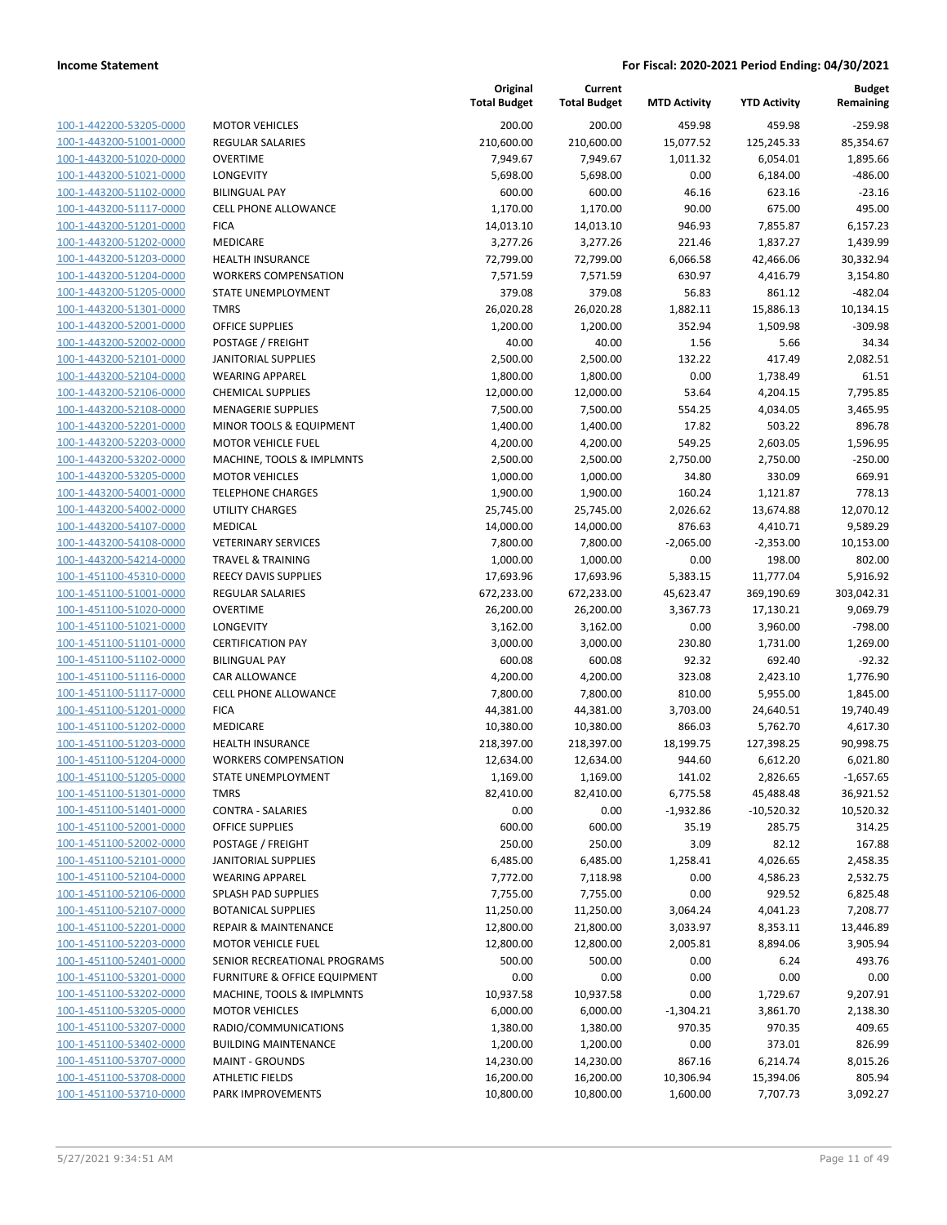| 100-1-442200-53205-0000        |
|--------------------------------|
| 100-1-443200-51001-0000        |
| 100-1-443200-51020-0000        |
| <u>100-1-443200-51021-0000</u> |
| 100-1-443200-51102-0000        |
| 100-1-443200-51117-0000        |
| 100-1-443200-51201-0000        |
| 100-1-443200-51202-0000        |
| 100-1-443200-51203-0000        |
| 100-1-443200-51204-0000        |
| 100-1-443200-51205-0000        |
| 100-1-443200-51301-0000        |
| 100-1-443200-52001-0000        |
| <u>100-1-443200-52002-0000</u> |
| 100-1-443200-52101-0000        |
| 100-1-443200-52104-0000        |
| 100-1-443200-52106-0000        |
| 100-1-443200-52108-0000        |
| 100-1-443200-52201-0000        |
| 100-1-443200-52203-0000        |
| 100-1-443200-53202-0000        |
| 100-1-443200-53205-0000        |
|                                |
| 100-1-443200-54001-0000        |
| <u>100-1-443200-54002-0000</u> |
| 100-1-443200-54107-0000        |
| 100-1-443200-54108-0000        |
| 100-1-443200-54214-0000        |
| 100-1-451100-45310-0000        |
| 100-1-451100-51001-0000        |
| 100-1-451100-51020-0000        |
| 100-1-451100-51021-0000        |
| 100-1-451100-51101-0000        |
| 100-1-451100-51102-0000        |
| <u>100-1-451100-51116-0000</u> |
| 100-1-451100-51117-0000        |
| 100-1-451100-51201-0000        |
| 100-1-451100-51202-0000        |
| 100-1-451100-51203-0000        |
| 100-1-451100-51204-0000        |
| 100-1-451100-51205-0000        |
| 100-1-451100-51301-0000        |
| 100-1-451100-51401-0000        |
| 100-1-451100-52001-0000        |
| <u>100-1-451100-52002-0000</u> |
| 100-1-451100-52101-0000        |
| 100-1-451100-52104-0000        |
| 100-1-451100-52106-0000        |
| <u>100-1-451100-52107-0000</u> |
| <u>100-1-451100-52201-0000</u> |
| 100-1-451100-52203-0000        |
| 100-1-451100-52401-0000        |
| 100-1-451100-53201-0000        |
|                                |
| <u>100-1-451100-53202-0000</u> |
| 100-1-451100-53205-0000        |
| 100-1-451100-53207-0000        |
| <u>100-1-451100-53402-0000</u> |
| 100-1-451100-53707-0000        |
| <u>100-1-451100-53708-0000</u> |
| 100-1-451100-53710-0000        |

|                         |                                         | Original<br><b>Total Budget</b> | Current<br><b>Total Budget</b> | <b>MTD Activity</b> | <b>YTD Activity</b> | <b>Budget</b><br>Remaining |
|-------------------------|-----------------------------------------|---------------------------------|--------------------------------|---------------------|---------------------|----------------------------|
| 100-1-442200-53205-0000 | <b>MOTOR VEHICLES</b>                   | 200.00                          | 200.00                         | 459.98              | 459.98              | $-259.98$                  |
| 100-1-443200-51001-0000 | <b>REGULAR SALARIES</b>                 | 210,600.00                      | 210,600.00                     | 15,077.52           | 125,245.33          | 85,354.67                  |
| 100-1-443200-51020-0000 | <b>OVERTIME</b>                         | 7,949.67                        | 7,949.67                       | 1,011.32            | 6,054.01            | 1,895.66                   |
| 100-1-443200-51021-0000 | LONGEVITY                               | 5,698.00                        | 5,698.00                       | 0.00                | 6,184.00            | $-486.00$                  |
| 100-1-443200-51102-0000 | <b>BILINGUAL PAY</b>                    | 600.00                          | 600.00                         | 46.16               | 623.16              | $-23.16$                   |
| 100-1-443200-51117-0000 | <b>CELL PHONE ALLOWANCE</b>             | 1,170.00                        | 1,170.00                       | 90.00               | 675.00              | 495.00                     |
| 100-1-443200-51201-0000 | <b>FICA</b>                             | 14,013.10                       | 14,013.10                      | 946.93              | 7,855.87            | 6,157.23                   |
| 100-1-443200-51202-0000 | MEDICARE                                | 3,277.26                        | 3,277.26                       | 221.46              | 1,837.27            | 1,439.99                   |
| 100-1-443200-51203-0000 | <b>HEALTH INSURANCE</b>                 | 72,799.00                       | 72,799.00                      | 6,066.58            | 42,466.06           | 30,332.94                  |
| 100-1-443200-51204-0000 | <b>WORKERS COMPENSATION</b>             | 7,571.59                        | 7,571.59                       | 630.97              | 4,416.79            | 3,154.80                   |
| 100-1-443200-51205-0000 | STATE UNEMPLOYMENT                      | 379.08                          | 379.08                         | 56.83               | 861.12              | $-482.04$                  |
| 100-1-443200-51301-0000 | <b>TMRS</b>                             | 26,020.28                       | 26,020.28                      | 1,882.11            | 15,886.13           | 10,134.15                  |
| 100-1-443200-52001-0000 | <b>OFFICE SUPPLIES</b>                  | 1,200.00                        | 1,200.00                       | 352.94              | 1,509.98            | $-309.98$                  |
| 100-1-443200-52002-0000 | POSTAGE / FREIGHT                       | 40.00                           | 40.00                          | 1.56                | 5.66                | 34.34                      |
| 100-1-443200-52101-0000 | <b>JANITORIAL SUPPLIES</b>              | 2,500.00                        | 2,500.00                       | 132.22              | 417.49              | 2,082.51                   |
| 100-1-443200-52104-0000 | <b>WEARING APPAREL</b>                  | 1,800.00                        | 1,800.00                       | 0.00                | 1,738.49            | 61.51                      |
| 100-1-443200-52106-0000 | <b>CHEMICAL SUPPLIES</b>                | 12,000.00                       | 12,000.00                      | 53.64               | 4,204.15            | 7,795.85                   |
| 100-1-443200-52108-0000 | <b>MENAGERIE SUPPLIES</b>               | 7,500.00                        | 7,500.00                       | 554.25              | 4,034.05            | 3,465.95                   |
| 100-1-443200-52201-0000 | MINOR TOOLS & EQUIPMENT                 | 1,400.00                        | 1,400.00                       | 17.82               | 503.22              | 896.78                     |
| 100-1-443200-52203-0000 | <b>MOTOR VEHICLE FUEL</b>               | 4,200.00                        | 4,200.00                       | 549.25              | 2,603.05            | 1,596.95                   |
| 100-1-443200-53202-0000 | MACHINE, TOOLS & IMPLMNTS               | 2,500.00                        | 2,500.00                       | 2,750.00            | 2,750.00            | $-250.00$                  |
| 100-1-443200-53205-0000 | <b>MOTOR VEHICLES</b>                   | 1,000.00                        | 1,000.00                       | 34.80               | 330.09              | 669.91                     |
| 100-1-443200-54001-0000 | <b>TELEPHONE CHARGES</b>                | 1,900.00                        | 1,900.00                       | 160.24              | 1,121.87            | 778.13                     |
| 100-1-443200-54002-0000 | UTILITY CHARGES                         | 25,745.00                       | 25,745.00                      | 2,026.62            | 13,674.88           | 12,070.12                  |
| 100-1-443200-54107-0000 | MEDICAL                                 | 14,000.00                       | 14,000.00                      | 876.63              | 4,410.71            | 9,589.29                   |
| 100-1-443200-54108-0000 | <b>VETERINARY SERVICES</b>              | 7,800.00                        | 7,800.00                       | $-2,065.00$         | $-2,353.00$         | 10,153.00                  |
| 100-1-443200-54214-0000 | <b>TRAVEL &amp; TRAINING</b>            | 1,000.00                        | 1,000.00                       | 0.00                | 198.00              | 802.00                     |
| 100-1-451100-45310-0000 | REECY DAVIS SUPPLIES                    | 17,693.96                       | 17,693.96                      | 5,383.15            | 11,777.04           | 5,916.92                   |
| 100-1-451100-51001-0000 | <b>REGULAR SALARIES</b>                 | 672,233.00                      | 672,233.00                     | 45,623.47           | 369,190.69          | 303,042.31                 |
| 100-1-451100-51020-0000 | <b>OVERTIME</b>                         | 26,200.00                       | 26,200.00                      | 3,367.73            | 17,130.21           | 9,069.79                   |
| 100-1-451100-51021-0000 | LONGEVITY                               | 3,162.00                        | 3,162.00                       | 0.00                | 3,960.00            | $-798.00$                  |
| 100-1-451100-51101-0000 | <b>CERTIFICATION PAY</b>                | 3,000.00                        | 3,000.00                       | 230.80              | 1,731.00            | 1,269.00                   |
| 100-1-451100-51102-0000 | <b>BILINGUAL PAY</b>                    | 600.08                          | 600.08                         | 92.32               | 692.40              | $-92.32$                   |
| 100-1-451100-51116-0000 | CAR ALLOWANCE                           | 4,200.00                        | 4,200.00                       | 323.08              | 2,423.10            | 1,776.90                   |
| 100-1-451100-51117-0000 | <b>CELL PHONE ALLOWANCE</b>             | 7,800.00                        | 7,800.00                       | 810.00              | 5,955.00            | 1,845.00                   |
| 100-1-451100-51201-0000 | <b>FICA</b>                             | 44,381.00                       | 44,381.00                      | 3,703.00            | 24,640.51           | 19,740.49                  |
| 100-1-451100-51202-0000 | MEDICARE                                | 10,380.00                       | 10,380.00                      | 866.03              | 5,762.70            | 4,617.30                   |
| 100-1-451100-51203-0000 | <b>HEALTH INSURANCE</b>                 | 218,397.00                      | 218,397.00                     | 18,199.75           | 127,398.25          | 90,998.75                  |
| 100-1-451100-51204-0000 | <b>WORKERS COMPENSATION</b>             | 12,634.00                       | 12,634.00                      | 944.60              | 6,612.20            | 6,021.80                   |
| 100-1-451100-51205-0000 | STATE UNEMPLOYMENT                      | 1,169.00                        | 1,169.00                       | 141.02              | 2,826.65            | $-1,657.65$                |
| 100-1-451100-51301-0000 | <b>TMRS</b>                             | 82,410.00                       | 82,410.00                      | 6,775.58            | 45,488.48           | 36,921.52                  |
| 100-1-451100-51401-0000 | <b>CONTRA - SALARIES</b>                | 0.00                            | 0.00                           | $-1,932.86$         | $-10,520.32$        | 10,520.32                  |
| 100-1-451100-52001-0000 | <b>OFFICE SUPPLIES</b>                  | 600.00                          | 600.00                         | 35.19               | 285.75              | 314.25                     |
| 100-1-451100-52002-0000 | POSTAGE / FREIGHT                       | 250.00                          | 250.00                         | 3.09                | 82.12               | 167.88                     |
| 100-1-451100-52101-0000 | <b>JANITORIAL SUPPLIES</b>              | 6,485.00                        | 6,485.00                       | 1,258.41            | 4,026.65            | 2,458.35                   |
| 100-1-451100-52104-0000 | <b>WEARING APPAREL</b>                  | 7,772.00                        | 7,118.98                       | 0.00                | 4,586.23            | 2,532.75                   |
| 100-1-451100-52106-0000 | SPLASH PAD SUPPLIES                     | 7,755.00                        | 7,755.00                       | 0.00                | 929.52              | 6,825.48                   |
| 100-1-451100-52107-0000 | <b>BOTANICAL SUPPLIES</b>               | 11,250.00                       | 11,250.00                      | 3,064.24            | 4,041.23            | 7,208.77                   |
| 100-1-451100-52201-0000 | <b>REPAIR &amp; MAINTENANCE</b>         | 12,800.00                       | 21,800.00                      | 3,033.97            | 8,353.11            | 13,446.89                  |
| 100-1-451100-52203-0000 | <b>MOTOR VEHICLE FUEL</b>               | 12,800.00                       | 12,800.00                      | 2,005.81            | 8,894.06            | 3,905.94                   |
| 100-1-451100-52401-0000 | SENIOR RECREATIONAL PROGRAMS            | 500.00                          | 500.00                         | 0.00                | 6.24                | 493.76                     |
| 100-1-451100-53201-0000 | <b>FURNITURE &amp; OFFICE EQUIPMENT</b> | 0.00                            | 0.00                           | 0.00                | 0.00                | 0.00                       |
| 100-1-451100-53202-0000 | MACHINE, TOOLS & IMPLMNTS               | 10,937.58                       | 10,937.58                      | 0.00                | 1,729.67            | 9,207.91                   |
| 100-1-451100-53205-0000 | <b>MOTOR VEHICLES</b>                   | 6,000.00                        | 6,000.00                       | $-1,304.21$         | 3,861.70            | 2,138.30                   |
| 100-1-451100-53207-0000 | RADIO/COMMUNICATIONS                    | 1,380.00                        | 1,380.00                       | 970.35              | 970.35              | 409.65                     |
| 100-1-451100-53402-0000 | <b>BUILDING MAINTENANCE</b>             | 1,200.00                        | 1,200.00                       | 0.00                | 373.01              | 826.99                     |
| 100-1-451100-53707-0000 | <b>MAINT - GROUNDS</b>                  | 14,230.00                       | 14,230.00                      | 867.16              | 6,214.74            | 8,015.26                   |
| 100-1-451100-53708-0000 | <b>ATHLETIC FIELDS</b>                  | 16,200.00                       | 16,200.00                      | 10,306.94           | 15,394.06           | 805.94                     |
| 100-1-451100-53710-0000 | PARK IMPROVEMENTS                       | 10,800.00                       | 10,800.00                      | 1,600.00            | 7,707.73            | 3,092.27                   |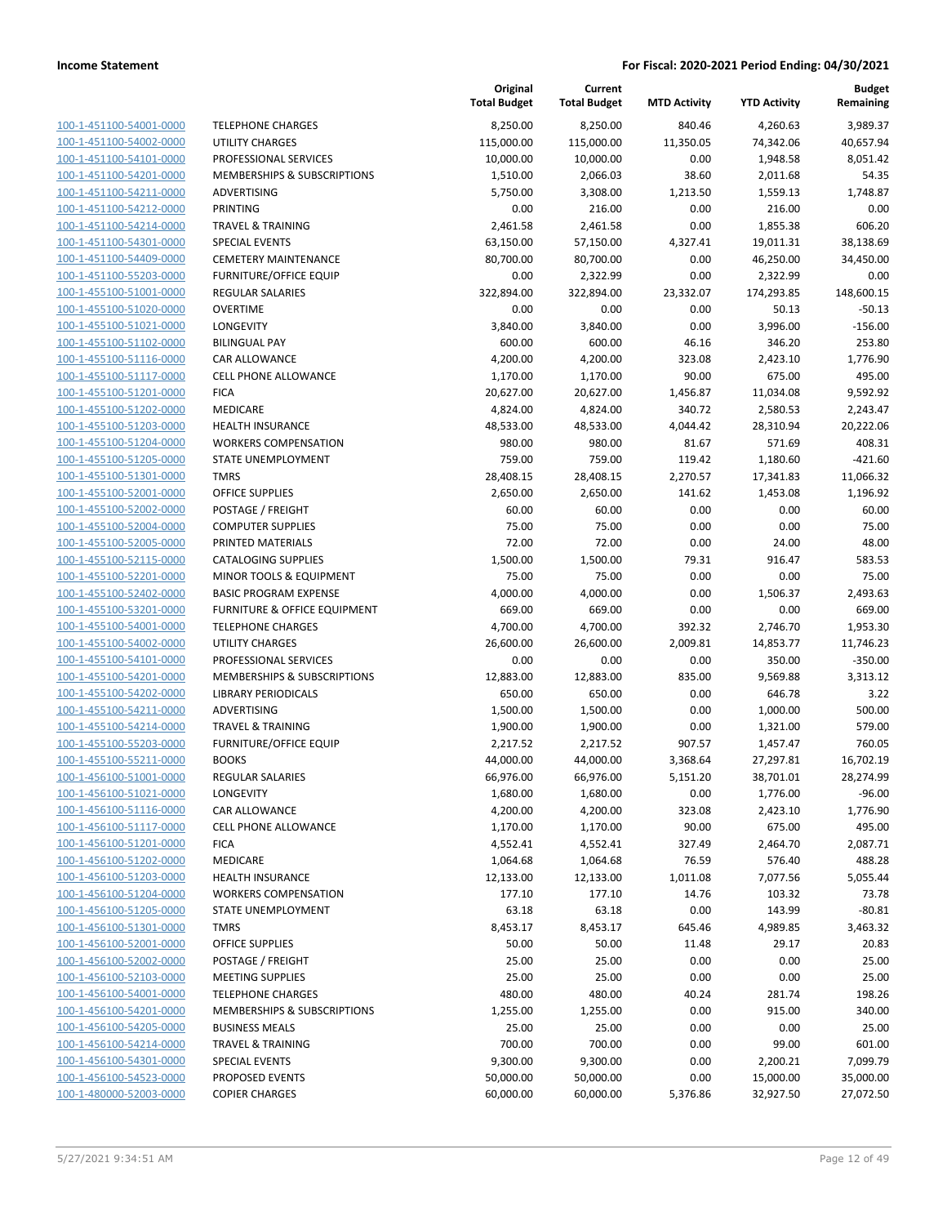|                         |                               | Original<br><b>Total Budget</b> | Current<br><b>Total Budget</b> | <b>MTD Activity</b> | <b>YTD Activity</b> | Budget<br>Remaining |
|-------------------------|-------------------------------|---------------------------------|--------------------------------|---------------------|---------------------|---------------------|
| 100-1-451100-54001-0000 | <b>TELEPHONE CHARGES</b>      | 8,250.00                        | 8,250.00                       | 840.46              | 4,260.63            | 3,989.37            |
| 100-1-451100-54002-0000 | <b>UTILITY CHARGES</b>        | 115,000.00                      | 115,000.00                     | 11,350.05           | 74,342.06           | 40,657.94           |
| 100-1-451100-54101-0000 | PROFESSIONAL SERVICES         | 10,000.00                       | 10,000.00                      | 0.00                | 1,948.58            | 8,051.42            |
| 100-1-451100-54201-0000 | MEMBERSHIPS & SUBSCRIPTIONS   | 1,510.00                        | 2,066.03                       | 38.60               | 2,011.68            | 54.35               |
| 100-1-451100-54211-0000 | ADVERTISING                   | 5,750.00                        | 3,308.00                       | 1,213.50            | 1,559.13            | 1,748.87            |
| 100-1-451100-54212-0000 | PRINTING                      | 0.00                            | 216.00                         | 0.00                | 216.00              | 0.00                |
| 100-1-451100-54214-0000 | <b>TRAVEL &amp; TRAINING</b>  | 2,461.58                        | 2,461.58                       | 0.00                | 1,855.38            | 606.20              |
| 100-1-451100-54301-0000 | <b>SPECIAL EVENTS</b>         | 63,150.00                       | 57,150.00                      | 4,327.41            | 19,011.31           | 38,138.69           |
| 100-1-451100-54409-0000 | <b>CEMETERY MAINTENANCE</b>   | 80,700.00                       | 80,700.00                      | 0.00                | 46,250.00           | 34,450.00           |
| 100-1-451100-55203-0000 | <b>FURNITURE/OFFICE EQUIP</b> | 0.00                            | 2,322.99                       | 0.00                | 2,322.99            | 0.00                |
| 100-1-455100-51001-0000 | <b>REGULAR SALARIES</b>       | 322,894.00                      | 322,894.00                     | 23,332.07           | 174,293.85          | 148,600.15          |
| 100-1-455100-51020-0000 | <b>OVERTIME</b>               | 0.00                            | 0.00                           | 0.00                | 50.13               | $-50.13$            |
| 100-1-455100-51021-0000 | LONGEVITY                     | 3,840.00                        | 3,840.00                       | 0.00                | 3,996.00            | $-156.00$           |
| 100-1-455100-51102-0000 | <b>BILINGUAL PAY</b>          | 600.00                          | 600.00                         | 46.16               | 346.20              | 253.80              |
| 100-1-455100-51116-0000 | CAR ALLOWANCE                 | 4,200.00                        | 4,200.00                       | 323.08              | 2,423.10            | 1,776.90            |
| 100-1-455100-51117-0000 | <b>CELL PHONE ALLOWANCE</b>   | 1,170.00                        | 1,170.00                       | 90.00               | 675.00              | 495.00              |
| 100-1-455100-51201-0000 | <b>FICA</b>                   | 20,627.00                       | 20,627.00                      | 1,456.87            | 11,034.08           | 9,592.92            |
| 100-1-455100-51202-0000 | MEDICARE                      | 4,824.00                        | 4,824.00                       | 340.72              | 2,580.53            | 2,243.47            |
| 100-1-455100-51203-0000 | <b>HEALTH INSURANCE</b>       | 48,533.00                       | 48,533.00                      | 4,044.42            | 28,310.94           | 20,222.06           |
| 100-1-455100-51204-0000 | <b>WORKERS COMPENSATION</b>   | 980.00                          | 980.00                         | 81.67               | 571.69              | 408.31              |
| 100-1-455100-51205-0000 | STATE UNEMPLOYMENT            | 759.00                          | 759.00                         | 119.42              | 1,180.60            | $-421.60$           |
| 100-1-455100-51301-0000 | <b>TMRS</b>                   | 28,408.15                       | 28,408.15                      | 2,270.57            | 17,341.83           | 11,066.32           |
| 100-1-455100-52001-0000 | <b>OFFICE SUPPLIES</b>        | 2,650.00                        | 2,650.00                       | 141.62              | 1,453.08            | 1,196.92            |
| 100-1-455100-52002-0000 | POSTAGE / FREIGHT             | 60.00                           | 60.00                          | 0.00                | 0.00                | 60.00               |
| 100-1-455100-52004-0000 | <b>COMPUTER SUPPLIES</b>      | 75.00                           | 75.00                          | 0.00                | 0.00                | 75.00               |
| 100-1-455100-52005-0000 | PRINTED MATERIALS             | 72.00                           | 72.00                          | 0.00                | 24.00               | 48.00               |
| 100-1-455100-52115-0000 | <b>CATALOGING SUPPLIES</b>    | 1,500.00                        | 1,500.00                       | 79.31               | 916.47              | 583.53              |
| 100-1-455100-52201-0000 | MINOR TOOLS & EQUIPMENT       | 75.00                           | 75.00                          | 0.00                | 0.00                | 75.00               |
| 100-1-455100-52402-0000 | <b>BASIC PROGRAM EXPENSE</b>  | 4,000.00                        | 4,000.00                       | 0.00                | 1,506.37            | 2,493.63            |
| 100-1-455100-53201-0000 | FURNITURE & OFFICE EQUIPMENT  | 669.00                          | 669.00                         | 0.00                | 0.00                | 669.00              |
| 100-1-455100-54001-0000 | <b>TELEPHONE CHARGES</b>      | 4,700.00                        | 4,700.00                       | 392.32              | 2,746.70            | 1,953.30            |
| 100-1-455100-54002-0000 | <b>UTILITY CHARGES</b>        | 26,600.00                       | 26,600.00                      | 2,009.81            | 14,853.77           | 11,746.23           |
| 100-1-455100-54101-0000 | PROFESSIONAL SERVICES         | 0.00                            | 0.00                           | 0.00                | 350.00              | $-350.00$           |
| 100-1-455100-54201-0000 | MEMBERSHIPS & SUBSCRIPTIONS   | 12,883.00                       | 12,883.00                      | 835.00              | 9,569.88            | 3,313.12            |
| 100-1-455100-54202-0000 | <b>LIBRARY PERIODICALS</b>    | 650.00                          | 650.00                         | 0.00                | 646.78              | 3.22                |
| 100-1-455100-54211-0000 | ADVERTISING                   | 1,500.00                        | 1,500.00                       | 0.00                | 1,000.00            | 500.00              |
| 100-1-455100-54214-0000 | <b>TRAVEL &amp; TRAINING</b>  | 1,900.00                        | 1,900.00                       | 0.00                | 1,321.00            | 579.00              |
| 100-1-455100-55203-0000 | <b>FURNITURE/OFFICE EQUIP</b> | 2,217.52                        | 2,217.52                       | 907.57              | 1,457.47            | 760.05              |
| 100-1-455100-55211-0000 | <b>BOOKS</b>                  | 44,000.00                       | 44,000.00                      | 3,368.64            | 27,297.81           | 16,702.19           |
| 100-1-456100-51001-0000 | <b>REGULAR SALARIES</b>       | 66,976.00                       | 66,976.00                      | 5,151.20            | 38,701.01           | 28,274.99           |
| 100-1-456100-51021-0000 | LONGEVITY                     | 1,680.00                        | 1,680.00                       | 0.00                | 1,776.00            | -96.00              |
| 100-1-456100-51116-0000 | CAR ALLOWANCE                 | 4,200.00                        | 4,200.00                       | 323.08              | 2,423.10            | 1,776.90            |
| 100-1-456100-51117-0000 | <b>CELL PHONE ALLOWANCE</b>   | 1,170.00                        | 1,170.00                       | 90.00               | 675.00              | 495.00              |
| 100-1-456100-51201-0000 | <b>FICA</b>                   | 4,552.41                        | 4,552.41                       | 327.49              | 2,464.70            | 2,087.71            |
| 100-1-456100-51202-0000 | MEDICARE                      | 1,064.68                        | 1,064.68                       | 76.59               | 576.40              | 488.28              |
| 100-1-456100-51203-0000 | <b>HEALTH INSURANCE</b>       | 12,133.00                       | 12,133.00                      | 1,011.08            | 7,077.56            | 5,055.44            |
| 100-1-456100-51204-0000 | <b>WORKERS COMPENSATION</b>   | 177.10                          | 177.10                         | 14.76               | 103.32              | 73.78               |
| 100-1-456100-51205-0000 | STATE UNEMPLOYMENT            | 63.18                           | 63.18                          | 0.00                | 143.99              | $-80.81$            |
| 100-1-456100-51301-0000 | <b>TMRS</b>                   | 8,453.17                        | 8,453.17                       | 645.46              | 4,989.85            | 3,463.32            |
| 100-1-456100-52001-0000 | <b>OFFICE SUPPLIES</b>        | 50.00                           | 50.00                          | 11.48               | 29.17               | 20.83               |
| 100-1-456100-52002-0000 | POSTAGE / FREIGHT             | 25.00                           | 25.00                          | 0.00                | 0.00                | 25.00               |
| 100-1-456100-52103-0000 | <b>MEETING SUPPLIES</b>       | 25.00                           | 25.00                          | 0.00                | 0.00                | 25.00               |
| 100-1-456100-54001-0000 | <b>TELEPHONE CHARGES</b>      | 480.00                          | 480.00                         | 40.24               | 281.74              | 198.26              |
| 100-1-456100-54201-0000 | MEMBERSHIPS & SUBSCRIPTIONS   | 1,255.00                        | 1,255.00                       | 0.00                | 915.00              | 340.00              |
| 100-1-456100-54205-0000 | <b>BUSINESS MEALS</b>         | 25.00                           | 25.00                          | 0.00                | 0.00                | 25.00               |
| 100-1-456100-54214-0000 | <b>TRAVEL &amp; TRAINING</b>  | 700.00                          | 700.00                         | 0.00                | 99.00               | 601.00              |
| 100-1-456100-54301-0000 | <b>SPECIAL EVENTS</b>         | 9,300.00                        | 9,300.00                       | 0.00                | 2,200.21            | 7,099.79            |
| 100-1-456100-54523-0000 | PROPOSED EVENTS               | 50,000.00                       | 50,000.00                      | 0.00                | 15,000.00           | 35,000.00           |
| 100-1-480000-52003-0000 | <b>COPIER CHARGES</b>         | 60,000.00                       | 60,000.00                      | 5,376.86            | 32,927.50           | 27,072.50           |
|                         |                               |                                 |                                |                     |                     |                     |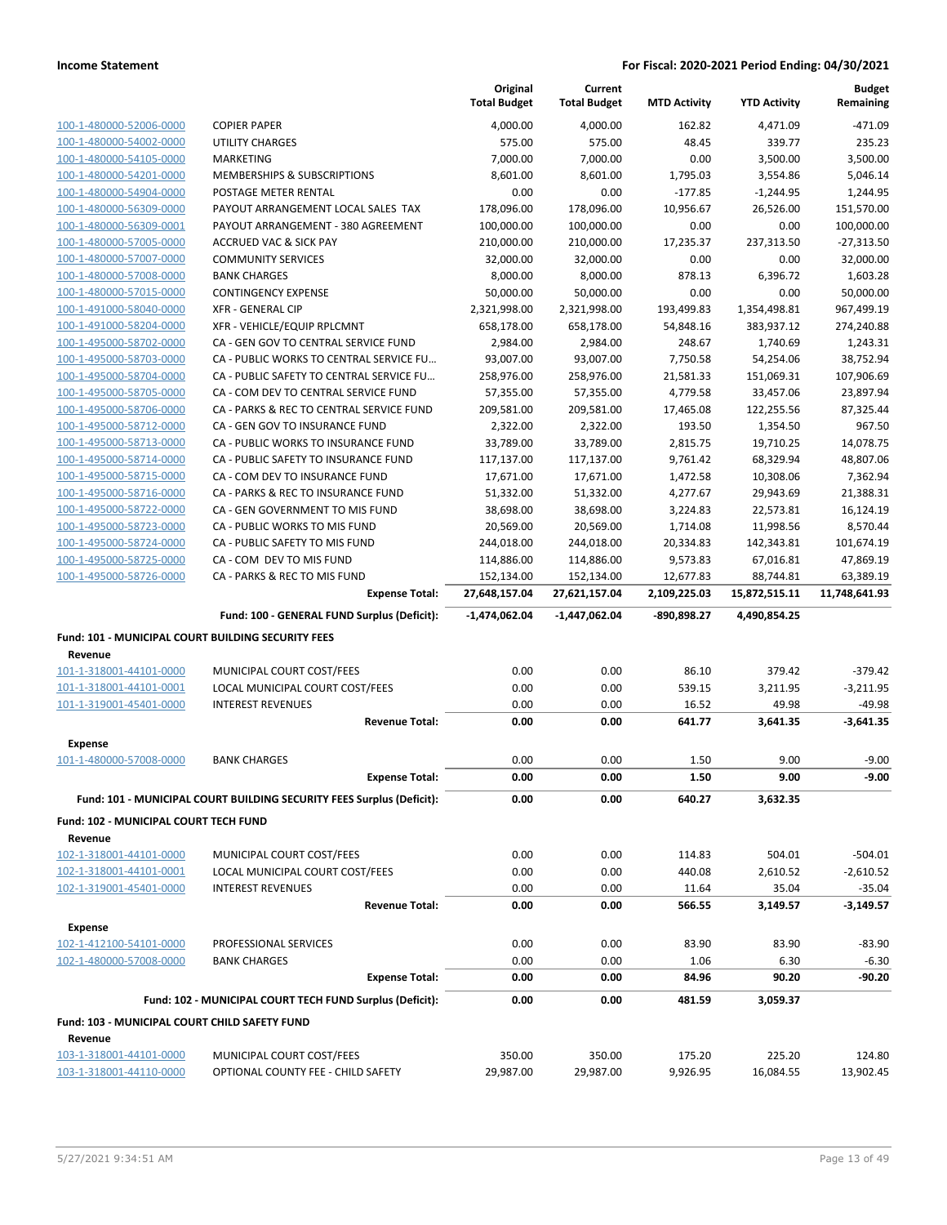|                                                    |                                                                       | Original<br><b>Total Budget</b> | Current<br><b>Total Budget</b> | <b>MTD Activity</b> | <b>YTD Activity</b> | <b>Budget</b><br>Remaining |
|----------------------------------------------------|-----------------------------------------------------------------------|---------------------------------|--------------------------------|---------------------|---------------------|----------------------------|
| 100-1-480000-52006-0000                            | <b>COPIER PAPER</b>                                                   | 4,000.00                        | 4,000.00                       | 162.82              | 4,471.09            | $-471.09$                  |
| 100-1-480000-54002-0000                            | <b>UTILITY CHARGES</b>                                                | 575.00                          | 575.00                         | 48.45               | 339.77              | 235.23                     |
| 100-1-480000-54105-0000                            | MARKETING                                                             | 7,000.00                        | 7,000.00                       | 0.00                | 3,500.00            | 3,500.00                   |
| 100-1-480000-54201-0000                            | MEMBERSHIPS & SUBSCRIPTIONS                                           | 8,601.00                        | 8,601.00                       | 1,795.03            | 3,554.86            | 5,046.14                   |
| 100-1-480000-54904-0000                            | POSTAGE METER RENTAL                                                  | 0.00                            | 0.00                           | $-177.85$           | $-1,244.95$         | 1,244.95                   |
| 100-1-480000-56309-0000                            | PAYOUT ARRANGEMENT LOCAL SALES TAX                                    | 178,096.00                      | 178,096.00                     | 10,956.67           | 26,526.00           | 151,570.00                 |
| 100-1-480000-56309-0001                            | PAYOUT ARRANGEMENT - 380 AGREEMENT                                    | 100,000.00                      | 100,000.00                     | 0.00                | 0.00                | 100,000.00                 |
| 100-1-480000-57005-0000                            | <b>ACCRUED VAC &amp; SICK PAY</b>                                     | 210,000.00                      | 210,000.00                     | 17,235.37           | 237,313.50          | $-27,313.50$               |
| 100-1-480000-57007-0000                            | <b>COMMUNITY SERVICES</b>                                             | 32,000.00                       | 32,000.00                      | 0.00                | 0.00                | 32,000.00                  |
| 100-1-480000-57008-0000                            | <b>BANK CHARGES</b>                                                   | 8,000.00                        | 8,000.00                       | 878.13              | 6,396.72            | 1,603.28                   |
| 100-1-480000-57015-0000                            | <b>CONTINGENCY EXPENSE</b>                                            | 50,000.00                       | 50,000.00                      | 0.00                | 0.00                | 50,000.00                  |
| 100-1-491000-58040-0000                            | <b>XFR - GENERAL CIP</b>                                              | 2,321,998.00                    | 2,321,998.00                   | 193,499.83          | 1,354,498.81        | 967,499.19                 |
| 100-1-491000-58204-0000                            | XFR - VEHICLE/EQUIP RPLCMNT                                           | 658,178.00                      | 658,178.00                     | 54,848.16           | 383,937.12          | 274,240.88                 |
| 100-1-495000-58702-0000                            | CA - GEN GOV TO CENTRAL SERVICE FUND                                  | 2,984.00                        | 2,984.00                       | 248.67              | 1,740.69            | 1,243.31                   |
| 100-1-495000-58703-0000                            | CA - PUBLIC WORKS TO CENTRAL SERVICE FU                               | 93,007.00                       | 93,007.00                      | 7,750.58            | 54,254.06           | 38,752.94                  |
| 100-1-495000-58704-0000                            | CA - PUBLIC SAFETY TO CENTRAL SERVICE FU                              | 258,976.00                      | 258,976.00                     | 21,581.33           | 151,069.31          | 107,906.69                 |
| 100-1-495000-58705-0000                            | CA - COM DEV TO CENTRAL SERVICE FUND                                  | 57,355.00                       | 57,355.00                      | 4,779.58            | 33,457.06           | 23,897.94                  |
| 100-1-495000-58706-0000                            | CA - PARKS & REC TO CENTRAL SERVICE FUND                              | 209,581.00                      | 209,581.00                     | 17,465.08           | 122,255.56          | 87,325.44                  |
| 100-1-495000-58712-0000                            | CA - GEN GOV TO INSURANCE FUND                                        | 2,322.00                        | 2,322.00                       | 193.50              | 1,354.50            | 967.50                     |
| 100-1-495000-58713-0000                            | CA - PUBLIC WORKS TO INSURANCE FUND                                   | 33,789.00                       | 33,789.00                      | 2,815.75            | 19,710.25           | 14,078.75                  |
| 100-1-495000-58714-0000                            | CA - PUBLIC SAFETY TO INSURANCE FUND                                  | 117,137.00                      | 117,137.00                     | 9,761.42            | 68,329.94           | 48,807.06                  |
| 100-1-495000-58715-0000                            | CA - COM DEV TO INSURANCE FUND                                        | 17,671.00                       | 17,671.00                      | 1,472.58            | 10,308.06           | 7,362.94                   |
| 100-1-495000-58716-0000                            | CA - PARKS & REC TO INSURANCE FUND                                    | 51,332.00                       | 51,332.00                      | 4,277.67            | 29,943.69           | 21,388.31                  |
| 100-1-495000-58722-0000                            | CA - GEN GOVERNMENT TO MIS FUND                                       | 38,698.00                       | 38,698.00                      | 3,224.83            | 22,573.81           | 16,124.19                  |
| 100-1-495000-58723-0000                            | CA - PUBLIC WORKS TO MIS FUND                                         | 20,569.00                       | 20,569.00                      | 1,714.08            | 11,998.56           | 8,570.44                   |
| 100-1-495000-58724-0000                            | CA - PUBLIC SAFETY TO MIS FUND                                        | 244,018.00                      | 244,018.00                     | 20,334.83           | 142,343.81          | 101,674.19                 |
| 100-1-495000-58725-0000                            | CA - COM DEV TO MIS FUND                                              | 114,886.00                      | 114,886.00                     | 9,573.83            | 67,016.81           | 47,869.19                  |
| 100-1-495000-58726-0000                            | CA - PARKS & REC TO MIS FUND                                          | 152,134.00                      | 152,134.00                     | 12,677.83           | 88,744.81           | 63,389.19                  |
|                                                    | <b>Expense Total:</b>                                                 | 27,648,157.04                   | 27,621,157.04                  | 2,109,225.03        | 15,872,515.11       | 11,748,641.93              |
|                                                    |                                                                       |                                 |                                |                     |                     |                            |
|                                                    | Fund: 100 - GENERAL FUND Surplus (Deficit):                           | $-1,474,062.04$                 | -1,447,062.04                  | -890,898.27         | 4,490,854.25        |                            |
| Fund: 101 - MUNICIPAL COURT BUILDING SECURITY FEES |                                                                       |                                 |                                |                     |                     |                            |
| Revenue                                            |                                                                       |                                 |                                |                     |                     |                            |
| 101-1-318001-44101-0000                            | MUNICIPAL COURT COST/FEES                                             | 0.00                            | 0.00                           | 86.10               | 379.42              | $-379.42$                  |
| 101-1-318001-44101-0001                            | LOCAL MUNICIPAL COURT COST/FEES                                       | 0.00                            | 0.00                           | 539.15              | 3,211.95            | $-3,211.95$                |
| 101-1-319001-45401-0000                            | <b>INTEREST REVENUES</b><br><b>Revenue Total:</b>                     | 0.00<br>0.00                    | 0.00<br>0.00                   | 16.52<br>641.77     | 49.98<br>3,641.35   | $-49.98$<br>$-3,641.35$    |
|                                                    |                                                                       |                                 |                                |                     |                     |                            |
| <b>Expense</b>                                     |                                                                       |                                 |                                |                     |                     |                            |
| 101-1-480000-57008-0000                            | <b>BANK CHARGES</b>                                                   | 0.00                            | 0.00                           | 1.50                | 9.00                | $-9.00$                    |
|                                                    | <b>Expense Total:</b>                                                 | 0.00                            | 0.00                           | 1.50                | 9.00                | $-9.00$                    |
|                                                    | Fund: 101 - MUNICIPAL COURT BUILDING SECURITY FEES Surplus (Deficit): | 0.00                            | 0.00                           | 640.27              | 3,632.35            |                            |
| Fund: 102 - MUNICIPAL COURT TECH FUND              |                                                                       |                                 |                                |                     |                     |                            |
| Revenue                                            |                                                                       |                                 |                                |                     |                     |                            |
| 102-1-318001-44101-0000                            | MUNICIPAL COURT COST/FEES                                             | 0.00                            | 0.00                           | 114.83              | 504.01              | $-504.01$                  |
| 102-1-318001-44101-0001                            | LOCAL MUNICIPAL COURT COST/FEES                                       | 0.00                            | 0.00                           | 440.08              | 2,610.52            | $-2,610.52$                |
| 102-1-319001-45401-0000                            | <b>INTEREST REVENUES</b><br><b>Revenue Total:</b>                     | 0.00<br>0.00                    | 0.00<br>0.00                   | 11.64<br>566.55     | 35.04<br>3,149.57   | $-35.04$<br>$-3,149.57$    |
|                                                    |                                                                       |                                 |                                |                     |                     |                            |
| Expense<br>102-1-412100-54101-0000                 | PROFESSIONAL SERVICES                                                 | 0.00                            | 0.00                           | 83.90               | 83.90               | $-83.90$                   |
| 102-1-480000-57008-0000                            | <b>BANK CHARGES</b>                                                   | 0.00                            | 0.00                           | 1.06                | 6.30                | $-6.30$                    |
|                                                    | <b>Expense Total:</b>                                                 | 0.00                            | 0.00                           | 84.96               | 90.20               | $-90.20$                   |
|                                                    | Fund: 102 - MUNICIPAL COURT TECH FUND Surplus (Deficit):              | 0.00                            | 0.00                           | 481.59              | 3,059.37            |                            |
| Fund: 103 - MUNICIPAL COURT CHILD SAFETY FUND      |                                                                       |                                 |                                |                     |                     |                            |
| Revenue                                            |                                                                       |                                 |                                |                     |                     |                            |
| 103-1-318001-44101-0000<br>103-1-318001-44110-0000 | MUNICIPAL COURT COST/FEES<br>OPTIONAL COUNTY FEE - CHILD SAFETY       | 350.00<br>29,987.00             | 350.00<br>29,987.00            | 175.20<br>9,926.95  | 225.20<br>16,084.55 | 124.80<br>13,902.45        |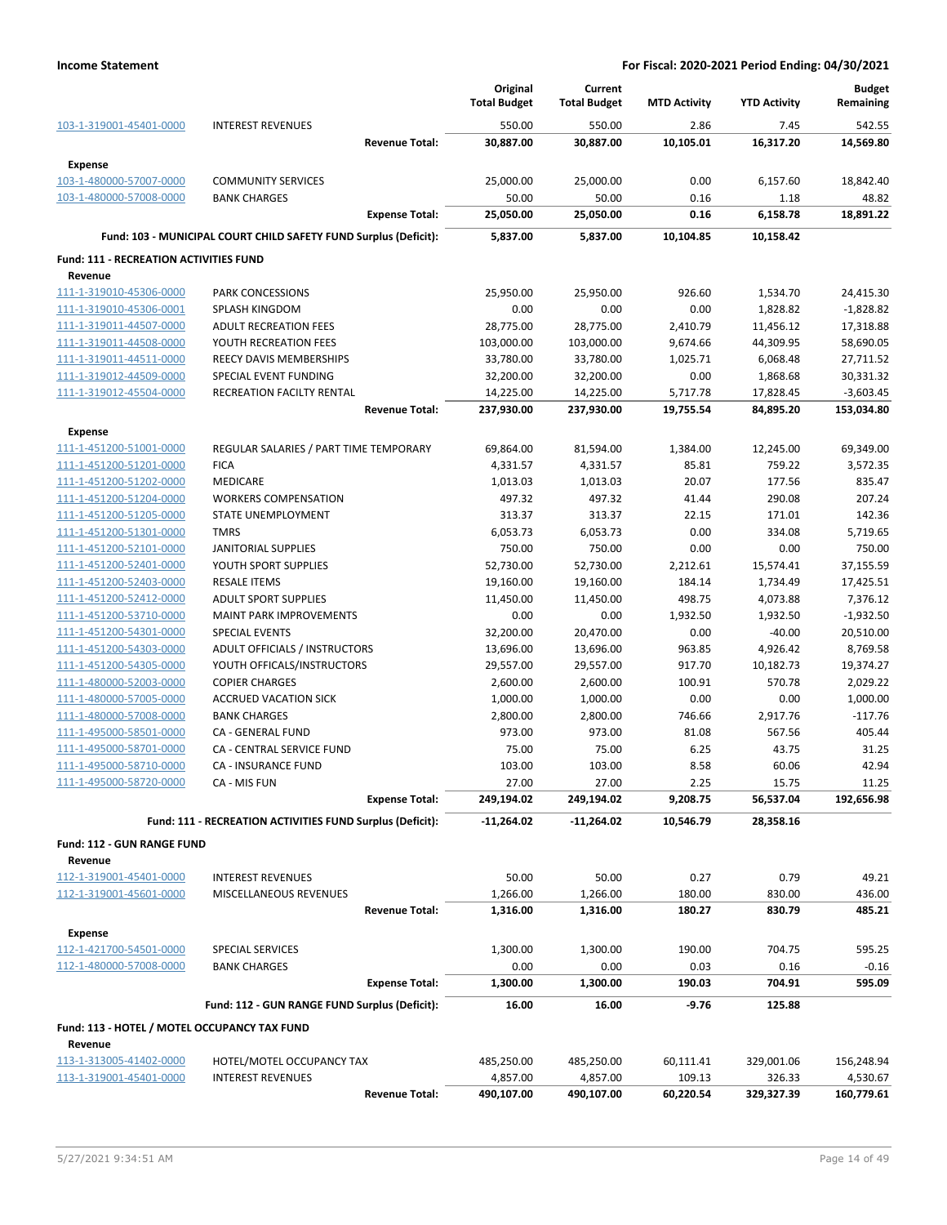|                                               |                                                                  | Original            | Current             |                     |                     | <b>Budget</b> |
|-----------------------------------------------|------------------------------------------------------------------|---------------------|---------------------|---------------------|---------------------|---------------|
|                                               |                                                                  | <b>Total Budget</b> | <b>Total Budget</b> | <b>MTD Activity</b> | <b>YTD Activity</b> | Remaining     |
| 103-1-319001-45401-0000                       | <b>INTEREST REVENUES</b>                                         | 550.00              | 550.00              | 2.86                | 7.45                | 542.55        |
|                                               | <b>Revenue Total:</b>                                            | 30,887.00           | 30,887.00           | 10,105.01           | 16,317.20           | 14,569.80     |
| <b>Expense</b>                                |                                                                  |                     |                     |                     |                     |               |
| 103-1-480000-57007-0000                       | <b>COMMUNITY SERVICES</b>                                        | 25,000.00           | 25,000.00           | 0.00                | 6,157.60            | 18,842.40     |
| 103-1-480000-57008-0000                       | <b>BANK CHARGES</b>                                              | 50.00               | 50.00               | 0.16                | 1.18                | 48.82         |
|                                               | <b>Expense Total:</b>                                            | 25,050.00           | 25,050.00           | 0.16                | 6,158.78            | 18,891.22     |
|                                               | Fund: 103 - MUNICIPAL COURT CHILD SAFETY FUND Surplus (Deficit): | 5,837.00            | 5.837.00            | 10,104.85           | 10,158.42           |               |
| <b>Fund: 111 - RECREATION ACTIVITIES FUND</b> |                                                                  |                     |                     |                     |                     |               |
| Revenue                                       |                                                                  |                     |                     |                     |                     |               |
| 111-1-319010-45306-0000                       | <b>PARK CONCESSIONS</b>                                          | 25,950.00           | 25,950.00           | 926.60              | 1,534.70            | 24,415.30     |
| 111-1-319010-45306-0001                       | SPLASH KINGDOM                                                   | 0.00                | 0.00                | 0.00                | 1,828.82            | $-1,828.82$   |
| 111-1-319011-44507-0000                       | <b>ADULT RECREATION FEES</b>                                     | 28,775.00           | 28,775.00           | 2,410.79            | 11,456.12           | 17,318.88     |
| 111-1-319011-44508-0000                       | YOUTH RECREATION FEES                                            | 103,000.00          | 103,000.00          | 9,674.66            | 44,309.95           | 58,690.05     |
| 111-1-319011-44511-0000                       | REECY DAVIS MEMBERSHIPS                                          | 33,780.00           | 33,780.00           | 1,025.71            | 6,068.48            | 27,711.52     |
| 111-1-319012-44509-0000                       | SPECIAL EVENT FUNDING                                            | 32,200.00           | 32,200.00           | 0.00                | 1,868.68            | 30,331.32     |
| 111-1-319012-45504-0000                       | RECREATION FACILTY RENTAL                                        | 14,225.00           | 14,225.00           | 5,717.78            | 17,828.45           | $-3,603.45$   |
|                                               | <b>Revenue Total:</b>                                            | 237,930.00          | 237,930.00          | 19,755.54           | 84,895.20           | 153,034.80    |
| <b>Expense</b>                                |                                                                  |                     |                     |                     |                     |               |
| 111-1-451200-51001-0000                       | REGULAR SALARIES / PART TIME TEMPORARY                           | 69,864.00           | 81,594.00           | 1,384.00            | 12,245.00           | 69,349.00     |
| 111-1-451200-51201-0000                       | <b>FICA</b>                                                      | 4,331.57            | 4,331.57            | 85.81               | 759.22              | 3,572.35      |
| 111-1-451200-51202-0000                       | MEDICARE                                                         | 1,013.03            | 1,013.03            | 20.07               | 177.56              | 835.47        |
| 111-1-451200-51204-0000                       | <b>WORKERS COMPENSATION</b>                                      | 497.32              | 497.32              | 41.44               | 290.08              | 207.24        |
| 111-1-451200-51205-0000                       | STATE UNEMPLOYMENT                                               | 313.37              | 313.37              | 22.15               | 171.01              | 142.36        |
| 111-1-451200-51301-0000                       | <b>TMRS</b>                                                      | 6,053.73            | 6,053.73            | 0.00                | 334.08              | 5,719.65      |
| 111-1-451200-52101-0000                       | <b>JANITORIAL SUPPLIES</b>                                       | 750.00              | 750.00              | 0.00                | 0.00                | 750.00        |
| 111-1-451200-52401-0000                       | YOUTH SPORT SUPPLIES                                             | 52,730.00           | 52,730.00           | 2,212.61            | 15,574.41           | 37,155.59     |
| 111-1-451200-52403-0000                       | <b>RESALE ITEMS</b>                                              | 19,160.00           | 19,160.00           | 184.14              | 1,734.49            | 17,425.51     |
| 111-1-451200-52412-0000                       | <b>ADULT SPORT SUPPLIES</b>                                      | 11,450.00           | 11,450.00           | 498.75              | 4,073.88            | 7,376.12      |
| 111-1-451200-53710-0000                       | <b>MAINT PARK IMPROVEMENTS</b>                                   | 0.00                | 0.00                | 1,932.50            | 1,932.50            | $-1,932.50$   |
| 111-1-451200-54301-0000                       | <b>SPECIAL EVENTS</b>                                            | 32,200.00           | 20,470.00           | 0.00                | $-40.00$            | 20,510.00     |
| 111-1-451200-54303-0000                       | ADULT OFFICIALS / INSTRUCTORS                                    | 13,696.00           | 13,696.00           | 963.85              | 4,926.42            | 8,769.58      |
| 111-1-451200-54305-0000                       | YOUTH OFFICALS/INSTRUCTORS                                       | 29,557.00           | 29,557.00           | 917.70              | 10,182.73           | 19,374.27     |
| 111-1-480000-52003-0000                       | <b>COPIER CHARGES</b>                                            | 2,600.00            | 2,600.00            | 100.91              | 570.78              | 2,029.22      |
| 111-1-480000-57005-0000                       | <b>ACCRUED VACATION SICK</b>                                     | 1,000.00            | 1,000.00            | 0.00                | 0.00                | 1,000.00      |
| 111-1-480000-57008-0000                       | <b>BANK CHARGES</b>                                              | 2,800.00            | 2,800.00            | 746.66              | 2,917.76            | $-117.76$     |
| 111-1-495000-58501-0000                       | CA - GENERAL FUND                                                | 973.00              | 973.00              | 81.08               | 567.56              | 405.44        |
| 111-1-495000-58701-0000                       | CA - CENTRAL SERVICE FUND                                        | 75.00               | 75.00               | 6.25                | 43.75               | 31.25         |
| 111-1-495000-58710-0000                       | CA - INSURANCE FUND                                              | 103.00              | 103.00              | 8.58                | 60.06               | 42.94         |
| 111-1-495000-58720-0000                       | CA - MIS FUN                                                     | 27.00               | 27.00               | 2.25                | 15.75               | 11.25         |
|                                               | <b>Expense Total:</b>                                            | 249,194.02          | 249,194.02          | 9,208.75            | 56,537.04           | 192,656.98    |
|                                               | Fund: 111 - RECREATION ACTIVITIES FUND Surplus (Deficit):        | $-11,264.02$        | $-11,264.02$        | 10,546.79           | 28,358.16           |               |
| Fund: 112 - GUN RANGE FUND                    |                                                                  |                     |                     |                     |                     |               |
| Revenue                                       |                                                                  |                     |                     |                     |                     |               |
| 112-1-319001-45401-0000                       | <b>INTEREST REVENUES</b>                                         | 50.00               | 50.00               | 0.27                | 0.79                | 49.21         |
| 112-1-319001-45601-0000                       | MISCELLANEOUS REVENUES                                           | 1,266.00            | 1,266.00            | 180.00              | 830.00              | 436.00        |
|                                               | <b>Revenue Total:</b>                                            | 1,316.00            | 1,316.00            | 180.27              | 830.79              | 485.21        |
| <b>Expense</b>                                |                                                                  |                     |                     |                     |                     |               |
| 112-1-421700-54501-0000                       | SPECIAL SERVICES                                                 | 1,300.00            | 1,300.00            | 190.00              | 704.75              | 595.25        |
| 112-1-480000-57008-0000                       | <b>BANK CHARGES</b>                                              | 0.00                | 0.00                | 0.03                | 0.16                | $-0.16$       |
|                                               | <b>Expense Total:</b>                                            | 1,300.00            | 1,300.00            | 190.03              | 704.91              | 595.09        |
|                                               |                                                                  |                     |                     |                     |                     |               |
|                                               | Fund: 112 - GUN RANGE FUND Surplus (Deficit):                    | 16.00               | 16.00               | $-9.76$             | 125.88              |               |
| Fund: 113 - HOTEL / MOTEL OCCUPANCY TAX FUND  |                                                                  |                     |                     |                     |                     |               |
| Revenue                                       |                                                                  |                     |                     |                     |                     |               |
| 113-1-313005-41402-0000                       | HOTEL/MOTEL OCCUPANCY TAX                                        | 485,250.00          | 485,250.00          | 60,111.41           | 329,001.06          | 156,248.94    |
| 113-1-319001-45401-0000                       | <b>INTEREST REVENUES</b>                                         | 4,857.00            | 4,857.00            | 109.13              | 326.33              | 4,530.67      |
|                                               | <b>Revenue Total:</b>                                            | 490,107.00          | 490,107.00          | 60,220.54           | 329,327.39          | 160,779.61    |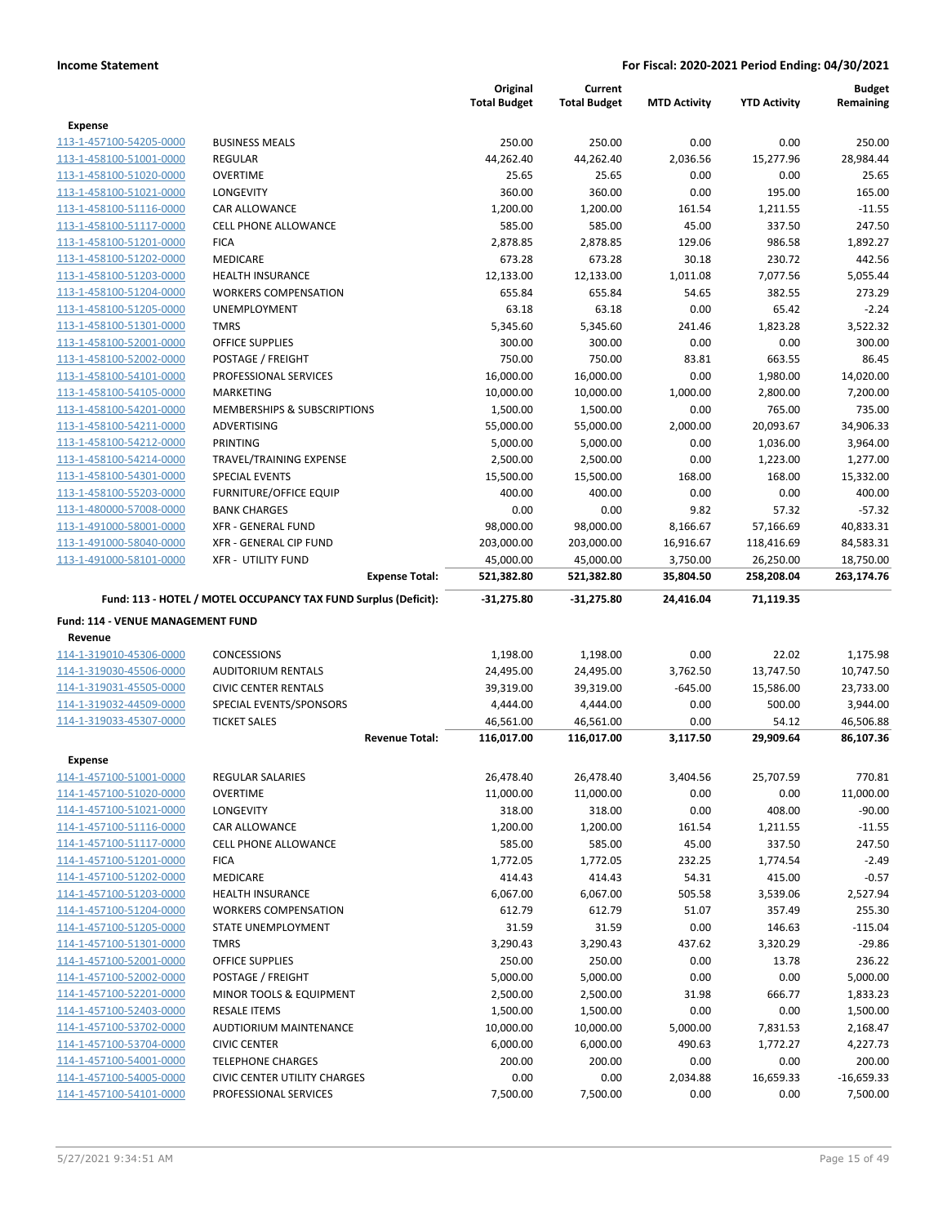|                                   |                                                                 | Original<br><b>Total Budget</b> | Current<br><b>Total Budget</b> | <b>MTD Activity</b> | <b>YTD Activity</b> | <b>Budget</b><br>Remaining |
|-----------------------------------|-----------------------------------------------------------------|---------------------------------|--------------------------------|---------------------|---------------------|----------------------------|
| <b>Expense</b>                    |                                                                 |                                 |                                |                     |                     |                            |
| 113-1-457100-54205-0000           | <b>BUSINESS MEALS</b>                                           | 250.00                          | 250.00                         | 0.00                | 0.00                | 250.00                     |
| 113-1-458100-51001-0000           | <b>REGULAR</b>                                                  | 44,262.40                       | 44,262.40                      | 2,036.56            | 15,277.96           | 28,984.44                  |
| 113-1-458100-51020-0000           | <b>OVERTIME</b>                                                 | 25.65                           | 25.65                          | 0.00                | 0.00                | 25.65                      |
| 113-1-458100-51021-0000           | LONGEVITY                                                       | 360.00                          | 360.00                         | 0.00                | 195.00              | 165.00                     |
| 113-1-458100-51116-0000           | CAR ALLOWANCE                                                   | 1,200.00                        | 1,200.00                       | 161.54              | 1,211.55            | $-11.55$                   |
| 113-1-458100-51117-0000           | <b>CELL PHONE ALLOWANCE</b>                                     | 585.00                          | 585.00                         | 45.00               | 337.50              | 247.50                     |
| 113-1-458100-51201-0000           | <b>FICA</b>                                                     | 2,878.85                        | 2,878.85                       | 129.06              | 986.58              | 1,892.27                   |
| 113-1-458100-51202-0000           | <b>MEDICARE</b>                                                 | 673.28                          | 673.28                         | 30.18               | 230.72              | 442.56                     |
| 113-1-458100-51203-0000           | <b>HEALTH INSURANCE</b>                                         | 12,133.00                       | 12,133.00                      | 1,011.08            | 7,077.56            | 5,055.44                   |
| 113-1-458100-51204-0000           | <b>WORKERS COMPENSATION</b>                                     | 655.84                          | 655.84                         | 54.65               | 382.55              | 273.29                     |
| 113-1-458100-51205-0000           | UNEMPLOYMENT                                                    | 63.18                           | 63.18                          | 0.00                | 65.42               | $-2.24$                    |
| 113-1-458100-51301-0000           | <b>TMRS</b>                                                     | 5,345.60                        | 5,345.60                       | 241.46              | 1,823.28            | 3,522.32                   |
| 113-1-458100-52001-0000           | <b>OFFICE SUPPLIES</b>                                          | 300.00                          | 300.00                         | 0.00                | 0.00                | 300.00                     |
| 113-1-458100-52002-0000           | POSTAGE / FREIGHT                                               | 750.00                          | 750.00                         | 83.81               | 663.55              | 86.45                      |
| 113-1-458100-54101-0000           | PROFESSIONAL SERVICES                                           | 16,000.00                       | 16,000.00                      | 0.00                | 1,980.00            | 14,020.00                  |
| 113-1-458100-54105-0000           | MARKETING                                                       | 10,000.00                       | 10,000.00                      | 1,000.00            | 2,800.00            | 7,200.00                   |
| 113-1-458100-54201-0000           | MEMBERSHIPS & SUBSCRIPTIONS                                     | 1,500.00                        | 1,500.00                       | 0.00                | 765.00              | 735.00                     |
| 113-1-458100-54211-0000           | ADVERTISING                                                     | 55,000.00                       | 55,000.00                      | 2,000.00            | 20,093.67           | 34,906.33                  |
| 113-1-458100-54212-0000           | PRINTING                                                        | 5,000.00                        | 5,000.00                       | 0.00                | 1,036.00            | 3,964.00                   |
| 113-1-458100-54214-0000           | TRAVEL/TRAINING EXPENSE                                         | 2,500.00                        | 2,500.00                       | 0.00                | 1,223.00            | 1,277.00                   |
| 113-1-458100-54301-0000           | <b>SPECIAL EVENTS</b>                                           | 15,500.00                       | 15,500.00                      | 168.00              | 168.00              | 15,332.00                  |
| 113-1-458100-55203-0000           | <b>FURNITURE/OFFICE EQUIP</b>                                   | 400.00                          | 400.00                         | 0.00                | 0.00                | 400.00                     |
| 113-1-480000-57008-0000           | <b>BANK CHARGES</b>                                             | 0.00                            | 0.00                           | 9.82                | 57.32               | $-57.32$                   |
| 113-1-491000-58001-0000           | <b>XFR - GENERAL FUND</b>                                       | 98,000.00                       | 98,000.00                      | 8,166.67            | 57,166.69           | 40,833.31                  |
| 113-1-491000-58040-0000           | XFR - GENERAL CIP FUND                                          | 203,000.00                      | 203,000.00                     | 16,916.67           | 118,416.69          | 84,583.31                  |
| 113-1-491000-58101-0000           | <b>XFR - UTILITY FUND</b>                                       | 45,000.00                       | 45,000.00                      | 3,750.00            | 26,250.00           | 18,750.00                  |
|                                   | <b>Expense Total:</b>                                           | 521,382.80                      | 521,382.80                     | 35,804.50           | 258,208.04          | 263,174.76                 |
|                                   | Fund: 113 - HOTEL / MOTEL OCCUPANCY TAX FUND Surplus (Deficit): | $-31,275.80$                    | $-31,275.80$                   | 24,416.04           | 71,119.35           |                            |
| Fund: 114 - VENUE MANAGEMENT FUND |                                                                 |                                 |                                |                     |                     |                            |
| Revenue                           |                                                                 |                                 |                                |                     |                     |                            |
| 114-1-319010-45306-0000           | <b>CONCESSIONS</b>                                              | 1,198.00                        | 1,198.00                       | 0.00                | 22.02               | 1,175.98                   |
| 114-1-319030-45506-0000           | <b>AUDITORIUM RENTALS</b>                                       | 24,495.00                       | 24,495.00                      | 3,762.50            | 13,747.50           | 10,747.50                  |
| 114-1-319031-45505-0000           | <b>CIVIC CENTER RENTALS</b>                                     | 39,319.00                       | 39,319.00                      | $-645.00$           | 15,586.00           | 23,733.00                  |
| 114-1-319032-44509-0000           | SPECIAL EVENTS/SPONSORS                                         | 4,444.00                        | 4,444.00                       | 0.00                | 500.00              | 3,944.00                   |
| 114-1-319033-45307-0000           | <b>TICKET SALES</b>                                             | 46,561.00                       | 46,561.00                      | 0.00                | 54.12               | 46,506.88                  |
|                                   | <b>Revenue Total:</b>                                           | 116,017.00                      | 116,017.00                     | 3,117.50            | 29,909.64           | 86,107.36                  |
| Expense                           |                                                                 |                                 |                                |                     |                     |                            |
| 114-1-457100-51001-0000           | <b>REGULAR SALARIES</b>                                         | 26,478.40                       | 26,478.40                      | 3,404.56            | 25,707.59           | 770.81                     |
| 114-1-457100-51020-0000           | <b>OVERTIME</b>                                                 | 11,000.00                       | 11,000.00                      | 0.00                | 0.00                | 11,000.00                  |
| 114-1-457100-51021-0000           | LONGEVITY                                                       | 318.00                          | 318.00                         | 0.00                | 408.00              | $-90.00$                   |
| 114-1-457100-51116-0000           | CAR ALLOWANCE                                                   | 1,200.00                        | 1,200.00                       | 161.54              | 1,211.55            | $-11.55$                   |
| 114-1-457100-51117-0000           | <b>CELL PHONE ALLOWANCE</b>                                     | 585.00                          | 585.00                         | 45.00               | 337.50              | 247.50                     |
| 114-1-457100-51201-0000           | <b>FICA</b>                                                     | 1,772.05                        | 1,772.05                       | 232.25              | 1,774.54            | $-2.49$                    |
| 114-1-457100-51202-0000           | MEDICARE                                                        | 414.43                          | 414.43                         | 54.31               | 415.00              | $-0.57$                    |
| 114-1-457100-51203-0000           | <b>HEALTH INSURANCE</b>                                         | 6,067.00                        | 6,067.00                       | 505.58              | 3,539.06            | 2,527.94                   |
| 114-1-457100-51204-0000           | <b>WORKERS COMPENSATION</b>                                     | 612.79                          | 612.79                         | 51.07               | 357.49              | 255.30                     |
| 114-1-457100-51205-0000           | <b>STATE UNEMPLOYMENT</b>                                       | 31.59                           | 31.59                          | 0.00                | 146.63              | $-115.04$                  |
| 114-1-457100-51301-0000           | <b>TMRS</b>                                                     | 3,290.43                        | 3,290.43                       | 437.62              | 3,320.29            | $-29.86$                   |
| 114-1-457100-52001-0000           | OFFICE SUPPLIES                                                 | 250.00                          | 250.00                         | 0.00                | 13.78               | 236.22                     |
| 114-1-457100-52002-0000           | POSTAGE / FREIGHT                                               | 5,000.00                        | 5,000.00                       | 0.00                | 0.00                | 5,000.00                   |
| 114-1-457100-52201-0000           | MINOR TOOLS & EQUIPMENT                                         | 2,500.00                        | 2,500.00                       | 31.98               | 666.77              | 1,833.23                   |
| 114-1-457100-52403-0000           | <b>RESALE ITEMS</b>                                             | 1,500.00                        | 1,500.00                       | 0.00                | 0.00                | 1,500.00                   |
| 114-1-457100-53702-0000           | AUDTIORIUM MAINTENANCE                                          | 10,000.00                       | 10,000.00                      | 5,000.00            | 7,831.53            | 2,168.47                   |
| 114-1-457100-53704-0000           | <b>CIVIC CENTER</b>                                             | 6,000.00                        | 6,000.00                       | 490.63              | 1,772.27            | 4,227.73                   |
| 114-1-457100-54001-0000           | <b>TELEPHONE CHARGES</b>                                        | 200.00                          | 200.00                         | 0.00                | 0.00                | 200.00                     |
| 114-1-457100-54005-0000           | <b>CIVIC CENTER UTILITY CHARGES</b>                             | 0.00                            | 0.00                           | 2,034.88            | 16,659.33           | $-16,659.33$               |
| 114-1-457100-54101-0000           | PROFESSIONAL SERVICES                                           | 7,500.00                        | 7,500.00                       | 0.00                | 0.00                | 7,500.00                   |
|                                   |                                                                 |                                 |                                |                     |                     |                            |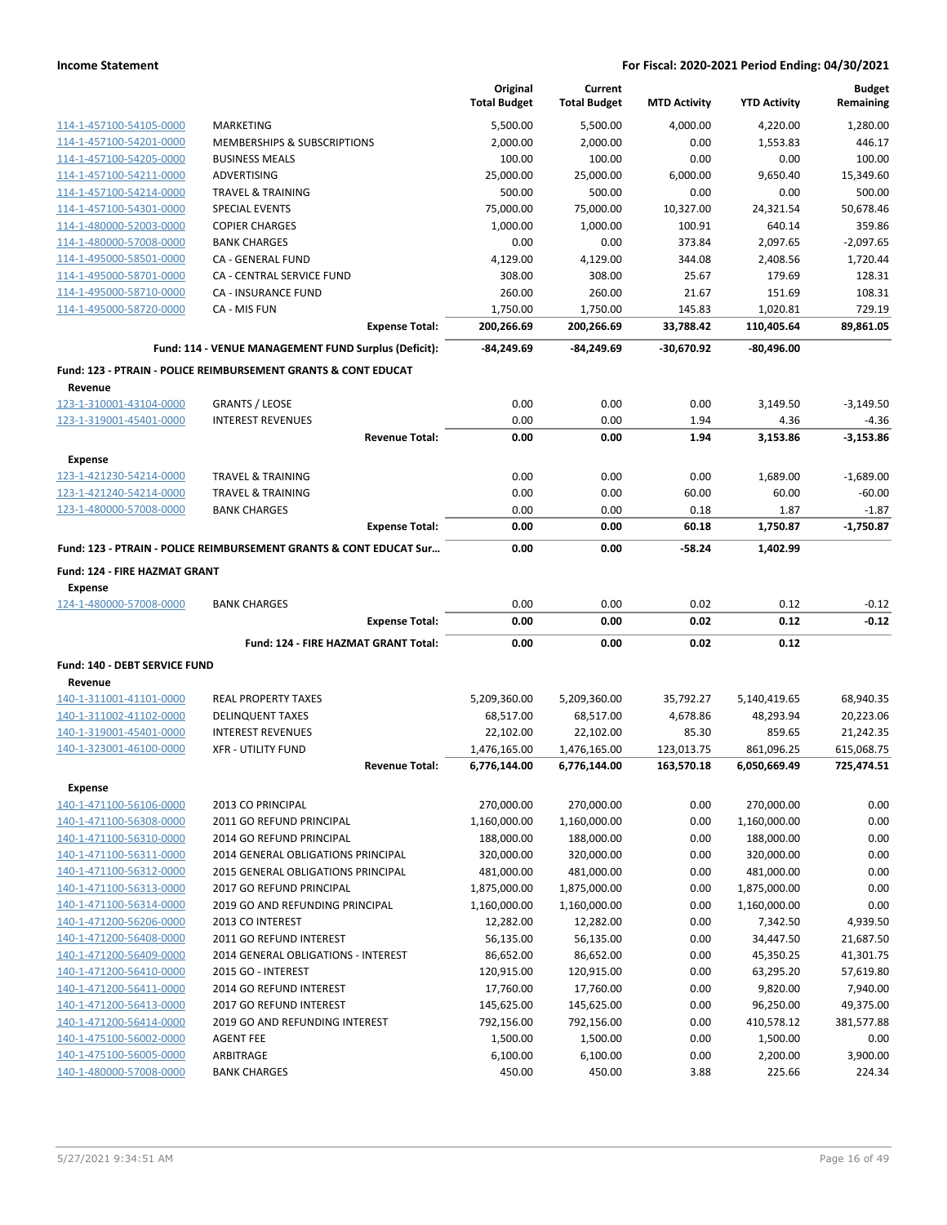|                                      |                                                                    | Original<br><b>Total Budget</b> | Current<br><b>Total Budget</b> | <b>MTD Activity</b> | <b>YTD Activity</b> | <b>Budget</b><br>Remaining |
|--------------------------------------|--------------------------------------------------------------------|---------------------------------|--------------------------------|---------------------|---------------------|----------------------------|
| 114-1-457100-54105-0000              | <b>MARKETING</b>                                                   | 5,500.00                        | 5,500.00                       | 4,000.00            | 4,220.00            | 1,280.00                   |
| 114-1-457100-54201-0000              | MEMBERSHIPS & SUBSCRIPTIONS                                        | 2,000.00                        | 2,000.00                       | 0.00                | 1,553.83            | 446.17                     |
| 114-1-457100-54205-0000              | <b>BUSINESS MEALS</b>                                              | 100.00                          | 100.00                         | 0.00                | 0.00                | 100.00                     |
| 114-1-457100-54211-0000              | <b>ADVERTISING</b>                                                 | 25,000.00                       | 25,000.00                      | 6,000.00            | 9,650.40            | 15.349.60                  |
| 114-1-457100-54214-0000              | <b>TRAVEL &amp; TRAINING</b>                                       | 500.00                          | 500.00                         | 0.00                | 0.00                | 500.00                     |
| 114-1-457100-54301-0000              | <b>SPECIAL EVENTS</b>                                              | 75,000.00                       | 75,000.00                      | 10,327.00           | 24,321.54           | 50,678.46                  |
| 114-1-480000-52003-0000              | <b>COPIER CHARGES</b>                                              | 1,000.00                        | 1,000.00                       | 100.91              | 640.14              | 359.86                     |
| 114-1-480000-57008-0000              | <b>BANK CHARGES</b>                                                | 0.00                            | 0.00                           | 373.84              | 2,097.65            | $-2,097.65$                |
| 114-1-495000-58501-0000              | CA - GENERAL FUND                                                  | 4,129.00                        | 4,129.00                       | 344.08              | 2,408.56            | 1,720.44                   |
| 114-1-495000-58701-0000              | <b>CA - CENTRAL SERVICE FUND</b>                                   | 308.00                          | 308.00                         | 25.67               | 179.69              | 128.31                     |
| 114-1-495000-58710-0000              | <b>CA - INSURANCE FUND</b>                                         | 260.00                          | 260.00                         | 21.67               | 151.69              | 108.31                     |
| 114-1-495000-58720-0000              | CA - MIS FUN                                                       | 1,750.00                        | 1,750.00                       | 145.83              | 1,020.81            | 729.19                     |
|                                      | <b>Expense Total:</b>                                              | 200,266.69                      | 200,266.69                     | 33,788.42           | 110,405.64          | 89,861.05                  |
|                                      | Fund: 114 - VENUE MANAGEMENT FUND Surplus (Deficit):               | -84,249.69                      | -84,249.69                     | $-30,670.92$        | $-80,496.00$        |                            |
|                                      | Fund: 123 - PTRAIN - POLICE REIMBURSEMENT GRANTS & CONT EDUCAT     |                                 |                                |                     |                     |                            |
| Revenue<br>123-1-310001-43104-0000   | <b>GRANTS / LEOSE</b>                                              | 0.00                            | 0.00                           | 0.00                | 3,149.50            | $-3,149.50$                |
| 123-1-319001-45401-0000              | <b>INTEREST REVENUES</b>                                           | 0.00                            | 0.00                           | 1.94                | 4.36                | $-4.36$                    |
|                                      | <b>Revenue Total:</b>                                              | 0.00                            | 0.00                           | 1.94                | 3,153.86            | $-3,153.86$                |
| <b>Expense</b>                       |                                                                    |                                 |                                |                     |                     |                            |
| 123-1-421230-54214-0000              | <b>TRAVEL &amp; TRAINING</b>                                       | 0.00                            | 0.00                           | 0.00                | 1,689.00            | $-1,689.00$                |
| 123-1-421240-54214-0000              | <b>TRAVEL &amp; TRAINING</b>                                       | 0.00                            | 0.00                           | 60.00               | 60.00               | $-60.00$                   |
| 123-1-480000-57008-0000              | <b>BANK CHARGES</b>                                                | 0.00                            | 0.00                           | 0.18                | 1.87                | $-1.87$                    |
|                                      | <b>Expense Total:</b>                                              | 0.00                            | 0.00                           | 60.18               | 1,750.87            | $-1,750.87$                |
|                                      | Fund: 123 - PTRAIN - POLICE REIMBURSEMENT GRANTS & CONT EDUCAT Sur | 0.00                            | 0.00                           | $-58.24$            | 1,402.99            |                            |
| <b>Fund: 124 - FIRE HAZMAT GRANT</b> |                                                                    |                                 |                                |                     |                     |                            |
| Expense                              |                                                                    |                                 |                                |                     |                     |                            |
| 124-1-480000-57008-0000              | <b>BANK CHARGES</b>                                                | 0.00                            | 0.00                           | 0.02                | 0.12                | $-0.12$                    |
|                                      | <b>Expense Total:</b>                                              | 0.00                            | 0.00                           | 0.02                | 0.12                | $-0.12$                    |
|                                      | Fund: 124 - FIRE HAZMAT GRANT Total:                               | 0.00                            | 0.00                           | 0.02                | 0.12                |                            |
| Fund: 140 - DEBT SERVICE FUND        |                                                                    |                                 |                                |                     |                     |                            |
| Revenue                              |                                                                    |                                 |                                |                     |                     |                            |
| 140-1-311001-41101-0000              | <b>REAL PROPERTY TAXES</b>                                         | 5,209,360.00                    | 5,209,360.00                   | 35,792.27           | 5,140,419.65        | 68,940.35                  |
| 140-1-311002-41102-0000              | <b>DELINQUENT TAXES</b>                                            | 68,517.00                       | 68,517.00                      | 4,678.86            | 48,293.94           | 20,223.06                  |
| 140-1-319001-45401-0000              | <b>INTEREST REVENUES</b>                                           | 22,102.00                       | 22,102.00                      | 85.30               | 859.65              | 21,242.35                  |
| 140-1-323001-46100-0000              | <b>XFR - UTILITY FUND</b>                                          | 1,476,165.00                    | 1,476,165.00                   | 123,013.75          | 861,096.25          | 615,068.75                 |
|                                      | <b>Revenue Total:</b>                                              | 6,776,144.00                    | 6,776,144.00                   | 163,570.18          | 6,050,669.49        | 725,474.51                 |
| <b>Expense</b>                       |                                                                    |                                 |                                |                     |                     |                            |
| 140-1-471100-56106-0000              | 2013 CO PRINCIPAL                                                  | 270,000.00                      | 270,000.00                     | 0.00                | 270,000.00          | 0.00                       |
| 140-1-471100-56308-0000              | 2011 GO REFUND PRINCIPAL                                           | 1,160,000.00                    | 1,160,000.00                   | 0.00                | 1,160,000.00        | 0.00                       |
| 140-1-471100-56310-0000              | 2014 GO REFUND PRINCIPAL                                           | 188,000.00                      | 188,000.00                     | 0.00                | 188,000.00          | 0.00                       |
| 140-1-471100-56311-0000              | 2014 GENERAL OBLIGATIONS PRINCIPAL                                 | 320,000.00                      | 320,000.00                     | 0.00                | 320,000.00          | 0.00                       |
| 140-1-471100-56312-0000              | 2015 GENERAL OBLIGATIONS PRINCIPAL                                 | 481,000.00                      | 481,000.00                     | 0.00                | 481,000.00          | 0.00                       |
| 140-1-471100-56313-0000              | 2017 GO REFUND PRINCIPAL                                           | 1,875,000.00                    | 1,875,000.00                   | 0.00                | 1,875,000.00        | 0.00                       |
| 140-1-471100-56314-0000              | 2019 GO AND REFUNDING PRINCIPAL                                    | 1,160,000.00                    | 1,160,000.00                   | 0.00                | 1,160,000.00        | 0.00                       |
| 140-1-471200-56206-0000              | 2013 CO INTEREST                                                   | 12,282.00                       | 12,282.00                      | 0.00                | 7,342.50            | 4,939.50                   |
| 140-1-471200-56408-0000              | 2011 GO REFUND INTEREST                                            | 56,135.00                       | 56,135.00                      | 0.00                | 34,447.50           | 21,687.50                  |
| 140-1-471200-56409-0000              | 2014 GENERAL OBLIGATIONS - INTEREST                                | 86,652.00                       | 86,652.00                      | 0.00                | 45,350.25           | 41,301.75                  |
| 140-1-471200-56410-0000              | 2015 GO - INTEREST                                                 | 120,915.00                      | 120,915.00                     | 0.00                | 63,295.20           | 57,619.80                  |
| 140-1-471200-56411-0000              | 2014 GO REFUND INTEREST                                            | 17,760.00                       | 17,760.00                      | 0.00                | 9,820.00            | 7,940.00                   |
| 140-1-471200-56413-0000              | 2017 GO REFUND INTEREST                                            | 145,625.00                      | 145,625.00                     | 0.00                | 96,250.00           | 49,375.00                  |
| 140-1-471200-56414-0000              | 2019 GO AND REFUNDING INTEREST                                     | 792,156.00                      | 792,156.00                     | 0.00                | 410,578.12          | 381,577.88                 |
| 140-1-475100-56002-0000              | <b>AGENT FEE</b>                                                   | 1,500.00                        | 1,500.00                       | 0.00                | 1,500.00            | 0.00                       |
| 140-1-475100-56005-0000              | ARBITRAGE                                                          | 6,100.00                        | 6,100.00                       | 0.00                | 2,200.00            | 3,900.00                   |
| 140-1-480000-57008-0000              | <b>BANK CHARGES</b>                                                | 450.00                          | 450.00                         | 3.88                | 225.66              | 224.34                     |
|                                      |                                                                    |                                 |                                |                     |                     |                            |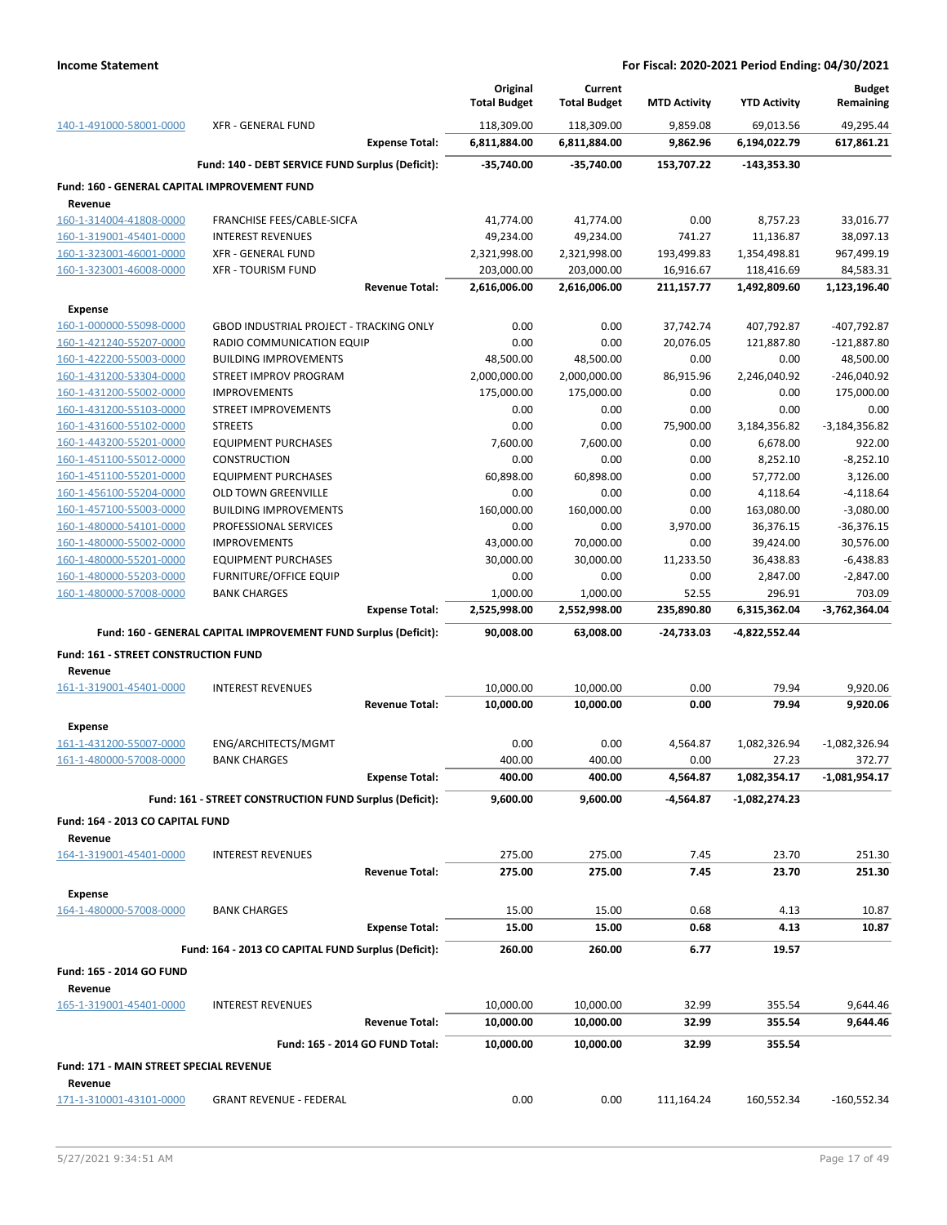|                                                    |                                                                 |                       | Original<br><b>Total Budget</b> | Current<br><b>Total Budget</b> | <b>MTD Activity</b> | <b>YTD Activity</b>      | <b>Budget</b><br>Remaining |
|----------------------------------------------------|-----------------------------------------------------------------|-----------------------|---------------------------------|--------------------------------|---------------------|--------------------------|----------------------------|
| 140-1-491000-58001-0000                            | <b>XFR - GENERAL FUND</b>                                       |                       | 118,309.00                      | 118,309.00                     | 9,859.08            | 69,013.56                | 49,295.44                  |
|                                                    |                                                                 | <b>Expense Total:</b> | 6,811,884.00                    | 6,811,884.00                   | 9,862.96            | 6,194,022.79             | 617,861.21                 |
|                                                    | Fund: 140 - DEBT SERVICE FUND Surplus (Deficit):                |                       | -35,740.00                      | $-35.740.00$                   | 153,707.22          | $-143,353.30$            |                            |
| Fund: 160 - GENERAL CAPITAL IMPROVEMENT FUND       |                                                                 |                       |                                 |                                |                     |                          |                            |
| Revenue                                            |                                                                 |                       |                                 |                                |                     |                          |                            |
| 160-1-314004-41808-0000                            | FRANCHISE FEES/CABLE-SICFA                                      |                       | 41,774.00                       | 41,774.00                      | 0.00                | 8,757.23                 | 33,016.77                  |
| 160-1-319001-45401-0000                            | <b>INTEREST REVENUES</b>                                        |                       | 49,234.00                       | 49,234.00                      | 741.27              | 11,136.87                | 38,097.13                  |
| 160-1-323001-46001-0000                            | <b>XFR - GENERAL FUND</b>                                       |                       | 2,321,998.00                    | 2,321,998.00                   | 193,499.83          | 1,354,498.81             | 967,499.19                 |
| 160-1-323001-46008-0000                            | <b>XFR - TOURISM FUND</b>                                       |                       | 203,000.00                      | 203,000.00                     | 16,916.67           | 118,416.69               | 84,583.31                  |
|                                                    |                                                                 | <b>Revenue Total:</b> | 2,616,006.00                    | 2,616,006.00                   | 211,157.77          | 1,492,809.60             | 1,123,196.40               |
| <b>Expense</b>                                     |                                                                 |                       |                                 |                                |                     |                          |                            |
| 160-1-000000-55098-0000                            | <b>GBOD INDUSTRIAL PROJECT - TRACKING ONLY</b>                  |                       | 0.00                            | 0.00                           | 37,742.74           | 407,792.87               | -407,792.87                |
| 160-1-421240-55207-0000                            | RADIO COMMUNICATION EQUIP                                       |                       | 0.00                            | 0.00                           | 20,076.05           | 121,887.80               | $-121,887.80$              |
| 160-1-422200-55003-0000                            | <b>BUILDING IMPROVEMENTS</b>                                    |                       | 48,500.00                       | 48,500.00                      | 0.00                | 0.00                     | 48,500.00                  |
| 160-1-431200-53304-0000                            | STREET IMPROV PROGRAM                                           |                       | 2,000,000.00                    | 2,000,000.00                   | 86,915.96           | 2,246,040.92             | $-246,040.92$              |
| 160-1-431200-55002-0000                            | <b>IMPROVEMENTS</b>                                             |                       | 175,000.00                      | 175,000.00                     | 0.00                | 0.00                     | 175,000.00                 |
| 160-1-431200-55103-0000<br>160-1-431600-55102-0000 | <b>STREET IMPROVEMENTS</b><br><b>STREETS</b>                    |                       | 0.00<br>0.00                    | 0.00<br>0.00                   | 0.00                | 0.00                     | 0.00                       |
| 160-1-443200-55201-0000                            | <b>EQUIPMENT PURCHASES</b>                                      |                       | 7,600.00                        | 7,600.00                       | 75,900.00<br>0.00   | 3,184,356.82<br>6,678.00 | $-3,184,356.82$<br>922.00  |
| 160-1-451100-55012-0000                            | <b>CONSTRUCTION</b>                                             |                       | 0.00                            | 0.00                           | 0.00                | 8,252.10                 | $-8,252.10$                |
| 160-1-451100-55201-0000                            | <b>EQUIPMENT PURCHASES</b>                                      |                       | 60,898.00                       | 60,898.00                      | 0.00                | 57,772.00                | 3,126.00                   |
| 160-1-456100-55204-0000                            | <b>OLD TOWN GREENVILLE</b>                                      |                       | 0.00                            | 0.00                           | 0.00                | 4,118.64                 | $-4,118.64$                |
| 160-1-457100-55003-0000                            | <b>BUILDING IMPROVEMENTS</b>                                    |                       | 160,000.00                      | 160,000.00                     | 0.00                | 163,080.00               | $-3,080.00$                |
| 160-1-480000-54101-0000                            | PROFESSIONAL SERVICES                                           |                       | 0.00                            | 0.00                           | 3,970.00            | 36,376.15                | -36,376.15                 |
| 160-1-480000-55002-0000                            | <b>IMPROVEMENTS</b>                                             |                       | 43,000.00                       | 70,000.00                      | 0.00                | 39,424.00                | 30,576.00                  |
| 160-1-480000-55201-0000                            | <b>EQUIPMENT PURCHASES</b>                                      |                       | 30,000.00                       | 30,000.00                      | 11,233.50           | 36,438.83                | $-6,438.83$                |
| 160-1-480000-55203-0000                            | FURNITURE/OFFICE EQUIP                                          |                       | 0.00                            | 0.00                           | 0.00                | 2,847.00                 | $-2,847.00$                |
| 160-1-480000-57008-0000                            | <b>BANK CHARGES</b>                                             |                       | 1,000.00                        | 1,000.00                       | 52.55               | 296.91                   | 703.09                     |
|                                                    |                                                                 | <b>Expense Total:</b> | 2,525,998.00                    | 2,552,998.00                   | 235,890.80          | 6,315,362.04             | $-3,762,364.04$            |
|                                                    | Fund: 160 - GENERAL CAPITAL IMPROVEMENT FUND Surplus (Deficit): |                       | 90,008.00                       | 63,008.00                      | $-24,733.03$        | -4,822,552.44            |                            |
| Fund: 161 - STREET CONSTRUCTION FUND               |                                                                 |                       |                                 |                                |                     |                          |                            |
| Revenue                                            |                                                                 |                       |                                 |                                |                     |                          |                            |
| 161-1-319001-45401-0000                            | <b>INTEREST REVENUES</b>                                        |                       | 10,000.00                       | 10,000.00                      | 0.00                | 79.94                    | 9,920.06                   |
|                                                    |                                                                 | <b>Revenue Total:</b> | 10,000.00                       | 10,000.00                      | 0.00                | 79.94                    | 9,920.06                   |
| <b>Expense</b>                                     |                                                                 |                       |                                 |                                |                     |                          |                            |
| 161-1-431200-55007-0000                            | ENG/ARCHITECTS/MGMT                                             |                       | 0.00                            | 0.00                           | 4,564.87            | 1,082,326.94             | $-1,082,326.94$            |
| 161-1-480000-57008-0000                            | <b>BANK CHARGES</b>                                             |                       | 400.00                          | 400.00                         | 0.00                | 27.23                    | 372.77                     |
|                                                    |                                                                 | <b>Expense Total:</b> | 400.00                          | 400.00                         | 4,564.87            | 1,082,354.17             | $-1,081,954.17$            |
|                                                    | Fund: 161 - STREET CONSTRUCTION FUND Surplus (Deficit):         |                       | 9,600.00                        | 9,600.00                       | -4,564.87           | -1,082,274.23            |                            |
| Fund: 164 - 2013 CO CAPITAL FUND                   |                                                                 |                       |                                 |                                |                     |                          |                            |
| Revenue                                            |                                                                 |                       |                                 |                                |                     |                          |                            |
| 164-1-319001-45401-0000                            | <b>INTEREST REVENUES</b>                                        |                       | 275.00                          | 275.00                         | 7.45                | 23.70                    | 251.30                     |
|                                                    |                                                                 | <b>Revenue Total:</b> | 275.00                          | 275.00                         | 7.45                | 23.70                    | 251.30                     |
|                                                    |                                                                 |                       |                                 |                                |                     |                          |                            |
| <b>Expense</b>                                     |                                                                 |                       |                                 |                                |                     |                          |                            |
| 164-1-480000-57008-0000                            | <b>BANK CHARGES</b>                                             |                       | 15.00<br>15.00                  | 15.00<br>15.00                 | 0.68                | 4.13                     | 10.87<br>10.87             |
|                                                    |                                                                 | <b>Expense Total:</b> |                                 |                                | 0.68                | 4.13                     |                            |
|                                                    | Fund: 164 - 2013 CO CAPITAL FUND Surplus (Deficit):             |                       | 260.00                          | 260.00                         | 6.77                | 19.57                    |                            |
| Fund: 165 - 2014 GO FUND                           |                                                                 |                       |                                 |                                |                     |                          |                            |
| Revenue                                            |                                                                 |                       |                                 |                                |                     |                          |                            |
| 165-1-319001-45401-0000                            | <b>INTEREST REVENUES</b>                                        |                       | 10,000.00                       | 10,000.00                      | 32.99               | 355.54                   | 9,644.46                   |
|                                                    |                                                                 | <b>Revenue Total:</b> | 10,000.00                       | 10,000.00                      | 32.99               | 355.54                   | 9,644.46                   |
|                                                    | Fund: 165 - 2014 GO FUND Total:                                 |                       | 10,000.00                       | 10,000.00                      | 32.99               | 355.54                   |                            |
| Fund: 171 - MAIN STREET SPECIAL REVENUE<br>Revenue |                                                                 |                       |                                 |                                |                     |                          |                            |
|                                                    |                                                                 |                       | 0.00                            | 0.00                           | 111,164.24          | 160,552.34               | $-160,552.34$              |
| 171-1-310001-43101-0000                            | <b>GRANT REVENUE - FEDERAL</b>                                  |                       |                                 |                                |                     |                          |                            |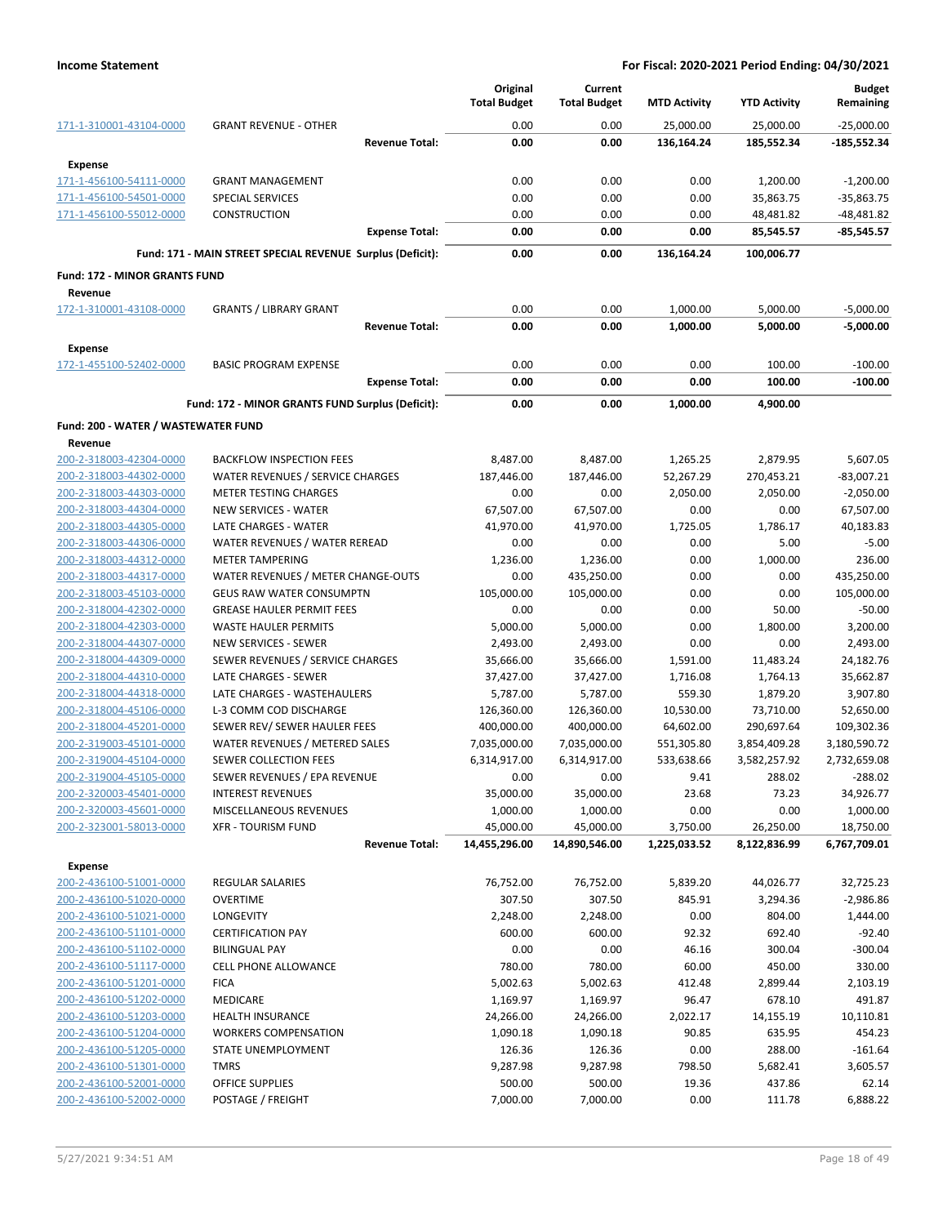|                                                    |                                                            |                       | Original<br><b>Total Budget</b> | Current<br><b>Total Budget</b> | <b>MTD Activity</b>      | <b>YTD Activity</b>       | Budget<br>Remaining       |
|----------------------------------------------------|------------------------------------------------------------|-----------------------|---------------------------------|--------------------------------|--------------------------|---------------------------|---------------------------|
| 171-1-310001-43104-0000                            | <b>GRANT REVENUE - OTHER</b>                               |                       | 0.00                            | 0.00                           | 25,000.00                | 25,000.00                 | $-25,000.00$              |
|                                                    |                                                            | <b>Revenue Total:</b> | 0.00                            | 0.00                           | 136,164.24               | 185,552.34                | $-185,552.34$             |
| <b>Expense</b>                                     |                                                            |                       |                                 |                                |                          |                           |                           |
| 171-1-456100-54111-0000                            | <b>GRANT MANAGEMENT</b>                                    |                       | 0.00                            | 0.00                           | 0.00                     | 1,200.00                  | $-1,200.00$               |
| 171-1-456100-54501-0000                            | <b>SPECIAL SERVICES</b>                                    |                       | 0.00                            | 0.00                           | 0.00                     | 35,863.75                 | $-35,863.75$              |
| 171-1-456100-55012-0000                            | <b>CONSTRUCTION</b>                                        |                       | 0.00                            | 0.00                           | 0.00                     | 48,481.82                 | $-48,481.82$              |
|                                                    |                                                            | <b>Expense Total:</b> | 0.00                            | 0.00                           | 0.00                     | 85,545.57                 | $-85,545.57$              |
|                                                    | Fund: 171 - MAIN STREET SPECIAL REVENUE Surplus (Deficit): |                       | 0.00                            | 0.00                           | 136.164.24               | 100,006.77                |                           |
| <b>Fund: 172 - MINOR GRANTS FUND</b>               |                                                            |                       |                                 |                                |                          |                           |                           |
| Revenue                                            |                                                            |                       |                                 |                                |                          |                           |                           |
| 172-1-310001-43108-0000                            | <b>GRANTS / LIBRARY GRANT</b>                              |                       | 0.00                            | 0.00                           | 1,000.00                 | 5,000.00                  | $-5,000.00$               |
|                                                    |                                                            | <b>Revenue Total:</b> | 0.00                            | 0.00                           | 1,000.00                 | 5,000.00                  | $-5,000.00$               |
| Expense                                            |                                                            |                       |                                 |                                |                          |                           |                           |
| 172-1-455100-52402-0000                            | <b>BASIC PROGRAM EXPENSE</b>                               |                       | 0.00                            | 0.00                           | 0.00                     | 100.00                    | $-100.00$                 |
|                                                    |                                                            | <b>Expense Total:</b> | 0.00                            | 0.00                           | 0.00                     | 100.00                    | $-100.00$                 |
|                                                    | Fund: 172 - MINOR GRANTS FUND Surplus (Deficit):           |                       | 0.00                            | 0.00                           | 1,000.00                 | 4,900.00                  |                           |
| Fund: 200 - WATER / WASTEWATER FUND                |                                                            |                       |                                 |                                |                          |                           |                           |
| Revenue                                            |                                                            |                       |                                 |                                |                          |                           |                           |
| 200-2-318003-42304-0000                            | <b>BACKFLOW INSPECTION FEES</b>                            |                       | 8,487.00                        | 8,487.00                       | 1,265.25                 | 2,879.95                  | 5,607.05                  |
| 200-2-318003-44302-0000                            | WATER REVENUES / SERVICE CHARGES                           |                       | 187,446.00                      | 187,446.00                     | 52,267.29                | 270,453.21                | $-83,007.21$              |
| 200-2-318003-44303-0000                            | <b>METER TESTING CHARGES</b>                               |                       | 0.00                            | 0.00                           | 2,050.00                 | 2,050.00                  | $-2,050.00$               |
| 200-2-318003-44304-0000<br>200-2-318003-44305-0000 | <b>NEW SERVICES - WATER</b><br>LATE CHARGES - WATER        |                       | 67,507.00<br>41,970.00          | 67,507.00<br>41,970.00         | 0.00<br>1,725.05         | 0.00<br>1,786.17          | 67,507.00<br>40,183.83    |
| 200-2-318003-44306-0000                            | WATER REVENUES / WATER REREAD                              |                       | 0.00                            | 0.00                           | 0.00                     | 5.00                      | $-5.00$                   |
| 200-2-318003-44312-0000                            | <b>METER TAMPERING</b>                                     |                       | 1,236.00                        | 1,236.00                       | 0.00                     | 1,000.00                  | 236.00                    |
| 200-2-318003-44317-0000                            | WATER REVENUES / METER CHANGE-OUTS                         |                       | 0.00                            | 435,250.00                     | 0.00                     | 0.00                      | 435,250.00                |
| 200-2-318003-45103-0000                            | <b>GEUS RAW WATER CONSUMPTN</b>                            |                       | 105,000.00                      | 105,000.00                     | 0.00                     | 0.00                      | 105,000.00                |
| 200-2-318004-42302-0000                            | <b>GREASE HAULER PERMIT FEES</b>                           |                       | 0.00                            | 0.00                           | 0.00                     | 50.00                     | $-50.00$                  |
| 200-2-318004-42303-0000                            | <b>WASTE HAULER PERMITS</b>                                |                       | 5,000.00                        | 5,000.00                       | 0.00                     | 1,800.00                  | 3,200.00                  |
| 200-2-318004-44307-0000                            | <b>NEW SERVICES - SEWER</b>                                |                       | 2,493.00                        | 2,493.00                       | 0.00                     | 0.00                      | 2,493.00                  |
| 200-2-318004-44309-0000                            | SEWER REVENUES / SERVICE CHARGES                           |                       | 35,666.00                       | 35,666.00                      | 1,591.00                 | 11,483.24                 | 24,182.76                 |
| 200-2-318004-44310-0000                            | LATE CHARGES - SEWER                                       |                       | 37,427.00                       | 37,427.00                      | 1,716.08                 | 1,764.13                  | 35,662.87                 |
| 200-2-318004-44318-0000                            | LATE CHARGES - WASTEHAULERS                                |                       | 5,787.00                        | 5,787.00                       | 559.30                   | 1,879.20                  | 3,907.80                  |
| 200-2-318004-45106-0000                            | L-3 COMM COD DISCHARGE                                     |                       | 126,360.00                      | 126,360.00                     | 10,530.00                | 73,710.00                 | 52,650.00                 |
| 200-2-318004-45201-0000                            | SEWER REV/ SEWER HAULER FEES                               |                       | 400,000.00                      | 400,000.00                     | 64,602.00                | 290,697.64                | 109,302.36                |
| 200-2-319003-45101-0000                            | WATER REVENUES / METERED SALES                             |                       | 7,035,000.00                    | 7,035,000.00                   | 551,305.80               | 3,854,409.28              | 3,180,590.72              |
| 200-2-319004-45104-0000                            | SEWER COLLECTION FEES                                      |                       | 6,314,917.00                    | 6,314,917.00                   | 533,638.66               | 3,582,257.92              | 2,732,659.08              |
| 200-2-319004-45105-0000                            | SEWER REVENUES / EPA REVENUE                               |                       | 0.00                            | 0.00                           | 9.41                     | 288.02                    | $-288.02$                 |
| 200-2-320003-45401-0000                            | <b>INTEREST REVENUES</b>                                   |                       | 35,000.00                       | 35,000.00                      | 23.68                    | 73.23                     | 34,926.77                 |
| 200-2-320003-45601-0000                            | MISCELLANEOUS REVENUES                                     |                       | 1,000.00                        | 1,000.00                       | 0.00                     | 0.00                      | 1,000.00                  |
| 200-2-323001-58013-0000                            | <b>XFR - TOURISM FUND</b>                                  | <b>Revenue Total:</b> | 45,000.00<br>14,455,296.00      | 45,000.00<br>14,890,546.00     | 3,750.00<br>1,225,033.52 | 26,250.00<br>8,122,836.99 | 18,750.00<br>6,767,709.01 |
| <b>Expense</b>                                     |                                                            |                       |                                 |                                |                          |                           |                           |
| 200-2-436100-51001-0000                            | REGULAR SALARIES                                           |                       | 76,752.00                       | 76,752.00                      | 5,839.20                 | 44,026.77                 | 32,725.23                 |
| 200-2-436100-51020-0000                            | <b>OVERTIME</b>                                            |                       | 307.50                          | 307.50                         | 845.91                   | 3,294.36                  | $-2,986.86$               |
| 200-2-436100-51021-0000                            | <b>LONGEVITY</b>                                           |                       | 2,248.00                        | 2,248.00                       | 0.00                     | 804.00                    | 1,444.00                  |
| 200-2-436100-51101-0000                            | <b>CERTIFICATION PAY</b>                                   |                       | 600.00                          | 600.00                         | 92.32                    | 692.40                    | $-92.40$                  |
| 200-2-436100-51102-0000                            | <b>BILINGUAL PAY</b>                                       |                       | 0.00                            | 0.00                           | 46.16                    | 300.04                    | $-300.04$                 |
| 200-2-436100-51117-0000                            | CELL PHONE ALLOWANCE                                       |                       | 780.00                          | 780.00                         | 60.00                    | 450.00                    | 330.00                    |
| 200-2-436100-51201-0000                            | <b>FICA</b>                                                |                       | 5,002.63                        | 5,002.63                       | 412.48                   | 2,899.44                  | 2,103.19                  |
| 200-2-436100-51202-0000                            | MEDICARE                                                   |                       | 1,169.97                        | 1,169.97                       | 96.47                    | 678.10                    | 491.87                    |
| 200-2-436100-51203-0000                            | <b>HEALTH INSURANCE</b>                                    |                       | 24,266.00                       | 24,266.00                      | 2,022.17                 | 14,155.19                 | 10,110.81                 |
| 200-2-436100-51204-0000                            | <b>WORKERS COMPENSATION</b>                                |                       | 1,090.18                        | 1,090.18                       | 90.85                    | 635.95                    | 454.23                    |
| 200-2-436100-51205-0000                            | STATE UNEMPLOYMENT                                         |                       | 126.36                          | 126.36                         | 0.00                     | 288.00                    | $-161.64$                 |
| 200-2-436100-51301-0000                            | <b>TMRS</b>                                                |                       | 9,287.98                        | 9,287.98                       | 798.50                   | 5,682.41                  | 3,605.57                  |
| 200-2-436100-52001-0000                            | OFFICE SUPPLIES                                            |                       | 500.00                          | 500.00                         | 19.36                    | 437.86                    | 62.14                     |
| 200-2-436100-52002-0000                            | POSTAGE / FREIGHT                                          |                       | 7,000.00                        | 7,000.00                       | 0.00                     | 111.78                    | 6,888.22                  |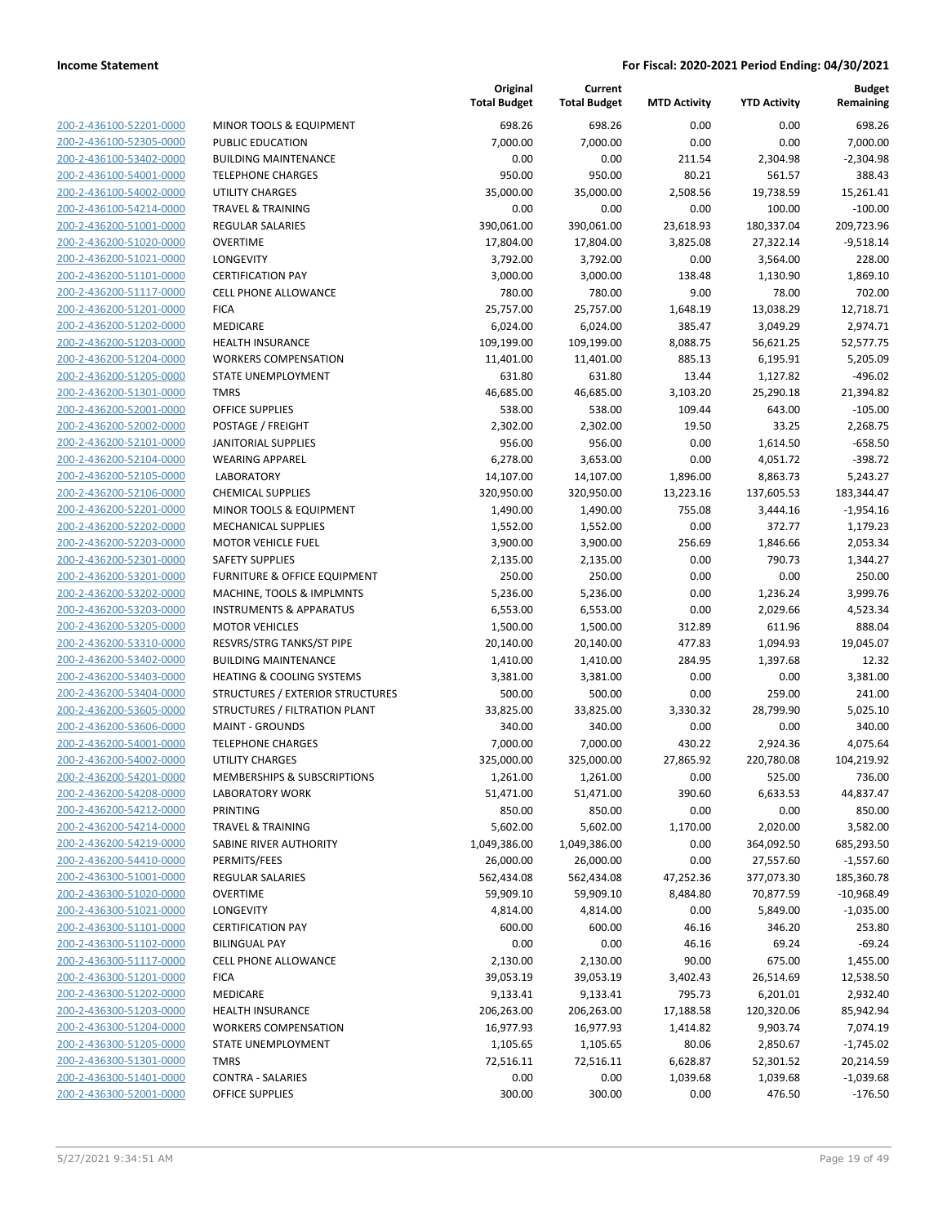| 200-2-436100-52201-0000        |
|--------------------------------|
| 200-2-436100-52305-0000        |
| 200-2-436100-53402-0000        |
| 200-2-436100-54001-0000        |
| 200-2-436100-54002-0000        |
|                                |
| 200-2-436100-54214-0000        |
| 200-2-436200-51001-0000        |
| 200-2-436200-51020-0000        |
| 200-2-436200-51021-0000        |
| 200-2-436200-51101-0000        |
| 200-2-436200-51117-0000        |
| 200-2-436200-51201-0000        |
|                                |
| 200-2-436200-51202-0000        |
| 200-2-436200-51203-0000        |
| 200-2-436200-51204-0000        |
| 200-2-436200-51205-0000        |
| 200-2-436200-51301-0000        |
| 200-2-436200-52001-0000        |
|                                |
| 200-2-436200-52002-0000        |
| 200-2-436200-52101-0000        |
| 200-2-436200-52104-0000        |
| 200-2-436200-52105-0000        |
| 200-2-436200-52106-0000        |
| 200-2-436200-52201-0000        |
| <u>200-2-436200-52202-0000</u> |
| 200-2-436200-52203-0000        |
|                                |
| 200-2-436200-52301-0000        |
| 200-2-436200-53201-0000        |
| 200-2-436200-53202-0000        |
| 200-2-436200-53203-0000        |
| 200-2-436200-53205-0000        |
| 200-2-436200-53310-0000        |
| 200-2-436200-53402-0000        |
| 200-2-436200-53403-0000        |
| 200-2-436200-53404-0000        |
| 200-2-436200-53605-0000        |
|                                |
| 200-2-436200-53606-0000        |
| 200-2-436200-54001-0000        |
| 200-2-436200-54002-0000        |
| 200-2-436200-54201-0000        |
| 200-2-436200-54208-0000        |
| 200-2-436200-54212-0000        |
| <u>200-2-436200-54214-0000</u> |
| 200-2-436200-54219-0000        |
|                                |
| 200-2-436200-54410-0000        |
| <u>200-2-436300-51001-0000</u> |
| 200-2-436300-51020-0000        |
| <u>200-2-436300-51021-0000</u> |
| <u>200-2-436300-51101-0000</u> |
| 200-2-436300-51102-0000        |
| 200-2-436300-51117-0000        |
| 200-2-436300-51201-0000        |
|                                |
|                                |
| <u>200-2-436300-51202-0000</u> |
| <u>200-2-436300-51203-0000</u> |
| 200-2-436300-51204-0000        |
| 200-2-436300-51205-0000        |
| 200-2-436300-51301-0000        |
| <u>200-2-436300-51401-0000</u> |
| <u>200-2-436300-52001-0000</u> |

|                         |                                      | Original<br><b>Total Budget</b> | Current<br><b>Total Budget</b> | <b>MTD Activity</b> | <b>YTD Activity</b> | Budget<br>Remaining |
|-------------------------|--------------------------------------|---------------------------------|--------------------------------|---------------------|---------------------|---------------------|
| 200-2-436100-52201-0000 | MINOR TOOLS & EQUIPMENT              | 698.26                          | 698.26                         | 0.00                | 0.00                | 698.26              |
| 200-2-436100-52305-0000 | PUBLIC EDUCATION                     | 7,000.00                        | 7,000.00                       | 0.00                | 0.00                | 7,000.00            |
| 200-2-436100-53402-0000 | <b>BUILDING MAINTENANCE</b>          | 0.00                            | 0.00                           | 211.54              | 2,304.98            | $-2,304.98$         |
| 200-2-436100-54001-0000 | <b>TELEPHONE CHARGES</b>             | 950.00                          | 950.00                         | 80.21               | 561.57              | 388.43              |
| 200-2-436100-54002-0000 | <b>UTILITY CHARGES</b>               | 35,000.00                       | 35,000.00                      | 2,508.56            | 19,738.59           | 15,261.41           |
| 200-2-436100-54214-0000 | <b>TRAVEL &amp; TRAINING</b>         | 0.00                            | 0.00                           | 0.00                | 100.00              | $-100.00$           |
| 200-2-436200-51001-0000 | REGULAR SALARIES                     | 390,061.00                      | 390,061.00                     | 23,618.93           | 180,337.04          | 209,723.96          |
| 200-2-436200-51020-0000 | <b>OVERTIME</b>                      | 17,804.00                       | 17,804.00                      | 3,825.08            | 27,322.14           | $-9,518.14$         |
| 200-2-436200-51021-0000 | <b>LONGEVITY</b>                     | 3,792.00                        | 3,792.00                       | 0.00                | 3,564.00            | 228.00              |
| 200-2-436200-51101-0000 | <b>CERTIFICATION PAY</b>             | 3,000.00                        | 3,000.00                       | 138.48              | 1,130.90            | 1,869.10            |
| 200-2-436200-51117-0000 | <b>CELL PHONE ALLOWANCE</b>          | 780.00                          | 780.00                         | 9.00                | 78.00               | 702.00              |
| 200-2-436200-51201-0000 | <b>FICA</b>                          | 25,757.00                       | 25,757.00                      | 1,648.19            | 13,038.29           | 12,718.71           |
| 200-2-436200-51202-0000 | MEDICARE                             | 6,024.00                        | 6,024.00                       | 385.47              | 3,049.29            | 2,974.71            |
| 200-2-436200-51203-0000 | <b>HEALTH INSURANCE</b>              | 109,199.00                      | 109,199.00                     | 8,088.75            | 56,621.25           | 52,577.75           |
| 200-2-436200-51204-0000 | <b>WORKERS COMPENSATION</b>          | 11,401.00                       | 11,401.00                      | 885.13              | 6,195.91            | 5,205.09            |
| 200-2-436200-51205-0000 | STATE UNEMPLOYMENT                   | 631.80                          | 631.80                         | 13.44               | 1,127.82            | $-496.02$           |
| 200-2-436200-51301-0000 | <b>TMRS</b>                          | 46,685.00                       | 46,685.00                      | 3,103.20            | 25,290.18           | 21,394.82           |
| 200-2-436200-52001-0000 | <b>OFFICE SUPPLIES</b>               | 538.00                          | 538.00                         | 109.44              | 643.00              | $-105.00$           |
| 200-2-436200-52002-0000 | POSTAGE / FREIGHT                    | 2,302.00                        | 2,302.00                       | 19.50               | 33.25               | 2,268.75            |
| 200-2-436200-52101-0000 | <b>JANITORIAL SUPPLIES</b>           | 956.00                          | 956.00                         | 0.00                | 1,614.50            | $-658.50$           |
| 200-2-436200-52104-0000 | <b>WEARING APPAREL</b>               | 6,278.00                        | 3,653.00                       | 0.00                | 4,051.72            | $-398.72$           |
| 200-2-436200-52105-0000 | <b>LABORATORY</b>                    | 14,107.00                       | 14,107.00                      | 1,896.00            | 8,863.73            | 5,243.27            |
| 200-2-436200-52106-0000 | <b>CHEMICAL SUPPLIES</b>             | 320,950.00                      | 320,950.00                     | 13,223.16           | 137,605.53          | 183,344.47          |
| 200-2-436200-52201-0000 | <b>MINOR TOOLS &amp; EQUIPMENT</b>   | 1,490.00                        | 1,490.00                       | 755.08              | 3,444.16            | $-1,954.16$         |
| 200-2-436200-52202-0000 | MECHANICAL SUPPLIES                  | 1,552.00                        | 1,552.00                       | 0.00                | 372.77              | 1,179.23            |
| 200-2-436200-52203-0000 | <b>MOTOR VEHICLE FUEL</b>            | 3,900.00                        | 3,900.00                       | 256.69              | 1,846.66            | 2,053.34            |
| 200-2-436200-52301-0000 | <b>SAFETY SUPPLIES</b>               | 2,135.00                        | 2,135.00                       | 0.00                | 790.73              | 1,344.27            |
| 200-2-436200-53201-0000 | FURNITURE & OFFICE EQUIPMENT         | 250.00                          | 250.00                         | 0.00                | 0.00                | 250.00              |
| 200-2-436200-53202-0000 | MACHINE, TOOLS & IMPLMNTS            | 5,236.00                        | 5,236.00                       | 0.00                | 1,236.24            | 3,999.76            |
| 200-2-436200-53203-0000 | <b>INSTRUMENTS &amp; APPARATUS</b>   | 6,553.00                        | 6,553.00                       | 0.00                | 2,029.66            | 4,523.34            |
| 200-2-436200-53205-0000 | <b>MOTOR VEHICLES</b>                | 1,500.00                        | 1,500.00                       | 312.89              | 611.96              | 888.04              |
| 200-2-436200-53310-0000 | RESVRS/STRG TANKS/ST PIPE            | 20,140.00                       | 20,140.00                      | 477.83              | 1,094.93            | 19,045.07           |
| 200-2-436200-53402-0000 | <b>BUILDING MAINTENANCE</b>          | 1,410.00                        | 1,410.00                       | 284.95              | 1,397.68            | 12.32               |
| 200-2-436200-53403-0000 | <b>HEATING &amp; COOLING SYSTEMS</b> | 3,381.00                        | 3,381.00                       | 0.00                | 0.00                | 3,381.00            |
| 200-2-436200-53404-0000 | STRUCTURES / EXTERIOR STRUCTURES     | 500.00                          | 500.00                         | 0.00                | 259.00              | 241.00              |
| 200-2-436200-53605-0000 | STRUCTURES / FILTRATION PLANT        | 33,825.00                       | 33,825.00                      | 3,330.32            | 28,799.90           | 5,025.10            |
| 200-2-436200-53606-0000 | <b>MAINT - GROUNDS</b>               | 340.00                          | 340.00                         | 0.00                | 0.00                | 340.00              |
| 200-2-436200-54001-0000 | <b>TELEPHONE CHARGES</b>             | 7,000.00                        | 7,000.00                       | 430.22              | 2,924.36            | 4,075.64            |
| 200-2-436200-54002-0000 | UTILITY CHARGES                      | 325,000.00                      | 325,000.00                     | 27,865.92           | 220,780.08          | 104,219.92          |
| 200-2-436200-54201-0000 | MEMBERSHIPS & SUBSCRIPTIONS          | 1,261.00                        | 1,261.00                       | 0.00                | 525.00              | 736.00              |
| 200-2-436200-54208-0000 | <b>LABORATORY WORK</b>               | 51,471.00                       | 51,471.00                      | 390.60              | 6,633.53            | 44,837.47           |
| 200-2-436200-54212-0000 | PRINTING                             | 850.00                          | 850.00                         | 0.00                | 0.00                | 850.00              |
| 200-2-436200-54214-0000 | <b>TRAVEL &amp; TRAINING</b>         | 5,602.00                        | 5,602.00                       | 1,170.00            | 2,020.00            | 3,582.00            |
| 200-2-436200-54219-0000 | SABINE RIVER AUTHORITY               | 1,049,386.00                    | 1,049,386.00                   | 0.00                | 364,092.50          | 685,293.50          |
| 200-2-436200-54410-0000 | PERMITS/FEES                         | 26,000.00                       | 26,000.00                      | 0.00                | 27,557.60           | $-1,557.60$         |
| 200-2-436300-51001-0000 | REGULAR SALARIES                     | 562,434.08                      | 562,434.08                     | 47,252.36           | 377,073.30          | 185,360.78          |
| 200-2-436300-51020-0000 | <b>OVERTIME</b>                      | 59,909.10                       | 59,909.10                      | 8,484.80            | 70,877.59           | $-10,968.49$        |
| 200-2-436300-51021-0000 | LONGEVITY                            | 4,814.00                        | 4,814.00                       | 0.00                | 5,849.00            | $-1,035.00$         |
| 200-2-436300-51101-0000 | <b>CERTIFICATION PAY</b>             | 600.00                          | 600.00                         | 46.16               | 346.20              | 253.80              |
| 200-2-436300-51102-0000 | <b>BILINGUAL PAY</b>                 | 0.00                            | 0.00                           | 46.16               | 69.24               | $-69.24$            |
| 200-2-436300-51117-0000 | <b>CELL PHONE ALLOWANCE</b>          | 2,130.00                        | 2,130.00                       | 90.00               | 675.00              | 1,455.00            |
| 200-2-436300-51201-0000 | <b>FICA</b>                          | 39,053.19                       | 39,053.19                      | 3,402.43            | 26,514.69           | 12,538.50           |
| 200-2-436300-51202-0000 | MEDICARE                             | 9,133.41                        | 9,133.41                       | 795.73              | 6,201.01            | 2,932.40            |
| 200-2-436300-51203-0000 | <b>HEALTH INSURANCE</b>              | 206,263.00                      | 206,263.00                     | 17,188.58           | 120,320.06          | 85,942.94           |
| 200-2-436300-51204-0000 | <b>WORKERS COMPENSATION</b>          | 16,977.93                       | 16,977.93                      | 1,414.82            | 9,903.74            | 7,074.19            |
| 200-2-436300-51205-0000 | STATE UNEMPLOYMENT                   | 1,105.65                        | 1,105.65                       | 80.06               | 2,850.67            | $-1,745.02$         |
| 200-2-436300-51301-0000 | <b>TMRS</b>                          | 72,516.11                       | 72,516.11                      | 6,628.87            | 52,301.52           | 20,214.59           |
| 200-2-436300-51401-0000 | <b>CONTRA - SALARIES</b>             | 0.00                            | 0.00                           | 1,039.68            | 1,039.68            | $-1,039.68$         |
| 200-2-436300-52001-0000 | OFFICE SUPPLIES                      | 300.00                          | 300.00                         | 0.00                | 476.50              | $-176.50$           |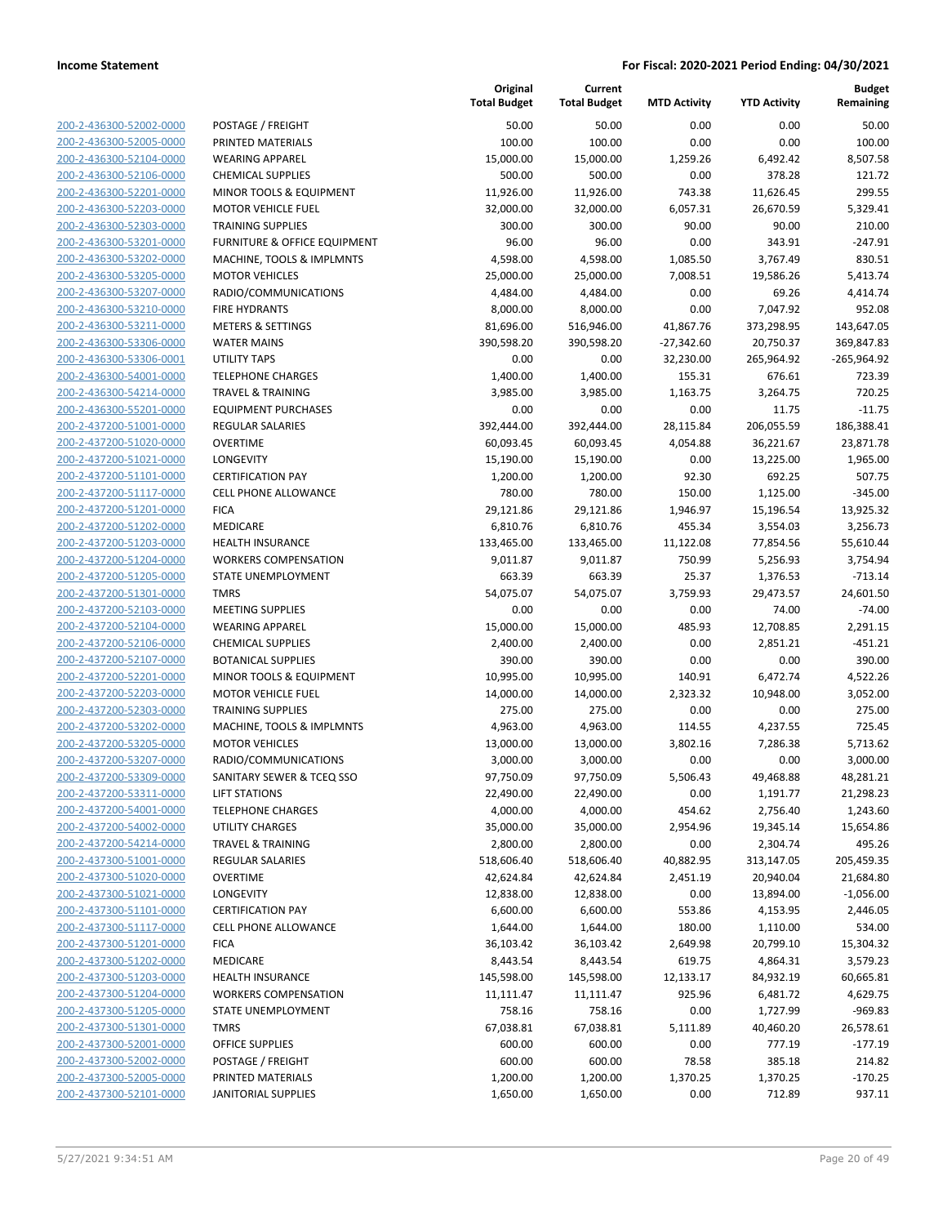| 200-2-436300-52002-0000        |
|--------------------------------|
| 200-2-436300-52005-0000        |
| 200-2-436300-52104-0000        |
| 200-2-436300-52106-0000        |
| 200-2-436300-52201-0000        |
| 200-2-436300-52203-0000        |
|                                |
| 200-2-436300-52303-0000        |
| 200-2-436300-53201-0000        |
| 200-2-436300-53202-0000        |
| 200-2-436300-53205-0000        |
| 200-2-436300-53207-0000        |
| 200-2-436300-53210-0000        |
| 200-2-436300-53211-0000        |
| 200-2-436300-53306-0000        |
| 200-2-436300-53306-0001        |
| 200-2-436300-54001-0000        |
|                                |
| 200-2-436300-54214-0000        |
| 200-2-436300-55201-0000        |
| 200-2-437200-51001-0000        |
| 200-2-437200-51020-0000        |
| 200-2-437200-51021-0000        |
| 200-2-437200-51101-0000        |
| 200-2-437200-51117-0000        |
| 200-2-437200-51201-0000        |
| 200-2-437200-51202-0000        |
| 200-2-437200-51203-0000        |
| 200-2-437200-51204-0000        |
| 200-2-437200-51205-0000        |
|                                |
| 200-2-437200-51301-0000        |
| 200-2-437200-52103-0000        |
| 200-2-437200-52104-0000        |
| 200-2-437200-52106-0000        |
| 200-2-437200-52107-0000        |
| 200-2-437200-52201-0000        |
| 200-2-437200-52203-0000        |
| 200-2-437200-52303-0000        |
| 200-2-437200-53202-0000        |
| 200-2-437200-53205-0000        |
| 200-2-437200-53207-0000        |
| 200-2-437200-53309-0000        |
|                                |
| 200-2-437200-53311-0000        |
| <u>200-2-437200-54001-0000</u> |
| 200-2-437200-54002-0000        |
| 200-2-437200-54214-0000        |
| 200-2-437300-51001-0000        |
| 200-2-437300-51020-0000        |
| <u>200-2-437300-51021-0000</u> |
| <u>200-2-437300-51101-0000</u> |
| 200-2-437300-51117-0000        |
| 200-2-437300-51201-0000        |
| 200-2-437300-51202-0000        |
|                                |
| <u>200-2-437300-51203-0000</u> |
| 200-2-437300-51204-0000        |
| 200-2-437300-51205-0000        |
| 200-2-437300-51301-0000        |
| 200-2-437300-52001-0000        |
| <u>200-2-437300-52002-0000</u> |
| <u>200-2-437300-52005-0000</u> |
| 200-2-437300-52101-0000        |
|                                |

|                         |                                         | Original<br><b>Total Budget</b> | Current<br><b>Total Budget</b> | <b>MTD Activity</b> | <b>YTD Activity</b> | <b>Budget</b><br>Remaining |
|-------------------------|-----------------------------------------|---------------------------------|--------------------------------|---------------------|---------------------|----------------------------|
| 200-2-436300-52002-0000 | POSTAGE / FREIGHT                       | 50.00                           | 50.00                          | 0.00                | 0.00                | 50.00                      |
| 200-2-436300-52005-0000 | PRINTED MATERIALS                       | 100.00                          | 100.00                         | 0.00                | 0.00                | 100.00                     |
| 200-2-436300-52104-0000 | <b>WEARING APPAREL</b>                  | 15,000.00                       | 15,000.00                      | 1,259.26            | 6,492.42            | 8,507.58                   |
| 200-2-436300-52106-0000 | <b>CHEMICAL SUPPLIES</b>                | 500.00                          | 500.00                         | 0.00                | 378.28              | 121.72                     |
| 200-2-436300-52201-0000 | MINOR TOOLS & EQUIPMENT                 | 11,926.00                       | 11,926.00                      | 743.38              | 11,626.45           | 299.55                     |
| 200-2-436300-52203-0000 | <b>MOTOR VEHICLE FUEL</b>               | 32,000.00                       | 32,000.00                      | 6,057.31            | 26,670.59           | 5,329.41                   |
| 200-2-436300-52303-0000 | <b>TRAINING SUPPLIES</b>                | 300.00                          | 300.00                         | 90.00               | 90.00               | 210.00                     |
| 200-2-436300-53201-0000 | <b>FURNITURE &amp; OFFICE EQUIPMENT</b> | 96.00                           | 96.00                          | 0.00                | 343.91              | $-247.91$                  |
| 200-2-436300-53202-0000 | MACHINE, TOOLS & IMPLMNTS               | 4,598.00                        | 4,598.00                       | 1,085.50            | 3,767.49            | 830.51                     |
| 200-2-436300-53205-0000 | <b>MOTOR VEHICLES</b>                   | 25,000.00                       | 25,000.00                      | 7,008.51            | 19,586.26           | 5,413.74                   |
| 200-2-436300-53207-0000 | RADIO/COMMUNICATIONS                    | 4,484.00                        | 4,484.00                       | 0.00                | 69.26               | 4,414.74                   |
| 200-2-436300-53210-0000 | <b>FIRE HYDRANTS</b>                    | 8,000.00                        | 8,000.00                       | 0.00                | 7,047.92            | 952.08                     |
| 200-2-436300-53211-0000 | <b>METERS &amp; SETTINGS</b>            | 81,696.00                       | 516,946.00                     | 41,867.76           | 373,298.95          | 143,647.05                 |
| 200-2-436300-53306-0000 | <b>WATER MAINS</b>                      | 390,598.20                      | 390,598.20                     | $-27,342.60$        | 20,750.37           | 369,847.83                 |
| 200-2-436300-53306-0001 | UTILITY TAPS                            | 0.00                            | 0.00                           | 32,230.00           | 265,964.92          | $-265,964.92$              |
| 200-2-436300-54001-0000 | <b>TELEPHONE CHARGES</b>                | 1,400.00                        | 1,400.00                       | 155.31              | 676.61              | 723.39                     |
| 200-2-436300-54214-0000 | <b>TRAVEL &amp; TRAINING</b>            | 3,985.00                        | 3,985.00                       | 1,163.75            | 3,264.75            | 720.25                     |
| 200-2-436300-55201-0000 | <b>EQUIPMENT PURCHASES</b>              | 0.00                            | 0.00                           | 0.00                | 11.75               | $-11.75$                   |
| 200-2-437200-51001-0000 | <b>REGULAR SALARIES</b>                 | 392,444.00                      | 392,444.00                     | 28,115.84           | 206,055.59          | 186,388.41                 |
| 200-2-437200-51020-0000 | <b>OVERTIME</b>                         | 60,093.45                       | 60,093.45                      | 4,054.88            | 36,221.67           | 23,871.78                  |
| 200-2-437200-51021-0000 | <b>LONGEVITY</b>                        | 15,190.00                       | 15,190.00                      | 0.00                | 13,225.00           | 1,965.00                   |
| 200-2-437200-51101-0000 | <b>CERTIFICATION PAY</b>                | 1,200.00                        | 1,200.00                       | 92.30               | 692.25              | 507.75                     |
| 200-2-437200-51117-0000 | <b>CELL PHONE ALLOWANCE</b>             | 780.00                          | 780.00                         | 150.00              | 1,125.00            | $-345.00$                  |
| 200-2-437200-51201-0000 | <b>FICA</b>                             | 29,121.86                       | 29,121.86                      | 1,946.97            | 15,196.54           | 13,925.32                  |
| 200-2-437200-51202-0000 | <b>MEDICARE</b>                         | 6,810.76                        | 6,810.76                       | 455.34              | 3,554.03            | 3,256.73                   |
| 200-2-437200-51203-0000 | <b>HEALTH INSURANCE</b>                 | 133,465.00                      | 133,465.00                     | 11,122.08           | 77,854.56           | 55,610.44                  |
| 200-2-437200-51204-0000 | <b>WORKERS COMPENSATION</b>             | 9,011.87                        | 9,011.87                       | 750.99              | 5,256.93            | 3,754.94                   |
| 200-2-437200-51205-0000 | STATE UNEMPLOYMENT                      | 663.39                          | 663.39                         | 25.37               | 1,376.53            | $-713.14$                  |
| 200-2-437200-51301-0000 | <b>TMRS</b>                             | 54,075.07                       | 54,075.07                      | 3,759.93            | 29,473.57           | 24,601.50                  |
| 200-2-437200-52103-0000 | <b>MEETING SUPPLIES</b>                 | 0.00                            | 0.00                           | 0.00                | 74.00               | $-74.00$                   |
| 200-2-437200-52104-0000 | <b>WEARING APPAREL</b>                  | 15,000.00                       | 15,000.00                      | 485.93              | 12,708.85           | 2,291.15                   |
| 200-2-437200-52106-0000 | <b>CHEMICAL SUPPLIES</b>                | 2,400.00                        | 2,400.00                       | 0.00                | 2,851.21            | $-451.21$                  |
| 200-2-437200-52107-0000 | <b>BOTANICAL SUPPLIES</b>               | 390.00                          | 390.00                         | 0.00                | 0.00                | 390.00                     |
| 200-2-437200-52201-0000 | MINOR TOOLS & EQUIPMENT                 | 10,995.00                       | 10,995.00                      | 140.91              | 6,472.74            | 4,522.26                   |
| 200-2-437200-52203-0000 | <b>MOTOR VEHICLE FUEL</b>               | 14,000.00                       | 14,000.00                      | 2,323.32            | 10,948.00           | 3,052.00                   |
| 200-2-437200-52303-0000 | <b>TRAINING SUPPLIES</b>                | 275.00                          | 275.00                         | 0.00                | 0.00                | 275.00                     |
| 200-2-437200-53202-0000 | MACHINE, TOOLS & IMPLMNTS               | 4,963.00                        | 4,963.00                       | 114.55              | 4,237.55            | 725.45                     |
| 200-2-437200-53205-0000 | <b>MOTOR VEHICLES</b>                   | 13,000.00                       | 13,000.00                      | 3,802.16            | 7,286.38            | 5,713.62                   |
| 200-2-437200-53207-0000 | RADIO/COMMUNICATIONS                    | 3,000.00                        | 3,000.00                       | 0.00                | 0.00                | 3,000.00                   |
| 200-2-437200-53309-0000 | SANITARY SEWER & TCEQ SSO               | 97,750.09                       | 97,750.09                      | 5,506.43            | 49,468.88           | 48,281.21                  |
| 200-2-437200-53311-0000 | LIFT STATIONS                           | 22,490.00                       | 22,490.00                      | 0.00                | 1,191.77            | 21,298.23                  |
| 200-2-437200-54001-0000 | <b>TELEPHONE CHARGES</b>                | 4,000.00                        | 4,000.00                       | 454.62              | 2,756.40            | 1,243.60                   |
| 200-2-437200-54002-0000 | <b>UTILITY CHARGES</b>                  | 35,000.00                       | 35,000.00                      | 2,954.96            | 19,345.14           | 15,654.86                  |
| 200-2-437200-54214-0000 | <b>TRAVEL &amp; TRAINING</b>            | 2,800.00                        | 2,800.00                       | 0.00                | 2,304.74            | 495.26                     |
| 200-2-437300-51001-0000 | REGULAR SALARIES                        | 518,606.40                      | 518,606.40                     | 40,882.95           | 313,147.05          | 205,459.35                 |
| 200-2-437300-51020-0000 | <b>OVERTIME</b>                         | 42,624.84                       | 42,624.84                      | 2,451.19            | 20,940.04           | 21,684.80                  |
| 200-2-437300-51021-0000 | LONGEVITY                               | 12,838.00                       | 12,838.00                      | 0.00                | 13,894.00           | $-1,056.00$                |
| 200-2-437300-51101-0000 | <b>CERTIFICATION PAY</b>                | 6,600.00                        | 6,600.00                       | 553.86              | 4,153.95            | 2,446.05                   |
| 200-2-437300-51117-0000 | <b>CELL PHONE ALLOWANCE</b>             | 1,644.00                        | 1,644.00                       | 180.00              | 1,110.00            | 534.00                     |
| 200-2-437300-51201-0000 | <b>FICA</b>                             | 36,103.42                       | 36,103.42                      | 2,649.98            | 20,799.10           | 15,304.32                  |
| 200-2-437300-51202-0000 | MEDICARE                                | 8,443.54                        | 8,443.54                       | 619.75              | 4,864.31            | 3,579.23                   |
| 200-2-437300-51203-0000 | <b>HEALTH INSURANCE</b>                 | 145,598.00                      | 145,598.00                     | 12,133.17           | 84,932.19           | 60,665.81                  |
| 200-2-437300-51204-0000 | <b>WORKERS COMPENSATION</b>             | 11,111.47                       | 11,111.47                      | 925.96              | 6,481.72            | 4,629.75                   |
| 200-2-437300-51205-0000 | STATE UNEMPLOYMENT                      | 758.16                          | 758.16                         | 0.00                | 1,727.99            | $-969.83$                  |
| 200-2-437300-51301-0000 | <b>TMRS</b>                             | 67,038.81                       | 67,038.81                      | 5,111.89            | 40,460.20           | 26,578.61                  |
| 200-2-437300-52001-0000 | <b>OFFICE SUPPLIES</b>                  | 600.00                          | 600.00                         | 0.00                | 777.19              | $-177.19$                  |
| 200-2-437300-52002-0000 | POSTAGE / FREIGHT                       | 600.00                          | 600.00                         | 78.58               | 385.18              | 214.82                     |
| 200-2-437300-52005-0000 | PRINTED MATERIALS                       | 1,200.00                        | 1,200.00                       | 1,370.25            | 1,370.25            | $-170.25$                  |
| 200-2-437300-52101-0000 | <b>JANITORIAL SUPPLIES</b>              | 1,650.00                        | 1,650.00                       | 0.00                | 712.89              | 937.11                     |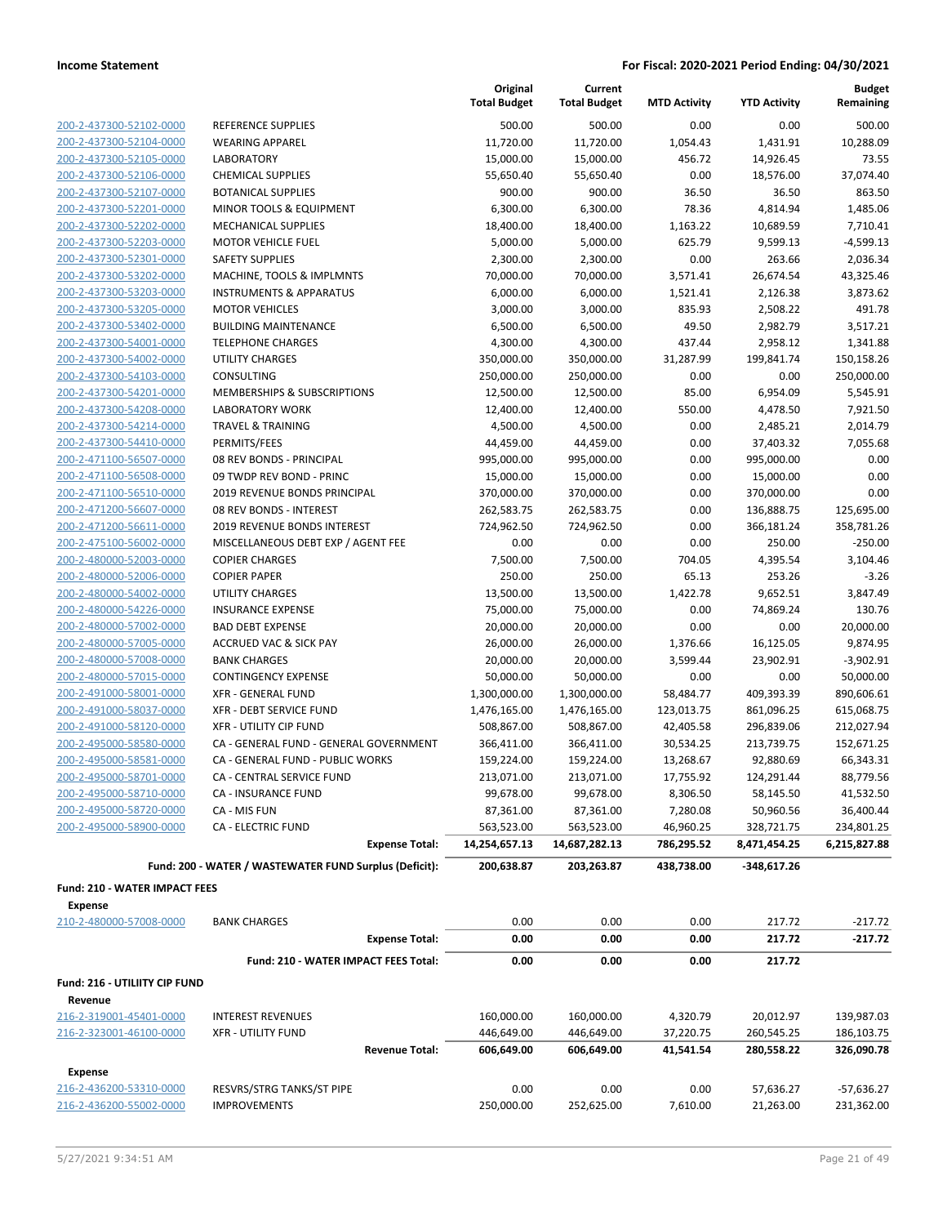|                                                    |                                                                            | Original<br><b>Total Budget</b> | Current<br><b>Total Budget</b> | <b>MTD Activity</b>   | <b>YTD Activity</b>     | <b>Budget</b><br>Remaining |
|----------------------------------------------------|----------------------------------------------------------------------------|---------------------------------|--------------------------------|-----------------------|-------------------------|----------------------------|
| 200-2-437300-52102-0000                            | <b>REFERENCE SUPPLIES</b>                                                  | 500.00                          | 500.00                         | 0.00                  | 0.00                    | 500.00                     |
| 200-2-437300-52104-0000                            | <b>WEARING APPAREL</b>                                                     | 11,720.00                       | 11,720.00                      | 1,054.43              | 1,431.91                | 10,288.09                  |
| 200-2-437300-52105-0000                            | <b>LABORATORY</b>                                                          | 15,000.00                       | 15,000.00                      | 456.72                | 14,926.45               | 73.55                      |
| 200-2-437300-52106-0000                            | <b>CHEMICAL SUPPLIES</b>                                                   | 55,650.40                       | 55,650.40                      | 0.00                  | 18,576.00               | 37,074.40                  |
| 200-2-437300-52107-0000                            | <b>BOTANICAL SUPPLIES</b>                                                  | 900.00                          | 900.00                         | 36.50                 | 36.50                   | 863.50                     |
| 200-2-437300-52201-0000                            | MINOR TOOLS & EQUIPMENT                                                    | 6,300.00                        | 6,300.00                       | 78.36                 | 4,814.94                | 1,485.06                   |
| 200-2-437300-52202-0000                            | <b>MECHANICAL SUPPLIES</b>                                                 | 18,400.00                       | 18,400.00                      | 1,163.22              | 10,689.59               | 7,710.41                   |
| 200-2-437300-52203-0000                            | <b>MOTOR VEHICLE FUEL</b>                                                  | 5,000.00                        | 5,000.00                       | 625.79                | 9,599.13                | $-4,599.13$                |
| 200-2-437300-52301-0000                            | <b>SAFETY SUPPLIES</b>                                                     | 2,300.00                        | 2,300.00                       | 0.00                  | 263.66                  | 2,036.34                   |
| 200-2-437300-53202-0000                            | MACHINE, TOOLS & IMPLMNTS                                                  | 70,000.00                       | 70,000.00                      | 3,571.41              | 26,674.54               | 43,325.46                  |
| 200-2-437300-53203-0000                            | <b>INSTRUMENTS &amp; APPARATUS</b>                                         | 6,000.00                        | 6,000.00                       | 1,521.41              | 2,126.38                | 3,873.62                   |
| 200-2-437300-53205-0000                            | <b>MOTOR VEHICLES</b>                                                      | 3,000.00                        | 3,000.00                       | 835.93                | 2,508.22                | 491.78                     |
| 200-2-437300-53402-0000                            | <b>BUILDING MAINTENANCE</b>                                                | 6,500.00                        | 6,500.00                       | 49.50                 | 2,982.79                | 3,517.21                   |
| 200-2-437300-54001-0000                            | <b>TELEPHONE CHARGES</b>                                                   | 4,300.00                        | 4,300.00                       | 437.44                | 2,958.12                | 1,341.88                   |
| 200-2-437300-54002-0000                            | <b>UTILITY CHARGES</b>                                                     | 350,000.00                      | 350,000.00                     | 31,287.99             | 199,841.74              | 150,158.26                 |
| 200-2-437300-54103-0000                            | <b>CONSULTING</b>                                                          | 250,000.00                      | 250,000.00                     | 0.00                  | 0.00                    | 250,000.00                 |
| 200-2-437300-54201-0000                            | MEMBERSHIPS & SUBSCRIPTIONS                                                | 12,500.00                       | 12,500.00                      | 85.00                 | 6,954.09                | 5,545.91                   |
| 200-2-437300-54208-0000                            | <b>LABORATORY WORK</b>                                                     | 12,400.00                       | 12,400.00                      | 550.00                | 4,478.50                | 7,921.50                   |
| 200-2-437300-54214-0000                            | <b>TRAVEL &amp; TRAINING</b>                                               | 4,500.00                        | 4,500.00                       | 0.00                  | 2,485.21                | 2,014.79                   |
| 200-2-437300-54410-0000                            | PERMITS/FEES                                                               | 44,459.00                       | 44,459.00                      | 0.00                  | 37,403.32               | 7,055.68                   |
| 200-2-471100-56507-0000                            | 08 REV BONDS - PRINCIPAL                                                   | 995,000.00                      | 995,000.00                     | 0.00                  | 995,000.00              | 0.00                       |
| 200-2-471100-56508-0000                            | 09 TWDP REV BOND - PRINC                                                   | 15,000.00                       | 15,000.00                      | 0.00                  | 15,000.00               | 0.00                       |
| 200-2-471100-56510-0000                            | 2019 REVENUE BONDS PRINCIPAL                                               | 370,000.00                      | 370,000.00                     | 0.00                  | 370,000.00              | 0.00                       |
| 200-2-471200-56607-0000                            | 08 REV BONDS - INTEREST                                                    | 262,583.75                      | 262,583.75                     | 0.00                  | 136,888.75              | 125,695.00                 |
| 200-2-471200-56611-0000                            | 2019 REVENUE BONDS INTEREST                                                | 724,962.50                      | 724,962.50                     | 0.00                  | 366,181.24              | 358,781.26                 |
| 200-2-475100-56002-0000                            | MISCELLANEOUS DEBT EXP / AGENT FEE                                         | 0.00                            | 0.00                           | 0.00                  | 250.00                  | $-250.00$                  |
| 200-2-480000-52003-0000                            | <b>COPIER CHARGES</b>                                                      | 7,500.00                        | 7,500.00                       | 704.05                | 4,395.54                | 3,104.46                   |
| 200-2-480000-52006-0000                            | <b>COPIER PAPER</b>                                                        | 250.00                          | 250.00                         | 65.13                 | 253.26                  | $-3.26$                    |
| 200-2-480000-54002-0000                            | <b>UTILITY CHARGES</b>                                                     | 13,500.00                       | 13,500.00                      | 1,422.78              | 9,652.51                | 3,847.49                   |
| 200-2-480000-54226-0000                            | <b>INSURANCE EXPENSE</b>                                                   | 75,000.00                       | 75,000.00                      | 0.00                  | 74,869.24               | 130.76                     |
| 200-2-480000-57002-0000                            | <b>BAD DEBT EXPENSE</b>                                                    | 20,000.00                       | 20,000.00                      | 0.00                  | 0.00                    | 20,000.00                  |
| 200-2-480000-57005-0000                            | <b>ACCRUED VAC &amp; SICK PAY</b>                                          | 26,000.00                       | 26,000.00                      | 1,376.66              | 16,125.05               | 9,874.95                   |
| 200-2-480000-57008-0000                            | <b>BANK CHARGES</b>                                                        | 20,000.00                       | 20,000.00                      | 3,599.44              | 23,902.91               | $-3,902.91$                |
| 200-2-480000-57015-0000                            | <b>CONTINGENCY EXPENSE</b>                                                 | 50,000.00                       | 50,000.00                      | 0.00                  | 0.00                    | 50,000.00                  |
| 200-2-491000-58001-0000                            | <b>XFR - GENERAL FUND</b>                                                  | 1,300,000.00                    | 1,300,000.00                   | 58,484.77             | 409,393.39              | 890,606.61                 |
| 200-2-491000-58037-0000                            | XFR - DEBT SERVICE FUND                                                    | 1,476,165.00                    | 1,476,165.00                   | 123,013.75            | 861,096.25              | 615,068.75                 |
| 200-2-491000-58120-0000                            | <b>XFR - UTILITY CIP FUND</b>                                              | 508,867.00                      | 508,867.00                     | 42,405.58             | 296,839.06              | 212,027.94                 |
| 200-2-495000-58580-0000<br>200-2-495000-58581-0000 | CA - GENERAL FUND - GENERAL GOVERNMENT<br>CA - GENERAL FUND - PUBLIC WORKS | 366,411.00                      | 366,411.00                     | 30,534.25             | 213,739.75              | 152,671.25                 |
|                                                    | CA - CENTRAL SERVICE FUND                                                  | 159,224.00<br>213,071.00        | 159,224.00                     | 13,268.67             | 92,880.69<br>124,291.44 | 66,343.31<br>88,779.56     |
| 200-2-495000-58701-0000                            | CA - INSURANCE FUND                                                        | 99,678.00                       | 213,071.00<br>99,678.00        | 17,755.92<br>8,306.50 | 58,145.50               | 41,532.50                  |
| 200-2-495000-58710-0000<br>200-2-495000-58720-0000 | CA - MIS FUN                                                               | 87,361.00                       | 87,361.00                      | 7,280.08              | 50,960.56               | 36,400.44                  |
| 200-2-495000-58900-0000                            | <b>CA - ELECTRIC FUND</b>                                                  | 563,523.00                      | 563,523.00                     | 46,960.25             | 328,721.75              | 234,801.25                 |
|                                                    | <b>Expense Total:</b>                                                      | 14,254,657.13                   | 14,687,282.13                  | 786,295.52            | 8,471,454.25            | 6,215,827.88               |
|                                                    |                                                                            |                                 |                                |                       |                         |                            |
|                                                    | Fund: 200 - WATER / WASTEWATER FUND Surplus (Deficit):                     | 200,638.87                      | 203,263.87                     | 438,738.00            | -348,617.26             |                            |
| Fund: 210 - WATER IMPACT FEES                      |                                                                            |                                 |                                |                       |                         |                            |
| Expense                                            |                                                                            |                                 |                                |                       |                         |                            |
| 210-2-480000-57008-0000                            | <b>BANK CHARGES</b>                                                        | 0.00                            | 0.00                           | 0.00                  | 217.72                  | $-217.72$                  |
|                                                    | <b>Expense Total:</b>                                                      | 0.00                            | 0.00                           | 0.00                  | 217.72                  | -217.72                    |
|                                                    | Fund: 210 - WATER IMPACT FEES Total:                                       | 0.00                            | 0.00                           | 0.00                  | 217.72                  |                            |
| Fund: 216 - UTILIITY CIP FUND                      |                                                                            |                                 |                                |                       |                         |                            |
| Revenue<br>216-2-319001-45401-0000                 | <b>INTEREST REVENUES</b>                                                   | 160,000.00                      | 160,000.00                     | 4,320.79              | 20,012.97               | 139,987.03                 |
| 216-2-323001-46100-0000                            | <b>XFR - UTILITY FUND</b>                                                  | 446,649.00                      | 446,649.00                     | 37,220.75             | 260,545.25              | 186,103.75                 |
|                                                    | <b>Revenue Total:</b>                                                      | 606,649.00                      | 606,649.00                     | 41,541.54             | 280,558.22              | 326,090.78                 |
| <b>Expense</b>                                     |                                                                            |                                 |                                |                       |                         |                            |
| 216-2-436200-53310-0000                            | RESVRS/STRG TANKS/ST PIPE                                                  | 0.00                            | 0.00                           | 0.00                  | 57,636.27               | $-57,636.27$               |
| 216-2-436200-55002-0000                            | <b>IMPROVEMENTS</b>                                                        | 250,000.00                      | 252,625.00                     | 7,610.00              | 21,263.00               | 231,362.00                 |
|                                                    |                                                                            |                                 |                                |                       |                         |                            |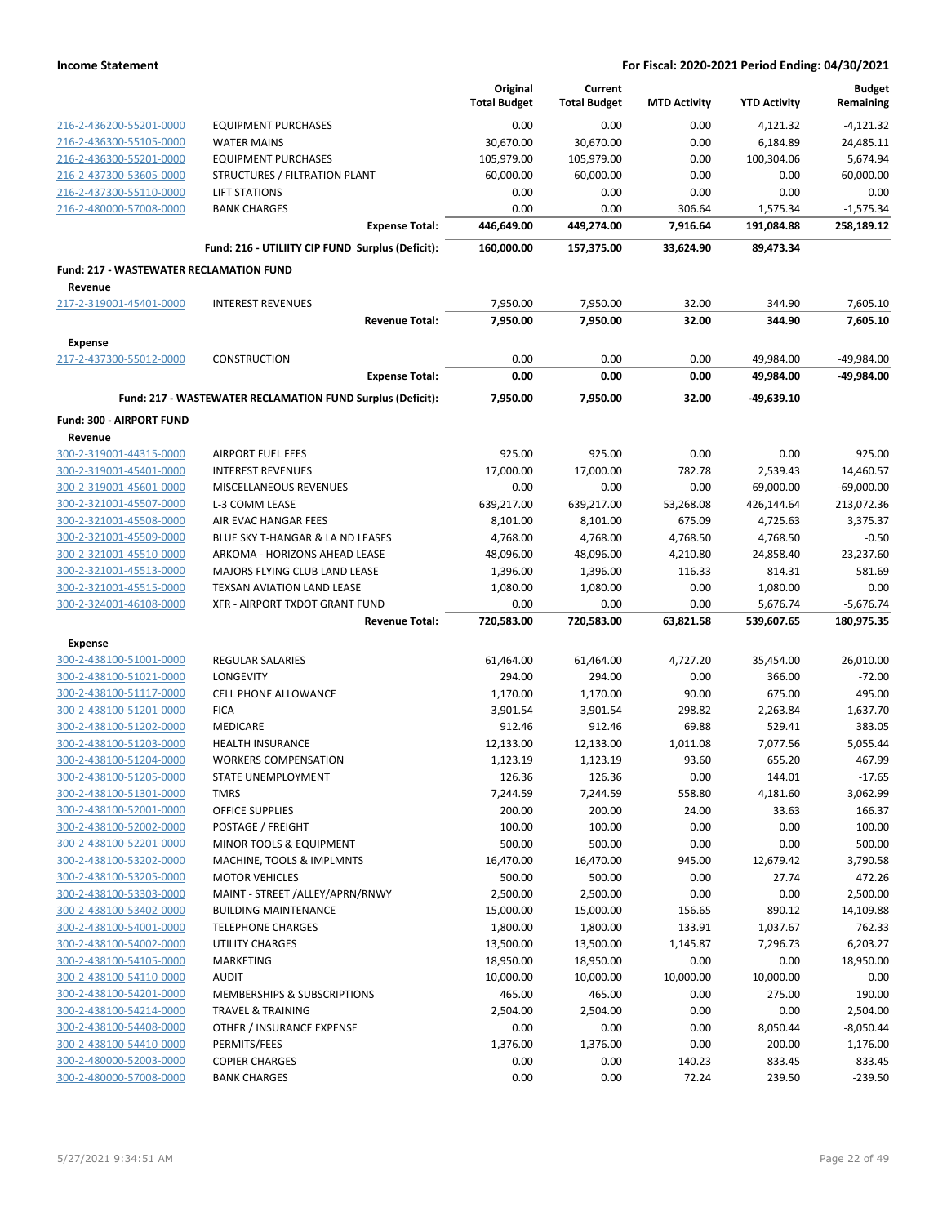|                                                |                                                            | Original<br><b>Total Budget</b> | Current<br><b>Total Budget</b> | <b>MTD Activity</b> | <b>YTD Activity</b> | <b>Budget</b><br>Remaining |
|------------------------------------------------|------------------------------------------------------------|---------------------------------|--------------------------------|---------------------|---------------------|----------------------------|
| 216-2-436200-55201-0000                        | <b>EQUIPMENT PURCHASES</b>                                 | 0.00                            | 0.00                           | 0.00                | 4,121.32            | $-4,121.32$                |
| 216-2-436300-55105-0000                        | <b>WATER MAINS</b>                                         | 30,670.00                       | 30,670.00                      | 0.00                | 6,184.89            | 24,485.11                  |
| 216-2-436300-55201-0000                        | <b>EQUIPMENT PURCHASES</b>                                 | 105,979.00                      | 105,979.00                     | 0.00                | 100,304.06          | 5,674.94                   |
| 216-2-437300-53605-0000                        | STRUCTURES / FILTRATION PLANT                              | 60,000.00                       | 60,000.00                      | 0.00                | 0.00                | 60,000.00                  |
| 216-2-437300-55110-0000                        | <b>LIFT STATIONS</b>                                       | 0.00                            | 0.00                           | 0.00                | 0.00                | 0.00                       |
| 216-2-480000-57008-0000                        | <b>BANK CHARGES</b>                                        | 0.00                            | 0.00                           | 306.64              | 1,575.34            | $-1,575.34$                |
|                                                | <b>Expense Total:</b>                                      | 446,649.00                      | 449,274.00                     | 7,916.64            | 191,084.88          | 258,189.12                 |
|                                                | Fund: 216 - UTILIITY CIP FUND Surplus (Deficit):           | 160,000.00                      | 157,375.00                     | 33,624.90           | 89,473.34           |                            |
| <b>Fund: 217 - WASTEWATER RECLAMATION FUND</b> |                                                            |                                 |                                |                     |                     |                            |
| Revenue<br>217-2-319001-45401-0000             | <b>INTEREST REVENUES</b>                                   | 7,950.00                        | 7,950.00                       | 32.00               | 344.90              | 7,605.10                   |
|                                                | <b>Revenue Total:</b>                                      | 7,950.00                        | 7,950.00                       | 32.00               | 344.90              | 7,605.10                   |
| <b>Expense</b>                                 |                                                            |                                 |                                |                     |                     |                            |
| 217-2-437300-55012-0000                        | <b>CONSTRUCTION</b>                                        | 0.00                            | 0.00                           | 0.00                | 49,984.00           | -49,984.00                 |
|                                                | <b>Expense Total:</b>                                      | 0.00                            | 0.00                           | 0.00                | 49,984.00           | -49,984.00                 |
|                                                | Fund: 217 - WASTEWATER RECLAMATION FUND Surplus (Deficit): | 7,950.00                        | 7,950.00                       | 32.00               | -49,639.10          |                            |
| Fund: 300 - AIRPORT FUND                       |                                                            |                                 |                                |                     |                     |                            |
| Revenue                                        |                                                            |                                 |                                |                     |                     |                            |
| 300-2-319001-44315-0000                        | <b>AIRPORT FUEL FEES</b>                                   | 925.00                          | 925.00                         | 0.00                | 0.00                | 925.00                     |
| 300-2-319001-45401-0000                        | <b>INTEREST REVENUES</b>                                   | 17,000.00                       | 17,000.00                      | 782.78              | 2,539.43            | 14,460.57                  |
| 300-2-319001-45601-0000                        | MISCELLANEOUS REVENUES                                     | 0.00                            | 0.00                           | 0.00                | 69,000.00           | $-69,000.00$               |
| 300-2-321001-45507-0000                        | L-3 COMM LEASE                                             | 639,217.00                      | 639,217.00                     | 53,268.08           | 426,144.64          | 213,072.36                 |
| 300-2-321001-45508-0000                        | AIR EVAC HANGAR FEES                                       | 8,101.00                        | 8,101.00                       | 675.09              | 4,725.63            | 3,375.37                   |
| 300-2-321001-45509-0000                        | BLUE SKY T-HANGAR & LA ND LEASES                           | 4,768.00                        | 4,768.00                       | 4,768.50            | 4,768.50            | $-0.50$                    |
| 300-2-321001-45510-0000                        | ARKOMA - HORIZONS AHEAD LEASE                              | 48,096.00                       | 48,096.00                      | 4,210.80            | 24,858.40           | 23,237.60                  |
| 300-2-321001-45513-0000                        | MAJORS FLYING CLUB LAND LEASE                              | 1,396.00                        | 1,396.00                       | 116.33              | 814.31              | 581.69                     |
| 300-2-321001-45515-0000                        | TEXSAN AVIATION LAND LEASE                                 | 1,080.00                        | 1,080.00                       | 0.00                | 1,080.00            | 0.00                       |
| 300-2-324001-46108-0000                        | XFR - AIRPORT TXDOT GRANT FUND                             | 0.00                            | 0.00                           | 0.00                | 5,676.74            | $-5,676.74$                |
|                                                | <b>Revenue Total:</b>                                      | 720,583.00                      | 720,583.00                     | 63,821.58           | 539,607.65          | 180,975.35                 |
| <b>Expense</b>                                 |                                                            |                                 |                                |                     |                     |                            |
| 300-2-438100-51001-0000                        | <b>REGULAR SALARIES</b>                                    | 61,464.00                       | 61,464.00                      | 4,727.20            | 35,454.00           | 26,010.00                  |
| 300-2-438100-51021-0000                        | LONGEVITY                                                  | 294.00                          | 294.00                         | 0.00                | 366.00              | $-72.00$                   |
| 300-2-438100-51117-0000                        | <b>CELL PHONE ALLOWANCE</b>                                | 1,170.00                        | 1,170.00                       | 90.00               | 675.00              | 495.00                     |
| 300-2-438100-51201-0000                        | <b>FICA</b>                                                | 3,901.54                        | 3,901.54                       | 298.82              | 2,263.84            | 1,637.70                   |
| 300-2-438100-51202-0000                        | <b>MEDICARE</b>                                            | 912.46                          | 912.46                         | 69.88               | 529.41              | 383.05                     |
| 300-2-438100-51203-0000                        | HEALTH INSURANCE                                           | 12,133.00                       | 12,133.00                      | 1,011.08            | 7,077.56            | 5,055.44                   |
| 300-2-438100-51204-0000                        | <b>WORKERS COMPENSATION</b>                                | 1,123.19                        | 1,123.19                       | 93.60               | 655.20              | 467.99                     |
| 300-2-438100-51205-0000                        | STATE UNEMPLOYMENT                                         | 126.36                          | 126.36                         | 0.00                | 144.01              | $-17.65$                   |
| 300-2-438100-51301-0000                        | TMRS                                                       | 7,244.59                        | 7,244.59                       | 558.80              | 4,181.60            | 3,062.99                   |
| 300-2-438100-52001-0000                        | OFFICE SUPPLIES                                            | 200.00                          | 200.00                         | 24.00               | 33.63               | 166.37                     |
| 300-2-438100-52002-0000                        | POSTAGE / FREIGHT                                          | 100.00                          | 100.00                         | 0.00                | 0.00                | 100.00                     |
| 300-2-438100-52201-0000                        | MINOR TOOLS & EQUIPMENT                                    | 500.00                          | 500.00                         | 0.00                | 0.00                | 500.00                     |
| 300-2-438100-53202-0000                        | MACHINE, TOOLS & IMPLMNTS                                  | 16,470.00                       | 16,470.00                      | 945.00              | 12,679.42           | 3,790.58                   |
| 300-2-438100-53205-0000                        | <b>MOTOR VEHICLES</b>                                      | 500.00                          | 500.00                         | 0.00                | 27.74               | 472.26                     |
| 300-2-438100-53303-0000                        | MAINT - STREET /ALLEY/APRN/RNWY                            | 2,500.00                        | 2,500.00                       | 0.00                | 0.00                | 2,500.00                   |
|                                                |                                                            |                                 |                                |                     |                     |                            |
| 300-2-438100-53402-0000                        | <b>BUILDING MAINTENANCE</b>                                | 15,000.00                       | 15,000.00                      | 156.65              | 890.12              | 14,109.88                  |
| 300-2-438100-54001-0000                        | <b>TELEPHONE CHARGES</b>                                   | 1,800.00                        | 1,800.00                       | 133.91              | 1,037.67            | 762.33                     |
| 300-2-438100-54002-0000                        | <b>UTILITY CHARGES</b>                                     | 13,500.00                       | 13,500.00                      | 1,145.87            | 7,296.73            | 6,203.27                   |
| 300-2-438100-54105-0000                        | MARKETING                                                  | 18,950.00                       | 18,950.00                      | 0.00                | 0.00                | 18,950.00                  |
| 300-2-438100-54110-0000                        | <b>AUDIT</b>                                               | 10,000.00                       | 10,000.00                      | 10,000.00           | 10,000.00           | 0.00                       |
| 300-2-438100-54201-0000                        | MEMBERSHIPS & SUBSCRIPTIONS                                | 465.00                          | 465.00                         | 0.00                | 275.00              | 190.00                     |
| 300-2-438100-54214-0000                        | <b>TRAVEL &amp; TRAINING</b>                               | 2,504.00                        | 2,504.00                       | 0.00                | 0.00                | 2,504.00                   |
| 300-2-438100-54408-0000                        | OTHER / INSURANCE EXPENSE                                  | 0.00                            | 0.00                           | 0.00                | 8,050.44            | $-8,050.44$                |
| 300-2-438100-54410-0000                        | PERMITS/FEES                                               | 1,376.00                        | 1,376.00                       | 0.00                | 200.00              | 1,176.00                   |
| 300-2-480000-52003-0000                        | <b>COPIER CHARGES</b>                                      | 0.00                            | 0.00                           | 140.23              | 833.45              | $-833.45$                  |
| 300-2-480000-57008-0000                        | <b>BANK CHARGES</b>                                        | 0.00                            | 0.00                           | 72.24               | 239.50              | $-239.50$                  |
|                                                |                                                            |                                 |                                |                     |                     |                            |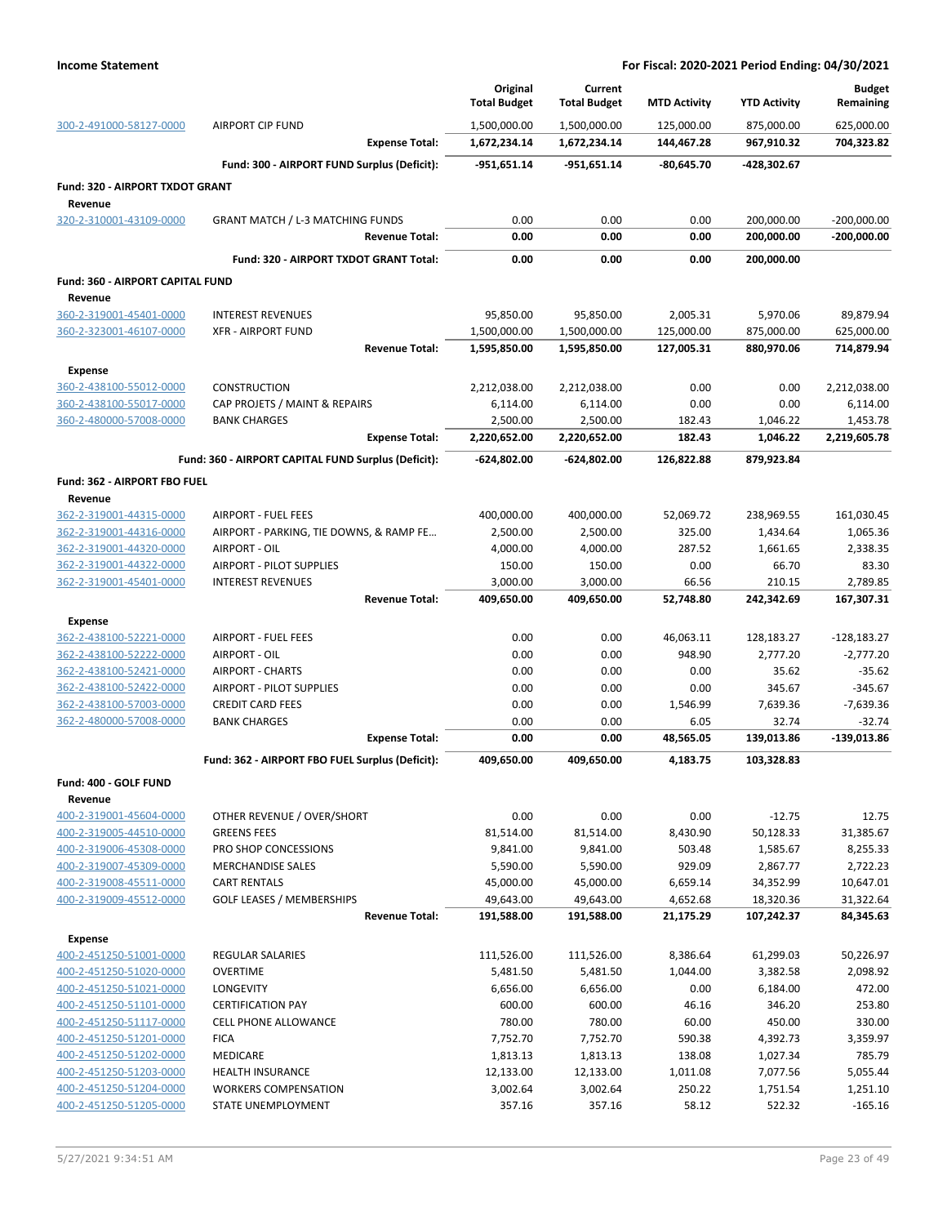|                                         |                                                     | Original            | Current             |                     |                     | <b>Budget</b> |
|-----------------------------------------|-----------------------------------------------------|---------------------|---------------------|---------------------|---------------------|---------------|
|                                         |                                                     | <b>Total Budget</b> | <b>Total Budget</b> | <b>MTD Activity</b> | <b>YTD Activity</b> | Remaining     |
| 300-2-491000-58127-0000                 | <b>AIRPORT CIP FUND</b>                             | 1,500,000.00        | 1,500,000.00        | 125,000.00          | 875,000.00          | 625,000.00    |
|                                         | <b>Expense Total:</b>                               | 1,672,234.14        | 1,672,234.14        | 144,467.28          | 967,910.32          | 704,323.82    |
|                                         | Fund: 300 - AIRPORT FUND Surplus (Deficit):         | -951,651.14         | $-951,651.14$       | $-80,645.70$        | -428,302.67         |               |
| Fund: 320 - AIRPORT TXDOT GRANT         |                                                     |                     |                     |                     |                     |               |
| Revenue                                 |                                                     |                     |                     |                     |                     |               |
| 320-2-310001-43109-0000                 | <b>GRANT MATCH / L-3 MATCHING FUNDS</b>             | 0.00                | 0.00                | 0.00                | 200,000.00          | $-200,000.00$ |
|                                         | <b>Revenue Total:</b>                               | 0.00                | 0.00                | 0.00                | 200,000.00          | -200,000.00   |
|                                         | Fund: 320 - AIRPORT TXDOT GRANT Total:              | 0.00                | 0.00                | 0.00                | 200,000.00          |               |
| <b>Fund: 360 - AIRPORT CAPITAL FUND</b> |                                                     |                     |                     |                     |                     |               |
| Revenue                                 |                                                     |                     |                     |                     |                     |               |
| 360-2-319001-45401-0000                 | <b>INTEREST REVENUES</b>                            | 95,850.00           | 95,850.00           | 2,005.31            | 5,970.06            | 89,879.94     |
| 360-2-323001-46107-0000                 | <b>XFR - AIRPORT FUND</b>                           | 1,500,000.00        | 1,500,000.00        | 125,000.00          | 875,000.00          | 625,000.00    |
|                                         | <b>Revenue Total:</b>                               | 1,595,850.00        | 1,595,850.00        | 127,005.31          | 880,970.06          | 714,879.94    |
| <b>Expense</b>                          |                                                     |                     |                     |                     |                     |               |
| 360-2-438100-55012-0000                 | <b>CONSTRUCTION</b>                                 | 2,212,038.00        | 2,212,038.00        | 0.00                | 0.00                | 2,212,038.00  |
| 360-2-438100-55017-0000                 | CAP PROJETS / MAINT & REPAIRS                       | 6,114.00            | 6,114.00            | 0.00                | 0.00                | 6,114.00      |
| 360-2-480000-57008-0000                 | <b>BANK CHARGES</b>                                 | 2,500.00            | 2,500.00            | 182.43              | 1,046.22            | 1,453.78      |
|                                         | <b>Expense Total:</b>                               | 2,220,652.00        | 2,220,652.00        | 182.43              | 1,046.22            | 2,219,605.78  |
|                                         | Fund: 360 - AIRPORT CAPITAL FUND Surplus (Deficit): | $-624,802.00$       | -624,802.00         | 126,822.88          | 879,923.84          |               |
| Fund: 362 - AIRPORT FBO FUEL            |                                                     |                     |                     |                     |                     |               |
| Revenue                                 |                                                     |                     |                     |                     |                     |               |
| 362-2-319001-44315-0000                 | <b>AIRPORT - FUEL FEES</b>                          | 400,000.00          | 400,000.00          | 52,069.72           | 238,969.55          | 161,030.45    |
| 362-2-319001-44316-0000                 | AIRPORT - PARKING, TIE DOWNS, & RAMP FE             | 2,500.00            | 2,500.00            | 325.00              | 1,434.64            | 1,065.36      |
| 362-2-319001-44320-0000                 | AIRPORT - OIL                                       | 4,000.00            | 4,000.00            | 287.52              | 1,661.65            | 2,338.35      |
| 362-2-319001-44322-0000                 | <b>AIRPORT - PILOT SUPPLIES</b>                     | 150.00              | 150.00              | 0.00                | 66.70               | 83.30         |
| 362-2-319001-45401-0000                 | <b>INTEREST REVENUES</b>                            | 3,000.00            | 3,000.00            | 66.56               | 210.15              | 2,789.85      |
|                                         | <b>Revenue Total:</b>                               | 409,650.00          | 409,650.00          | 52,748.80           | 242,342.69          | 167,307.31    |
| <b>Expense</b>                          |                                                     |                     |                     |                     |                     |               |
| 362-2-438100-52221-0000                 | <b>AIRPORT - FUEL FEES</b>                          | 0.00                | 0.00                | 46,063.11           | 128,183.27          | $-128,183.27$ |
| 362-2-438100-52222-0000                 | AIRPORT - OIL                                       | 0.00                | 0.00                | 948.90              | 2,777.20            | $-2,777.20$   |
| 362-2-438100-52421-0000                 | <b>AIRPORT - CHARTS</b>                             | 0.00                | 0.00                | 0.00                | 35.62               | $-35.62$      |
| 362-2-438100-52422-0000                 | <b>AIRPORT - PILOT SUPPLIES</b>                     | 0.00                | 0.00                | 0.00                | 345.67              | $-345.67$     |
| 362-2-438100-57003-0000                 | <b>CREDIT CARD FEES</b>                             | 0.00                | 0.00                | 1,546.99            | 7,639.36            | $-7,639.36$   |
| 362-2-480000-57008-0000                 | <b>BANK CHARGES</b>                                 | 0.00                | 0.00                | 6.05                | 32.74               | $-32.74$      |
|                                         | <b>Expense Total:</b>                               | 0.00                | 0.00                | 48,565.05           | 139,013.86          | -139,013.86   |
|                                         | Fund: 362 - AIRPORT FBO FUEL Surplus (Deficit):     | 409,650.00          | 409,650.00          | 4,183.75            | 103,328.83          |               |
| Fund: 400 - GOLF FUND                   |                                                     |                     |                     |                     |                     |               |
| Revenue                                 |                                                     |                     |                     |                     |                     |               |
| 400-2-319001-45604-0000                 | OTHER REVENUE / OVER/SHORT                          | 0.00                | 0.00                | 0.00                | $-12.75$            | 12.75         |
| 400-2-319005-44510-0000                 | <b>GREENS FEES</b>                                  | 81,514.00           | 81,514.00           | 8,430.90            | 50,128.33           | 31,385.67     |
| 400-2-319006-45308-0000                 | PRO SHOP CONCESSIONS                                | 9,841.00            | 9,841.00            | 503.48              | 1,585.67            | 8,255.33      |
| 400-2-319007-45309-0000                 | <b>MERCHANDISE SALES</b>                            | 5,590.00            | 5,590.00            | 929.09              | 2,867.77            | 2,722.23      |
| 400-2-319008-45511-0000                 | <b>CART RENTALS</b>                                 | 45,000.00           | 45,000.00           | 6,659.14            | 34,352.99           | 10,647.01     |
| 400-2-319009-45512-0000                 | <b>GOLF LEASES / MEMBERSHIPS</b>                    | 49,643.00           | 49,643.00           | 4,652.68            | 18,320.36           | 31,322.64     |
|                                         | <b>Revenue Total:</b>                               | 191,588.00          | 191,588.00          | 21,175.29           | 107,242.37          | 84,345.63     |
| <b>Expense</b>                          |                                                     |                     |                     |                     |                     |               |
| 400-2-451250-51001-0000                 | <b>REGULAR SALARIES</b>                             | 111,526.00          | 111,526.00          | 8,386.64            | 61,299.03           | 50,226.97     |
| 400-2-451250-51020-0000                 | <b>OVERTIME</b>                                     | 5,481.50            | 5,481.50            | 1,044.00            | 3,382.58            | 2,098.92      |
| 400-2-451250-51021-0000                 | LONGEVITY                                           | 6,656.00            | 6,656.00            | 0.00                | 6,184.00            | 472.00        |
| 400-2-451250-51101-0000                 | <b>CERTIFICATION PAY</b>                            | 600.00              | 600.00              | 46.16               | 346.20              | 253.80        |
| 400-2-451250-51117-0000                 | <b>CELL PHONE ALLOWANCE</b>                         | 780.00              | 780.00              | 60.00               | 450.00              | 330.00        |
| 400-2-451250-51201-0000                 | <b>FICA</b>                                         | 7,752.70            | 7,752.70            | 590.38              | 4,392.73            | 3,359.97      |
| 400-2-451250-51202-0000                 | <b>MEDICARE</b>                                     | 1,813.13            | 1,813.13            | 138.08              | 1,027.34            | 785.79        |
| 400-2-451250-51203-0000                 | <b>HEALTH INSURANCE</b>                             | 12,133.00           | 12,133.00           | 1,011.08            | 7,077.56            | 5,055.44      |
| 400-2-451250-51204-0000                 | <b>WORKERS COMPENSATION</b>                         | 3,002.64            | 3,002.64            | 250.22              | 1,751.54            | 1,251.10      |
| 400-2-451250-51205-0000                 | STATE UNEMPLOYMENT                                  | 357.16              | 357.16              | 58.12               | 522.32              | $-165.16$     |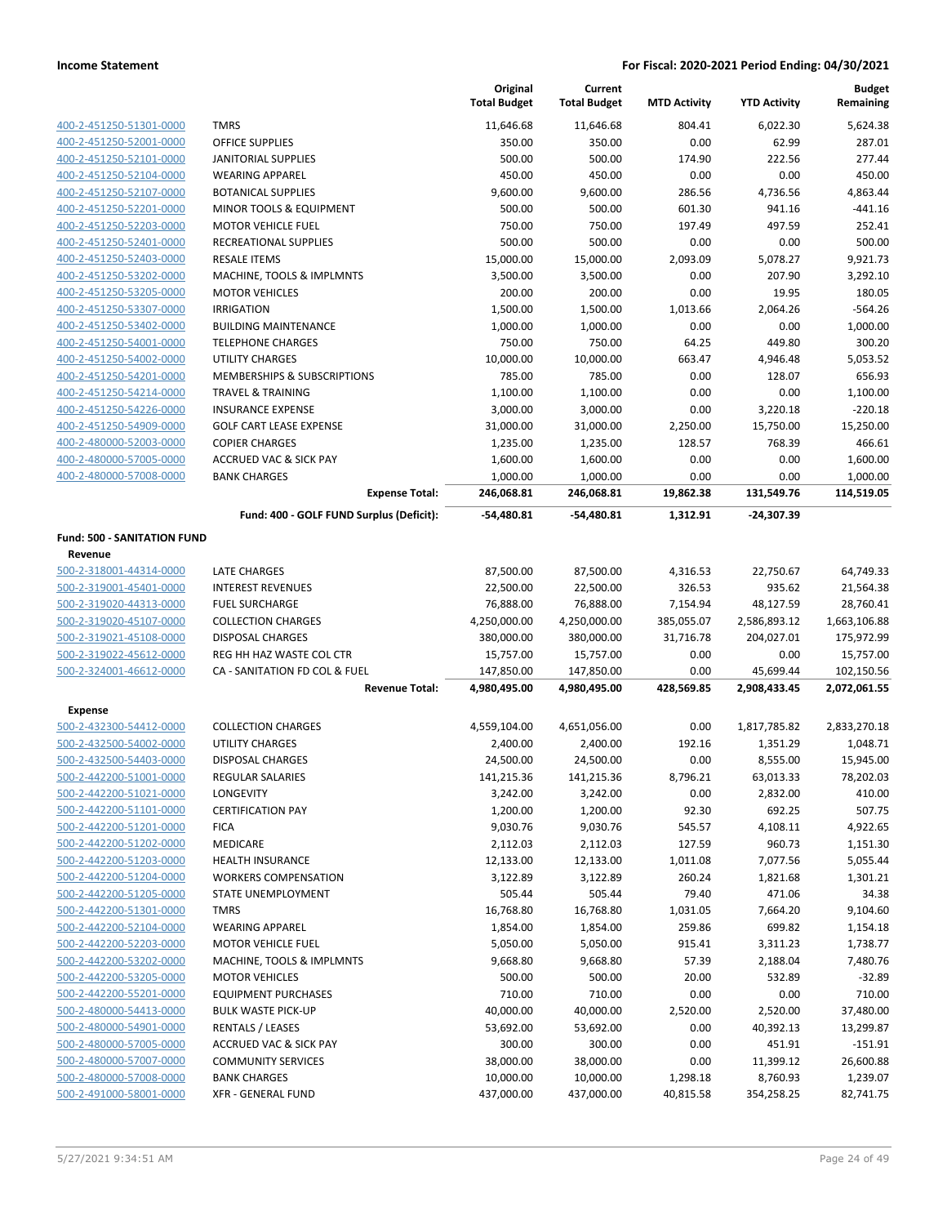|                                    |                                          | Original<br><b>Total Budget</b> | Current<br><b>Total Budget</b> | <b>MTD Activity</b> | <b>YTD Activity</b> | <b>Budget</b><br>Remaining |
|------------------------------------|------------------------------------------|---------------------------------|--------------------------------|---------------------|---------------------|----------------------------|
| 400-2-451250-51301-0000            | <b>TMRS</b>                              | 11,646.68                       | 11,646.68                      | 804.41              | 6,022.30            | 5.624.38                   |
| 400-2-451250-52001-0000            | <b>OFFICE SUPPLIES</b>                   | 350.00                          | 350.00                         | 0.00                | 62.99               | 287.01                     |
| 400-2-451250-52101-0000            | JANITORIAL SUPPLIES                      | 500.00                          | 500.00                         | 174.90              | 222.56              | 277.44                     |
| 400-2-451250-52104-0000            | <b>WEARING APPAREL</b>                   | 450.00                          | 450.00                         | 0.00                | 0.00                | 450.00                     |
| 400-2-451250-52107-0000            | <b>BOTANICAL SUPPLIES</b>                | 9,600.00                        | 9,600.00                       | 286.56              | 4,736.56            | 4,863.44                   |
| 400-2-451250-52201-0000            | MINOR TOOLS & EQUIPMENT                  | 500.00                          | 500.00                         | 601.30              | 941.16              | $-441.16$                  |
| 400-2-451250-52203-0000            | <b>MOTOR VEHICLE FUEL</b>                | 750.00                          | 750.00                         | 197.49              | 497.59              | 252.41                     |
| 400-2-451250-52401-0000            | RECREATIONAL SUPPLIES                    | 500.00                          | 500.00                         | 0.00                | 0.00                | 500.00                     |
| 400-2-451250-52403-0000            | <b>RESALE ITEMS</b>                      | 15,000.00                       | 15,000.00                      | 2,093.09            | 5,078.27            | 9,921.73                   |
| 400-2-451250-53202-0000            | MACHINE, TOOLS & IMPLMNTS                | 3,500.00                        | 3,500.00                       | 0.00                | 207.90              | 3,292.10                   |
| 400-2-451250-53205-0000            | <b>MOTOR VEHICLES</b>                    | 200.00                          | 200.00                         | 0.00                | 19.95               | 180.05                     |
| 400-2-451250-53307-0000            | <b>IRRIGATION</b>                        | 1,500.00                        | 1,500.00                       | 1,013.66            | 2,064.26            | $-564.26$                  |
| 400-2-451250-53402-0000            | <b>BUILDING MAINTENANCE</b>              | 1,000.00                        | 1,000.00                       | 0.00                | 0.00                | 1,000.00                   |
| 400-2-451250-54001-0000            | <b>TELEPHONE CHARGES</b>                 | 750.00                          | 750.00                         | 64.25               | 449.80              | 300.20                     |
| 400-2-451250-54002-0000            | UTILITY CHARGES                          | 10,000.00                       | 10,000.00                      | 663.47              | 4,946.48            | 5,053.52                   |
| 400-2-451250-54201-0000            | MEMBERSHIPS & SUBSCRIPTIONS              | 785.00                          | 785.00                         | 0.00                | 128.07              | 656.93                     |
| 400-2-451250-54214-0000            | <b>TRAVEL &amp; TRAINING</b>             | 1,100.00                        | 1,100.00                       | 0.00                | 0.00                | 1,100.00                   |
| 400-2-451250-54226-0000            | <b>INSURANCE EXPENSE</b>                 | 3,000.00                        | 3,000.00                       | 0.00                | 3,220.18            | $-220.18$                  |
| 400-2-451250-54909-0000            | <b>GOLF CART LEASE EXPENSE</b>           | 31,000.00                       | 31,000.00                      | 2,250.00            | 15,750.00           | 15,250.00                  |
| 400-2-480000-52003-0000            | <b>COPIER CHARGES</b>                    | 1,235.00                        | 1,235.00                       | 128.57              | 768.39              | 466.61                     |
| 400-2-480000-57005-0000            | <b>ACCRUED VAC &amp; SICK PAY</b>        | 1,600.00                        | 1,600.00                       | 0.00                | 0.00                | 1,600.00                   |
| 400-2-480000-57008-0000            | <b>BANK CHARGES</b>                      | 1,000.00                        | 1,000.00                       | 0.00                | 0.00                | 1,000.00                   |
|                                    | <b>Expense Total:</b>                    | 246,068.81                      | 246,068.81                     | 19,862.38           | 131,549.76          | 114,519.05                 |
|                                    | Fund: 400 - GOLF FUND Surplus (Deficit): | -54,480.81                      | -54,480.81                     | 1,312.91            | $-24,307.39$        |                            |
| <b>Fund: 500 - SANITATION FUND</b> |                                          |                                 |                                |                     |                     |                            |
| Revenue                            |                                          |                                 |                                |                     |                     |                            |
| 500-2-318001-44314-0000            | <b>LATE CHARGES</b>                      | 87,500.00                       | 87,500.00                      | 4,316.53            | 22,750.67           | 64,749.33                  |
| 500-2-319001-45401-0000            | <b>INTEREST REVENUES</b>                 | 22,500.00                       | 22,500.00                      | 326.53              | 935.62              | 21,564.38                  |
| 500-2-319020-44313-0000            | <b>FUEL SURCHARGE</b>                    | 76,888.00                       | 76,888.00                      | 7,154.94            | 48,127.59           | 28,760.41                  |
| 500-2-319020-45107-0000            | <b>COLLECTION CHARGES</b>                | 4,250,000.00                    | 4,250,000.00                   | 385,055.07          | 2,586,893.12        | 1,663,106.88               |
| 500-2-319021-45108-0000            | <b>DISPOSAL CHARGES</b>                  | 380,000.00                      | 380,000.00                     | 31,716.78           | 204,027.01          | 175,972.99                 |
| 500-2-319022-45612-0000            | REG HH HAZ WASTE COL CTR                 | 15,757.00                       | 15,757.00                      | 0.00                | 0.00                | 15,757.00                  |
| 500-2-324001-46612-0000            | CA - SANITATION FD COL & FUEL            | 147,850.00                      | 147,850.00                     | 0.00                | 45,699.44           | 102,150.56                 |
|                                    | <b>Revenue Total:</b>                    | 4,980,495.00                    | 4,980,495.00                   | 428,569.85          | 2,908,433.45        | 2,072,061.55               |
| Expense                            |                                          |                                 |                                |                     |                     |                            |
| 500-2-432300-54412-0000            | <b>COLLECTION CHARGES</b>                | 4,559,104.00                    | 4,651,056.00                   | 0.00                | 1,817,785.82        | 2,833,270.18               |
| 500-2-432500-54002-0000            | UTILITY CHARGES                          | 2,400.00                        | 2,400.00                       | 192.16              | 1,351.29            | 1,048.71                   |
| 500-2-432500-54403-0000            | <b>DISPOSAL CHARGES</b>                  | 24,500.00                       | 24,500.00                      | 0.00                | 8,555.00            | 15,945.00                  |
| 500-2-442200-51001-0000            | REGULAR SALARIES                         | 141,215.36                      | 141,215.36                     | 8,796.21            | 63,013.33           | 78,202.03                  |
| 500-2-442200-51021-0000            | LONGEVITY                                | 3,242.00                        | 3,242.00                       | 0.00                | 2,832.00            | 410.00                     |
| 500-2-442200-51101-0000            | <b>CERTIFICATION PAY</b>                 | 1,200.00                        | 1,200.00                       | 92.30               | 692.25              | 507.75                     |
| 500-2-442200-51201-0000            | <b>FICA</b>                              | 9,030.76                        | 9,030.76                       | 545.57              | 4,108.11            | 4,922.65                   |
| 500-2-442200-51202-0000            | <b>MEDICARE</b>                          | 2,112.03                        | 2,112.03                       | 127.59              | 960.73              | 1,151.30                   |
| 500-2-442200-51203-0000            | HEALTH INSURANCE                         | 12,133.00                       | 12,133.00                      | 1,011.08            | 7,077.56            | 5,055.44                   |
| 500-2-442200-51204-0000            | <b>WORKERS COMPENSATION</b>              | 3,122.89                        | 3,122.89                       | 260.24              | 1,821.68            | 1,301.21                   |
| 500-2-442200-51205-0000            | STATE UNEMPLOYMENT                       | 505.44                          | 505.44                         | 79.40               | 471.06              | 34.38                      |
| 500-2-442200-51301-0000            | <b>TMRS</b>                              | 16,768.80                       | 16,768.80                      | 1,031.05            | 7,664.20            | 9,104.60                   |
| 500-2-442200-52104-0000            | <b>WEARING APPAREL</b>                   | 1,854.00                        | 1,854.00                       | 259.86              | 699.82              | 1,154.18                   |
| 500-2-442200-52203-0000            | <b>MOTOR VEHICLE FUEL</b>                | 5,050.00                        | 5,050.00                       | 915.41              | 3,311.23            | 1,738.77                   |
| 500-2-442200-53202-0000            | MACHINE, TOOLS & IMPLMNTS                | 9,668.80                        | 9,668.80                       | 57.39               | 2,188.04            | 7,480.76                   |
| 500-2-442200-53205-0000            | <b>MOTOR VEHICLES</b>                    | 500.00                          | 500.00                         | 20.00               | 532.89              | $-32.89$                   |
| 500-2-442200-55201-0000            | <b>EQUIPMENT PURCHASES</b>               | 710.00                          | 710.00                         | 0.00                | 0.00                | 710.00                     |
| 500-2-480000-54413-0000            | <b>BULK WASTE PICK-UP</b>                | 40,000.00                       | 40,000.00                      | 2,520.00            | 2,520.00            | 37,480.00                  |
| 500-2-480000-54901-0000            | <b>RENTALS / LEASES</b>                  | 53,692.00                       | 53,692.00                      | 0.00                | 40,392.13           | 13,299.87                  |
| 500-2-480000-57005-0000            | <b>ACCRUED VAC &amp; SICK PAY</b>        | 300.00                          | 300.00                         | 0.00                | 451.91              | $-151.91$                  |
| 500-2-480000-57007-0000            | <b>COMMUNITY SERVICES</b>                | 38,000.00                       | 38,000.00                      | 0.00                | 11,399.12           | 26,600.88                  |
| 500-2-480000-57008-0000            | <b>BANK CHARGES</b>                      | 10,000.00                       | 10,000.00                      | 1,298.18            | 8,760.93            | 1,239.07                   |
| 500-2-491000-58001-0000            | <b>XFR - GENERAL FUND</b>                | 437,000.00                      | 437,000.00                     | 40,815.58           | 354,258.25          | 82,741.75                  |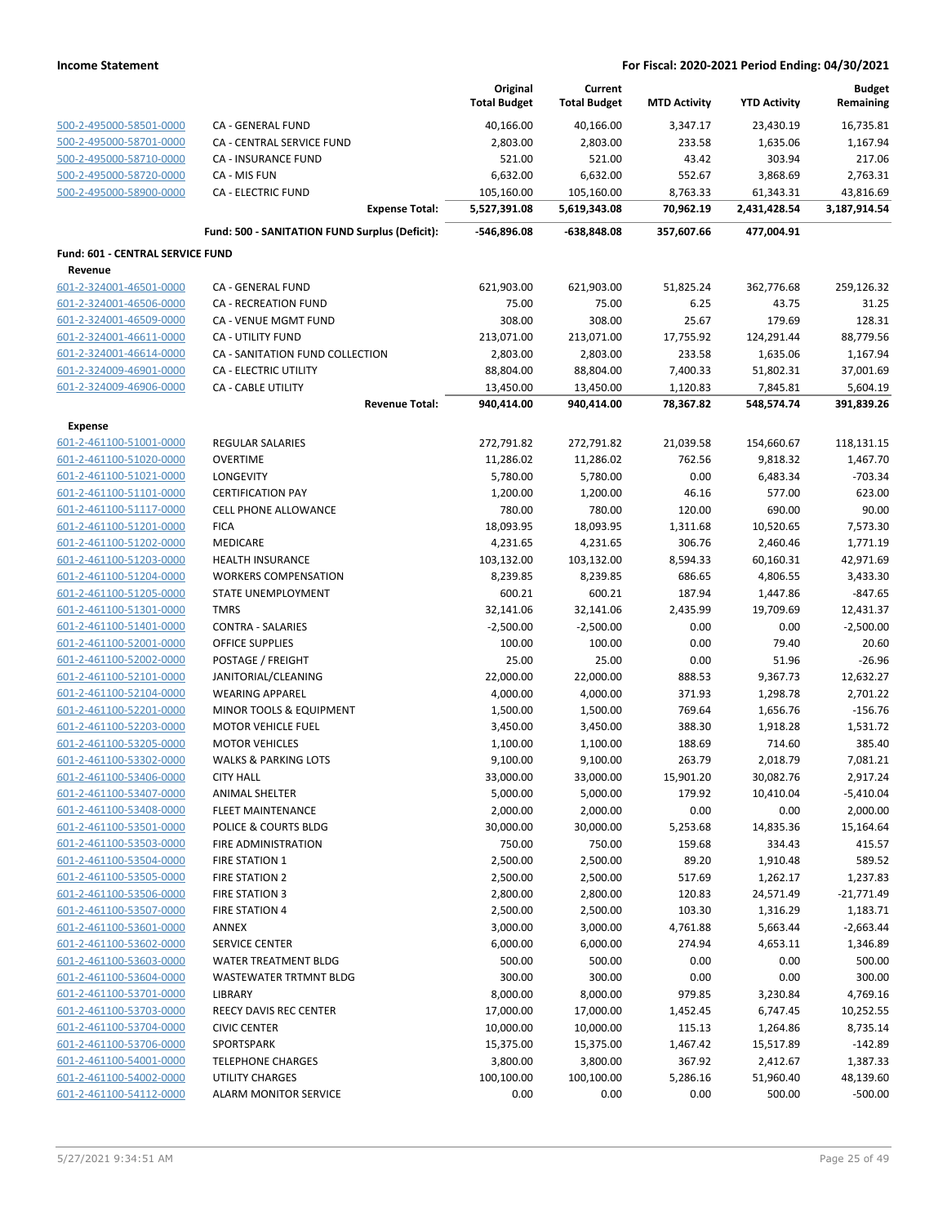|                                                    |                                                | Original<br><b>Total Budget</b> | Current<br><b>Total Budget</b> | <b>MTD Activity</b> | <b>YTD Activity</b>   | <b>Budget</b><br>Remaining |
|----------------------------------------------------|------------------------------------------------|---------------------------------|--------------------------------|---------------------|-----------------------|----------------------------|
| 500-2-495000-58501-0000                            | CA - GENERAL FUND                              | 40,166.00                       | 40,166.00                      | 3,347.17            | 23,430.19             | 16,735.81                  |
| 500-2-495000-58701-0000                            | CA - CENTRAL SERVICE FUND                      | 2,803.00                        | 2,803.00                       | 233.58              | 1,635.06              | 1,167.94                   |
| 500-2-495000-58710-0000                            | <b>CA - INSURANCE FUND</b>                     | 521.00                          | 521.00                         | 43.42               | 303.94                | 217.06                     |
| 500-2-495000-58720-0000                            | CA - MIS FUN                                   | 6,632.00                        | 6,632.00                       | 552.67              | 3,868.69              | 2,763.31                   |
| 500-2-495000-58900-0000                            | <b>CA - ELECTRIC FUND</b>                      | 105,160.00                      | 105,160.00                     | 8,763.33            | 61,343.31             | 43,816.69                  |
|                                                    | <b>Expense Total:</b>                          | 5,527,391.08                    | 5,619,343.08                   | 70,962.19           | 2,431,428.54          | 3,187,914.54               |
|                                                    | Fund: 500 - SANITATION FUND Surplus (Deficit): | -546,896.08                     | -638,848.08                    | 357,607.66          | 477,004.91            |                            |
| Fund: 601 - CENTRAL SERVICE FUND                   |                                                |                                 |                                |                     |                       |                            |
| Revenue                                            |                                                |                                 |                                |                     |                       |                            |
| 601-2-324001-46501-0000                            | <b>CA - GENERAL FUND</b>                       | 621,903.00                      | 621,903.00                     | 51,825.24           | 362,776.68            | 259,126.32                 |
| 601-2-324001-46506-0000                            | <b>CA - RECREATION FUND</b>                    | 75.00                           | 75.00                          | 6.25                | 43.75                 | 31.25                      |
| 601-2-324001-46509-0000                            | CA - VENUE MGMT FUND                           | 308.00                          | 308.00                         | 25.67               | 179.69                | 128.31                     |
| 601-2-324001-46611-0000                            | <b>CA - UTILITY FUND</b>                       | 213,071.00                      | 213,071.00                     | 17,755.92           | 124,291.44            | 88,779.56                  |
| 601-2-324001-46614-0000                            | CA - SANITATION FUND COLLECTION                | 2,803.00                        | 2,803.00                       | 233.58              | 1,635.06              | 1,167.94                   |
| 601-2-324009-46901-0000                            | CA - ELECTRIC UTILITY                          | 88,804.00                       | 88,804.00                      | 7,400.33            | 51,802.31             | 37,001.69                  |
| 601-2-324009-46906-0000                            | <b>CA - CABLE UTILITY</b>                      | 13,450.00                       | 13,450.00                      | 1,120.83            | 7,845.81              | 5,604.19                   |
|                                                    | <b>Revenue Total:</b>                          | 940,414.00                      | 940,414.00                     | 78,367.82           | 548,574.74            | 391,839.26                 |
| <b>Expense</b>                                     |                                                |                                 |                                |                     |                       |                            |
| 601-2-461100-51001-0000                            | <b>REGULAR SALARIES</b>                        | 272,791.82                      | 272,791.82                     | 21,039.58           | 154,660.67            | 118,131.15                 |
| 601-2-461100-51020-0000                            | <b>OVERTIME</b>                                | 11,286.02                       | 11,286.02                      | 762.56              | 9,818.32              | 1,467.70                   |
| 601-2-461100-51021-0000                            | <b>LONGEVITY</b>                               | 5,780.00                        | 5,780.00                       | 0.00                | 6,483.34              | $-703.34$                  |
| 601-2-461100-51101-0000                            | <b>CERTIFICATION PAY</b>                       | 1,200.00                        | 1,200.00                       | 46.16               | 577.00                | 623.00                     |
| 601-2-461100-51117-0000                            | <b>CELL PHONE ALLOWANCE</b>                    | 780.00                          | 780.00                         | 120.00              | 690.00                | 90.00                      |
| 601-2-461100-51201-0000<br>601-2-461100-51202-0000 | <b>FICA</b><br><b>MEDICARE</b>                 | 18,093.95<br>4,231.65           | 18,093.95<br>4,231.65          | 1,311.68<br>306.76  | 10,520.65<br>2,460.46 | 7,573.30                   |
| 601-2-461100-51203-0000                            | <b>HEALTH INSURANCE</b>                        | 103,132.00                      | 103,132.00                     | 8,594.33            | 60,160.31             | 1,771.19<br>42,971.69      |
| 601-2-461100-51204-0000                            | <b>WORKERS COMPENSATION</b>                    | 8,239.85                        | 8,239.85                       | 686.65              | 4,806.55              | 3,433.30                   |
| 601-2-461100-51205-0000                            | STATE UNEMPLOYMENT                             | 600.21                          | 600.21                         | 187.94              | 1,447.86              | $-847.65$                  |
| 601-2-461100-51301-0000                            | <b>TMRS</b>                                    | 32,141.06                       | 32,141.06                      | 2,435.99            | 19,709.69             | 12,431.37                  |
| 601-2-461100-51401-0000                            | <b>CONTRA - SALARIES</b>                       | $-2,500.00$                     | $-2,500.00$                    | 0.00                | 0.00                  | $-2,500.00$                |
| 601-2-461100-52001-0000                            | OFFICE SUPPLIES                                | 100.00                          | 100.00                         | 0.00                | 79.40                 | 20.60                      |
| 601-2-461100-52002-0000                            | POSTAGE / FREIGHT                              | 25.00                           | 25.00                          | 0.00                | 51.96                 | $-26.96$                   |
| 601-2-461100-52101-0000                            | JANITORIAL/CLEANING                            | 22,000.00                       | 22,000.00                      | 888.53              | 9,367.73              | 12,632.27                  |
| 601-2-461100-52104-0000                            | <b>WEARING APPAREL</b>                         | 4,000.00                        | 4,000.00                       | 371.93              | 1,298.78              | 2,701.22                   |
| 601-2-461100-52201-0000                            | MINOR TOOLS & EQUIPMENT                        | 1,500.00                        | 1,500.00                       | 769.64              | 1,656.76              | $-156.76$                  |
| 601-2-461100-52203-0000                            | <b>MOTOR VEHICLE FUEL</b>                      | 3,450.00                        | 3,450.00                       | 388.30              | 1,918.28              | 1,531.72                   |
| 601-2-461100-53205-0000                            | <b>MOTOR VEHICLES</b>                          | 1,100.00                        | 1,100.00                       | 188.69              | 714.60                | 385.40                     |
| 601-2-461100-53302-0000                            | <b>WALKS &amp; PARKING LOTS</b>                | 9,100.00                        | 9,100.00                       | 263.79              | 2,018.79              | 7,081.21                   |
| 601-2-461100-53406-0000                            | <b>CITY HALL</b>                               | 33,000.00                       | 33,000.00                      | 15,901.20           | 30,082.76             | 2,917.24                   |
| 601-2-461100-53407-0000                            | <b>ANIMAL SHELTER</b>                          | 5,000.00                        | 5,000.00                       | 179.92              | 10,410.04             | $-5,410.04$                |
| 601-2-461100-53408-0000                            | <b>FLEET MAINTENANCE</b>                       | 2,000.00                        | 2,000.00                       | 0.00                | 0.00                  | 2,000.00                   |
| 601-2-461100-53501-0000                            | POLICE & COURTS BLDG                           | 30,000.00                       | 30,000.00                      | 5,253.68            | 14,835.36             | 15,164.64                  |
| 601-2-461100-53503-0000                            | FIRE ADMINISTRATION                            | 750.00                          | 750.00                         | 159.68              | 334.43                | 415.57                     |
| 601-2-461100-53504-0000                            | <b>FIRE STATION 1</b>                          | 2,500.00                        | 2,500.00                       | 89.20               | 1,910.48              | 589.52                     |
| 601-2-461100-53505-0000                            | FIRE STATION 2                                 | 2,500.00                        | 2,500.00                       | 517.69              | 1,262.17              | 1,237.83                   |
| 601-2-461100-53506-0000                            | FIRE STATION 3                                 | 2,800.00                        | 2,800.00                       | 120.83              | 24,571.49             | $-21,771.49$               |
| 601-2-461100-53507-0000                            | <b>FIRE STATION 4</b>                          | 2,500.00                        | 2,500.00                       | 103.30              | 1,316.29              | 1,183.71                   |
| 601-2-461100-53601-0000<br>601-2-461100-53602-0000 | <b>ANNEX</b><br>SERVICE CENTER                 | 3,000.00                        | 3,000.00                       | 4,761.88<br>274.94  | 5,663.44              | $-2,663.44$                |
|                                                    |                                                | 6,000.00                        | 6,000.00                       |                     | 4,653.11              | 1,346.89                   |
| 601-2-461100-53603-0000<br>601-2-461100-53604-0000 | WATER TREATMENT BLDG<br>WASTEWATER TRTMNT BLDG | 500.00<br>300.00                | 500.00<br>300.00               | 0.00<br>0.00        | 0.00<br>0.00          | 500.00<br>300.00           |
| 601-2-461100-53701-0000                            | LIBRARY                                        | 8,000.00                        | 8,000.00                       | 979.85              | 3,230.84              | 4,769.16                   |
| 601-2-461100-53703-0000                            | <b>REECY DAVIS REC CENTER</b>                  | 17,000.00                       | 17,000.00                      | 1,452.45            | 6,747.45              | 10,252.55                  |
| 601-2-461100-53704-0000                            | <b>CIVIC CENTER</b>                            | 10,000.00                       | 10,000.00                      | 115.13              | 1,264.86              | 8,735.14                   |
| 601-2-461100-53706-0000                            | SPORTSPARK                                     | 15,375.00                       | 15,375.00                      | 1,467.42            | 15,517.89             | $-142.89$                  |
| 601-2-461100-54001-0000                            | <b>TELEPHONE CHARGES</b>                       | 3,800.00                        | 3,800.00                       | 367.92              | 2,412.67              | 1,387.33                   |
| 601-2-461100-54002-0000                            | <b>UTILITY CHARGES</b>                         | 100,100.00                      | 100,100.00                     | 5,286.16            | 51,960.40             | 48,139.60                  |
| 601-2-461100-54112-0000                            | <b>ALARM MONITOR SERVICE</b>                   | 0.00                            | 0.00                           | 0.00                | 500.00                | $-500.00$                  |
|                                                    |                                                |                                 |                                |                     |                       |                            |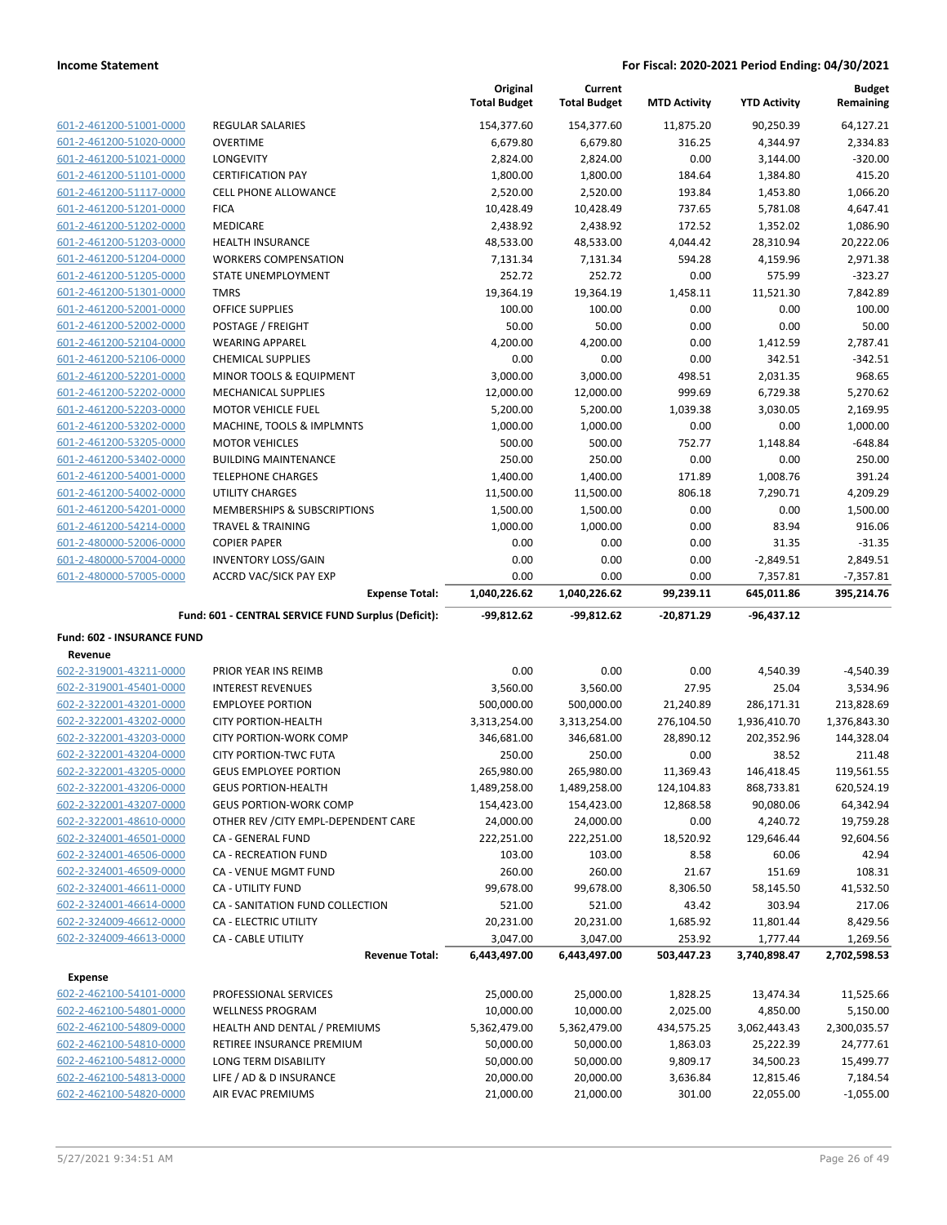|                                                    |                                                     | Original<br><b>Total Budget</b> | Current<br><b>Total Budget</b> | <b>MTD Activity</b> | <b>YTD Activity</b>    | <b>Budget</b><br>Remaining |
|----------------------------------------------------|-----------------------------------------------------|---------------------------------|--------------------------------|---------------------|------------------------|----------------------------|
| 601-2-461200-51001-0000                            | <b>REGULAR SALARIES</b>                             | 154,377.60                      | 154,377.60                     | 11,875.20           | 90,250.39              | 64,127.21                  |
| 601-2-461200-51020-0000                            | <b>OVERTIME</b>                                     | 6,679.80                        | 6,679.80                       | 316.25              | 4,344.97               | 2,334.83                   |
| 601-2-461200-51021-0000                            | <b>LONGEVITY</b>                                    | 2,824.00                        | 2,824.00                       | 0.00                | 3,144.00               | $-320.00$                  |
| 601-2-461200-51101-0000                            | <b>CERTIFICATION PAY</b>                            | 1,800.00                        | 1,800.00                       | 184.64              | 1,384.80               | 415.20                     |
| 601-2-461200-51117-0000                            | <b>CELL PHONE ALLOWANCE</b>                         | 2,520.00                        | 2,520.00                       | 193.84              | 1,453.80               | 1,066.20                   |
| 601-2-461200-51201-0000                            | <b>FICA</b>                                         | 10,428.49                       | 10,428.49                      | 737.65              | 5,781.08               | 4,647.41                   |
| 601-2-461200-51202-0000                            | MEDICARE                                            | 2,438.92                        | 2,438.92                       | 172.52              | 1,352.02               | 1,086.90                   |
| 601-2-461200-51203-0000                            | <b>HEALTH INSURANCE</b>                             | 48,533.00                       | 48,533.00                      | 4,044.42            | 28,310.94              | 20,222.06                  |
| 601-2-461200-51204-0000                            | <b>WORKERS COMPENSATION</b>                         | 7,131.34                        | 7,131.34                       | 594.28              | 4,159.96               | 2,971.38                   |
| 601-2-461200-51205-0000                            | STATE UNEMPLOYMENT                                  | 252.72                          | 252.72                         | 0.00                | 575.99                 | $-323.27$                  |
| 601-2-461200-51301-0000                            | <b>TMRS</b>                                         | 19,364.19                       | 19,364.19                      | 1,458.11            | 11,521.30              | 7,842.89                   |
| 601-2-461200-52001-0000                            | <b>OFFICE SUPPLIES</b>                              | 100.00                          | 100.00                         | 0.00                | 0.00                   | 100.00                     |
| 601-2-461200-52002-0000                            | POSTAGE / FREIGHT                                   | 50.00                           | 50.00                          | 0.00                | 0.00                   | 50.00                      |
| 601-2-461200-52104-0000                            | <b>WEARING APPAREL</b>                              | 4,200.00                        | 4,200.00                       | 0.00                | 1,412.59               | 2,787.41                   |
| 601-2-461200-52106-0000                            | <b>CHEMICAL SUPPLIES</b>                            | 0.00                            | 0.00                           | 0.00                | 342.51                 | $-342.51$                  |
| 601-2-461200-52201-0000                            | MINOR TOOLS & EQUIPMENT                             | 3,000.00                        | 3,000.00                       | 498.51              | 2,031.35               | 968.65                     |
| 601-2-461200-52202-0000                            | MECHANICAL SUPPLIES                                 | 12,000.00                       | 12,000.00                      | 999.69              | 6,729.38               | 5,270.62                   |
| 601-2-461200-52203-0000                            | <b>MOTOR VEHICLE FUEL</b>                           | 5,200.00                        | 5,200.00                       | 1,039.38            | 3,030.05               | 2,169.95                   |
| 601-2-461200-53202-0000                            | MACHINE, TOOLS & IMPLMNTS                           | 1,000.00                        | 1,000.00                       | 0.00                | 0.00                   | 1,000.00                   |
| 601-2-461200-53205-0000                            | <b>MOTOR VEHICLES</b>                               | 500.00                          | 500.00                         | 752.77              | 1,148.84               | $-648.84$                  |
| 601-2-461200-53402-0000                            | <b>BUILDING MAINTENANCE</b>                         | 250.00                          | 250.00                         | 0.00                | 0.00                   | 250.00                     |
| 601-2-461200-54001-0000                            | <b>TELEPHONE CHARGES</b>                            | 1,400.00                        | 1,400.00                       | 171.89              | 1,008.76               | 391.24                     |
| 601-2-461200-54002-0000                            | <b>UTILITY CHARGES</b>                              | 11,500.00                       | 11,500.00                      | 806.18              | 7,290.71               | 4,209.29                   |
| 601-2-461200-54201-0000                            | <b>MEMBERSHIPS &amp; SUBSCRIPTIONS</b>              | 1,500.00                        | 1,500.00                       | 0.00                | 0.00                   | 1,500.00                   |
| 601-2-461200-54214-0000                            | <b>TRAVEL &amp; TRAINING</b>                        | 1,000.00                        | 1,000.00                       | 0.00                | 83.94                  | 916.06                     |
| 601-2-480000-52006-0000                            | <b>COPIER PAPER</b>                                 | 0.00                            | 0.00                           | 0.00                | 31.35                  | $-31.35$                   |
| 601-2-480000-57004-0000                            | <b>INVENTORY LOSS/GAIN</b>                          | 0.00                            | 0.00                           | 0.00                | $-2,849.51$            | 2,849.51                   |
| 601-2-480000-57005-0000                            | <b>ACCRD VAC/SICK PAY EXP</b>                       | 0.00                            | 0.00                           | 0.00                | 7,357.81               | $-7,357.81$                |
|                                                    | <b>Expense Total:</b>                               | 1,040,226.62                    | 1,040,226.62                   | 99,239.11           | 645,011.86             | 395,214.76                 |
|                                                    | Fund: 601 - CENTRAL SERVICE FUND Surplus (Deficit): | $-99,812.62$                    | -99,812.62                     | -20,871.29          | $-96,437.12$           |                            |
| Fund: 602 - INSURANCE FUND                         |                                                     |                                 |                                |                     |                        |                            |
| Revenue                                            |                                                     |                                 |                                |                     |                        |                            |
| 602-2-319001-43211-0000                            | PRIOR YEAR INS REIMB                                | 0.00                            | 0.00                           | 0.00                | 4,540.39               | $-4,540.39$                |
| 602-2-319001-45401-0000                            | <b>INTEREST REVENUES</b>                            | 3,560.00                        | 3,560.00                       | 27.95               | 25.04                  | 3,534.96                   |
| 602-2-322001-43201-0000                            | <b>EMPLOYEE PORTION</b>                             | 500,000.00                      | 500,000.00                     | 21,240.89           | 286,171.31             | 213,828.69                 |
| 602-2-322001-43202-0000                            | <b>CITY PORTION-HEALTH</b>                          | 3,313,254.00                    | 3,313,254.00                   | 276,104.50          | 1,936,410.70           | 1,376,843.30               |
| 602-2-322001-43203-0000                            | <b>CITY PORTION-WORK COMP</b>                       | 346,681.00                      | 346,681.00                     | 28,890.12           | 202,352.96             | 144,328.04                 |
| 602-2-322001-43204-0000                            | <b>CITY PORTION-TWC FUTA</b>                        | 250.00                          | 250.00                         | 0.00                | 38.52                  | 211.48                     |
| 602-2-322001-43205-0000                            | <b>GEUS EMPLOYEE PORTION</b>                        | 265,980.00                      | 265,980.00                     | 11,369.43           | 146,418.45             | 119,561.55                 |
| 602-2-322001-43206-0000                            | <b>GEUS PORTION-HEALTH</b>                          | 1,489,258.00                    | 1,489,258.00                   | 124,104.83          | 868,733.81             | 620,524.19                 |
| 602-2-322001-43207-0000                            | <b>GEUS PORTION-WORK COMP</b>                       | 154,423.00                      | 154,423.00                     | 12,868.58           | 90,080.06              | 64,342.94                  |
| 602-2-322001-48610-0000                            | OTHER REV / CITY EMPL-DEPENDENT CARE                | 24,000.00                       | 24,000.00                      | 0.00                | 4,240.72               | 19,759.28                  |
| 602-2-324001-46501-0000                            | CA - GENERAL FUND                                   | 222,251.00                      | 222,251.00                     | 18,520.92           | 129,646.44             | 92,604.56                  |
| 602-2-324001-46506-0000                            | <b>CA - RECREATION FUND</b>                         | 103.00                          | 103.00                         | 8.58                | 60.06                  | 42.94                      |
| 602-2-324001-46509-0000                            | CA - VENUE MGMT FUND                                | 260.00                          | 260.00                         | 21.67               | 151.69                 | 108.31                     |
| 602-2-324001-46611-0000                            | CA - UTILITY FUND                                   | 99,678.00                       | 99,678.00                      | 8,306.50            | 58,145.50              | 41,532.50                  |
| 602-2-324001-46614-0000                            | CA - SANITATION FUND COLLECTION                     | 521.00                          | 521.00                         | 43.42               | 303.94                 | 217.06                     |
| 602-2-324009-46612-0000                            | CA - ELECTRIC UTILITY                               | 20,231.00                       | 20,231.00                      | 1,685.92            | 11,801.44              | 8,429.56                   |
| 602-2-324009-46613-0000                            | CA - CABLE UTILITY                                  | 3,047.00                        | 3,047.00                       | 253.92              | 1,777.44               | 1,269.56                   |
|                                                    |                                                     |                                 |                                |                     |                        |                            |
|                                                    | <b>Revenue Total:</b>                               | 6,443,497.00                    | 6,443,497.00                   | 503,447.23          | 3,740,898.47           | 2,702,598.53               |
| <b>Expense</b>                                     |                                                     |                                 |                                |                     |                        |                            |
| 602-2-462100-54101-0000                            | PROFESSIONAL SERVICES                               | 25,000.00                       | 25,000.00                      | 1,828.25            | 13,474.34              | 11,525.66                  |
| 602-2-462100-54801-0000                            | <b>WELLNESS PROGRAM</b>                             | 10,000.00                       | 10,000.00                      | 2,025.00            | 4,850.00               | 5,150.00                   |
| 602-2-462100-54809-0000                            | HEALTH AND DENTAL / PREMIUMS                        | 5,362,479.00                    | 5,362,479.00                   | 434,575.25          | 3,062,443.43           | 2,300,035.57               |
| 602-2-462100-54810-0000                            | RETIREE INSURANCE PREMIUM                           | 50,000.00                       | 50,000.00                      | 1,863.03            | 25,222.39              | 24,777.61                  |
| 602-2-462100-54812-0000                            | LONG TERM DISABILITY                                | 50,000.00                       | 50,000.00                      | 9,809.17            | 34,500.23              | 15,499.77                  |
| 602-2-462100-54813-0000<br>602-2-462100-54820-0000 | LIFE / AD & D INSURANCE                             | 20,000.00                       | 20,000.00                      | 3,636.84            | 12,815.46<br>22,055.00 | 7,184.54                   |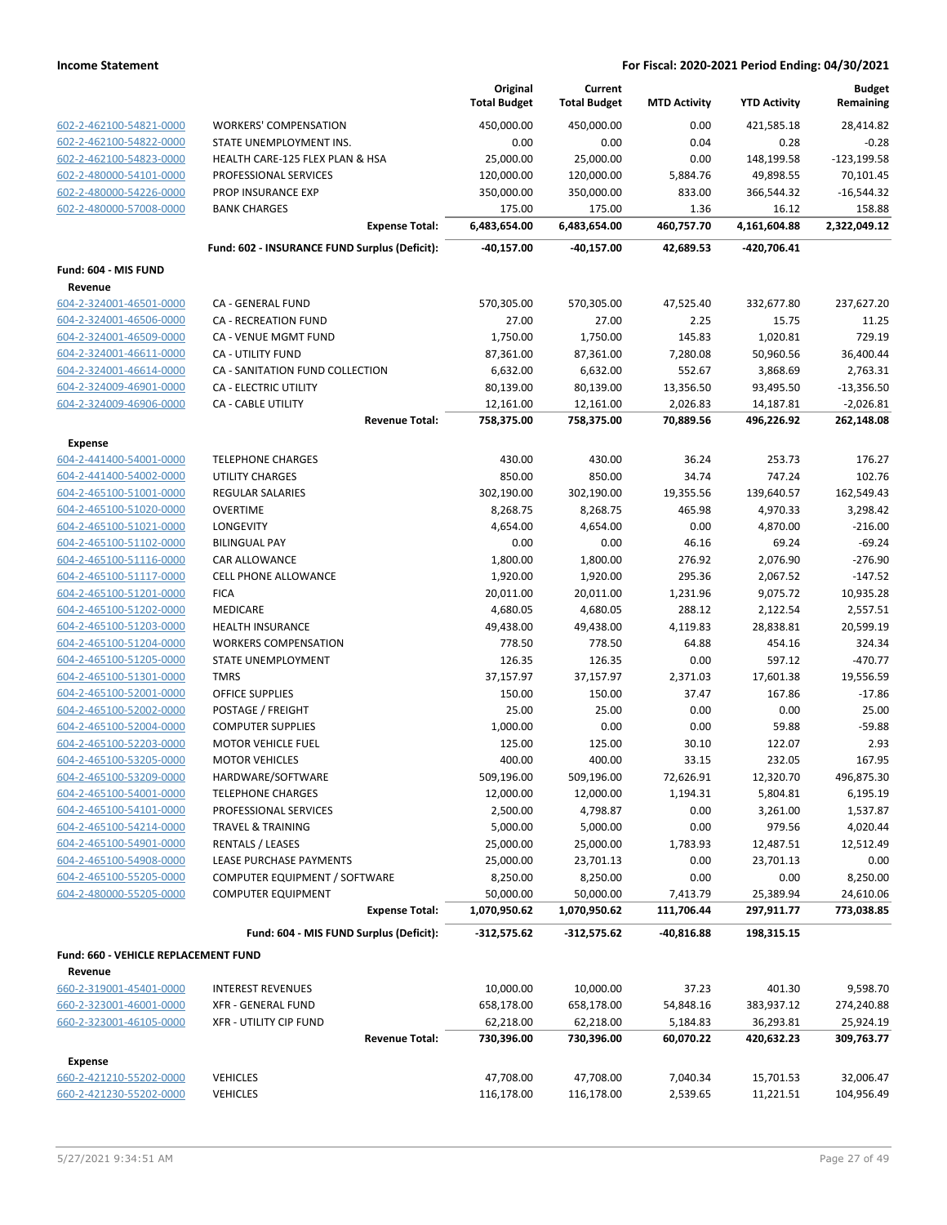|                                                    |                                                          | Original<br><b>Total Budget</b> | Current<br><b>Total Budget</b> | <b>MTD Activity</b>    | <b>YTD Activity</b>     | <b>Budget</b><br>Remaining |
|----------------------------------------------------|----------------------------------------------------------|---------------------------------|--------------------------------|------------------------|-------------------------|----------------------------|
| 602-2-462100-54821-0000                            | <b>WORKERS' COMPENSATION</b>                             | 450.000.00                      | 450,000.00                     | 0.00                   | 421,585.18              | 28,414.82                  |
| 602-2-462100-54822-0000                            | STATE UNEMPLOYMENT INS.                                  | 0.00                            | 0.00                           | 0.04                   | 0.28                    | $-0.28$                    |
| 602-2-462100-54823-0000                            | HEALTH CARE-125 FLEX PLAN & HSA                          | 25,000.00                       | 25,000.00                      | 0.00                   | 148,199.58              | $-123, 199.58$             |
| 602-2-480000-54101-0000                            | PROFESSIONAL SERVICES                                    | 120,000.00                      | 120,000.00                     | 5,884.76               | 49,898.55               | 70,101.45                  |
| 602-2-480000-54226-0000                            | PROP INSURANCE EXP                                       | 350,000.00                      | 350,000.00                     | 833.00                 | 366,544.32              | $-16,544.32$               |
| 602-2-480000-57008-0000                            | <b>BANK CHARGES</b>                                      | 175.00                          | 175.00                         | 1.36                   | 16.12                   | 158.88                     |
|                                                    | <b>Expense Total:</b>                                    | 6,483,654.00                    | 6,483,654.00                   | 460,757.70             | 4,161,604.88            | 2,322,049.12               |
|                                                    | Fund: 602 - INSURANCE FUND Surplus (Deficit):            | -40,157.00                      | -40,157.00                     | 42,689.53              | -420,706.41             |                            |
| Fund: 604 - MIS FUND                               |                                                          |                                 |                                |                        |                         |                            |
| Revenue                                            | CA - GENERAL FUND                                        |                                 |                                |                        |                         |                            |
| 604-2-324001-46501-0000<br>604-2-324001-46506-0000 | CA - RECREATION FUND                                     | 570,305.00<br>27.00             | 570,305.00<br>27.00            | 47,525.40<br>2.25      | 332,677.80<br>15.75     | 237,627.20<br>11.25        |
| 604-2-324001-46509-0000                            | CA - VENUE MGMT FUND                                     | 1,750.00                        | 1,750.00                       | 145.83                 | 1,020.81                | 729.19                     |
| 604-2-324001-46611-0000                            | <b>CA - UTILITY FUND</b>                                 | 87,361.00                       | 87,361.00                      | 7,280.08               | 50,960.56               | 36,400.44                  |
| 604-2-324001-46614-0000                            | CA - SANITATION FUND COLLECTION                          | 6,632.00                        | 6,632.00                       | 552.67                 | 3,868.69                | 2,763.31                   |
| 604-2-324009-46901-0000                            | CA - ELECTRIC UTILITY                                    | 80,139.00                       | 80,139.00                      | 13,356.50              | 93,495.50               | $-13,356.50$               |
| 604-2-324009-46906-0000                            | <b>CA - CABLE UTILITY</b>                                | 12,161.00                       | 12,161.00                      | 2,026.83               | 14,187.81               | $-2,026.81$                |
|                                                    | <b>Revenue Total:</b>                                    | 758,375.00                      | 758,375.00                     | 70,889.56              | 496,226.92              | 262,148.08                 |
| <b>Expense</b>                                     |                                                          |                                 |                                |                        |                         |                            |
| 604-2-441400-54001-0000                            | <b>TELEPHONE CHARGES</b>                                 | 430.00                          | 430.00                         | 36.24                  | 253.73                  | 176.27                     |
| 604-2-441400-54002-0000                            | <b>UTILITY CHARGES</b>                                   | 850.00                          | 850.00                         | 34.74                  | 747.24                  | 102.76                     |
| 604-2-465100-51001-0000                            | <b>REGULAR SALARIES</b>                                  | 302,190.00                      | 302,190.00                     | 19,355.56              | 139,640.57              | 162,549.43                 |
| 604-2-465100-51020-0000                            | <b>OVERTIME</b>                                          | 8,268.75                        | 8,268.75                       | 465.98                 | 4,970.33                | 3,298.42                   |
| 604-2-465100-51021-0000                            | LONGEVITY                                                | 4,654.00                        | 4,654.00                       | 0.00                   | 4,870.00                | $-216.00$                  |
| 604-2-465100-51102-0000                            | <b>BILINGUAL PAY</b>                                     | 0.00                            | 0.00                           | 46.16                  | 69.24                   | $-69.24$                   |
| 604-2-465100-51116-0000                            | CAR ALLOWANCE                                            | 1,800.00                        | 1,800.00                       | 276.92                 | 2,076.90                | $-276.90$                  |
| 604-2-465100-51117-0000                            | <b>CELL PHONE ALLOWANCE</b>                              | 1,920.00                        | 1,920.00                       | 295.36                 | 2,067.52                | $-147.52$                  |
| 604-2-465100-51201-0000                            | <b>FICA</b>                                              | 20,011.00                       | 20,011.00                      | 1,231.96               | 9,075.72                | 10,935.28                  |
| 604-2-465100-51202-0000                            | MEDICARE                                                 | 4,680.05                        | 4,680.05                       | 288.12                 | 2,122.54                | 2,557.51                   |
| 604-2-465100-51203-0000                            | HEALTH INSURANCE                                         | 49,438.00                       | 49,438.00                      | 4,119.83               | 28,838.81               | 20,599.19                  |
| 604-2-465100-51204-0000                            | <b>WORKERS COMPENSATION</b>                              | 778.50                          | 778.50                         | 64.88                  | 454.16                  | 324.34                     |
| 604-2-465100-51205-0000                            | STATE UNEMPLOYMENT                                       | 126.35                          | 126.35                         | 0.00                   | 597.12                  | $-470.77$                  |
| 604-2-465100-51301-0000                            | <b>TMRS</b>                                              | 37,157.97                       | 37,157.97                      | 2,371.03               | 17,601.38               | 19,556.59                  |
| 604-2-465100-52001-0000                            | <b>OFFICE SUPPLIES</b>                                   | 150.00                          | 150.00                         | 37.47                  | 167.86                  | $-17.86$                   |
| 604-2-465100-52002-0000                            | POSTAGE / FREIGHT                                        | 25.00                           | 25.00                          | 0.00                   | 0.00                    | 25.00                      |
| 604-2-465100-52004-0000                            | <b>COMPUTER SUPPLIES</b>                                 | 1,000.00                        | 0.00                           | 0.00                   | 59.88                   | $-59.88$                   |
| 604-2-465100-52203-0000                            | <b>MOTOR VEHICLE FUEL</b>                                | 125.00                          | 125.00                         | 30.10                  | 122.07                  | 2.93                       |
| 604-2-465100-53205-0000                            | <b>MOTOR VEHICLES</b>                                    | 400.00                          | 400.00                         | 33.15                  | 232.05                  | 167.95                     |
| 604-2-465100-53209-0000                            | HARDWARE/SOFTWARE                                        | 509,196.00                      | 509,196.00                     | 72,626.91              | 12,320.70               | 496,875.30                 |
| 604-2-465100-54001-0000                            | <b>TELEPHONE CHARGES</b>                                 | 12,000.00                       | 12,000.00                      | 1,194.31               | 5,804.81                | 6,195.19                   |
| 604-2-465100-54101-0000                            | PROFESSIONAL SERVICES                                    | 2,500.00                        | 4,798.87                       | 0.00                   | 3,261.00                | 1,537.87                   |
| 604-2-465100-54214-0000                            | <b>TRAVEL &amp; TRAINING</b>                             | 5,000.00                        | 5,000.00                       | 0.00                   | 979.56                  | 4,020.44                   |
| 604-2-465100-54901-0000                            | <b>RENTALS / LEASES</b>                                  | 25,000.00                       | 25,000.00                      | 1,783.93               | 12,487.51               | 12,512.49                  |
| 604-2-465100-54908-0000                            | LEASE PURCHASE PAYMENTS<br>COMPUTER EQUIPMENT / SOFTWARE | 25,000.00                       | 23,701.13                      | 0.00                   | 23,701.13               | 0.00                       |
| 604-2-465100-55205-0000<br>604-2-480000-55205-0000 |                                                          | 8,250.00<br>50,000.00           | 8,250.00<br>50,000.00          | 0.00                   | 0.00                    | 8,250.00<br>24,610.06      |
|                                                    | <b>COMPUTER EQUIPMENT</b><br><b>Expense Total:</b>       | 1,070,950.62                    | 1,070,950.62                   | 7,413.79<br>111,706.44 | 25,389.94<br>297,911.77 | 773,038.85                 |
|                                                    | Fund: 604 - MIS FUND Surplus (Deficit):                  | $-312,575.62$                   | $-312,575.62$                  | $-40,816.88$           | 198,315.15              |                            |
| Fund: 660 - VEHICLE REPLACEMENT FUND               |                                                          |                                 |                                |                        |                         |                            |
| Revenue                                            |                                                          |                                 |                                |                        |                         |                            |
| 660-2-319001-45401-0000                            | <b>INTEREST REVENUES</b>                                 | 10,000.00                       | 10,000.00                      | 37.23                  | 401.30                  | 9,598.70                   |
| 660-2-323001-46001-0000                            | XFR - GENERAL FUND                                       | 658,178.00                      | 658,178.00                     | 54,848.16              | 383,937.12              | 274,240.88                 |
| 660-2-323001-46105-0000                            | <b>XFR - UTILITY CIP FUND</b>                            | 62,218.00                       | 62,218.00                      | 5,184.83               | 36,293.81               | 25,924.19                  |
|                                                    | <b>Revenue Total:</b>                                    | 730,396.00                      | 730,396.00                     | 60,070.22              | 420,632.23              | 309,763.77                 |
| <b>Expense</b>                                     |                                                          |                                 |                                |                        |                         |                            |
| 660-2-421210-55202-0000                            | <b>VEHICLES</b>                                          | 47,708.00                       | 47,708.00                      | 7,040.34               | 15,701.53               | 32,006.47                  |
| 660-2-421230-55202-0000                            | <b>VEHICLES</b>                                          | 116,178.00                      | 116,178.00                     | 2,539.65               | 11,221.51               | 104,956.49                 |
|                                                    |                                                          |                                 |                                |                        |                         |                            |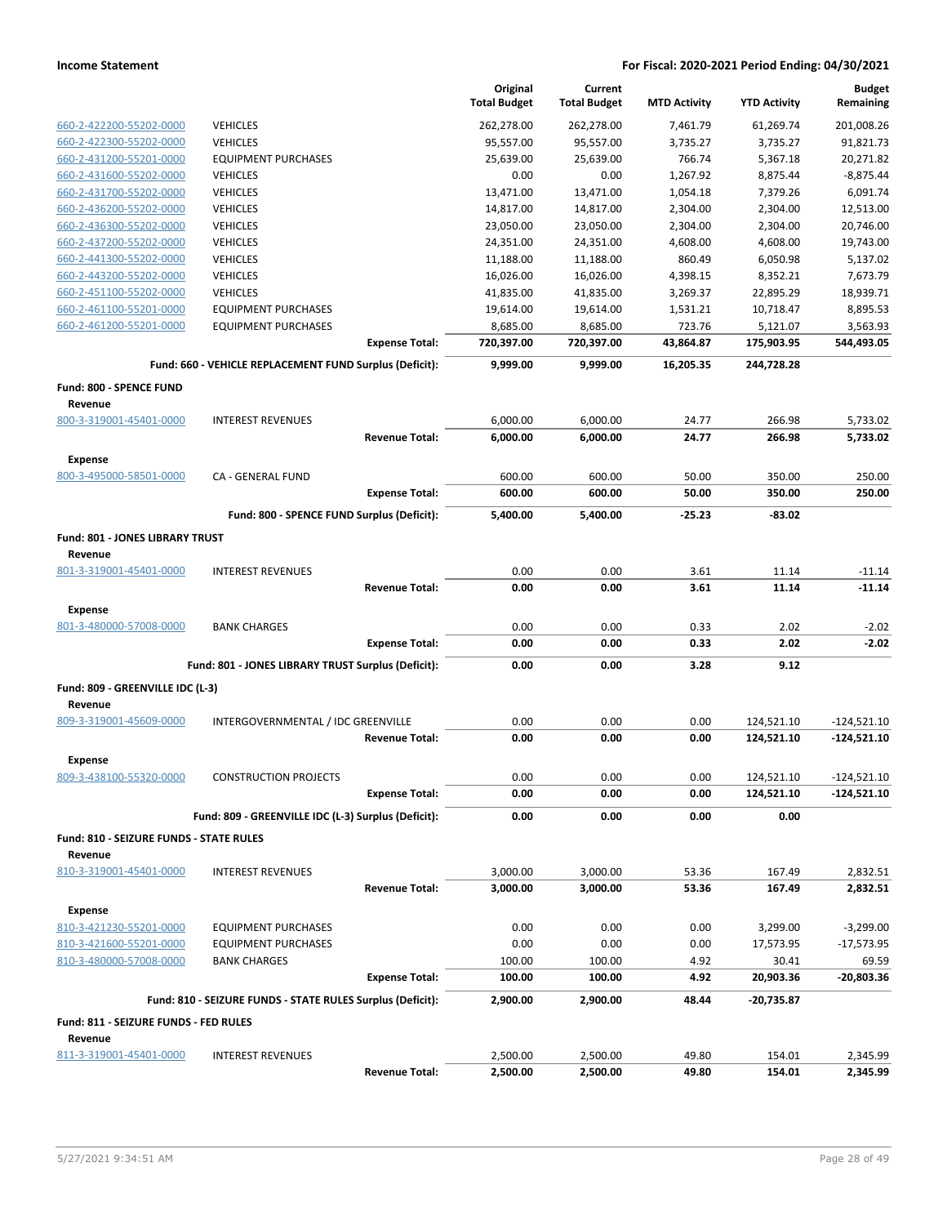|                                                |                                                            |                       | Original<br><b>Total Budget</b> | Current<br><b>Total Budget</b> | <b>MTD Activity</b> | <b>YTD Activity</b> | <b>Budget</b><br>Remaining |
|------------------------------------------------|------------------------------------------------------------|-----------------------|---------------------------------|--------------------------------|---------------------|---------------------|----------------------------|
| 660-2-422200-55202-0000                        | <b>VEHICLES</b>                                            |                       | 262,278.00                      | 262,278.00                     | 7,461.79            | 61,269.74           | 201,008.26                 |
| 660-2-422300-55202-0000                        | <b>VEHICLES</b>                                            |                       | 95,557.00                       | 95,557.00                      | 3,735.27            | 3,735.27            | 91,821.73                  |
| 660-2-431200-55201-0000                        | <b>EQUIPMENT PURCHASES</b>                                 |                       | 25,639.00                       | 25,639.00                      | 766.74              | 5,367.18            | 20,271.82                  |
| 660-2-431600-55202-0000                        | <b>VEHICLES</b>                                            |                       | 0.00                            | 0.00                           | 1,267.92            | 8,875.44            | $-8,875.44$                |
| 660-2-431700-55202-0000                        | <b>VEHICLES</b>                                            |                       | 13,471.00                       | 13,471.00                      | 1,054.18            | 7,379.26            | 6,091.74                   |
| 660-2-436200-55202-0000                        | <b>VEHICLES</b>                                            |                       | 14,817.00                       | 14,817.00                      | 2,304.00            | 2,304.00            | 12,513.00                  |
| 660-2-436300-55202-0000                        | <b>VEHICLES</b>                                            |                       | 23,050.00                       | 23,050.00                      | 2,304.00            | 2,304.00            | 20,746.00                  |
| 660-2-437200-55202-0000                        | <b>VEHICLES</b>                                            |                       | 24,351.00                       | 24,351.00                      | 4,608.00            | 4,608.00            | 19,743.00                  |
| 660-2-441300-55202-0000                        | <b>VEHICLES</b>                                            |                       | 11,188.00                       | 11,188.00                      | 860.49              | 6,050.98            | 5,137.02                   |
| 660-2-443200-55202-0000                        | <b>VEHICLES</b>                                            |                       | 16,026.00                       | 16,026.00                      | 4,398.15            | 8,352.21            | 7,673.79                   |
| 660-2-451100-55202-0000                        | <b>VEHICLES</b>                                            |                       | 41,835.00                       | 41,835.00                      | 3,269.37            | 22,895.29           | 18,939.71                  |
| 660-2-461100-55201-0000                        | <b>EQUIPMENT PURCHASES</b>                                 |                       | 19,614.00                       | 19,614.00                      | 1,531.21            | 10,718.47           | 8,895.53                   |
| 660-2-461200-55201-0000                        | <b>EQUIPMENT PURCHASES</b>                                 |                       | 8,685.00                        | 8,685.00                       | 723.76              | 5,121.07            | 3,563.93                   |
|                                                |                                                            | <b>Expense Total:</b> | 720,397.00                      | 720,397.00                     | 43,864.87           | 175,903.95          | 544,493.05                 |
|                                                | Fund: 660 - VEHICLE REPLACEMENT FUND Surplus (Deficit):    |                       | 9,999.00                        | 9,999.00                       | 16,205.35           | 244,728.28          |                            |
| Fund: 800 - SPENCE FUND                        |                                                            |                       |                                 |                                |                     |                     |                            |
| Revenue<br>800-3-319001-45401-0000             | <b>INTEREST REVENUES</b>                                   |                       | 6,000.00                        | 6,000.00                       | 24.77               | 266.98              | 5,733.02                   |
|                                                |                                                            | <b>Revenue Total:</b> | 6,000.00                        | 6,000.00                       | 24.77               | 266.98              | 5,733.02                   |
| <b>Expense</b>                                 |                                                            |                       |                                 |                                |                     |                     |                            |
| 800-3-495000-58501-0000                        | <b>CA - GENERAL FUND</b>                                   |                       | 600.00                          | 600.00                         | 50.00               | 350.00              | 250.00                     |
|                                                |                                                            | <b>Expense Total:</b> | 600.00                          | 600.00                         | 50.00               | 350.00              | 250.00                     |
|                                                | Fund: 800 - SPENCE FUND Surplus (Deficit):                 |                       | 5,400.00                        | 5,400.00                       | $-25.23$            | $-83.02$            |                            |
| Fund: 801 - JONES LIBRARY TRUST<br>Revenue     |                                                            |                       |                                 |                                |                     |                     |                            |
| 801-3-319001-45401-0000                        | <b>INTEREST REVENUES</b>                                   |                       | 0.00                            | 0.00                           | 3.61                | 11.14               | $-11.14$                   |
|                                                |                                                            | <b>Revenue Total:</b> | 0.00                            | 0.00                           | 3.61                | 11.14               | $-11.14$                   |
| <b>Expense</b>                                 |                                                            |                       |                                 |                                |                     |                     |                            |
| 801-3-480000-57008-0000                        | <b>BANK CHARGES</b>                                        |                       | 0.00                            | 0.00                           | 0.33                | 2.02                | $-2.02$                    |
|                                                |                                                            | <b>Expense Total:</b> | 0.00                            | 0.00                           | 0.33                | 2.02                | $-2.02$                    |
|                                                | Fund: 801 - JONES LIBRARY TRUST Surplus (Deficit):         |                       | 0.00                            | 0.00                           | 3.28                | 9.12                |                            |
| Fund: 809 - GREENVILLE IDC (L-3)               |                                                            |                       |                                 |                                |                     |                     |                            |
| Revenue<br>809-3-319001-45609-0000             | INTERGOVERNMENTAL / IDC GREENVILLE                         |                       | 0.00                            | 0.00                           | 0.00                | 124,521.10          | $-124,521.10$              |
|                                                |                                                            | <b>Revenue Total:</b> | 0.00                            | 0.00                           | 0.00                | 124,521.10          | $-124,521.10$              |
| <b>Expense</b>                                 |                                                            |                       |                                 |                                |                     |                     |                            |
| 809-3-438100-55320-0000                        | <b>CONSTRUCTION PROJECTS</b>                               |                       | 0.00                            | 0.00                           | 0.00                | 124,521.10          | $-124,521.10$              |
|                                                |                                                            | <b>Expense Total:</b> | 0.00                            | 0.00                           | 0.00                | 124,521.10          | $-124,521.10$              |
|                                                | Fund: 809 - GREENVILLE IDC (L-3) Surplus (Deficit):        |                       | 0.00                            | 0.00                           | 0.00                | 0.00                |                            |
| <b>Fund: 810 - SEIZURE FUNDS - STATE RULES</b> |                                                            |                       |                                 |                                |                     |                     |                            |
| Revenue<br>810-3-319001-45401-0000             | <b>INTEREST REVENUES</b>                                   |                       | 3,000.00                        | 3,000.00                       | 53.36               | 167.49              | 2,832.51                   |
|                                                |                                                            | <b>Revenue Total:</b> | 3,000.00                        | 3,000.00                       | 53.36               | 167.49              | 2,832.51                   |
| <b>Expense</b>                                 |                                                            |                       |                                 |                                |                     |                     |                            |
| 810-3-421230-55201-0000                        | <b>EQUIPMENT PURCHASES</b>                                 |                       | 0.00                            | 0.00                           | 0.00                | 3,299.00            | $-3,299.00$                |
| 810-3-421600-55201-0000                        | <b>EQUIPMENT PURCHASES</b>                                 |                       | 0.00                            | 0.00                           | 0.00                | 17,573.95           | $-17,573.95$               |
| 810-3-480000-57008-0000                        | <b>BANK CHARGES</b>                                        |                       | 100.00                          | 100.00                         | 4.92                | 30.41               | 69.59                      |
|                                                |                                                            | <b>Expense Total:</b> | 100.00                          | 100.00                         | 4.92                | 20,903.36           | -20,803.36                 |
|                                                | Fund: 810 - SEIZURE FUNDS - STATE RULES Surplus (Deficit): |                       | 2,900.00                        | 2,900.00                       | 48.44               | -20,735.87          |                            |
| Fund: 811 - SEIZURE FUNDS - FED RULES          |                                                            |                       |                                 |                                |                     |                     |                            |
| Revenue<br>811-3-319001-45401-0000             | <b>INTEREST REVENUES</b>                                   |                       | 2,500.00                        | 2,500.00                       | 49.80               | 154.01              | 2,345.99                   |
|                                                |                                                            | <b>Revenue Total:</b> | 2,500.00                        | 2,500.00                       | 49.80               | 154.01              | 2,345.99                   |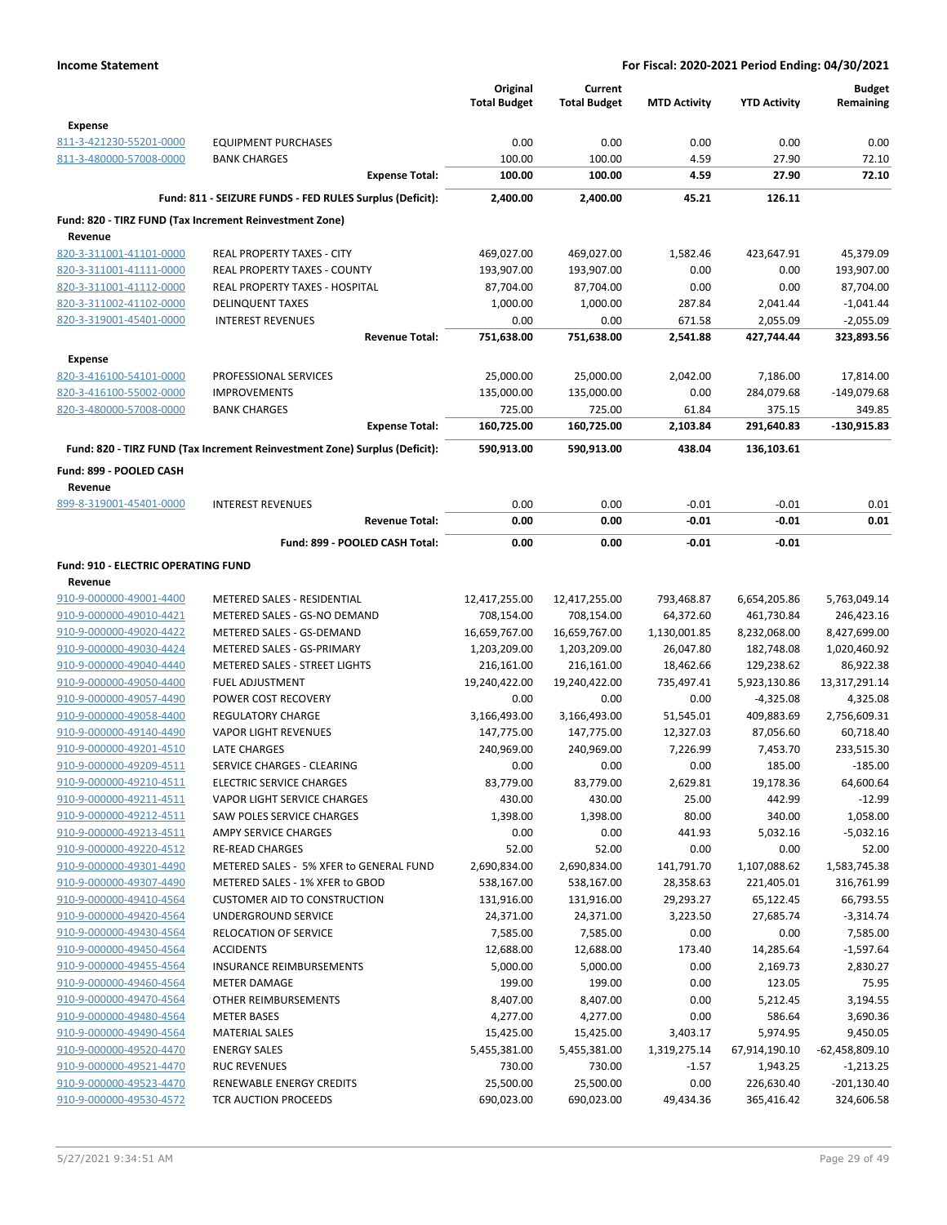|                                                    |                                                                            | Original<br><b>Total Budget</b> | Current<br><b>Total Budget</b> | <b>MTD Activity</b>   | <b>YTD Activity</b>    | <b>Budget</b><br>Remaining |
|----------------------------------------------------|----------------------------------------------------------------------------|---------------------------------|--------------------------------|-----------------------|------------------------|----------------------------|
| <b>Expense</b>                                     |                                                                            |                                 |                                |                       |                        |                            |
| 811-3-421230-55201-0000                            | <b>EQUIPMENT PURCHASES</b>                                                 | 0.00                            | 0.00                           | 0.00                  | 0.00                   | 0.00                       |
| 811-3-480000-57008-0000                            | <b>BANK CHARGES</b>                                                        | 100.00                          | 100.00                         | 4.59                  | 27.90                  | 72.10                      |
|                                                    | <b>Expense Total:</b>                                                      | 100.00                          | 100.00                         | 4.59                  | 27.90                  | 72.10                      |
|                                                    | Fund: 811 - SEIZURE FUNDS - FED RULES Surplus (Deficit):                   | 2,400.00                        | 2,400.00                       | 45.21                 | 126.11                 |                            |
|                                                    | Fund: 820 - TIRZ FUND (Tax Increment Reinvestment Zone)                    |                                 |                                |                       |                        |                            |
| Revenue                                            |                                                                            |                                 |                                |                       |                        |                            |
| 820-3-311001-41101-0000                            | REAL PROPERTY TAXES - CITY                                                 | 469,027.00                      | 469,027.00                     | 1,582.46              | 423,647.91             | 45,379.09                  |
| 820-3-311001-41111-0000                            | REAL PROPERTY TAXES - COUNTY                                               | 193,907.00                      | 193,907.00                     | 0.00                  | 0.00                   | 193,907.00                 |
| 820-3-311001-41112-0000                            | <b>REAL PROPERTY TAXES - HOSPITAL</b>                                      | 87,704.00                       | 87,704.00                      | 0.00                  | 0.00                   | 87,704.00                  |
| 820-3-311002-41102-0000                            | <b>DELINQUENT TAXES</b>                                                    | 1,000.00                        | 1,000.00                       | 287.84                | 2,041.44               | $-1,041.44$                |
| 820-3-319001-45401-0000                            | <b>INTEREST REVENUES</b>                                                   | 0.00                            | 0.00                           | 671.58                | 2,055.09               | $-2,055.09$                |
|                                                    | <b>Revenue Total:</b>                                                      | 751,638.00                      | 751,638.00                     | 2,541.88              | 427,744.44             | 323,893.56                 |
| <b>Expense</b>                                     |                                                                            |                                 |                                |                       |                        |                            |
| 820-3-416100-54101-0000                            | PROFESSIONAL SERVICES                                                      | 25,000.00                       | 25,000.00                      | 2,042.00              | 7,186.00               | 17,814.00                  |
| 820-3-416100-55002-0000                            | <b>IMPROVEMENTS</b>                                                        | 135,000.00                      | 135,000.00                     | 0.00                  | 284,079.68             | $-149,079.68$              |
| 820-3-480000-57008-0000                            | <b>BANK CHARGES</b>                                                        | 725.00                          | 725.00                         | 61.84                 | 375.15                 | 349.85                     |
|                                                    | <b>Expense Total:</b>                                                      | 160,725.00                      | 160,725.00                     | 2,103.84              | 291,640.83             | $-130,915.83$              |
|                                                    | Fund: 820 - TIRZ FUND (Tax Increment Reinvestment Zone) Surplus (Deficit): | 590,913.00                      | 590,913.00                     | 438.04                | 136,103.61             |                            |
| Fund: 899 - POOLED CASH                            |                                                                            |                                 |                                |                       |                        |                            |
| Revenue                                            |                                                                            |                                 |                                |                       |                        |                            |
| 899-8-319001-45401-0000                            | <b>INTEREST REVENUES</b>                                                   | 0.00                            | 0.00                           | $-0.01$               | $-0.01$                | 0.01                       |
|                                                    | <b>Revenue Total:</b>                                                      | 0.00                            | 0.00                           | -0.01                 | $-0.01$                | 0.01                       |
|                                                    | Fund: 899 - POOLED CASH Total:                                             | 0.00                            | 0.00                           | -0.01                 | $-0.01$                |                            |
|                                                    |                                                                            |                                 |                                |                       |                        |                            |
| Fund: 910 - ELECTRIC OPERATING FUND<br>Revenue     |                                                                            |                                 |                                |                       |                        |                            |
| 910-9-000000-49001-4400                            | METERED SALES - RESIDENTIAL                                                | 12,417,255.00                   | 12,417,255.00                  | 793,468.87            | 6,654,205.86           | 5,763,049.14               |
| 910-9-000000-49010-4421                            | METERED SALES - GS-NO DEMAND                                               | 708,154.00                      | 708,154.00                     | 64,372.60             | 461,730.84             | 246,423.16                 |
| 910-9-000000-49020-4422                            | METERED SALES - GS-DEMAND                                                  | 16,659,767.00                   | 16,659,767.00                  | 1,130,001.85          | 8,232,068.00           | 8,427,699.00               |
| 910-9-000000-49030-4424                            | METERED SALES - GS-PRIMARY                                                 | 1,203,209.00                    | 1,203,209.00                   | 26,047.80             | 182,748.08             | 1,020,460.92               |
| 910-9-000000-49040-4440                            | <b>METERED SALES - STREET LIGHTS</b>                                       | 216,161.00                      | 216,161.00                     | 18,462.66             | 129,238.62             | 86,922.38                  |
| 910-9-000000-49050-4400                            | <b>FUEL ADJUSTMENT</b>                                                     | 19,240,422.00                   | 19,240,422.00                  | 735,497.41            | 5,923,130.86           | 13,317,291.14              |
| 910-9-000000-49057-4490                            | POWER COST RECOVERY                                                        | 0.00                            | 0.00                           | 0.00                  | $-4,325.08$            | 4,325.08                   |
| 910-9-000000-49058-4400                            | <b>REGULATORY CHARGE</b>                                                   | 3,166,493.00                    | 3,166,493.00                   | 51,545.01             | 409,883.69             | 2,756,609.31               |
| 910-9-000000-49140-4490                            | <b>VAPOR LIGHT REVENUES</b>                                                | 147,775.00                      | 147,775.00                     | 12,327.03             | 87,056.60              | 60,718.40                  |
| 910-9-000000-49201-4510                            | <b>LATE CHARGES</b>                                                        | 240,969.00                      | 240,969.00                     | 7,226.99              | 7,453.70               | 233,515.30                 |
| 910-9-000000-49209-4511                            | <b>SERVICE CHARGES - CLEARING</b>                                          | 0.00                            | 0.00                           | 0.00                  | 185.00                 | $-185.00$                  |
| 910-9-000000-49210-4511                            | ELECTRIC SERVICE CHARGES                                                   | 83,779.00                       | 83,779.00                      | 2,629.81              | 19,178.36              | 64,600.64                  |
| 910-9-000000-49211-4511                            | VAPOR LIGHT SERVICE CHARGES                                                | 430.00                          | 430.00                         | 25.00                 | 442.99                 | $-12.99$                   |
| 910-9-000000-49212-4511                            | <b>SAW POLES SERVICE CHARGES</b>                                           | 1,398.00                        | 1,398.00                       | 80.00                 | 340.00                 | 1,058.00                   |
| 910-9-000000-49213-4511                            | AMPY SERVICE CHARGES                                                       | 0.00                            | 0.00                           | 441.93                | 5,032.16               | $-5,032.16$                |
| 910-9-000000-49220-4512                            | <b>RE-READ CHARGES</b>                                                     | 52.00                           | 52.00                          | 0.00                  | 0.00                   | 52.00                      |
| 910-9-000000-49301-4490                            | METERED SALES - 5% XFER to GENERAL FUND                                    | 2,690,834.00                    | 2,690,834.00                   | 141,791.70            | 1,107,088.62           | 1,583,745.38               |
| 910-9-000000-49307-4490                            | METERED SALES - 1% XFER to GBOD                                            | 538,167.00                      | 538,167.00                     | 28,358.63             | 221,405.01             | 316,761.99                 |
| 910-9-000000-49410-4564<br>910-9-000000-49420-4564 | <b>CUSTOMER AID TO CONSTRUCTION</b><br>UNDERGROUND SERVICE                 | 131,916.00<br>24,371.00         | 131,916.00<br>24,371.00        | 29,293.27<br>3,223.50 | 65,122.45<br>27,685.74 | 66,793.55<br>$-3,314.74$   |
| 910-9-000000-49430-4564                            | RELOCATION OF SERVICE                                                      | 7,585.00                        | 7,585.00                       | 0.00                  | 0.00                   | 7,585.00                   |
| 910-9-000000-49450-4564                            | <b>ACCIDENTS</b>                                                           | 12,688.00                       | 12,688.00                      | 173.40                | 14,285.64              | $-1,597.64$                |
| 910-9-000000-49455-4564                            | <b>INSURANCE REIMBURSEMENTS</b>                                            | 5,000.00                        | 5,000.00                       | 0.00                  | 2,169.73               | 2,830.27                   |
| 910-9-000000-49460-4564                            | <b>METER DAMAGE</b>                                                        | 199.00                          | 199.00                         | 0.00                  | 123.05                 | 75.95                      |
| 910-9-000000-49470-4564                            | OTHER REIMBURSEMENTS                                                       | 8,407.00                        | 8,407.00                       | 0.00                  | 5,212.45               | 3,194.55                   |
| 910-9-000000-49480-4564                            | <b>METER BASES</b>                                                         | 4,277.00                        | 4,277.00                       | 0.00                  | 586.64                 | 3,690.36                   |
| 910-9-000000-49490-4564                            | <b>MATERIAL SALES</b>                                                      | 15,425.00                       | 15,425.00                      | 3,403.17              | 5,974.95               | 9,450.05                   |
| 910-9-000000-49520-4470                            | <b>ENERGY SALES</b>                                                        | 5,455,381.00                    | 5,455,381.00                   | 1,319,275.14          | 67,914,190.10          | $-62,458,809.10$           |
| 910-9-000000-49521-4470                            | <b>RUC REVENUES</b>                                                        | 730.00                          | 730.00                         | $-1.57$               | 1,943.25               | $-1,213.25$                |
| 910-9-000000-49523-4470                            | RENEWABLE ENERGY CREDITS                                                   | 25,500.00                       | 25,500.00                      | 0.00                  | 226,630.40             | $-201,130.40$              |
| 910-9-000000-49530-4572                            | TCR AUCTION PROCEEDS                                                       | 690,023.00                      | 690,023.00                     | 49,434.36             | 365,416.42             | 324,606.58                 |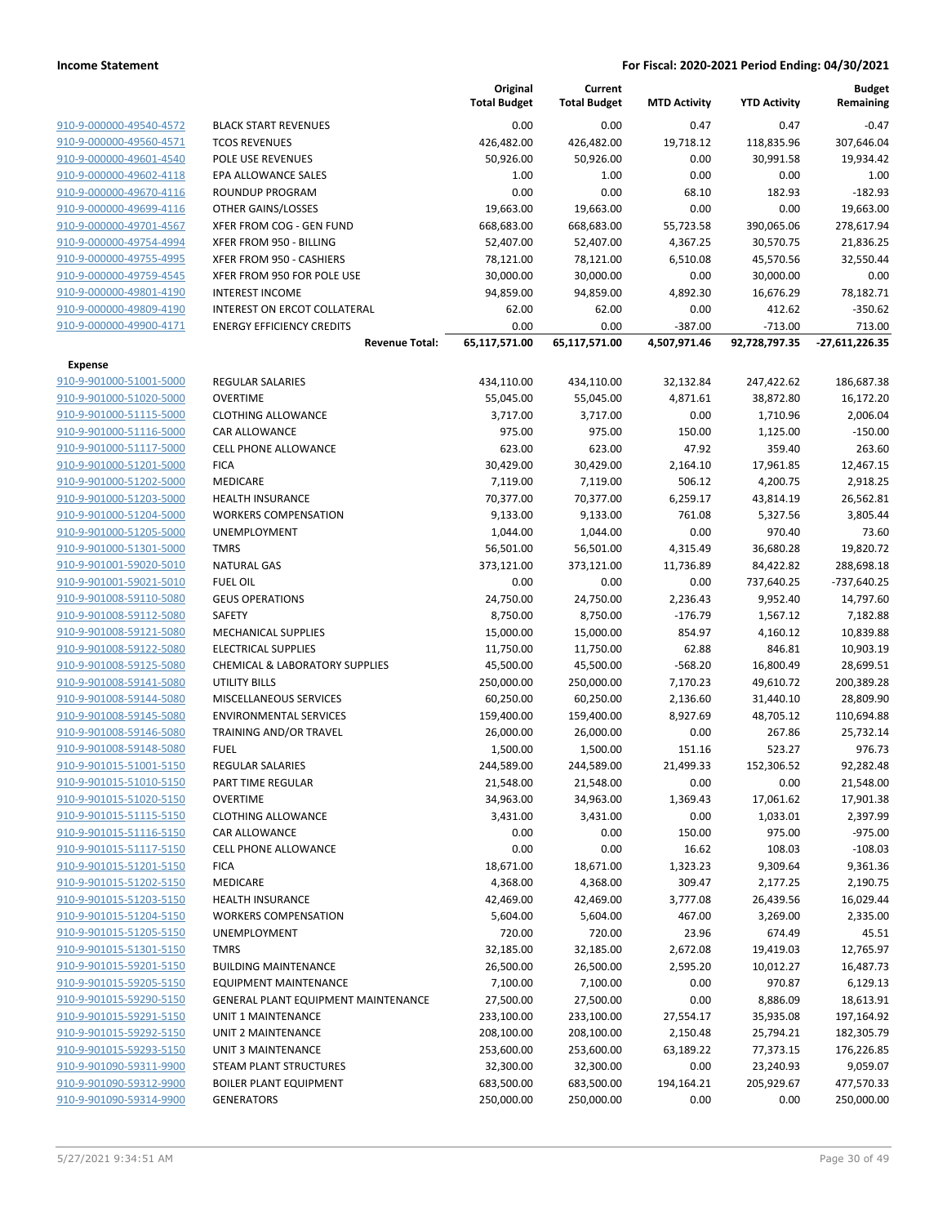|                         |                                            | Original<br><b>Total Budget</b> | Current<br><b>Total Budget</b> | <b>MTD Activity</b> | <b>YTD Activity</b> | <b>Budget</b><br>Remaining |
|-------------------------|--------------------------------------------|---------------------------------|--------------------------------|---------------------|---------------------|----------------------------|
| 910-9-000000-49540-4572 | <b>BLACK START REVENUES</b>                | 0.00                            | 0.00                           | 0.47                | 0.47                | $-0.47$                    |
| 910-9-000000-49560-4571 | <b>TCOS REVENUES</b>                       | 426,482.00                      | 426,482.00                     | 19,718.12           | 118,835.96          | 307,646.04                 |
| 910-9-000000-49601-4540 | POLE USE REVENUES                          | 50,926.00                       | 50,926.00                      | 0.00                | 30,991.58           | 19,934.42                  |
| 910-9-000000-49602-4118 | EPA ALLOWANCE SALES                        | 1.00                            | 1.00                           | 0.00                | 0.00                | 1.00                       |
| 910-9-000000-49670-4116 | ROUNDUP PROGRAM                            | 0.00                            | 0.00                           | 68.10               | 182.93              | $-182.93$                  |
| 910-9-000000-49699-4116 | OTHER GAINS/LOSSES                         | 19,663.00                       | 19,663.00                      | 0.00                | 0.00                | 19,663.00                  |
| 910-9-000000-49701-4567 | XFER FROM COG - GEN FUND                   | 668,683.00                      | 668,683.00                     | 55,723.58           | 390,065.06          | 278,617.94                 |
| 910-9-000000-49754-4994 | XFER FROM 950 - BILLING                    | 52,407.00                       | 52,407.00                      | 4,367.25            | 30,570.75           | 21,836.25                  |
| 910-9-000000-49755-4995 | XFER FROM 950 - CASHIERS                   | 78,121.00                       | 78,121.00                      | 6,510.08            | 45,570.56           | 32,550.44                  |
| 910-9-000000-49759-4545 | XFER FROM 950 FOR POLE USE                 | 30,000.00                       | 30,000.00                      | 0.00                | 30,000.00           | 0.00                       |
| 910-9-000000-49801-4190 | <b>INTEREST INCOME</b>                     | 94,859.00                       | 94,859.00                      | 4,892.30            | 16,676.29           | 78,182.71                  |
| 910-9-000000-49809-4190 | INTEREST ON ERCOT COLLATERAL               | 62.00                           | 62.00                          | 0.00                | 412.62              | $-350.62$                  |
| 910-9-000000-49900-4171 | <b>ENERGY EFFICIENCY CREDITS</b>           | 0.00                            | 0.00                           | $-387.00$           | $-713.00$           | 713.00                     |
|                         | <b>Revenue Total:</b>                      | 65,117,571.00                   | 65,117,571.00                  | 4,507,971.46        | 92,728,797.35       | $-27,611,226.35$           |
| <b>Expense</b>          |                                            |                                 |                                |                     |                     |                            |
| 910-9-901000-51001-5000 | REGULAR SALARIES                           | 434,110.00                      | 434,110.00                     | 32,132.84           | 247,422.62          | 186,687.38                 |
| 910-9-901000-51020-5000 | <b>OVERTIME</b>                            | 55,045.00                       | 55,045.00                      | 4,871.61            | 38,872.80           | 16,172.20                  |
| 910-9-901000-51115-5000 | <b>CLOTHING ALLOWANCE</b>                  | 3,717.00                        | 3,717.00                       | 0.00                | 1,710.96            | 2,006.04                   |
| 910-9-901000-51116-5000 | CAR ALLOWANCE                              | 975.00                          | 975.00                         | 150.00              | 1,125.00            | $-150.00$                  |
| 910-9-901000-51117-5000 | <b>CELL PHONE ALLOWANCE</b>                | 623.00                          | 623.00                         | 47.92               | 359.40              | 263.60                     |
| 910-9-901000-51201-5000 | <b>FICA</b>                                | 30,429.00                       | 30,429.00                      | 2,164.10            | 17,961.85           | 12,467.15                  |
| 910-9-901000-51202-5000 | MEDICARE                                   | 7,119.00                        | 7,119.00                       | 506.12              | 4,200.75            | 2,918.25                   |
| 910-9-901000-51203-5000 | HEALTH INSURANCE                           | 70,377.00                       | 70,377.00                      | 6,259.17            | 43,814.19           | 26,562.81                  |
| 910-9-901000-51204-5000 | <b>WORKERS COMPENSATION</b>                | 9,133.00                        | 9,133.00                       | 761.08              | 5,327.56            | 3,805.44                   |
| 910-9-901000-51205-5000 | <b>UNEMPLOYMENT</b>                        | 1,044.00                        | 1,044.00                       | 0.00                | 970.40              | 73.60                      |
| 910-9-901000-51301-5000 | <b>TMRS</b>                                | 56,501.00                       | 56,501.00                      | 4,315.49            | 36,680.28           | 19,820.72                  |
| 910-9-901001-59020-5010 | <b>NATURAL GAS</b>                         | 373,121.00                      | 373,121.00                     | 11,736.89           | 84,422.82           | 288,698.18                 |
| 910-9-901001-59021-5010 | <b>FUEL OIL</b>                            | 0.00                            | 0.00                           | 0.00                | 737,640.25          | -737,640.25                |
| 910-9-901008-59110-5080 | <b>GEUS OPERATIONS</b>                     | 24,750.00                       | 24,750.00                      | 2,236.43            | 9,952.40            | 14,797.60                  |
| 910-9-901008-59112-5080 | <b>SAFETY</b>                              | 8,750.00                        | 8,750.00                       | $-176.79$           | 1,567.12            | 7,182.88                   |
| 910-9-901008-59121-5080 | MECHANICAL SUPPLIES                        | 15,000.00                       | 15,000.00                      | 854.97              | 4,160.12            | 10,839.88                  |
| 910-9-901008-59122-5080 | <b>ELECTRICAL SUPPLIES</b>                 | 11,750.00                       | 11,750.00                      | 62.88               | 846.81              | 10,903.19                  |
| 910-9-901008-59125-5080 | CHEMICAL & LABORATORY SUPPLIES             | 45,500.00                       | 45,500.00                      | $-568.20$           | 16,800.49           | 28,699.51                  |
| 910-9-901008-59141-5080 | <b>UTILITY BILLS</b>                       | 250,000.00                      | 250,000.00                     | 7,170.23            | 49,610.72           | 200,389.28                 |
| 910-9-901008-59144-5080 | MISCELLANEOUS SERVICES                     | 60,250.00                       | 60,250.00                      | 2,136.60            | 31,440.10           | 28,809.90                  |
| 910-9-901008-59145-5080 | <b>ENVIRONMENTAL SERVICES</b>              | 159,400.00                      | 159,400.00                     | 8,927.69            | 48,705.12           | 110,694.88                 |
| 910-9-901008-59146-5080 | TRAINING AND/OR TRAVEL                     | 26,000.00                       | 26,000.00                      | 0.00                | 267.86              | 25,732.14                  |
| 910-9-901008-59148-5080 | <b>FUEL</b>                                | 1,500.00                        | 1,500.00                       | 151.16              | 523.27              | 976.73                     |
| 910-9-901015-51001-5150 | <b>REGULAR SALARIES</b>                    | 244,589.00                      | 244,589.00                     | 21,499.33           | 152,306.52          | 92,282.48                  |
| 910-9-901015-51010-5150 | PART TIME REGULAR                          | 21,548.00                       | 21,548.00                      | 0.00                | 0.00                | 21,548.00                  |
| 910-9-901015-51020-5150 | <b>OVERTIME</b>                            | 34,963.00                       | 34,963.00                      | 1,369.43            | 17,061.62           | 17,901.38                  |
| 910-9-901015-51115-5150 | <b>CLOTHING ALLOWANCE</b>                  | 3,431.00                        | 3,431.00                       | 0.00                | 1,033.01            | 2,397.99                   |
| 910-9-901015-51116-5150 | CAR ALLOWANCE                              | 0.00                            | 0.00                           | 150.00              | 975.00              | $-975.00$                  |
| 910-9-901015-51117-5150 | <b>CELL PHONE ALLOWANCE</b>                | 0.00                            | 0.00                           | 16.62               | 108.03              | $-108.03$                  |
| 910-9-901015-51201-5150 | <b>FICA</b>                                | 18,671.00                       | 18,671.00                      | 1,323.23            | 9,309.64            | 9,361.36                   |
| 910-9-901015-51202-5150 | MEDICARE                                   | 4,368.00                        | 4,368.00                       | 309.47              | 2,177.25            | 2,190.75                   |
| 910-9-901015-51203-5150 | <b>HEALTH INSURANCE</b>                    | 42,469.00                       | 42,469.00                      | 3,777.08            | 26,439.56           | 16,029.44                  |
| 910-9-901015-51204-5150 | <b>WORKERS COMPENSATION</b>                | 5,604.00                        | 5,604.00                       | 467.00              | 3,269.00            | 2,335.00                   |
| 910-9-901015-51205-5150 | <b>UNEMPLOYMENT</b>                        | 720.00                          | 720.00                         | 23.96               | 674.49              | 45.51                      |
| 910-9-901015-51301-5150 | <b>TMRS</b>                                | 32,185.00                       | 32,185.00                      | 2,672.08            | 19,419.03           | 12,765.97                  |
| 910-9-901015-59201-5150 | <b>BUILDING MAINTENANCE</b>                | 26,500.00                       | 26,500.00                      | 2,595.20            | 10,012.27           | 16,487.73                  |
| 910-9-901015-59205-5150 | <b>EQUIPMENT MAINTENANCE</b>               | 7,100.00                        | 7,100.00                       | 0.00                | 970.87              | 6,129.13                   |
| 910-9-901015-59290-5150 | <b>GENERAL PLANT EQUIPMENT MAINTENANCE</b> | 27,500.00                       | 27,500.00                      | 0.00                | 8,886.09            | 18,613.91                  |
| 910-9-901015-59291-5150 | UNIT 1 MAINTENANCE                         | 233,100.00                      | 233,100.00                     | 27,554.17           | 35,935.08           | 197,164.92                 |
| 910-9-901015-59292-5150 | UNIT 2 MAINTENANCE                         | 208,100.00                      | 208,100.00                     | 2,150.48            | 25,794.21           | 182,305.79                 |
| 910-9-901015-59293-5150 | UNIT 3 MAINTENANCE                         | 253,600.00                      | 253,600.00                     | 63,189.22           | 77,373.15           | 176,226.85                 |
| 910-9-901090-59311-9900 | <b>STEAM PLANT STRUCTURES</b>              | 32,300.00                       | 32,300.00                      | 0.00                | 23,240.93           | 9,059.07                   |
| 910-9-901090-59312-9900 | <b>BOILER PLANT EQUIPMENT</b>              | 683,500.00                      | 683,500.00                     | 194,164.21          | 205,929.67          | 477,570.33                 |
| 910-9-901090-59314-9900 | <b>GENERATORS</b>                          | 250,000.00                      | 250,000.00                     | 0.00                | 0.00                | 250,000.00                 |
|                         |                                            |                                 |                                |                     |                     |                            |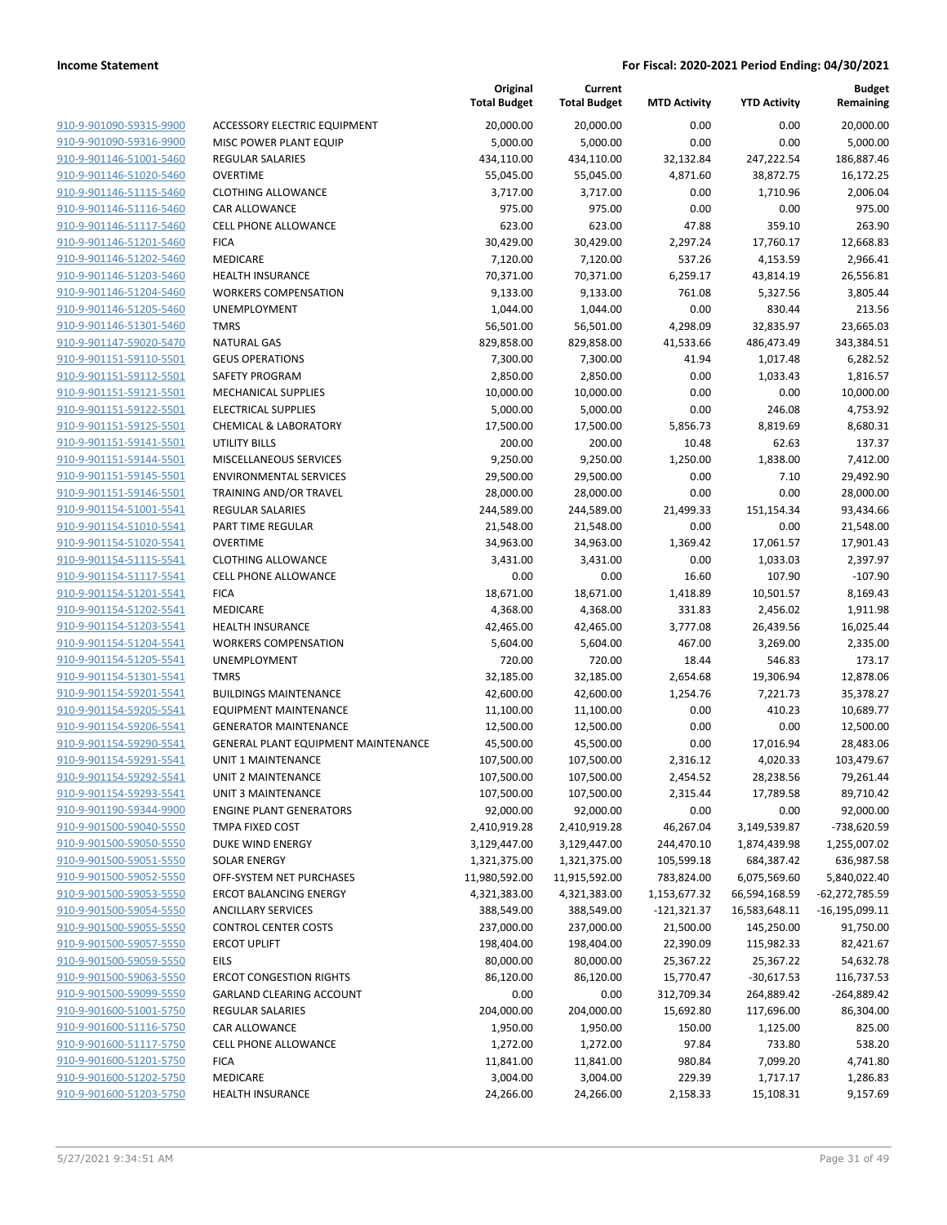|                                                    |                                     | Original<br><b>Total Budget</b> | Current<br><b>Total Budget</b> | <b>MTD Activity</b> | <b>YTD Activity</b> | <b>Budget</b><br>Remaining |
|----------------------------------------------------|-------------------------------------|---------------------------------|--------------------------------|---------------------|---------------------|----------------------------|
| 910-9-901090-59315-9900                            | ACCESSORY ELECTRIC EQUIPMENT        | 20,000.00                       | 20,000.00                      | 0.00                | 0.00                | 20,000.00                  |
| 910-9-901090-59316-9900                            | MISC POWER PLANT EQUIP              | 5,000.00                        | 5,000.00                       | 0.00                | 0.00                | 5,000.00                   |
| 910-9-901146-51001-5460                            | <b>REGULAR SALARIES</b>             | 434,110.00                      | 434,110.00                     | 32,132.84           | 247,222.54          | 186,887.46                 |
| 910-9-901146-51020-5460                            | <b>OVERTIME</b>                     | 55,045.00                       | 55,045.00                      | 4,871.60            | 38,872.75           | 16,172.25                  |
| 910-9-901146-51115-5460                            | <b>CLOTHING ALLOWANCE</b>           | 3,717.00                        | 3,717.00                       | 0.00                | 1,710.96            | 2,006.04                   |
| 910-9-901146-51116-5460                            | <b>CAR ALLOWANCE</b>                | 975.00                          | 975.00                         | 0.00                | 0.00                | 975.00                     |
| 910-9-901146-51117-5460                            | <b>CELL PHONE ALLOWANCE</b>         | 623.00                          | 623.00                         | 47.88               | 359.10              | 263.90                     |
| 910-9-901146-51201-5460                            | <b>FICA</b>                         | 30,429.00                       | 30,429.00                      | 2,297.24            | 17,760.17           | 12.668.83                  |
| 910-9-901146-51202-5460                            | <b>MEDICARE</b>                     | 7,120.00                        | 7,120.00                       | 537.26              | 4,153.59            | 2,966.41                   |
| 910-9-901146-51203-5460                            | <b>HEALTH INSURANCE</b>             | 70,371.00                       | 70,371.00                      | 6,259.17            | 43,814.19           | 26,556.81                  |
| 910-9-901146-51204-5460                            | <b>WORKERS COMPENSATION</b>         | 9,133.00                        | 9,133.00                       | 761.08              | 5,327.56            | 3,805.44                   |
| 910-9-901146-51205-5460                            | <b>UNEMPLOYMENT</b>                 | 1,044.00                        | 1,044.00                       | 0.00                | 830.44              | 213.56                     |
| 910-9-901146-51301-5460                            | <b>TMRS</b>                         | 56,501.00                       | 56,501.00                      | 4,298.09            | 32,835.97           | 23,665.03                  |
| 910-9-901147-59020-5470                            | <b>NATURAL GAS</b>                  | 829,858.00                      | 829,858.00                     | 41,533.66           | 486,473.49          | 343,384.51                 |
| 910-9-901151-59110-5501                            | <b>GEUS OPERATIONS</b>              | 7,300.00                        | 7,300.00                       | 41.94               | 1,017.48            | 6,282.52                   |
| 910-9-901151-59112-5501                            | SAFETY PROGRAM                      | 2,850.00                        | 2,850.00                       | 0.00                | 1,033.43            | 1,816.57                   |
| 910-9-901151-59121-5501                            | <b>MECHANICAL SUPPLIES</b>          | 10,000.00                       | 10,000.00                      | 0.00                | 0.00                | 10,000.00                  |
| 910-9-901151-59122-5501                            | <b>ELECTRICAL SUPPLIES</b>          | 5,000.00                        | 5,000.00                       | 0.00                | 246.08              | 4,753.92                   |
| 910-9-901151-59125-5501                            | <b>CHEMICAL &amp; LABORATORY</b>    | 17,500.00                       | 17,500.00                      | 5,856.73            | 8,819.69            | 8,680.31                   |
| 910-9-901151-59141-5501                            | UTILITY BILLS                       | 200.00                          | 200.00                         | 10.48               | 62.63               | 137.37                     |
| 910-9-901151-59144-5501                            | MISCELLANEOUS SERVICES              | 9,250.00                        | 9,250.00                       | 1,250.00            | 1,838.00            | 7,412.00                   |
| 910-9-901151-59145-5501                            | <b>ENVIRONMENTAL SERVICES</b>       | 29,500.00                       | 29,500.00                      | 0.00                | 7.10                | 29,492.90                  |
| 910-9-901151-59146-5501                            | TRAINING AND/OR TRAVEL              | 28,000.00                       | 28,000.00                      | 0.00                | 0.00                | 28,000.00                  |
| 910-9-901154-51001-5541                            | <b>REGULAR SALARIES</b>             | 244,589.00                      | 244,589.00                     | 21,499.33           | 151,154.34          | 93,434.66                  |
| 910-9-901154-51010-5541                            | PART TIME REGULAR                   | 21,548.00                       | 21,548.00                      | 0.00                | 0.00                | 21,548.00                  |
| 910-9-901154-51020-5541                            | <b>OVERTIME</b>                     | 34,963.00                       | 34,963.00                      | 1,369.42            | 17,061.57           | 17,901.43                  |
| 910-9-901154-51115-5541                            | <b>CLOTHING ALLOWANCE</b>           | 3,431.00                        | 3,431.00                       | 0.00                | 1,033.03            | 2,397.97                   |
| 910-9-901154-51117-5541                            | <b>CELL PHONE ALLOWANCE</b>         | 0.00                            | 0.00                           | 16.60               | 107.90              | $-107.90$                  |
| 910-9-901154-51201-5541                            | <b>FICA</b>                         | 18,671.00                       | 18,671.00                      | 1,418.89            | 10,501.57           | 8,169.43                   |
| 910-9-901154-51202-5541                            | MEDICARE                            | 4,368.00                        | 4,368.00                       | 331.83              | 2,456.02            | 1,911.98                   |
| 910-9-901154-51203-5541                            | <b>HEALTH INSURANCE</b>             | 42,465.00                       | 42,465.00                      | 3,777.08            | 26,439.56           | 16,025.44                  |
| 910-9-901154-51204-5541                            | <b>WORKERS COMPENSATION</b>         | 5,604.00                        | 5,604.00                       | 467.00              | 3,269.00            | 2,335.00                   |
| 910-9-901154-51205-5541                            | <b>UNEMPLOYMENT</b>                 | 720.00                          | 720.00                         | 18.44               | 546.83              | 173.17                     |
| 910-9-901154-51301-5541                            | <b>TMRS</b>                         | 32,185.00                       | 32,185.00                      | 2,654.68            | 19,306.94           | 12,878.06                  |
| 910-9-901154-59201-5541                            | <b>BUILDINGS MAINTENANCE</b>        | 42,600.00                       | 42,600.00                      | 1,254.76            | 7,221.73            | 35,378.27                  |
| 910-9-901154-59205-5541                            | <b>EQUIPMENT MAINTENANCE</b>        | 11,100.00                       | 11,100.00                      | 0.00                | 410.23              | 10,689.77                  |
| 910-9-901154-59206-5541                            | <b>GENERATOR MAINTENANCE</b>        | 12,500.00                       | 12,500.00                      | 0.00                | 0.00                | 12,500.00                  |
| 910-9-901154-59290-5541                            | GENERAL PLANT EQUIPMENT MAINTENANCE | 45,500.00                       | 45,500.00                      | 0.00                | 17,016.94           | 28,483.06                  |
| 910-9-901154-59291-5541                            | <b>UNIT 1 MAINTENANCE</b>           | 107,500.00                      | 107,500.00                     | 2,316.12            | 4,020.33            | 103,479.67                 |
| 910-9-901154-59292-5541                            | UNIT 2 MAINTENANCE                  | 107,500.00                      | 107,500.00                     | 2,454.52            | 28,238.56           | 79,261.44                  |
| 910-9-901154-59293-5541                            | UNIT 3 MAINTENANCE                  | 107,500.00                      | 107,500.00                     | 2,315.44            | 17,789.58           | 89,710.42                  |
| 910-9-901190-59344-9900                            | <b>ENGINE PLANT GENERATORS</b>      | 92,000.00                       | 92,000.00                      | 0.00                | 0.00                | 92,000.00                  |
| 910-9-901500-59040-5550                            | TMPA FIXED COST                     | 2,410,919.28                    | 2,410,919.28                   | 46,267.04           | 3,149,539.87        | -738,620.59                |
| 910-9-901500-59050-5550                            | DUKE WIND ENERGY                    | 3,129,447.00                    | 3,129,447.00                   | 244,470.10          | 1,874,439.98        | 1,255,007.02               |
| 910-9-901500-59051-5550                            | <b>SOLAR ENERGY</b>                 | 1,321,375.00                    | 1,321,375.00                   | 105,599.18          | 684,387.42          | 636,987.58                 |
| 910-9-901500-59052-5550                            | OFF-SYSTEM NET PURCHASES            | 11,980,592.00                   | 11,915,592.00                  | 783,824.00          | 6,075,569.60        | 5,840,022.40               |
| 910-9-901500-59053-5550                            | <b>ERCOT BALANCING ENERGY</b>       | 4,321,383.00                    | 4,321,383.00                   | 1,153,677.32        | 66,594,168.59       | -62,272,785.59             |
| 910-9-901500-59054-5550                            | <b>ANCILLARY SERVICES</b>           | 388,549.00                      | 388,549.00                     | $-121,321.37$       | 16,583,648.11       | $-16, 195, 099.11$         |
| 910-9-901500-59055-5550                            | <b>CONTROL CENTER COSTS</b>         | 237,000.00                      | 237,000.00                     | 21,500.00           | 145,250.00          | 91,750.00                  |
| 910-9-901500-59057-5550                            | <b>ERCOT UPLIFT</b>                 | 198,404.00                      | 198,404.00                     | 22,390.09           | 115,982.33          | 82,421.67                  |
| 910-9-901500-59059-5550                            | EILS                                | 80,000.00                       | 80,000.00                      | 25,367.22           | 25,367.22           | 54,632.78                  |
| 910-9-901500-59063-5550                            | <b>ERCOT CONGESTION RIGHTS</b>      | 86,120.00                       | 86,120.00                      | 15,770.47           | $-30,617.53$        | 116,737.53                 |
| 910-9-901500-59099-5550                            | GARLAND CLEARING ACCOUNT            | 0.00                            | 0.00                           | 312,709.34          | 264,889.42          | $-264,889.42$              |
| 910-9-901600-51001-5750                            | <b>REGULAR SALARIES</b>             | 204,000.00                      | 204,000.00                     | 15,692.80           | 117,696.00          | 86,304.00                  |
| 910-9-901600-51116-5750                            | CAR ALLOWANCE                       | 1,950.00                        | 1,950.00                       | 150.00              | 1,125.00            | 825.00                     |
| 910-9-901600-51117-5750                            | CELL PHONE ALLOWANCE                | 1,272.00                        | 1,272.00                       | 97.84               | 733.80              | 538.20                     |
| 910-9-901600-51201-5750                            | <b>FICA</b>                         | 11,841.00                       | 11,841.00                      | 980.84              | 7,099.20            | 4,741.80                   |
| 910-9-901600-51202-5750<br>910-9-901600-51203-5750 | MEDICARE                            | 3,004.00                        | 3,004.00                       | 229.39              | 1,717.17            | 1,286.83                   |
|                                                    | <b>HEALTH INSURANCE</b>             | 24,266.00                       | 24,266.00                      | 2,158.33            | 15,108.31           | 9,157.69                   |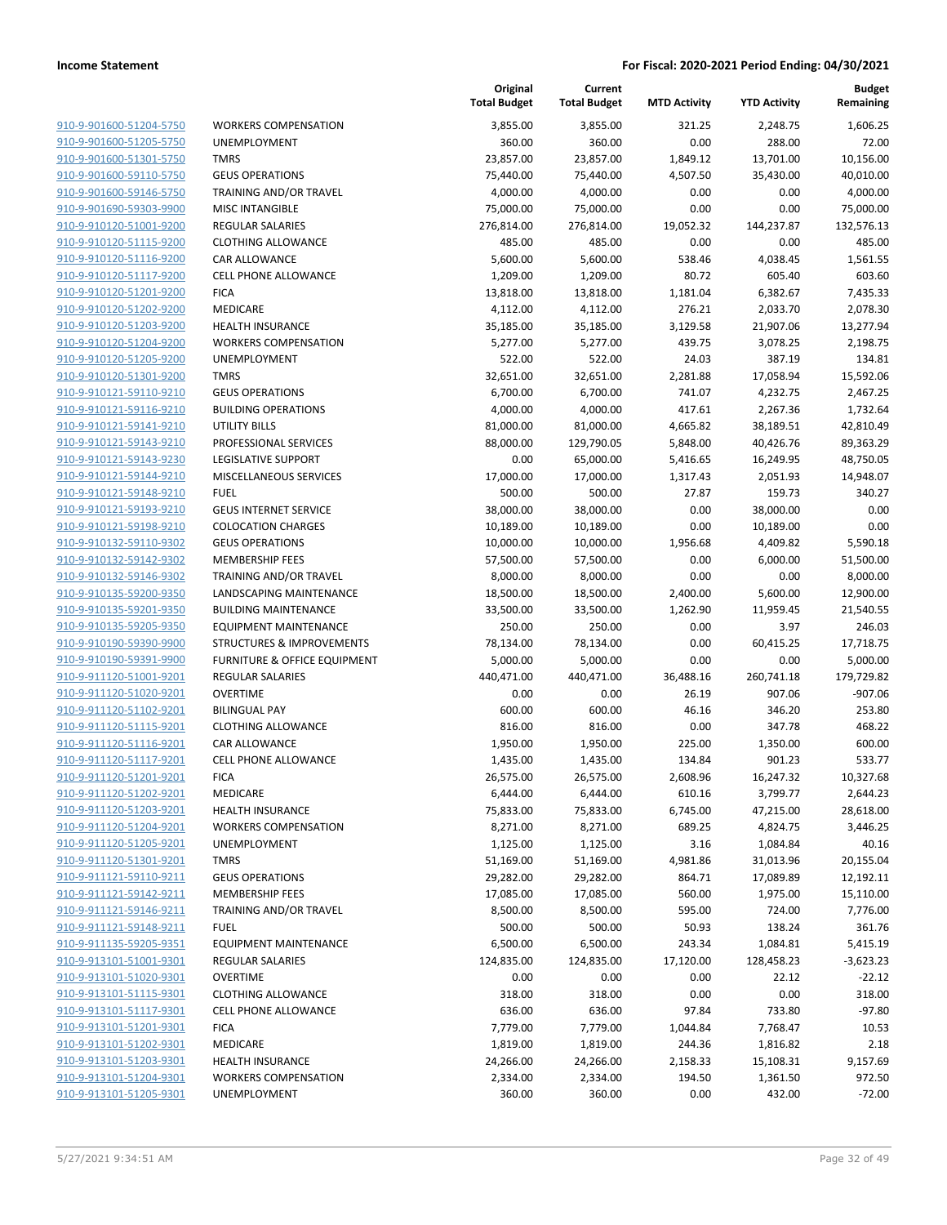| 910-9-901600-51204-5750 | ٧ |
|-------------------------|---|
| 910-9-901600-51205-5750 | U |
| 910-9-901600-51301-5750 | т |
| 910-9-901600-59110-5750 | G |
| 910-9-901600-59146-5750 | т |
| 910-9-901690-59303-9900 | Ν |
|                         |   |
| 910-9-910120-51001-9200 | R |
| 910-9-910120-51115-9200 | C |
| 910-9-910120-51116-9200 | C |
| 910-9-910120-51117-9200 | C |
| 910-9-910120-51201-9200 | F |
| 910-9-910120-51202-9200 | Ν |
| 910-9-910120-51203-9200 | Н |
| 910-9-910120-51204-9200 | ٧ |
| 910-9-910120-51205-9200 | Ù |
| 910-9-910120-51301-9200 | т |
| 910-9-910121-59110-9210 | G |
| 910-9-910121-59116-9210 | B |
| 910-9-910121-59141-9210 | U |
| 910-9-910121-59143-9210 | P |
| 910-9-910121-59143-9230 | L |
| 910-9-910121-59144-9210 | Ν |
| 910-9-910121-59148-9210 | F |
|                         |   |
| 910-9-910121-59193-9210 | G |
| 910-9-910121-59198-9210 | C |
| 910-9-910132-59110-9302 | G |
| 910-9-910132-59142-9302 | Ν |
| 910-9-910132-59146-9302 | т |
| 910-9-910135-59200-9350 | L |
| 910-9-910135-59201-9350 | В |
| 910-9-910135-59205-9350 | E |
| 910-9-910190-59390-9900 | S |
| 910-9-910190-59391-9900 | F |
| 910-9-911120-51001-9201 | R |
| 910-9-911120-51020-9201 | C |
| 910-9-911120-51102-9201 | B |
| 910-9-911120-51115-9201 | C |
| 910-9-911120-51116-9201 | C |
| 910-9-911120-51117-9201 | C |
| 910-9-911120-51201-9201 | F |
| 910-9-911120-51202-9201 | Ν |
| 910-9-911120-51203-9201 | Н |
| 910-9-911120-51204-9201 |   |
|                         |   |
| 910-9-911120-51205-9201 | U |
| 910-9-911120-51301-9201 | т |
| 910-9-911121-59110-9211 | G |
| 910-9-911121-59142-9211 | Λ |
| 910-9-911121-59146-9211 | т |
| 910-9-911121-59148-9211 | F |
| 910-9-911135-59205-9351 | Ε |
| 910-9-913101-51001-9301 | R |
| 910-9-913101-51020-9301 | C |
| 910-9-913101-51115-9301 | C |
| 910-9-913101-51117-9301 | C |
| 910-9-913101-51201-9301 | F |
| 910-9-913101-51202-9301 | Ν |
| 910-9-913101-51203-9301 | Н |
| 910-9-913101-51204-9301 | ٧ |
| 910-9-913101-51205-9301 | U |
|                         |   |

| WORKERS COMPENSATION                             |
|--------------------------------------------------|
| JNEMPLOYMENT                                     |
| <b>TMRS</b>                                      |
| GEUS OPERATIONS                                  |
| FRAINING AND/OR TRAVEL                           |
| VIISC INTANGIBLE                                 |
| REGULAR SALARIES                                 |
| <b>CLOTHING ALLOWANCE</b>                        |
| CAR ALLOWANCE                                    |
| CELL PHONE ALLOWANCE                             |
| FICA                                             |
| MEDICARE                                         |
| HEALTH INSURANCE                                 |
| WORKERS COMPENSATION                             |
| JNEMPLOYMENT                                     |
| TMRS                                             |
| GEUS OPERATIONS                                  |
| BUILDING OPERATIONS                              |
| JTILITY BILLS                                    |
| <b>PROFESSIONAL SERVICES</b>                     |
| EGISLATIVE SUPPORT                               |
| <b>MISCELLANEOUS SERVICES</b>                    |
| EUEL                                             |
| <b>GEUS INTERNET SERVICE</b>                     |
| COLOCATION CHARGES                               |
| GEUS OPERATIONS                                  |
| MEMBERSHIP FEES                                  |
| FRAINING AND/OR TRAVEL<br>ANDSCAPING MAINTENANCE |
| BUILDING MAINTENANCE                             |
| <b>EQUIPMENT MAINTENANCE</b>                     |
| STRUCTURES & IMPROVEMENTS                        |
| URNITURE & OFFICE EQUIPMENT                      |
| REGULAR SALARIES                                 |
| OVERTIME                                         |
| BILINGUAL PAY                                    |
| <b>CLOTHING ALLOWANCE</b>                        |
| CAR ALLOWANCE                                    |
| CELL PHONE ALLOWANCE                             |
| FICA                                             |
| VIEDICARE                                        |
| HEALTH INSURANCE                                 |
| <b><i>NORKERS COMPENSATION</i></b>               |
| <b>JNEMPLOYMENT</b>                              |
| <b>TMRS</b>                                      |
| <b>GEUS OPERATIONS</b>                           |
| <b>MEMBERSHIP FEES</b>                           |
| FRAINING AND/OR TRAVEL                           |
| <b>UEL</b>                                       |
| <b>EQUIPMENT MAINTENANCE</b>                     |
| REGULAR SALARIES                                 |
| OVERTIME                                         |
| <b>CLOTHING ALLOWANCE</b>                        |
| CELL PHONE ALLOWANCE                             |
| FICA.                                            |
| <b>MEDICARE</b>                                  |
| HEALTH INSURANCE                                 |
| <b><i>NORKERS COMPENSATION</i></b>               |
| <b>JNEMPLOYMENT</b>                              |

|                                                    |                                                             | Original<br><b>Total Budget</b> | Current<br><b>Total Budget</b> | <b>MTD Activity</b> | <b>YTD Activity</b> | <b>Budget</b><br>Remaining |
|----------------------------------------------------|-------------------------------------------------------------|---------------------------------|--------------------------------|---------------------|---------------------|----------------------------|
| 910-9-901600-51204-5750                            | <b>WORKERS COMPENSATION</b>                                 | 3,855.00                        | 3,855.00                       | 321.25              | 2,248.75            | 1,606.25                   |
| 910-9-901600-51205-5750                            | <b>UNEMPLOYMENT</b>                                         | 360.00                          | 360.00                         | 0.00                | 288.00              | 72.00                      |
| 910-9-901600-51301-5750                            | <b>TMRS</b>                                                 | 23,857.00                       | 23,857.00                      | 1,849.12            | 13,701.00           | 10,156.00                  |
| 910-9-901600-59110-5750                            | <b>GEUS OPERATIONS</b>                                      | 75,440.00                       | 75,440.00                      | 4,507.50            | 35,430.00           | 40,010.00                  |
| 910-9-901600-59146-5750                            | TRAINING AND/OR TRAVEL                                      | 4,000.00                        | 4,000.00                       | 0.00                | 0.00                | 4,000.00                   |
| 910-9-901690-59303-9900                            | <b>MISC INTANGIBLE</b>                                      | 75,000.00                       | 75,000.00                      | 0.00                | 0.00                | 75,000.00                  |
| 910-9-910120-51001-9200                            | REGULAR SALARIES                                            | 276,814.00                      | 276,814.00                     | 19,052.32           | 144,237.87          | 132,576.13                 |
| 910-9-910120-51115-9200                            | <b>CLOTHING ALLOWANCE</b>                                   | 485.00                          | 485.00                         | 0.00                | 0.00                | 485.00                     |
| 910-9-910120-51116-9200                            | <b>CAR ALLOWANCE</b>                                        | 5,600.00                        | 5,600.00                       | 538.46              | 4,038.45            | 1,561.55                   |
| 910-9-910120-51117-9200                            | <b>CELL PHONE ALLOWANCE</b>                                 | 1,209.00                        | 1,209.00                       | 80.72               | 605.40              | 603.60                     |
| 910-9-910120-51201-9200                            | <b>FICA</b>                                                 | 13,818.00                       | 13,818.00                      | 1,181.04            | 6,382.67            | 7,435.33                   |
| 910-9-910120-51202-9200                            | MEDICARE                                                    | 4,112.00                        | 4,112.00                       | 276.21              | 2,033.70            | 2,078.30                   |
| 910-9-910120-51203-9200                            | <b>HEALTH INSURANCE</b>                                     | 35,185.00                       | 35,185.00                      | 3,129.58            | 21,907.06           | 13,277.94                  |
| 910-9-910120-51204-9200                            | <b>WORKERS COMPENSATION</b>                                 | 5,277.00                        | 5,277.00                       | 439.75              | 3,078.25            | 2,198.75                   |
| 910-9-910120-51205-9200                            | UNEMPLOYMENT                                                | 522.00                          | 522.00                         | 24.03               | 387.19              | 134.81                     |
| 910-9-910120-51301-9200                            | <b>TMRS</b>                                                 | 32,651.00                       | 32,651.00                      | 2,281.88            | 17,058.94           | 15,592.06                  |
| 910-9-910121-59110-9210                            | <b>GEUS OPERATIONS</b>                                      | 6,700.00                        | 6,700.00                       | 741.07              | 4,232.75            | 2,467.25                   |
| 910-9-910121-59116-9210                            | <b>BUILDING OPERATIONS</b>                                  | 4,000.00                        | 4,000.00                       | 417.61              | 2,267.36            | 1,732.64                   |
| 910-9-910121-59141-9210                            | <b>UTILITY BILLS</b>                                        | 81,000.00                       | 81,000.00                      | 4,665.82            | 38,189.51           | 42,810.49                  |
| 910-9-910121-59143-9210                            | PROFESSIONAL SERVICES                                       | 88,000.00                       | 129,790.05                     | 5,848.00            | 40,426.76           | 89,363.29                  |
| 910-9-910121-59143-9230                            | <b>LEGISLATIVE SUPPORT</b>                                  | 0.00                            | 65,000.00                      | 5,416.65            | 16,249.95           | 48,750.05                  |
| 910-9-910121-59144-9210                            | MISCELLANEOUS SERVICES                                      | 17,000.00                       | 17,000.00                      | 1,317.43            | 2,051.93            | 14,948.07                  |
| 910-9-910121-59148-9210                            | <b>FUEL</b>                                                 | 500.00                          | 500.00                         | 27.87               | 159.73              | 340.27                     |
| 910-9-910121-59193-9210                            | <b>GEUS INTERNET SERVICE</b>                                | 38,000.00                       | 38,000.00                      | 0.00                | 38,000.00           | 0.00                       |
| 910-9-910121-59198-9210                            | <b>COLOCATION CHARGES</b>                                   | 10,189.00                       | 10,189.00                      | 0.00                | 10,189.00           | 0.00                       |
| 910-9-910132-59110-9302                            | <b>GEUS OPERATIONS</b>                                      | 10,000.00                       | 10,000.00                      | 1,956.68            | 4,409.82            | 5,590.18                   |
| 910-9-910132-59142-9302                            | <b>MEMBERSHIP FEES</b>                                      | 57,500.00                       | 57,500.00                      | 0.00                | 6,000.00            | 51,500.00                  |
| 910-9-910132-59146-9302                            | TRAINING AND/OR TRAVEL                                      | 8,000.00                        | 8,000.00                       | 0.00                | 0.00                | 8,000.00                   |
| 910-9-910135-59200-9350<br>910-9-910135-59201-9350 | LANDSCAPING MAINTENANCE                                     | 18,500.00                       | 18,500.00                      | 2,400.00            | 5,600.00            | 12,900.00                  |
| 910-9-910135-59205-9350                            | <b>BUILDING MAINTENANCE</b><br><b>EQUIPMENT MAINTENANCE</b> | 33,500.00                       | 33,500.00                      | 1,262.90            | 11,959.45           | 21,540.55                  |
| 910-9-910190-59390-9900                            |                                                             | 250.00                          | 250.00                         | 0.00<br>0.00        | 3.97                | 246.03                     |
| 910-9-910190-59391-9900                            | STRUCTURES & IMPROVEMENTS<br>FURNITURE & OFFICE EQUIPMENT   | 78,134.00<br>5,000.00           | 78,134.00<br>5,000.00          | 0.00                | 60,415.25<br>0.00   | 17,718.75<br>5,000.00      |
| 910-9-911120-51001-9201                            | <b>REGULAR SALARIES</b>                                     | 440,471.00                      | 440,471.00                     | 36,488.16           | 260,741.18          | 179,729.82                 |
| 910-9-911120-51020-9201                            | <b>OVERTIME</b>                                             | 0.00                            | 0.00                           | 26.19               | 907.06              | $-907.06$                  |
| 910-9-911120-51102-9201                            | <b>BILINGUAL PAY</b>                                        | 600.00                          | 600.00                         | 46.16               | 346.20              | 253.80                     |
| 910-9-911120-51115-9201                            | <b>CLOTHING ALLOWANCE</b>                                   | 816.00                          | 816.00                         | 0.00                | 347.78              | 468.22                     |
| 910-9-911120-51116-9201                            | CAR ALLOWANCE                                               | 1,950.00                        | 1,950.00                       | 225.00              | 1,350.00            | 600.00                     |
| 910-9-911120-51117-9201                            | <b>CELL PHONE ALLOWANCE</b>                                 | 1,435.00                        | 1,435.00                       | 134.84              | 901.23              | 533.77                     |
| 910-9-911120-51201-9201                            | <b>FICA</b>                                                 | 26,575.00                       | 26,575.00                      | 2,608.96            | 16,247.32           | 10,327.68                  |
| 910-9-911120-51202-9201                            | MEDICARE                                                    | 6,444.00                        | 6,444.00                       | 610.16              | 3,799.77            | 2,644.23                   |
| 910-9-911120-51203-9201                            | <b>HEALTH INSURANCE</b>                                     | 75,833.00                       | 75,833.00                      | 6,745.00            | 47,215.00           | 28,618.00                  |
| 910-9-911120-51204-9201                            | <b>WORKERS COMPENSATION</b>                                 | 8,271.00                        | 8,271.00                       | 689.25              | 4,824.75            | 3,446.25                   |
| 910-9-911120-51205-9201                            | UNEMPLOYMENT                                                | 1,125.00                        | 1,125.00                       | 3.16                | 1,084.84            | 40.16                      |
| 910-9-911120-51301-9201                            | <b>TMRS</b>                                                 | 51,169.00                       | 51,169.00                      | 4,981.86            | 31,013.96           | 20,155.04                  |
| 910-9-911121-59110-9211                            | <b>GEUS OPERATIONS</b>                                      | 29,282.00                       | 29,282.00                      | 864.71              | 17,089.89           | 12,192.11                  |
| 910-9-911121-59142-9211                            | <b>MEMBERSHIP FEES</b>                                      | 17,085.00                       | 17,085.00                      | 560.00              | 1,975.00            | 15,110.00                  |
| 910-9-911121-59146-9211                            | TRAINING AND/OR TRAVEL                                      | 8,500.00                        | 8,500.00                       | 595.00              | 724.00              | 7,776.00                   |
| 910-9-911121-59148-9211                            | <b>FUEL</b>                                                 | 500.00                          | 500.00                         | 50.93               | 138.24              | 361.76                     |
| 910-9-911135-59205-9351                            | <b>EQUIPMENT MAINTENANCE</b>                                | 6,500.00                        | 6,500.00                       | 243.34              | 1,084.81            | 5,415.19                   |
| 910-9-913101-51001-9301                            | REGULAR SALARIES                                            | 124,835.00                      | 124,835.00                     | 17,120.00           | 128,458.23          | $-3,623.23$                |
| 910-9-913101-51020-9301                            | <b>OVERTIME</b>                                             | 0.00                            | 0.00                           | 0.00                | 22.12               | $-22.12$                   |
| 910-9-913101-51115-9301                            | <b>CLOTHING ALLOWANCE</b>                                   | 318.00                          | 318.00                         | 0.00                | 0.00                | 318.00                     |
| 910-9-913101-51117-9301                            | <b>CELL PHONE ALLOWANCE</b>                                 | 636.00                          | 636.00                         | 97.84               | 733.80              | $-97.80$                   |
| 910-9-913101-51201-9301                            | <b>FICA</b>                                                 | 7,779.00                        | 7,779.00                       | 1,044.84            | 7,768.47            | 10.53                      |
| 910-9-913101-51202-9301                            | MEDICARE                                                    | 1,819.00                        | 1,819.00                       | 244.36              | 1,816.82            | 2.18                       |
| 910-9-913101-51203-9301                            | <b>HEALTH INSURANCE</b>                                     | 24,266.00                       | 24,266.00                      | 2,158.33            | 15,108.31           | 9,157.69                   |
| 910-9-913101-51204-9301                            | <b>WORKERS COMPENSATION</b>                                 | 2,334.00                        | 2,334.00                       | 194.50              | 1,361.50            | 972.50                     |
| 910-9-913101-51205-9301                            | UNEMPLOYMENT                                                | 360.00                          | 360.00                         | 0.00                | 432.00              | $-72.00$                   |
|                                                    |                                                             |                                 |                                |                     |                     |                            |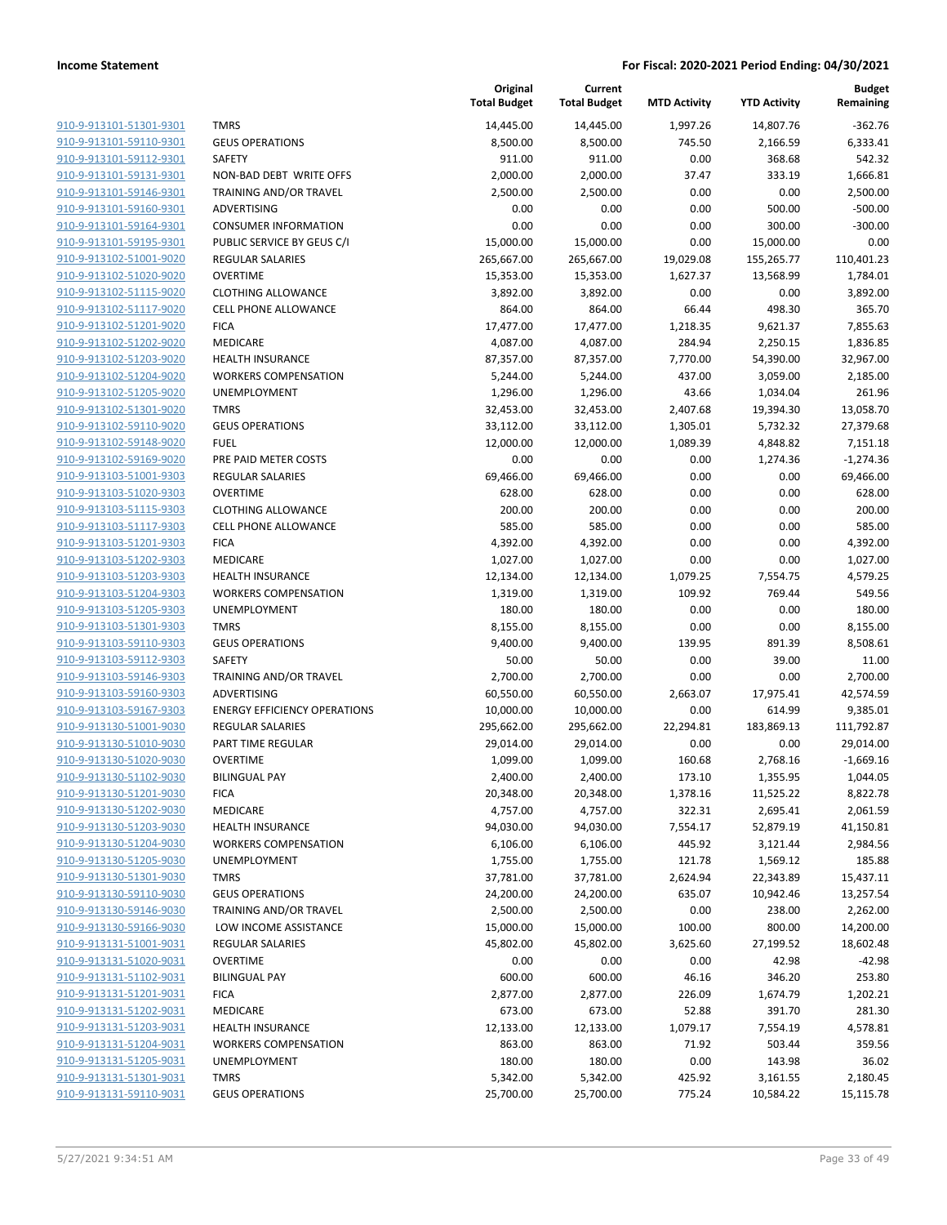|                         |                                     | Original<br><b>Total Budget</b> | Current<br><b>Total Budget</b> | <b>MTD Activity</b> | <b>YTD Activity</b> | <b>Budget</b><br>Remaining |
|-------------------------|-------------------------------------|---------------------------------|--------------------------------|---------------------|---------------------|----------------------------|
| 910-9-913101-51301-9301 | <b>TMRS</b>                         | 14,445.00                       | 14,445.00                      | 1,997.26            | 14,807.76           | $-362.76$                  |
| 910-9-913101-59110-9301 | <b>GEUS OPERATIONS</b>              | 8,500.00                        | 8,500.00                       | 745.50              | 2,166.59            | 6,333.41                   |
| 910-9-913101-59112-9301 | SAFETY                              | 911.00                          | 911.00                         | 0.00                | 368.68              | 542.32                     |
| 910-9-913101-59131-9301 | NON-BAD DEBT WRITE OFFS             | 2,000.00                        | 2,000.00                       | 37.47               | 333.19              | 1,666.81                   |
| 910-9-913101-59146-9301 | TRAINING AND/OR TRAVEL              | 2,500.00                        | 2,500.00                       | 0.00                | 0.00                | 2,500.00                   |
| 910-9-913101-59160-9301 | ADVERTISING                         | 0.00                            | 0.00                           | 0.00                | 500.00              | $-500.00$                  |
| 910-9-913101-59164-9301 | <b>CONSUMER INFORMATION</b>         | 0.00                            | 0.00                           | 0.00                | 300.00              | $-300.00$                  |
| 910-9-913101-59195-9301 | PUBLIC SERVICE BY GEUS C/I          | 15,000.00                       | 15,000.00                      | 0.00                | 15,000.00           | 0.00                       |
| 910-9-913102-51001-9020 | <b>REGULAR SALARIES</b>             | 265,667.00                      | 265,667.00                     | 19,029.08           | 155,265.77          | 110,401.23                 |
| 910-9-913102-51020-9020 | <b>OVERTIME</b>                     | 15,353.00                       | 15,353.00                      | 1,627.37            | 13,568.99           | 1,784.01                   |
| 910-9-913102-51115-9020 | <b>CLOTHING ALLOWANCE</b>           | 3,892.00                        | 3,892.00                       | 0.00                | 0.00                | 3,892.00                   |
| 910-9-913102-51117-9020 | <b>CELL PHONE ALLOWANCE</b>         | 864.00                          | 864.00                         | 66.44               | 498.30              | 365.70                     |
| 910-9-913102-51201-9020 | <b>FICA</b>                         | 17,477.00                       | 17,477.00                      | 1,218.35            | 9,621.37            | 7,855.63                   |
| 910-9-913102-51202-9020 | MEDICARE                            | 4,087.00                        | 4,087.00                       | 284.94              | 2,250.15            | 1,836.85                   |
| 910-9-913102-51203-9020 | <b>HEALTH INSURANCE</b>             | 87,357.00                       | 87,357.00                      | 7,770.00            | 54,390.00           | 32,967.00                  |
| 910-9-913102-51204-9020 | <b>WORKERS COMPENSATION</b>         | 5,244.00                        | 5,244.00                       | 437.00              | 3,059.00            | 2,185.00                   |
| 910-9-913102-51205-9020 | UNEMPLOYMENT                        | 1,296.00                        | 1,296.00                       | 43.66               | 1,034.04            | 261.96                     |
| 910-9-913102-51301-9020 | <b>TMRS</b>                         | 32,453.00                       | 32,453.00                      | 2,407.68            | 19,394.30           | 13,058.70                  |
| 910-9-913102-59110-9020 | <b>GEUS OPERATIONS</b>              | 33,112.00                       | 33,112.00                      | 1,305.01            | 5,732.32            | 27,379.68                  |
| 910-9-913102-59148-9020 | <b>FUEL</b>                         | 12,000.00                       | 12,000.00                      | 1,089.39            | 4,848.82            | 7,151.18                   |
| 910-9-913102-59169-9020 | PRE PAID METER COSTS                | 0.00                            | 0.00                           | 0.00                | 1,274.36            | $-1,274.36$                |
| 910-9-913103-51001-9303 | <b>REGULAR SALARIES</b>             | 69,466.00                       | 69,466.00                      | 0.00                | 0.00                | 69,466.00                  |
| 910-9-913103-51020-9303 | <b>OVERTIME</b>                     | 628.00                          | 628.00                         | 0.00                | 0.00                | 628.00                     |
| 910-9-913103-51115-9303 | <b>CLOTHING ALLOWANCE</b>           | 200.00                          | 200.00                         | 0.00                | 0.00                | 200.00                     |
| 910-9-913103-51117-9303 | <b>CELL PHONE ALLOWANCE</b>         | 585.00                          | 585.00                         | 0.00                | 0.00                | 585.00                     |
| 910-9-913103-51201-9303 | <b>FICA</b>                         | 4,392.00                        | 4,392.00                       | 0.00                | 0.00                | 4,392.00                   |
| 910-9-913103-51202-9303 | MEDICARE                            | 1,027.00                        | 1,027.00                       | 0.00                | 0.00                | 1,027.00                   |
| 910-9-913103-51203-9303 | <b>HEALTH INSURANCE</b>             | 12,134.00                       | 12,134.00                      | 1,079.25            | 7,554.75            | 4,579.25                   |
| 910-9-913103-51204-9303 | <b>WORKERS COMPENSATION</b>         | 1,319.00                        | 1,319.00                       | 109.92              | 769.44              | 549.56                     |
| 910-9-913103-51205-9303 | UNEMPLOYMENT                        | 180.00                          | 180.00                         | 0.00                | 0.00                | 180.00                     |
| 910-9-913103-51301-9303 | <b>TMRS</b>                         | 8,155.00                        | 8,155.00                       | 0.00                | 0.00                | 8,155.00                   |
| 910-9-913103-59110-9303 | <b>GEUS OPERATIONS</b>              | 9,400.00                        | 9,400.00                       | 139.95              | 891.39              | 8,508.61                   |
| 910-9-913103-59112-9303 | SAFETY                              | 50.00                           | 50.00                          | 0.00                | 39.00               | 11.00                      |
| 910-9-913103-59146-9303 | TRAINING AND/OR TRAVEL              | 2,700.00                        | 2,700.00                       | 0.00                | 0.00                | 2,700.00                   |
| 910-9-913103-59160-9303 | ADVERTISING                         | 60,550.00                       | 60,550.00                      | 2,663.07            | 17,975.41           | 42,574.59                  |
| 910-9-913103-59167-9303 | <b>ENERGY EFFICIENCY OPERATIONS</b> | 10,000.00                       | 10,000.00                      | 0.00                | 614.99              | 9,385.01                   |
| 910-9-913130-51001-9030 | <b>REGULAR SALARIES</b>             | 295,662.00                      | 295,662.00                     | 22,294.81           | 183,869.13          | 111,792.87                 |
| 910-9-913130-51010-9030 | PART TIME REGULAR                   | 29,014.00                       | 29,014.00                      | 0.00                | 0.00                | 29,014.00                  |
| 910-9-913130-51020-9030 | <b>OVERTIME</b>                     | 1,099.00                        | 1,099.00                       | 160.68              | 2,768.16            | $-1,669.16$                |
| 910-9-913130-51102-9030 | <b>BILINGUAL PAY</b>                | 2,400.00                        | 2,400.00                       | 173.10              | 1,355.95            | 1,044.05                   |
| 910-9-913130-51201-9030 | <b>FICA</b>                         | 20,348.00                       | 20,348.00                      | 1,378.16            | 11,525.22           | 8,822.78                   |
| 910-9-913130-51202-9030 | MEDICARE                            | 4,757.00                        | 4,757.00                       | 322.31              | 2,695.41            | 2,061.59                   |
| 910-9-913130-51203-9030 | <b>HEALTH INSURANCE</b>             | 94,030.00                       | 94,030.00                      | 7,554.17            | 52,879.19           | 41,150.81                  |
| 910-9-913130-51204-9030 | <b>WORKERS COMPENSATION</b>         | 6,106.00                        | 6,106.00                       | 445.92              | 3,121.44            | 2,984.56                   |
| 910-9-913130-51205-9030 | UNEMPLOYMENT                        | 1,755.00                        | 1,755.00                       | 121.78              | 1,569.12            | 185.88                     |
| 910-9-913130-51301-9030 | <b>TMRS</b>                         | 37,781.00                       | 37,781.00                      | 2,624.94            | 22,343.89           | 15,437.11                  |
| 910-9-913130-59110-9030 | <b>GEUS OPERATIONS</b>              | 24,200.00                       | 24,200.00                      | 635.07              | 10,942.46           | 13,257.54                  |
| 910-9-913130-59146-9030 | TRAINING AND/OR TRAVEL              | 2,500.00                        | 2,500.00                       | 0.00                | 238.00              | 2,262.00                   |
| 910-9-913130-59166-9030 | LOW INCOME ASSISTANCE               | 15,000.00                       | 15,000.00                      | 100.00              | 800.00              | 14,200.00                  |
| 910-9-913131-51001-9031 | <b>REGULAR SALARIES</b>             | 45,802.00                       | 45,802.00                      | 3,625.60            | 27,199.52           | 18,602.48                  |
| 910-9-913131-51020-9031 | <b>OVERTIME</b>                     | 0.00                            | 0.00                           | 0.00                | 42.98               | $-42.98$                   |
| 910-9-913131-51102-9031 | <b>BILINGUAL PAY</b>                | 600.00                          | 600.00                         | 46.16               | 346.20              | 253.80                     |
| 910-9-913131-51201-9031 | <b>FICA</b>                         | 2,877.00                        | 2,877.00                       | 226.09              | 1,674.79            | 1,202.21                   |
| 910-9-913131-51202-9031 | MEDICARE                            | 673.00                          | 673.00                         | 52.88               | 391.70              | 281.30                     |
| 910-9-913131-51203-9031 | <b>HEALTH INSURANCE</b>             | 12,133.00                       | 12,133.00                      | 1,079.17            | 7,554.19            | 4,578.81                   |
| 910-9-913131-51204-9031 | <b>WORKERS COMPENSATION</b>         | 863.00                          | 863.00                         | 71.92               | 503.44              | 359.56                     |
| 910-9-913131-51205-9031 | UNEMPLOYMENT                        | 180.00                          | 180.00                         | 0.00                | 143.98              | 36.02                      |
| 910-9-913131-51301-9031 | <b>TMRS</b>                         | 5,342.00                        | 5,342.00                       | 425.92              | 3,161.55            | 2,180.45                   |
| 910-9-913131-59110-9031 | <b>GEUS OPERATIONS</b>              | 25,700.00                       | 25,700.00                      | 775.24              | 10,584.22           | 15,115.78                  |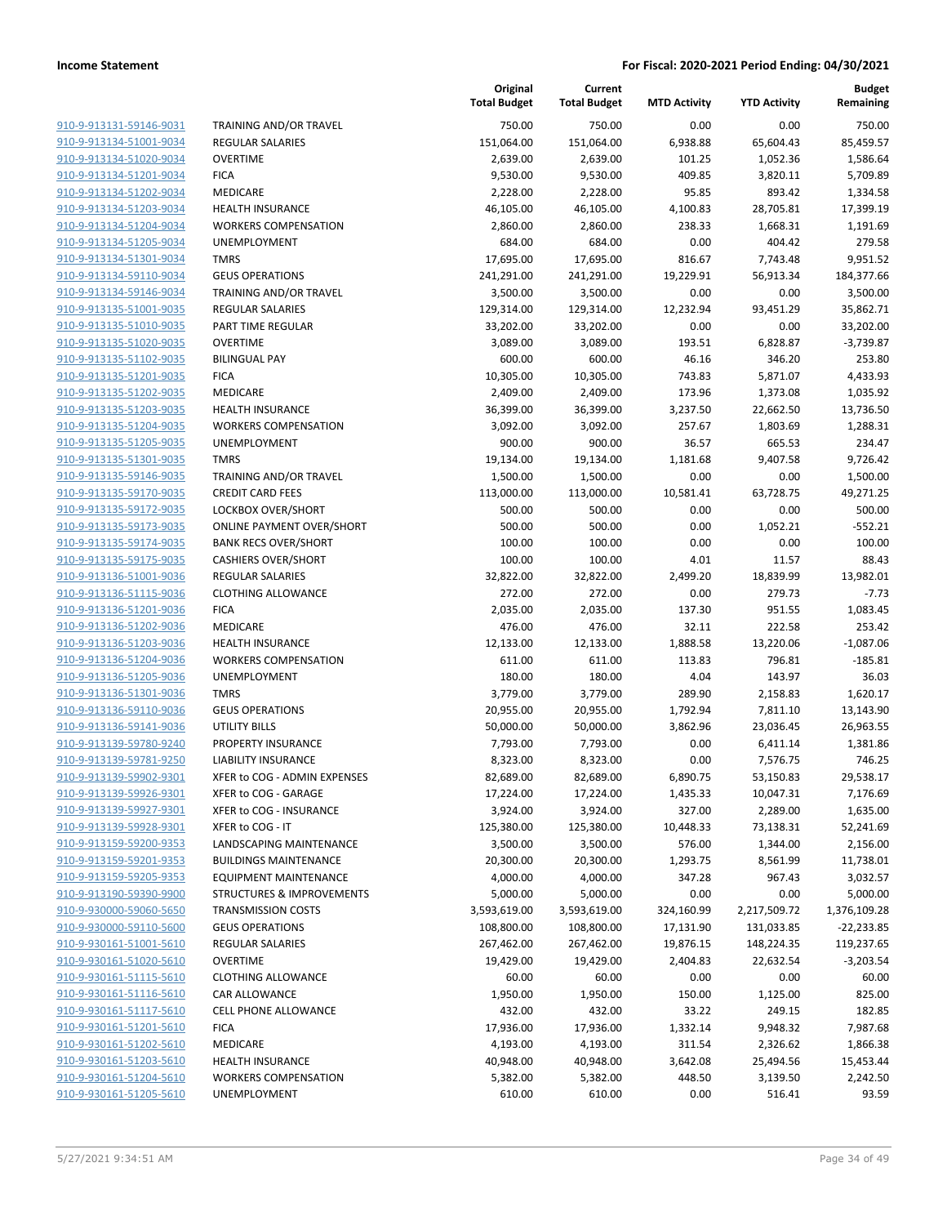| 910-9-913131-59146-9031        |
|--------------------------------|
| 910-9-913134-51001-9034        |
| 910-9-913134-51020-9034        |
| 910-9-913134-51201-9034        |
| 910-9-913134-51202-9034        |
| 910-9-913134-51203-9034        |
| 910-9-913134-51204-9034        |
| 910-9-913134-51205-9034        |
| 910-9-913134-51301-9034        |
| 910-9-913134-59110-9034        |
| 910-9-913134-59146-9034        |
| 910-9-913135-51001-9035        |
| 910-9-913135-51010-9035        |
| 910-9-913135-51020-9035        |
| 910-9-913135-51102-9035        |
| 910-9-913135-51201-9035        |
| 910-9-913135-51202-9035        |
| 910-9-913135-51203-9035        |
| 910-9-913135-51204-9035        |
| 910-9-913135-51205-9035        |
| 910-9-913135-51301-9035        |
| 910-9-913135-59146-9035        |
|                                |
| 910-9-913135-59170-9035        |
| 910-9-913135-59172-9035        |
| 910-9-913135-59173-9035        |
| 910-9-913135-59174-9035        |
| 910-9-913135-59175-9035        |
| 910-9-913136-51001-9036        |
| 910-9-913136-51115-9036        |
| 910-9-913136-51201-9036        |
| 910-9-913136-51202-9036        |
| 910-9-913136-51203-9036        |
| 910-9-913136-51204-9036        |
| 910-9-913136-51205-9036        |
| 910-9-913136-51301-9036        |
| 910-9-913136-59110-9036        |
| 910-9-913136-59141-9036        |
| 910-9-913139-59780-9240        |
| 910-9-913139-59781-9250        |
| 910-9-913139-59902-9301        |
| 910-9-913139-59926-9301        |
| <u>910-9-913139-59927-9301</u> |
| 910-9-913139-59928-9301        |
| 910-9-913159-59200-9353        |
| 910-9-913159-59201-9353        |
| 910-9-913159-59205-9353        |
| 910-9-913190-59390-9900        |
| 910-9-930000-59060-5650        |
| <u>910-9-930000-59110-5600</u> |
| 910-9-930161-51001-5610        |
| 910-9-930161-51020-5610        |
| <u>910-9-930161-51115-5610</u> |
| 910-9-930161-51116-5610        |
| 910-9-930161-51117-5610        |
| 910-9-930161-51201-5610        |
| 910-9-930161-51202-5610        |
| 910-9-930161-51203-5610        |
| 910-9-930161-51204-5610        |
| 910-9-930161-51205-5610        |
|                                |

|                                                    |                                            | Original<br><b>Total Budget</b> | Current<br><b>Total Budget</b> | <b>MTD Activity</b> | <b>YTD Activity</b>  | <b>Budget</b><br>Remaining |
|----------------------------------------------------|--------------------------------------------|---------------------------------|--------------------------------|---------------------|----------------------|----------------------------|
| 910-9-913131-59146-9031                            | TRAINING AND/OR TRAVEL                     | 750.00                          | 750.00                         | 0.00                | 0.00                 | 750.00                     |
| 910-9-913134-51001-9034                            | <b>REGULAR SALARIES</b>                    | 151,064.00                      | 151,064.00                     | 6,938.88            | 65,604.43            | 85,459.57                  |
| 910-9-913134-51020-9034                            | <b>OVERTIME</b>                            | 2,639.00                        | 2,639.00                       | 101.25              | 1,052.36             | 1,586.64                   |
| 910-9-913134-51201-9034                            | <b>FICA</b>                                | 9,530.00                        | 9,530.00                       | 409.85              | 3,820.11             | 5,709.89                   |
| 910-9-913134-51202-9034                            | MEDICARE                                   | 2,228.00                        | 2,228.00                       | 95.85               | 893.42               | 1,334.58                   |
| 910-9-913134-51203-9034                            | <b>HEALTH INSURANCE</b>                    | 46,105.00                       | 46,105.00                      | 4,100.83            | 28,705.81            | 17,399.19                  |
| 910-9-913134-51204-9034                            | <b>WORKERS COMPENSATION</b>                | 2,860.00                        | 2,860.00                       | 238.33              | 1,668.31             | 1,191.69                   |
| 910-9-913134-51205-9034                            | UNEMPLOYMENT                               | 684.00                          | 684.00                         | 0.00                | 404.42               | 279.58                     |
| 910-9-913134-51301-9034                            | <b>TMRS</b>                                | 17,695.00                       | 17,695.00                      | 816.67              | 7,743.48             | 9,951.52                   |
| 910-9-913134-59110-9034                            | <b>GEUS OPERATIONS</b>                     | 241,291.00                      | 241,291.00                     | 19,229.91           | 56,913.34            | 184,377.66                 |
| 910-9-913134-59146-9034                            | TRAINING AND/OR TRAVEL                     | 3,500.00                        | 3,500.00                       | 0.00                | 0.00                 | 3,500.00                   |
| 910-9-913135-51001-9035                            | <b>REGULAR SALARIES</b>                    | 129,314.00                      | 129,314.00                     | 12,232.94           | 93,451.29            | 35,862.71                  |
| 910-9-913135-51010-9035                            | PART TIME REGULAR                          | 33,202.00                       | 33,202.00                      | 0.00                | 0.00                 | 33,202.00                  |
| 910-9-913135-51020-9035                            | <b>OVERTIME</b>                            | 3,089.00                        | 3,089.00                       | 193.51              | 6,828.87             | $-3,739.87$                |
| 910-9-913135-51102-9035<br>910-9-913135-51201-9035 | <b>BILINGUAL PAY</b>                       | 600.00                          | 600.00                         | 46.16               | 346.20               | 253.80                     |
| 910-9-913135-51202-9035                            | <b>FICA</b><br>MEDICARE                    | 10,305.00<br>2,409.00           | 10,305.00<br>2,409.00          | 743.83<br>173.96    | 5,871.07<br>1,373.08 | 4,433.93<br>1,035.92       |
| 910-9-913135-51203-9035                            | <b>HEALTH INSURANCE</b>                    | 36,399.00                       | 36,399.00                      | 3,237.50            | 22,662.50            | 13,736.50                  |
| 910-9-913135-51204-9035                            | <b>WORKERS COMPENSATION</b>                | 3,092.00                        | 3,092.00                       | 257.67              | 1,803.69             | 1,288.31                   |
| 910-9-913135-51205-9035                            | UNEMPLOYMENT                               | 900.00                          | 900.00                         | 36.57               | 665.53               | 234.47                     |
| 910-9-913135-51301-9035                            | <b>TMRS</b>                                | 19,134.00                       | 19,134.00                      | 1,181.68            | 9,407.58             | 9,726.42                   |
| 910-9-913135-59146-9035                            | TRAINING AND/OR TRAVEL                     | 1,500.00                        | 1,500.00                       | 0.00                | 0.00                 | 1,500.00                   |
| 910-9-913135-59170-9035                            | <b>CREDIT CARD FEES</b>                    | 113,000.00                      | 113,000.00                     | 10,581.41           | 63,728.75            | 49,271.25                  |
| 910-9-913135-59172-9035                            | LOCKBOX OVER/SHORT                         | 500.00                          | 500.00                         | 0.00                | 0.00                 | 500.00                     |
| 910-9-913135-59173-9035                            | <b>ONLINE PAYMENT OVER/SHORT</b>           | 500.00                          | 500.00                         | 0.00                | 1,052.21             | $-552.21$                  |
| 910-9-913135-59174-9035                            | <b>BANK RECS OVER/SHORT</b>                | 100.00                          | 100.00                         | 0.00                | 0.00                 | 100.00                     |
| 910-9-913135-59175-9035                            | <b>CASHIERS OVER/SHORT</b>                 | 100.00                          | 100.00                         | 4.01                | 11.57                | 88.43                      |
| 910-9-913136-51001-9036                            | <b>REGULAR SALARIES</b>                    | 32,822.00                       | 32,822.00                      | 2,499.20            | 18,839.99            | 13,982.01                  |
| 910-9-913136-51115-9036                            | <b>CLOTHING ALLOWANCE</b>                  | 272.00                          | 272.00                         | 0.00                | 279.73               | $-7.73$                    |
| 910-9-913136-51201-9036                            | <b>FICA</b>                                | 2,035.00                        | 2,035.00                       | 137.30              | 951.55               | 1,083.45                   |
| 910-9-913136-51202-9036                            | MEDICARE                                   | 476.00                          | 476.00                         | 32.11               | 222.58               | 253.42                     |
| 910-9-913136-51203-9036                            | <b>HEALTH INSURANCE</b>                    | 12,133.00                       | 12,133.00                      | 1,888.58            | 13,220.06            | $-1,087.06$                |
| 910-9-913136-51204-9036                            | <b>WORKERS COMPENSATION</b>                | 611.00                          | 611.00                         | 113.83              | 796.81               | $-185.81$                  |
| 910-9-913136-51205-9036                            | UNEMPLOYMENT                               | 180.00                          | 180.00                         | 4.04                | 143.97               | 36.03                      |
| 910-9-913136-51301-9036                            | <b>TMRS</b>                                | 3,779.00                        | 3,779.00                       | 289.90              | 2,158.83             | 1,620.17                   |
| 910-9-913136-59110-9036                            | <b>GEUS OPERATIONS</b>                     | 20,955.00                       | 20,955.00                      | 1,792.94            | 7,811.10             | 13,143.90                  |
| 910-9-913136-59141-9036<br>910-9-913139-59780-9240 | <b>UTILITY BILLS</b><br>PROPERTY INSURANCE | 50,000.00                       | 50,000.00<br>7,793.00          | 3,862.96            | 23,036.45            | 26,963.55                  |
| 910-9-913139-59781-9250                            | <b>LIABILITY INSURANCE</b>                 | 7,793.00<br>8,323.00            | 8,323.00                       | 0.00<br>0.00        | 6,411.14<br>7,576.75 | 1,381.86<br>746.25         |
| 910-9-913139-59902-9301                            | XFER to COG - ADMIN EXPENSES               | 82,689.00                       | 82,689.00                      | 6,890.75            | 53,150.83            | 29,538.17                  |
| 910-9-913139-59926-9301                            | XFER to COG - GARAGE                       | 17,224.00                       | 17,224.00                      | 1,435.33            | 10,047.31            | 7,176.69                   |
| 910-9-913139-59927-9301                            | XFER to COG - INSURANCE                    | 3,924.00                        | 3,924.00                       | 327.00              | 2,289.00             | 1,635.00                   |
| 910-9-913139-59928-9301                            | XFER to COG - IT                           | 125,380.00                      | 125,380.00                     | 10,448.33           | 73,138.31            | 52,241.69                  |
| 910-9-913159-59200-9353                            | <b>LANDSCAPING MAINTENANCE</b>             | 3,500.00                        | 3,500.00                       | 576.00              | 1,344.00             | 2,156.00                   |
| 910-9-913159-59201-9353                            | <b>BUILDINGS MAINTENANCE</b>               | 20,300.00                       | 20,300.00                      | 1,293.75            | 8,561.99             | 11,738.01                  |
| 910-9-913159-59205-9353                            | <b>EQUIPMENT MAINTENANCE</b>               | 4,000.00                        | 4,000.00                       | 347.28              | 967.43               | 3,032.57                   |
| 910-9-913190-59390-9900                            | <b>STRUCTURES &amp; IMPROVEMENTS</b>       | 5,000.00                        | 5,000.00                       | 0.00                | 0.00                 | 5,000.00                   |
| 910-9-930000-59060-5650                            | <b>TRANSMISSION COSTS</b>                  | 3,593,619.00                    | 3,593,619.00                   | 324,160.99          | 2,217,509.72         | 1,376,109.28               |
| 910-9-930000-59110-5600                            | <b>GEUS OPERATIONS</b>                     | 108,800.00                      | 108,800.00                     | 17,131.90           | 131,033.85           | $-22,233.85$               |
| 910-9-930161-51001-5610                            | REGULAR SALARIES                           | 267,462.00                      | 267,462.00                     | 19,876.15           | 148,224.35           | 119,237.65                 |
| 910-9-930161-51020-5610                            | <b>OVERTIME</b>                            | 19,429.00                       | 19,429.00                      | 2,404.83            | 22,632.54            | $-3,203.54$                |
| 910-9-930161-51115-5610                            | <b>CLOTHING ALLOWANCE</b>                  | 60.00                           | 60.00                          | 0.00                | 0.00                 | 60.00                      |
| 910-9-930161-51116-5610                            | CAR ALLOWANCE                              | 1,950.00                        | 1,950.00                       | 150.00              | 1,125.00             | 825.00                     |
| 910-9-930161-51117-5610                            | <b>CELL PHONE ALLOWANCE</b>                | 432.00                          | 432.00                         | 33.22               | 249.15               | 182.85                     |
| 910-9-930161-51201-5610                            | <b>FICA</b>                                | 17,936.00                       | 17,936.00                      | 1,332.14            | 9,948.32             | 7,987.68                   |
| 910-9-930161-51202-5610                            | MEDICARE                                   | 4,193.00                        | 4,193.00                       | 311.54              | 2,326.62             | 1,866.38                   |
| 910-9-930161-51203-5610                            | <b>HEALTH INSURANCE</b>                    | 40,948.00                       | 40,948.00                      | 3,642.08            | 25,494.56            | 15,453.44                  |
| 910-9-930161-51204-5610                            | <b>WORKERS COMPENSATION</b>                | 5,382.00                        | 5,382.00                       | 448.50              | 3,139.50             | 2,242.50                   |
| 910-9-930161-51205-5610                            | UNEMPLOYMENT                               | 610.00                          | 610.00                         | 0.00                | 516.41               | 93.59                      |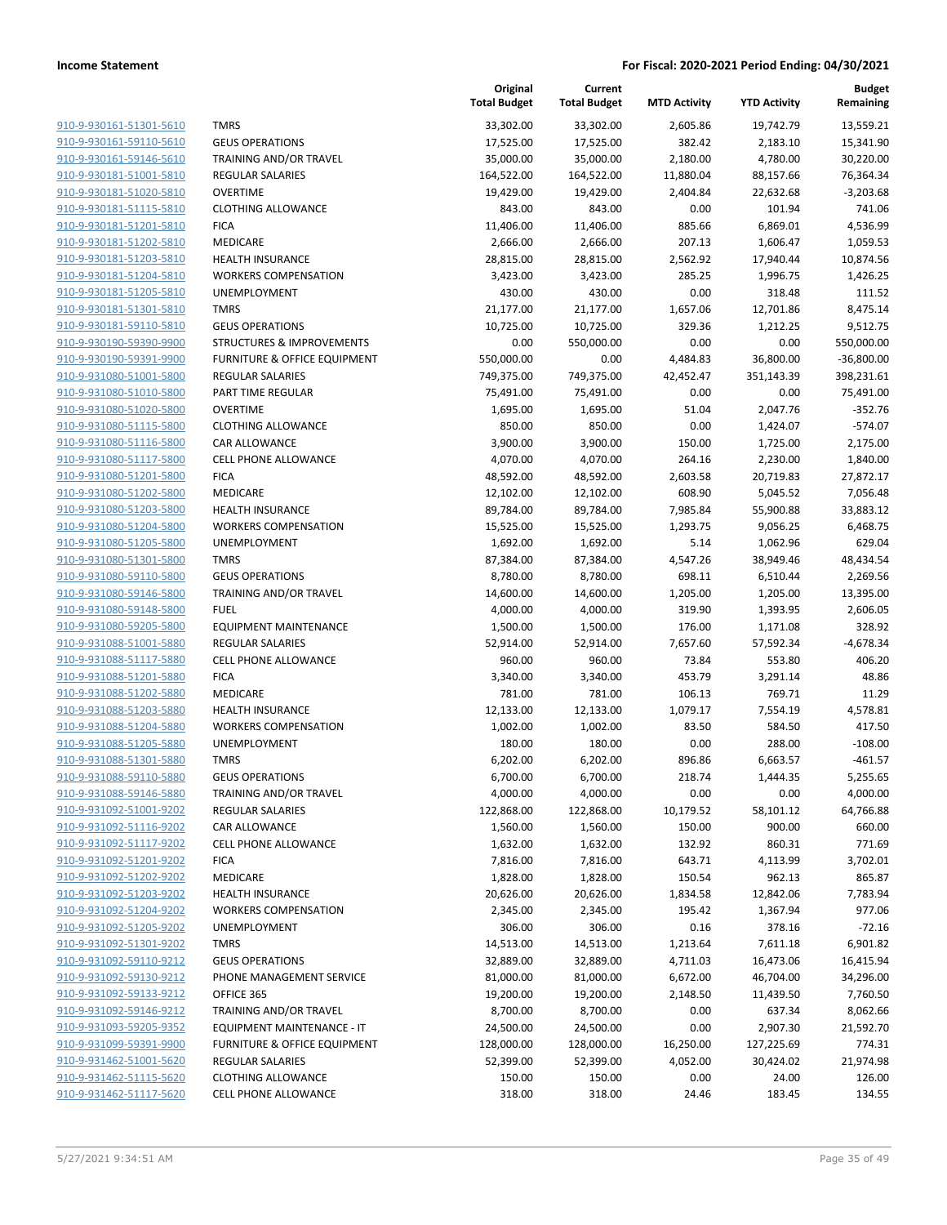**Current**

**Original**

**Budget Remaining**

|                                                    |                                              | <b>Total Budget</b>  | <b>Total Budget</b>  | <b>MTD Activity</b> | <b>YTD Activity</b> | Remaining        |
|----------------------------------------------------|----------------------------------------------|----------------------|----------------------|---------------------|---------------------|------------------|
| 910-9-930161-51301-5610                            | <b>TMRS</b>                                  | 33,302.00            | 33,302.00            | 2,605.86            | 19,742.79           | 13,559.21        |
| 910-9-930161-59110-5610                            | <b>GEUS OPERATIONS</b>                       | 17,525.00            | 17,525.00            | 382.42              | 2,183.10            | 15,341.90        |
| 910-9-930161-59146-5610                            | TRAINING AND/OR TRAVEL                       | 35,000.00            | 35,000.00            | 2,180.00            | 4,780.00            | 30,220.00        |
| 910-9-930181-51001-5810                            | <b>REGULAR SALARIES</b>                      | 164,522.00           | 164,522.00           | 11,880.04           | 88,157.66           | 76,364.34        |
| 910-9-930181-51020-5810                            | <b>OVERTIME</b>                              | 19,429.00            | 19,429.00            | 2,404.84            | 22,632.68           | $-3,203.68$      |
| 910-9-930181-51115-5810                            | <b>CLOTHING ALLOWANCE</b>                    | 843.00               | 843.00               | 0.00                | 101.94              | 741.06           |
| 910-9-930181-51201-5810                            | <b>FICA</b>                                  | 11,406.00            | 11,406.00            | 885.66              | 6,869.01            | 4,536.99         |
| 910-9-930181-51202-5810                            | MEDICARE                                     | 2,666.00             | 2,666.00             | 207.13              | 1,606.47            | 1,059.53         |
| 910-9-930181-51203-5810                            | <b>HEALTH INSURANCE</b>                      | 28,815.00            | 28,815.00            | 2,562.92            | 17,940.44           | 10,874.56        |
| 910-9-930181-51204-5810                            | <b>WORKERS COMPENSATION</b>                  | 3,423.00             | 3,423.00             | 285.25              | 1,996.75            | 1,426.25         |
| 910-9-930181-51205-5810                            | UNEMPLOYMENT                                 | 430.00               | 430.00               | 0.00                | 318.48              | 111.52           |
| 910-9-930181-51301-5810                            | <b>TMRS</b>                                  | 21,177.00            | 21,177.00            | 1,657.06            | 12,701.86           | 8,475.14         |
| 910-9-930181-59110-5810                            | <b>GEUS OPERATIONS</b>                       | 10,725.00            | 10,725.00            | 329.36              | 1,212.25            | 9,512.75         |
| 910-9-930190-59390-9900                            | <b>STRUCTURES &amp; IMPROVEMENTS</b>         | 0.00                 | 550,000.00           | 0.00                | 0.00                | 550,000.00       |
| 910-9-930190-59391-9900                            | FURNITURE & OFFICE EQUIPMENT                 | 550,000.00           | 0.00                 | 4,484.83            | 36,800.00           | $-36,800.00$     |
| 910-9-931080-51001-5800                            | <b>REGULAR SALARIES</b>                      | 749,375.00           | 749,375.00           | 42,452.47           | 351,143.39          | 398,231.61       |
| 910-9-931080-51010-5800                            | PART TIME REGULAR                            | 75,491.00            | 75,491.00            | 0.00                | 0.00                | 75,491.00        |
| 910-9-931080-51020-5800                            | <b>OVERTIME</b>                              | 1,695.00             | 1,695.00             | 51.04               | 2,047.76            | $-352.76$        |
| 910-9-931080-51115-5800                            | <b>CLOTHING ALLOWANCE</b>                    | 850.00               | 850.00               | 0.00                | 1,424.07            | $-574.07$        |
| 910-9-931080-51116-5800                            | CAR ALLOWANCE                                | 3,900.00             | 3,900.00             | 150.00              | 1,725.00            | 2,175.00         |
| 910-9-931080-51117-5800                            | <b>CELL PHONE ALLOWANCE</b>                  | 4,070.00             | 4,070.00             | 264.16              | 2,230.00            | 1,840.00         |
| 910-9-931080-51201-5800                            | <b>FICA</b>                                  | 48,592.00            | 48,592.00            | 2,603.58            | 20,719.83           | 27,872.17        |
| 910-9-931080-51202-5800                            | <b>MEDICARE</b>                              | 12,102.00            | 12,102.00            | 608.90              | 5,045.52            | 7,056.48         |
| 910-9-931080-51203-5800                            | <b>HEALTH INSURANCE</b>                      | 89,784.00            | 89,784.00            | 7,985.84            | 55,900.88           | 33,883.12        |
| 910-9-931080-51204-5800                            | <b>WORKERS COMPENSATION</b>                  | 15,525.00            | 15,525.00            | 1,293.75            | 9,056.25            | 6,468.75         |
| 910-9-931080-51205-5800                            | UNEMPLOYMENT                                 | 1,692.00             | 1,692.00             | 5.14                | 1,062.96            | 629.04           |
| 910-9-931080-51301-5800                            | <b>TMRS</b>                                  | 87,384.00            | 87,384.00            | 4,547.26            | 38,949.46           | 48,434.54        |
| 910-9-931080-59110-5800                            | <b>GEUS OPERATIONS</b>                       | 8,780.00             | 8,780.00             | 698.11              | 6,510.44            | 2,269.56         |
| 910-9-931080-59146-5800                            | TRAINING AND/OR TRAVEL                       | 14,600.00            | 14,600.00            | 1,205.00            | 1,205.00            | 13,395.00        |
| 910-9-931080-59148-5800                            | <b>FUEL</b>                                  | 4,000.00             | 4,000.00             | 319.90              | 1,393.95            | 2,606.05         |
| 910-9-931080-59205-5800                            | <b>EQUIPMENT MAINTENANCE</b>                 | 1,500.00             | 1,500.00             | 176.00              | 1,171.08            | 328.92           |
| 910-9-931088-51001-5880                            | <b>REGULAR SALARIES</b>                      | 52,914.00            | 52,914.00            | 7,657.60            | 57,592.34           | $-4,678.34$      |
| 910-9-931088-51117-5880                            | CELL PHONE ALLOWANCE                         | 960.00               | 960.00               | 73.84               | 553.80              | 406.20           |
| 910-9-931088-51201-5880                            | <b>FICA</b>                                  | 3,340.00             | 3,340.00             | 453.79              | 3,291.14            | 48.86            |
| 910-9-931088-51202-5880                            | MEDICARE                                     | 781.00               | 781.00               | 106.13              | 769.71              | 11.29            |
| 910-9-931088-51203-5880                            | <b>HEALTH INSURANCE</b>                      | 12,133.00            | 12,133.00            | 1,079.17            | 7,554.19            | 4,578.81         |
| 910-9-931088-51204-5880                            | <b>WORKERS COMPENSATION</b>                  | 1,002.00             | 1,002.00             | 83.50               | 584.50              | 417.50           |
| 910-9-931088-51205-5880                            | UNEMPLOYMENT                                 | 180.00               | 180.00               | 0.00                | 288.00              | $-108.00$        |
| 910-9-931088-51301-5880                            | <b>TMRS</b>                                  | 6,202.00             | 6,202.00             | 896.86              | 6,663.57            | $-461.57$        |
| 910-9-931088-59110-5880                            | <b>GEUS OPERATIONS</b>                       | 6,700.00             | 6,700.00             | 218.74              | 1,444.35            | 5,255.65         |
| <u>910-9-931088-59146-5880</u>                     | TRAINING AND/OR TRAVEL                       | 4,000.00             | 4,000.00             | 0.00                | 0.00                | 4,000.00         |
| 910-9-931092-51001-9202<br>910-9-931092-51116-9202 | <b>REGULAR SALARIES</b>                      | 122,868.00           | 122,868.00           | 10,179.52           | 58,101.12           | 64,766.88        |
| 910-9-931092-51117-9202                            | CAR ALLOWANCE<br><b>CELL PHONE ALLOWANCE</b> | 1,560.00             | 1,560.00             | 150.00              | 900.00              | 660.00<br>771.69 |
|                                                    | <b>FICA</b>                                  | 1,632.00<br>7,816.00 | 1,632.00<br>7,816.00 | 132.92<br>643.71    | 860.31<br>4,113.99  | 3,702.01         |
| 910-9-931092-51201-9202<br>910-9-931092-51202-9202 | MEDICARE                                     | 1,828.00             | 1,828.00             | 150.54              | 962.13              | 865.87           |
| 910-9-931092-51203-9202                            | HEALTH INSURANCE                             | 20,626.00            | 20,626.00            | 1,834.58            | 12,842.06           | 7,783.94         |
| 910-9-931092-51204-9202                            | <b>WORKERS COMPENSATION</b>                  | 2,345.00             | 2,345.00             | 195.42              | 1,367.94            | 977.06           |
| 910-9-931092-51205-9202                            | UNEMPLOYMENT                                 | 306.00               | 306.00               | 0.16                | 378.16              | $-72.16$         |
| 910-9-931092-51301-9202                            | <b>TMRS</b>                                  | 14,513.00            | 14,513.00            | 1,213.64            | 7,611.18            | 6,901.82         |
| 910-9-931092-59110-9212                            | <b>GEUS OPERATIONS</b>                       | 32,889.00            | 32,889.00            | 4,711.03            | 16,473.06           | 16,415.94        |
| 910-9-931092-59130-9212                            | PHONE MANAGEMENT SERVICE                     | 81,000.00            | 81,000.00            | 6,672.00            | 46,704.00           | 34,296.00        |
| 910-9-931092-59133-9212                            | OFFICE 365                                   | 19,200.00            | 19,200.00            | 2,148.50            | 11,439.50           | 7,760.50         |
| 910-9-931092-59146-9212                            | TRAINING AND/OR TRAVEL                       | 8,700.00             | 8,700.00             | 0.00                | 637.34              | 8,062.66         |
| 910-9-931093-59205-9352                            | EQUIPMENT MAINTENANCE - IT                   | 24,500.00            | 24,500.00            | 0.00                | 2,907.30            | 21,592.70        |
| 910-9-931099-59391-9900                            | FURNITURE & OFFICE EQUIPMENT                 | 128,000.00           | 128,000.00           | 16,250.00           | 127,225.69          | 774.31           |
| 910-9-931462-51001-5620                            | <b>REGULAR SALARIES</b>                      | 52,399.00            | 52,399.00            | 4,052.00            | 30,424.02           | 21,974.98        |
| 910-9-931462-51115-5620                            | <b>CLOTHING ALLOWANCE</b>                    | 150.00               | 150.00               | 0.00                | 24.00               | 126.00           |
| 910-9-931462-51117-5620                            | <b>CELL PHONE ALLOWANCE</b>                  | 318.00               | 318.00               | 24.46               | 183.45              | 134.55           |
|                                                    |                                              |                      |                      |                     |                     |                  |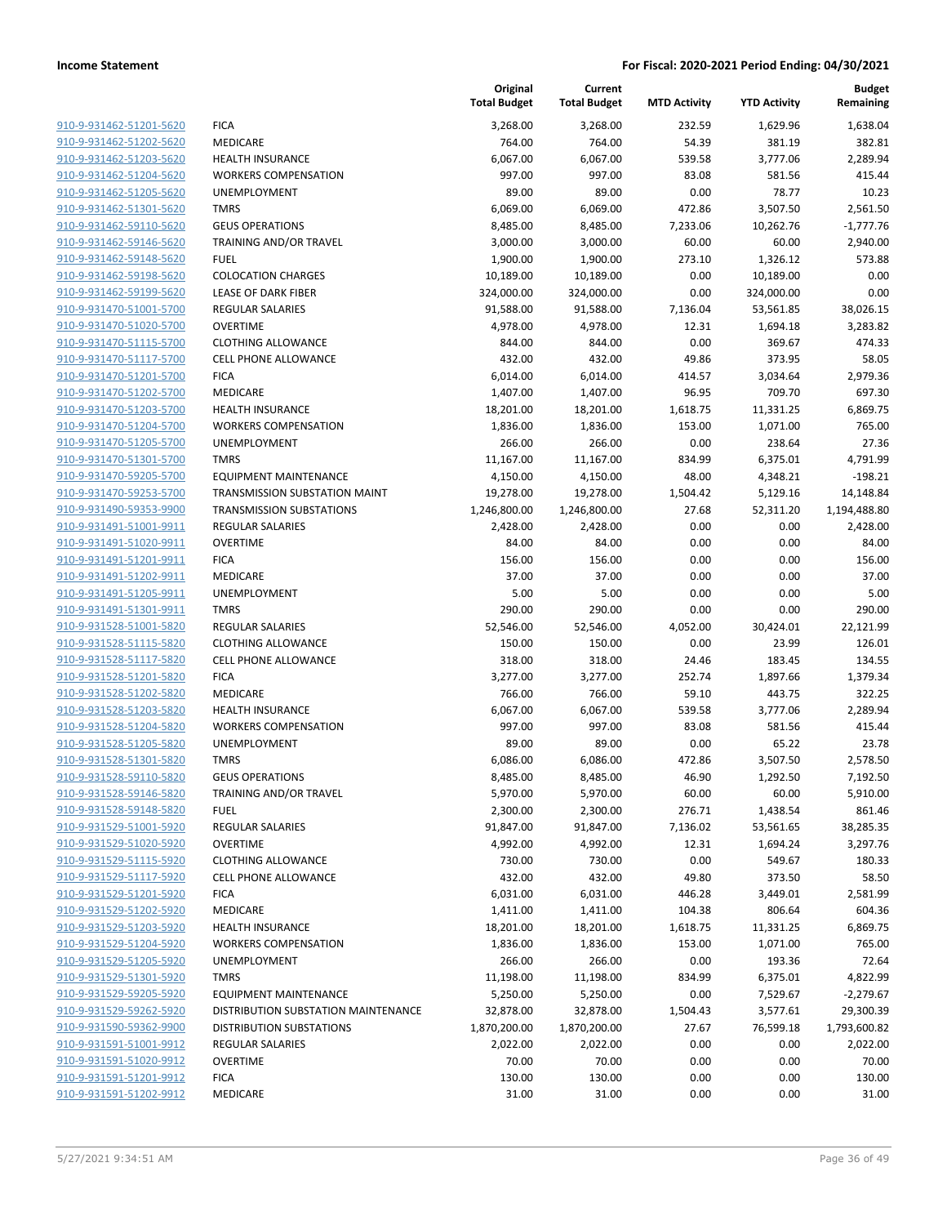|                                                    |                                                            | Original<br><b>Total Budget</b> | Current<br><b>Total Budget</b> | <b>MTD Activity</b> | <b>YTD Activity</b> | <b>Budget</b><br>Remaining |
|----------------------------------------------------|------------------------------------------------------------|---------------------------------|--------------------------------|---------------------|---------------------|----------------------------|
| 910-9-931462-51201-5620                            | <b>FICA</b>                                                | 3,268.00                        | 3,268.00                       | 232.59              | 1,629.96            | 1,638.04                   |
| 910-9-931462-51202-5620                            | <b>MEDICARE</b>                                            | 764.00                          | 764.00                         | 54.39               | 381.19              | 382.81                     |
| 910-9-931462-51203-5620                            | <b>HEALTH INSURANCE</b>                                    | 6,067.00                        | 6,067.00                       | 539.58              | 3,777.06            | 2,289.94                   |
| 910-9-931462-51204-5620                            | <b>WORKERS COMPENSATION</b>                                | 997.00                          | 997.00                         | 83.08               | 581.56              | 415.44                     |
| 910-9-931462-51205-5620                            | <b>UNEMPLOYMENT</b>                                        | 89.00                           | 89.00                          | 0.00                | 78.77               | 10.23                      |
| 910-9-931462-51301-5620                            | <b>TMRS</b>                                                | 6,069.00                        | 6,069.00                       | 472.86              | 3,507.50            | 2,561.50                   |
| 910-9-931462-59110-5620                            | <b>GEUS OPERATIONS</b>                                     | 8,485.00                        | 8,485.00                       | 7,233.06            | 10,262.76           | $-1,777.76$                |
| 910-9-931462-59146-5620                            | TRAINING AND/OR TRAVEL                                     | 3,000.00                        | 3,000.00                       | 60.00               | 60.00               | 2,940.00                   |
| 910-9-931462-59148-5620                            | <b>FUEL</b>                                                | 1,900.00                        | 1,900.00                       | 273.10              | 1,326.12            | 573.88                     |
| 910-9-931462-59198-5620                            | <b>COLOCATION CHARGES</b>                                  | 10,189.00                       | 10,189.00                      | 0.00                | 10,189.00           | 0.00                       |
| 910-9-931462-59199-5620                            | <b>LEASE OF DARK FIBER</b>                                 | 324,000.00                      | 324,000.00                     | 0.00                | 324,000.00          | 0.00                       |
| 910-9-931470-51001-5700                            | REGULAR SALARIES                                           | 91,588.00                       | 91,588.00                      | 7,136.04            | 53,561.85           | 38,026.15                  |
| 910-9-931470-51020-5700                            | <b>OVERTIME</b>                                            | 4,978.00                        | 4,978.00                       | 12.31               | 1,694.18            | 3,283.82                   |
| 910-9-931470-51115-5700                            | <b>CLOTHING ALLOWANCE</b>                                  | 844.00                          | 844.00                         | 0.00                | 369.67              | 474.33                     |
| 910-9-931470-51117-5700                            | <b>CELL PHONE ALLOWANCE</b>                                | 432.00                          | 432.00                         | 49.86               | 373.95              | 58.05                      |
| 910-9-931470-51201-5700                            | <b>FICA</b>                                                | 6,014.00                        | 6,014.00                       | 414.57              | 3,034.64            | 2,979.36                   |
| 910-9-931470-51202-5700                            | MEDICARE                                                   | 1,407.00                        | 1,407.00                       | 96.95               | 709.70              | 697.30                     |
| 910-9-931470-51203-5700                            | <b>HEALTH INSURANCE</b>                                    | 18,201.00                       | 18,201.00                      | 1,618.75            | 11,331.25           | 6,869.75                   |
| 910-9-931470-51204-5700                            | <b>WORKERS COMPENSATION</b>                                | 1,836.00                        | 1,836.00                       | 153.00              | 1,071.00            | 765.00                     |
| 910-9-931470-51205-5700                            | UNEMPLOYMENT                                               | 266.00                          | 266.00                         | 0.00                | 238.64              | 27.36                      |
| 910-9-931470-51301-5700                            | <b>TMRS</b>                                                | 11,167.00                       | 11,167.00                      | 834.99              | 6,375.01            | 4,791.99                   |
| 910-9-931470-59205-5700<br>910-9-931470-59253-5700 | <b>EQUIPMENT MAINTENANCE</b>                               | 4,150.00                        | 4,150.00                       | 48.00               | 4,348.21            | $-198.21$                  |
| 910-9-931490-59353-9900                            | TRANSMISSION SUBSTATION MAINT                              | 19,278.00                       | 19,278.00                      | 1,504.42            | 5,129.16            | 14,148.84                  |
| 910-9-931491-51001-9911                            | <b>TRANSMISSION SUBSTATIONS</b><br><b>REGULAR SALARIES</b> | 1,246,800.00<br>2,428.00        | 1,246,800.00<br>2,428.00       | 27.68<br>0.00       | 52,311.20<br>0.00   | 1,194,488.80<br>2,428.00   |
| 910-9-931491-51020-9911                            | <b>OVERTIME</b>                                            | 84.00                           | 84.00                          | 0.00                | 0.00                | 84.00                      |
| 910-9-931491-51201-9911                            | <b>FICA</b>                                                | 156.00                          | 156.00                         | 0.00                | 0.00                | 156.00                     |
| 910-9-931491-51202-9911                            | MEDICARE                                                   | 37.00                           | 37.00                          | 0.00                | 0.00                | 37.00                      |
| 910-9-931491-51205-9911                            | <b>UNEMPLOYMENT</b>                                        | 5.00                            | 5.00                           | 0.00                | 0.00                | 5.00                       |
| 910-9-931491-51301-9911                            | <b>TMRS</b>                                                | 290.00                          | 290.00                         | 0.00                | 0.00                | 290.00                     |
| 910-9-931528-51001-5820                            | <b>REGULAR SALARIES</b>                                    | 52,546.00                       | 52,546.00                      | 4,052.00            | 30,424.01           | 22,121.99                  |
| 910-9-931528-51115-5820                            | <b>CLOTHING ALLOWANCE</b>                                  | 150.00                          | 150.00                         | 0.00                | 23.99               | 126.01                     |
| 910-9-931528-51117-5820                            | <b>CELL PHONE ALLOWANCE</b>                                | 318.00                          | 318.00                         | 24.46               | 183.45              | 134.55                     |
| 910-9-931528-51201-5820                            | <b>FICA</b>                                                | 3,277.00                        | 3,277.00                       | 252.74              | 1,897.66            | 1,379.34                   |
| 910-9-931528-51202-5820                            | MEDICARE                                                   | 766.00                          | 766.00                         | 59.10               | 443.75              | 322.25                     |
| 910-9-931528-51203-5820                            | <b>HEALTH INSURANCE</b>                                    | 6,067.00                        | 6,067.00                       | 539.58              | 3,777.06            | 2,289.94                   |
| 910-9-931528-51204-5820                            | <b>WORKERS COMPENSATION</b>                                | 997.00                          | 997.00                         | 83.08               | 581.56              | 415.44                     |
| 910-9-931528-51205-5820                            | <b>UNEMPLOYMENT</b>                                        | 89.00                           | 89.00                          | 0.00                | 65.22               | 23.78                      |
| 910-9-931528-51301-5820                            | <b>TMRS</b>                                                | 6,086.00                        | 6.086.00                       | 472.86              | 3,507.50            | 2,578.50                   |
| 910-9-931528-59110-5820                            | <b>GEUS OPERATIONS</b>                                     | 8,485.00                        | 8,485.00                       | 46.90               | 1,292.50            | 7,192.50                   |
| 910-9-931528-59146-5820                            | <b>TRAINING AND/OR TRAVEL</b>                              | 5,970.00                        | 5,970.00                       | 60.00               | 60.00               | 5,910.00                   |
| 910-9-931528-59148-5820                            | <b>FUEL</b>                                                | 2,300.00                        | 2,300.00                       | 276.71              | 1,438.54            | 861.46                     |
| 910-9-931529-51001-5920                            | REGULAR SALARIES                                           | 91,847.00                       | 91,847.00                      | 7,136.02            | 53,561.65           | 38,285.35                  |
| 910-9-931529-51020-5920<br>910-9-931529-51115-5920 | <b>OVERTIME</b><br><b>CLOTHING ALLOWANCE</b>               | 4,992.00                        | 4,992.00                       | 12.31               | 1,694.24            | 3,297.76                   |
| 910-9-931529-51117-5920                            | <b>CELL PHONE ALLOWANCE</b>                                | 730.00<br>432.00                | 730.00<br>432.00               | 0.00<br>49.80       | 549.67<br>373.50    | 180.33<br>58.50            |
| 910-9-931529-51201-5920                            | <b>FICA</b>                                                | 6,031.00                        | 6,031.00                       | 446.28              | 3,449.01            | 2,581.99                   |
| 910-9-931529-51202-5920                            | MEDICARE                                                   | 1,411.00                        | 1,411.00                       | 104.38              | 806.64              | 604.36                     |
| 910-9-931529-51203-5920                            | <b>HEALTH INSURANCE</b>                                    | 18,201.00                       | 18,201.00                      | 1,618.75            | 11,331.25           | 6,869.75                   |
| 910-9-931529-51204-5920                            | <b>WORKERS COMPENSATION</b>                                | 1,836.00                        | 1,836.00                       | 153.00              | 1,071.00            | 765.00                     |
| 910-9-931529-51205-5920                            | UNEMPLOYMENT                                               | 266.00                          | 266.00                         | 0.00                | 193.36              | 72.64                      |
| 910-9-931529-51301-5920                            | <b>TMRS</b>                                                | 11,198.00                       | 11,198.00                      | 834.99              | 6,375.01            | 4,822.99                   |
| 910-9-931529-59205-5920                            | <b>EQUIPMENT MAINTENANCE</b>                               | 5,250.00                        | 5,250.00                       | 0.00                | 7,529.67            | $-2,279.67$                |
| 910-9-931529-59262-5920                            | DISTRIBUTION SUBSTATION MAINTENANCE                        | 32,878.00                       | 32,878.00                      | 1,504.43            | 3,577.61            | 29,300.39                  |
| 910-9-931590-59362-9900                            | <b>DISTRIBUTION SUBSTATIONS</b>                            | 1,870,200.00                    | 1,870,200.00                   | 27.67               | 76,599.18           | 1,793,600.82               |
| 910-9-931591-51001-9912                            | <b>REGULAR SALARIES</b>                                    | 2,022.00                        | 2,022.00                       | 0.00                | 0.00                | 2,022.00                   |
| 910-9-931591-51020-9912                            | <b>OVERTIME</b>                                            | 70.00                           | 70.00                          | 0.00                | 0.00                | 70.00                      |
| 910-9-931591-51201-9912                            | <b>FICA</b>                                                | 130.00                          | 130.00                         | 0.00                | 0.00                | 130.00                     |
| 910-9-931591-51202-9912                            | MEDICARE                                                   | 31.00                           | 31.00                          | 0.00                | 0.00                | 31.00                      |
|                                                    |                                                            |                                 |                                |                     |                     |                            |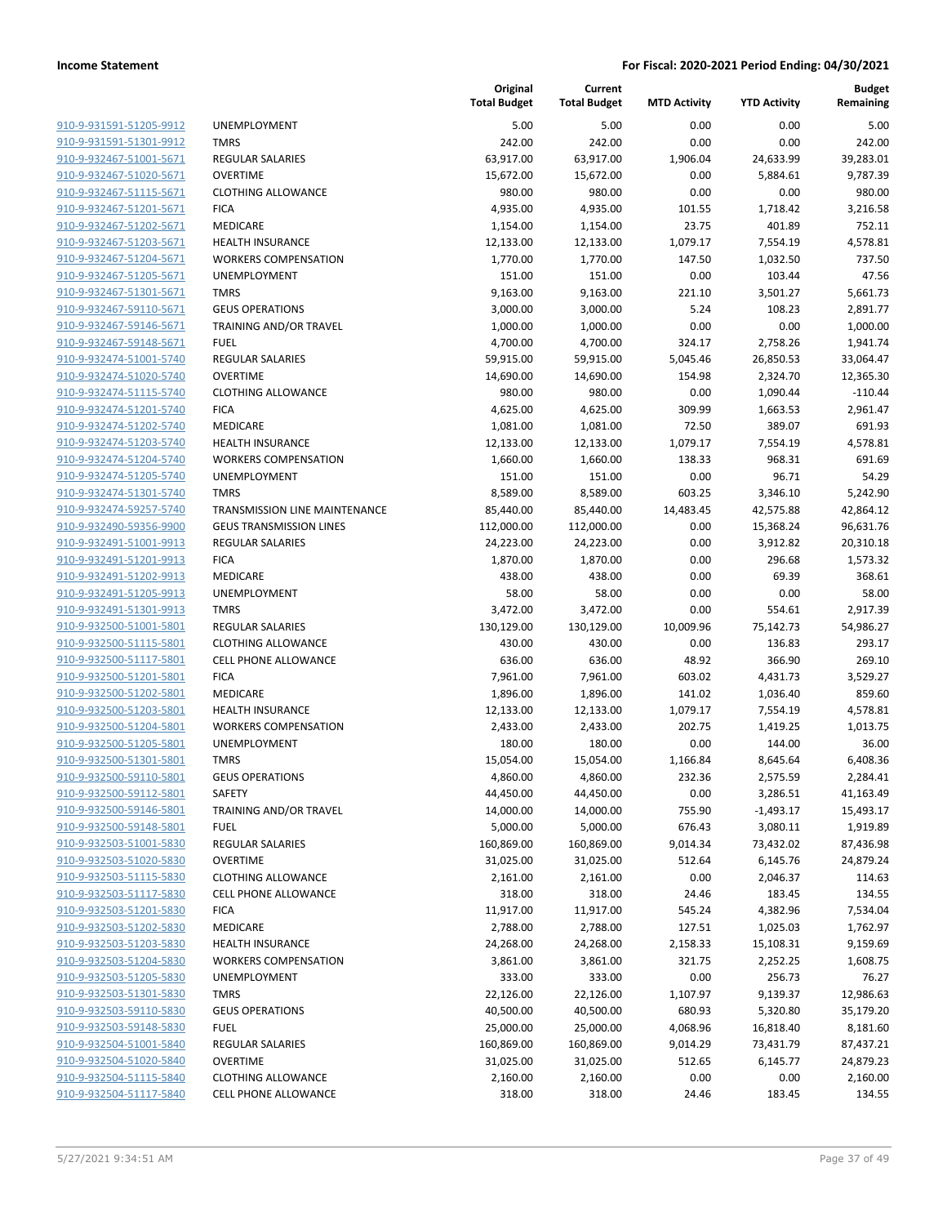| 910-9-931591-51205-9912                            |
|----------------------------------------------------|
| 910-9-931591-51301-9912                            |
| 910-9-932467-51001-5671                            |
| 910-9-932467-51020-5671                            |
| 910-9-932467-51115-5671                            |
| 910-9-932467-51201-5671                            |
| 910-9-932467-51202-5671                            |
| 910-9-932467-51203-5671                            |
| 910-9-932467-51204-5671                            |
| 910-9-932467-51205-5671                            |
| <u>910-9-932467-51301-5671</u>                     |
| 910-9-932467-59110-5671                            |
| 910-9-932467-59146-5671                            |
|                                                    |
| 910-9-932467-59148-5671                            |
| 910-9-932474-51001-5740                            |
| <u>910-9-932474-51020-5740</u>                     |
| 910-9-932474-51115-5740                            |
| 910-9-932474-51201-5740                            |
| 910-9-932474-51202-5740                            |
| 910-9-932474-51203-5740                            |
| 910-9-932474-51204-5740                            |
| 910-9-932474-51205-5740                            |
| 910-9-932474-51301-5740                            |
| 910-9-932474-59257-5740                            |
| 910-9-932490-59356-9900                            |
| <u>910-9-932491-51001-9913</u>                     |
| 910-9-932491-51201-9913                            |
| 910-9-932491-51202-9913                            |
| 910-9-932491-51205-9913                            |
| 910-9-932491-51301-9913                            |
| <u>910-9-932500-51001-5801</u>                     |
| 910-9-932500-51115-5801                            |
| 910-9-932500-51117-5801                            |
| 910-9-932500-51201-5801                            |
|                                                    |
| 910-9-932500-51202-5801                            |
| 910-9-932500-51203-5801                            |
| 910-9-932500-51204-5801                            |
| 910-9-932500-51205-5801                            |
| 910-9-932500-51301-5801                            |
| 910-9-932500-59110-5801                            |
| <u>910-9-932500-59112-5801</u>                     |
| 910-9-932500-59146-5801                            |
| 910-9-932500-59148-5801                            |
| 910-9-932503-51001-5830                            |
| <u>910-9-932503-51020-5830</u>                     |
| 910-9-932503-51115-5830                            |
| 910-9-932503-51117-5830                            |
| 910-9-932503-51201-5830                            |
| 910-9-932503-51202-5830                            |
| <u>910-9-932503-51203-5830</u>                     |
| <u>910-9-932503-51204-5830</u>                     |
| 910-9-932503-51205-5830                            |
| 910-9-932503-51301-5830                            |
| 910-9-932503-59110-5830                            |
| 910-9-932503-59148-5830                            |
| 910-9-932504-51001-5840                            |
| 910-9-932504-51020-5840                            |
|                                                    |
|                                                    |
| 910-9-932504-51115-5840<br>910-9-932504-51117-5840 |

|                         |                                      | Original<br><b>Total Budget</b> | Current<br><b>Total Budget</b> | <b>MTD Activity</b> | <b>YTD Activity</b> | <b>Budget</b><br>Remaining |
|-------------------------|--------------------------------------|---------------------------------|--------------------------------|---------------------|---------------------|----------------------------|
| 910-9-931591-51205-9912 | <b>UNEMPLOYMENT</b>                  | 5.00                            | 5.00                           | 0.00                | 0.00                | 5.00                       |
| 910-9-931591-51301-9912 | <b>TMRS</b>                          | 242.00                          | 242.00                         | 0.00                | 0.00                | 242.00                     |
| 910-9-932467-51001-5671 | <b>REGULAR SALARIES</b>              | 63,917.00                       | 63,917.00                      | 1,906.04            | 24,633.99           | 39,283.01                  |
| 910-9-932467-51020-5671 | <b>OVERTIME</b>                      | 15,672.00                       | 15,672.00                      | 0.00                | 5,884.61            | 9,787.39                   |
| 910-9-932467-51115-5671 | <b>CLOTHING ALLOWANCE</b>            | 980.00                          | 980.00                         | 0.00                | 0.00                | 980.00                     |
| 910-9-932467-51201-5671 | <b>FICA</b>                          | 4,935.00                        | 4,935.00                       | 101.55              | 1,718.42            | 3,216.58                   |
| 910-9-932467-51202-5671 | MEDICARE                             | 1,154.00                        | 1,154.00                       | 23.75               | 401.89              | 752.11                     |
| 910-9-932467-51203-5671 | <b>HEALTH INSURANCE</b>              | 12,133.00                       | 12,133.00                      | 1,079.17            | 7,554.19            | 4,578.81                   |
| 910-9-932467-51204-5671 | <b>WORKERS COMPENSATION</b>          | 1,770.00                        | 1,770.00                       | 147.50              | 1,032.50            | 737.50                     |
| 910-9-932467-51205-5671 | <b>UNEMPLOYMENT</b>                  | 151.00                          | 151.00                         | 0.00                | 103.44              | 47.56                      |
| 910-9-932467-51301-5671 | <b>TMRS</b>                          | 9,163.00                        | 9,163.00                       | 221.10              | 3,501.27            | 5,661.73                   |
| 910-9-932467-59110-5671 | <b>GEUS OPERATIONS</b>               | 3,000.00                        | 3,000.00                       | 5.24                | 108.23              | 2,891.77                   |
| 910-9-932467-59146-5671 | TRAINING AND/OR TRAVEL               | 1,000.00                        | 1,000.00                       | 0.00                | 0.00                | 1,000.00                   |
| 910-9-932467-59148-5671 | <b>FUEL</b>                          | 4,700.00                        | 4,700.00                       | 324.17              | 2,758.26            | 1,941.74                   |
| 910-9-932474-51001-5740 | <b>REGULAR SALARIES</b>              | 59,915.00                       | 59,915.00                      | 5,045.46            | 26,850.53           | 33,064.47                  |
| 910-9-932474-51020-5740 | <b>OVERTIME</b>                      | 14,690.00                       | 14,690.00                      | 154.98              | 2,324.70            | 12,365.30                  |
| 910-9-932474-51115-5740 | <b>CLOTHING ALLOWANCE</b>            | 980.00                          | 980.00                         | 0.00                | 1,090.44            | $-110.44$                  |
| 910-9-932474-51201-5740 | <b>FICA</b>                          | 4,625.00                        | 4,625.00                       | 309.99              | 1,663.53            | 2,961.47                   |
| 910-9-932474-51202-5740 | MEDICARE                             | 1,081.00                        | 1,081.00                       | 72.50               | 389.07              | 691.93                     |
| 910-9-932474-51203-5740 | <b>HEALTH INSURANCE</b>              | 12,133.00                       | 12,133.00                      | 1,079.17            | 7,554.19            | 4,578.81                   |
| 910-9-932474-51204-5740 | <b>WORKERS COMPENSATION</b>          | 1,660.00                        | 1,660.00                       | 138.33              | 968.31              | 691.69                     |
| 910-9-932474-51205-5740 | UNEMPLOYMENT                         | 151.00                          | 151.00                         | 0.00                | 96.71               | 54.29                      |
| 910-9-932474-51301-5740 | <b>TMRS</b>                          | 8,589.00                        | 8,589.00                       | 603.25              | 3,346.10            | 5,242.90                   |
| 910-9-932474-59257-5740 | <b>TRANSMISSION LINE MAINTENANCE</b> | 85,440.00                       | 85,440.00                      | 14,483.45           | 42,575.88           | 42,864.12                  |
| 910-9-932490-59356-9900 | <b>GEUS TRANSMISSION LINES</b>       | 112,000.00                      | 112,000.00                     | 0.00                | 15,368.24           | 96,631.76                  |
| 910-9-932491-51001-9913 | <b>REGULAR SALARIES</b>              | 24,223.00                       | 24,223.00                      | 0.00                | 3,912.82            | 20,310.18                  |
| 910-9-932491-51201-9913 | <b>FICA</b>                          | 1,870.00                        | 1,870.00                       | 0.00                | 296.68              | 1,573.32                   |
| 910-9-932491-51202-9913 | MEDICARE                             | 438.00                          | 438.00                         | 0.00                | 69.39               | 368.61                     |
| 910-9-932491-51205-9913 | <b>UNEMPLOYMENT</b>                  | 58.00                           | 58.00                          | 0.00                | 0.00                | 58.00                      |
| 910-9-932491-51301-9913 | <b>TMRS</b>                          | 3,472.00                        | 3,472.00                       | 0.00                | 554.61              | 2,917.39                   |
| 910-9-932500-51001-5801 | <b>REGULAR SALARIES</b>              | 130,129.00                      | 130,129.00                     | 10,009.96           | 75,142.73           | 54,986.27                  |
| 910-9-932500-51115-5801 | <b>CLOTHING ALLOWANCE</b>            | 430.00                          | 430.00                         | 0.00                | 136.83              | 293.17                     |
| 910-9-932500-51117-5801 | <b>CELL PHONE ALLOWANCE</b>          | 636.00                          | 636.00                         | 48.92               | 366.90              | 269.10                     |
| 910-9-932500-51201-5801 | <b>FICA</b>                          | 7,961.00                        | 7,961.00                       | 603.02              | 4,431.73            | 3,529.27                   |
| 910-9-932500-51202-5801 | MEDICARE                             | 1,896.00                        | 1,896.00                       | 141.02              | 1,036.40            | 859.60                     |
| 910-9-932500-51203-5801 | <b>HEALTH INSURANCE</b>              | 12,133.00                       | 12,133.00                      | 1,079.17            | 7,554.19            | 4,578.81                   |
| 910-9-932500-51204-5801 | <b>WORKERS COMPENSATION</b>          | 2,433.00                        | 2,433.00                       | 202.75              | 1,419.25            | 1,013.75                   |
| 910-9-932500-51205-5801 | <b>UNEMPLOYMENT</b>                  | 180.00                          | 180.00                         | 0.00                | 144.00              | 36.00                      |
| 910-9-932500-51301-5801 | <b>TMRS</b>                          | 15,054.00                       | 15,054.00                      | 1,166.84            | 8,645.64            | 6,408.36                   |
| 910-9-932500-59110-5801 | <b>GEUS OPERATIONS</b>               | 4,860.00                        | 4,860.00                       | 232.36              | 2,575.59            | 2,284.41                   |
| 910-9-932500-59112-5801 | SAFETY                               | 44,450.00                       | 44,450.00                      | 0.00                | 3,286.51            | 41,163.49                  |
| 910-9-932500-59146-5801 | TRAINING AND/OR TRAVEL               | 14,000.00                       | 14,000.00                      | 755.90              | $-1,493.17$         | 15,493.17                  |
| 910-9-932500-59148-5801 | <b>FUEL</b>                          | 5,000.00                        | 5,000.00                       | 676.43              | 3,080.11            | 1,919.89                   |
| 910-9-932503-51001-5830 | REGULAR SALARIES                     | 160,869.00                      | 160,869.00                     | 9,014.34            | 73,432.02           | 87,436.98                  |
| 910-9-932503-51020-5830 | <b>OVERTIME</b>                      | 31,025.00                       | 31,025.00                      | 512.64              | 6,145.76            | 24,879.24                  |
| 910-9-932503-51115-5830 | <b>CLOTHING ALLOWANCE</b>            | 2,161.00                        | 2,161.00                       | 0.00                | 2,046.37            | 114.63                     |
| 910-9-932503-51117-5830 | CELL PHONE ALLOWANCE                 | 318.00                          | 318.00                         | 24.46               | 183.45              | 134.55                     |
| 910-9-932503-51201-5830 | <b>FICA</b>                          | 11,917.00                       | 11,917.00                      | 545.24              | 4,382.96            | 7,534.04                   |
| 910-9-932503-51202-5830 | MEDICARE                             | 2,788.00                        | 2,788.00                       | 127.51              | 1,025.03            | 1,762.97                   |
| 910-9-932503-51203-5830 | <b>HEALTH INSURANCE</b>              | 24,268.00                       | 24,268.00                      | 2,158.33            | 15,108.31           | 9,159.69                   |
| 910-9-932503-51204-5830 | <b>WORKERS COMPENSATION</b>          | 3,861.00                        | 3,861.00                       | 321.75              | 2,252.25            | 1,608.75                   |
| 910-9-932503-51205-5830 | UNEMPLOYMENT                         | 333.00                          | 333.00                         | 0.00                | 256.73              | 76.27                      |
| 910-9-932503-51301-5830 | <b>TMRS</b>                          | 22,126.00                       | 22,126.00                      | 1,107.97            | 9,139.37            | 12,986.63                  |
| 910-9-932503-59110-5830 | <b>GEUS OPERATIONS</b>               | 40,500.00                       | 40,500.00                      | 680.93              | 5,320.80            | 35,179.20                  |
| 910-9-932503-59148-5830 | <b>FUEL</b>                          | 25,000.00                       | 25,000.00                      | 4,068.96            | 16,818.40           | 8,181.60                   |
| 910-9-932504-51001-5840 | <b>REGULAR SALARIES</b>              | 160,869.00                      | 160,869.00                     | 9,014.29            | 73,431.79           | 87,437.21                  |
| 910-9-932504-51020-5840 | <b>OVERTIME</b>                      | 31,025.00                       | 31,025.00                      | 512.65              | 6,145.77            | 24,879.23                  |
| 910-9-932504-51115-5840 | <b>CLOTHING ALLOWANCE</b>            | 2,160.00                        | 2,160.00                       | 0.00                | 0.00                | 2,160.00                   |
| 910-9-932504-51117-5840 | CELL PHONE ALLOWANCE                 | 318.00                          | 318.00                         | 24.46               | 183.45              | 134.55                     |
|                         |                                      |                                 |                                |                     |                     |                            |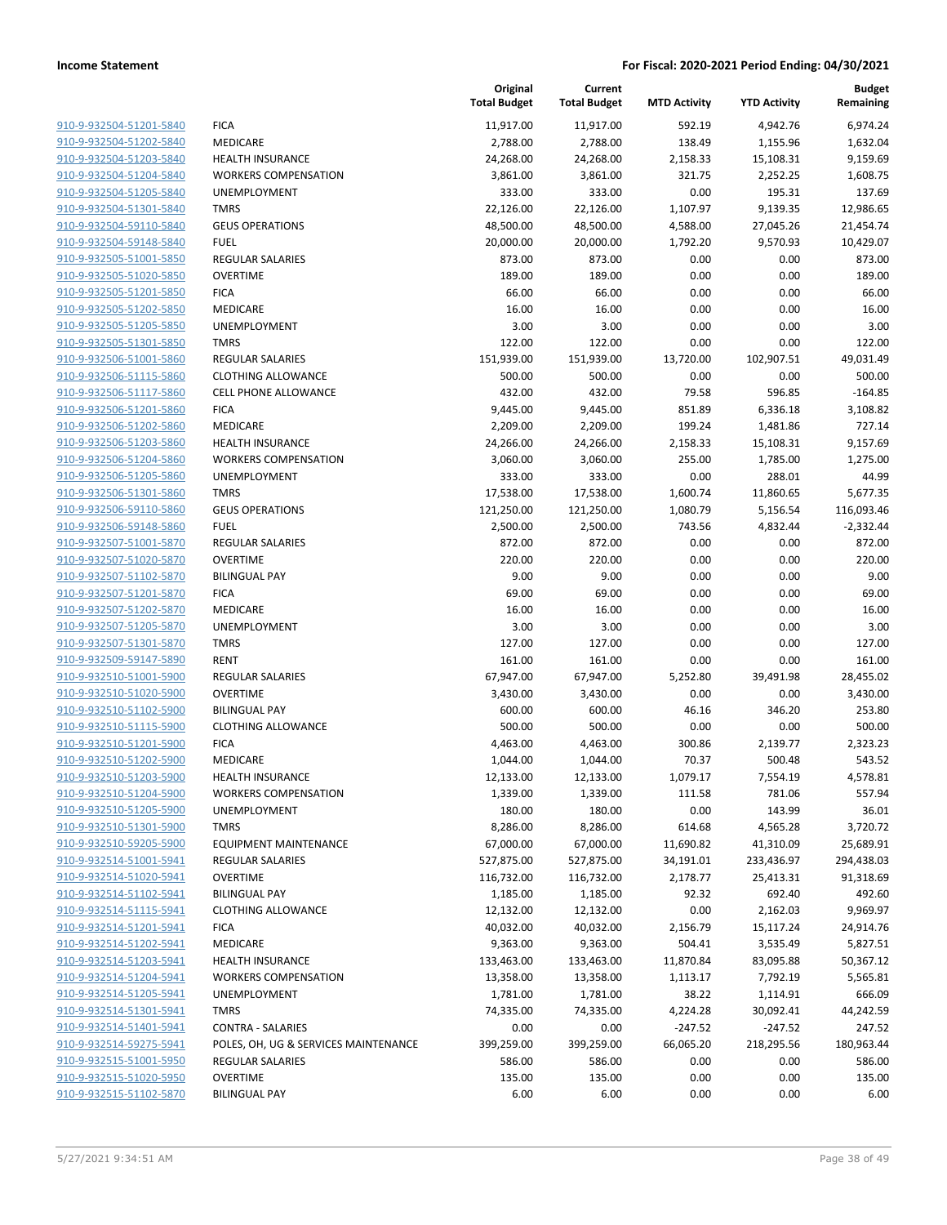|                                                    |                                                        | Original<br><b>Total Budget</b> | Current<br><b>Total Budget</b> | <b>MTD Activity</b>   | <b>YTD Activity</b> | <b>Budget</b><br>Remaining |
|----------------------------------------------------|--------------------------------------------------------|---------------------------------|--------------------------------|-----------------------|---------------------|----------------------------|
| 910-9-932504-51201-5840                            | <b>FICA</b>                                            | 11,917.00                       | 11,917.00                      | 592.19                | 4,942.76            | 6,974.24                   |
| 910-9-932504-51202-5840                            | MEDICARE                                               | 2,788.00                        | 2,788.00                       | 138.49                | 1,155.96            | 1,632.04                   |
| 910-9-932504-51203-5840                            | <b>HEALTH INSURANCE</b>                                | 24,268.00                       | 24,268.00                      | 2,158.33              | 15,108.31           | 9,159.69                   |
| 910-9-932504-51204-5840                            | <b>WORKERS COMPENSATION</b>                            | 3,861.00                        | 3,861.00                       | 321.75                | 2,252.25            | 1,608.75                   |
| 910-9-932504-51205-5840                            | <b>UNEMPLOYMENT</b>                                    | 333.00                          | 333.00                         | 0.00                  | 195.31              | 137.69                     |
| 910-9-932504-51301-5840                            | <b>TMRS</b>                                            | 22,126.00                       | 22,126.00                      | 1,107.97              | 9,139.35            | 12,986.65                  |
| 910-9-932504-59110-5840                            | <b>GEUS OPERATIONS</b>                                 | 48,500.00                       | 48,500.00                      | 4,588.00              | 27,045.26           | 21,454.74                  |
| 910-9-932504-59148-5840                            | <b>FUEL</b>                                            | 20,000.00                       | 20,000.00                      | 1,792.20              | 9,570.93            | 10,429.07                  |
| 910-9-932505-51001-5850                            | <b>REGULAR SALARIES</b>                                | 873.00                          | 873.00                         | 0.00                  | 0.00                | 873.00                     |
| 910-9-932505-51020-5850                            | <b>OVERTIME</b>                                        | 189.00                          | 189.00                         | 0.00                  | 0.00                | 189.00                     |
| 910-9-932505-51201-5850                            | <b>FICA</b>                                            | 66.00                           | 66.00                          | 0.00                  | 0.00                | 66.00                      |
| 910-9-932505-51202-5850                            | MEDICARE                                               | 16.00                           | 16.00                          | 0.00                  | 0.00                | 16.00                      |
| 910-9-932505-51205-5850                            | UNEMPLOYMENT                                           | 3.00                            | 3.00                           | 0.00                  | 0.00                | 3.00                       |
| 910-9-932505-51301-5850                            | <b>TMRS</b>                                            | 122.00                          | 122.00                         | 0.00                  | 0.00                | 122.00                     |
| 910-9-932506-51001-5860                            | <b>REGULAR SALARIES</b>                                | 151,939.00                      | 151,939.00                     | 13,720.00             | 102,907.51          | 49,031.49                  |
| 910-9-932506-51115-5860                            | <b>CLOTHING ALLOWANCE</b>                              | 500.00                          | 500.00                         | 0.00                  | 0.00                | 500.00                     |
| 910-9-932506-51117-5860                            | CELL PHONE ALLOWANCE                                   | 432.00                          | 432.00                         | 79.58                 | 596.85              | $-164.85$                  |
| 910-9-932506-51201-5860                            | <b>FICA</b>                                            | 9,445.00                        | 9,445.00                       | 851.89                | 6,336.18            | 3,108.82                   |
| 910-9-932506-51202-5860                            | MEDICARE                                               | 2,209.00                        | 2,209.00                       | 199.24                | 1,481.86            | 727.14                     |
| 910-9-932506-51203-5860                            | <b>HEALTH INSURANCE</b>                                | 24,266.00                       | 24,266.00                      | 2,158.33              | 15,108.31           | 9,157.69                   |
| 910-9-932506-51204-5860                            | <b>WORKERS COMPENSATION</b>                            | 3,060.00                        | 3,060.00                       | 255.00                | 1,785.00            | 1,275.00                   |
| 910-9-932506-51205-5860                            | UNEMPLOYMENT                                           | 333.00                          | 333.00                         | 0.00                  | 288.01              | 44.99                      |
| 910-9-932506-51301-5860                            | <b>TMRS</b>                                            | 17,538.00                       | 17,538.00                      | 1,600.74              | 11,860.65           | 5,677.35                   |
| 910-9-932506-59110-5860                            | <b>GEUS OPERATIONS</b>                                 | 121,250.00                      | 121,250.00                     | 1,080.79              | 5,156.54            | 116,093.46                 |
| 910-9-932506-59148-5860                            | <b>FUEL</b>                                            | 2,500.00                        | 2,500.00                       | 743.56                | 4,832.44            | $-2,332.44$                |
| 910-9-932507-51001-5870                            | REGULAR SALARIES                                       | 872.00                          | 872.00                         | 0.00                  | 0.00                | 872.00                     |
| 910-9-932507-51020-5870                            | <b>OVERTIME</b>                                        | 220.00                          | 220.00                         | 0.00                  | 0.00                | 220.00                     |
| 910-9-932507-51102-5870                            | <b>BILINGUAL PAY</b>                                   | 9.00                            | 9.00                           | 0.00                  | 0.00                | 9.00                       |
| 910-9-932507-51201-5870                            | <b>FICA</b>                                            | 69.00                           | 69.00                          | 0.00                  | 0.00                | 69.00                      |
| 910-9-932507-51202-5870                            | MEDICARE                                               | 16.00                           | 16.00                          | 0.00                  | 0.00                | 16.00                      |
| 910-9-932507-51205-5870                            | UNEMPLOYMENT                                           | 3.00                            | 3.00                           | 0.00                  | 0.00                | 3.00                       |
| 910-9-932507-51301-5870                            | <b>TMRS</b>                                            | 127.00                          | 127.00                         | 0.00                  | 0.00                | 127.00                     |
| 910-9-932509-59147-5890                            | <b>RENT</b>                                            | 161.00                          | 161.00                         | 0.00                  | 0.00                | 161.00                     |
| 910-9-932510-51001-5900                            | <b>REGULAR SALARIES</b>                                | 67,947.00                       | 67,947.00                      | 5,252.80              | 39,491.98           | 28,455.02                  |
| 910-9-932510-51020-5900                            | <b>OVERTIME</b>                                        | 3,430.00                        | 3,430.00                       | 0.00                  | 0.00                | 3,430.00                   |
| 910-9-932510-51102-5900                            | <b>BILINGUAL PAY</b>                                   | 600.00                          | 600.00                         | 46.16                 | 346.20              | 253.80                     |
| 910-9-932510-51115-5900                            | <b>CLOTHING ALLOWANCE</b>                              | 500.00                          | 500.00                         | 0.00                  | 0.00                | 500.00                     |
| 910-9-932510-51201-5900                            | <b>FICA</b>                                            | 4,463.00                        | 4,463.00                       | 300.86                | 2,139.77            | 2,323.23                   |
| 910-9-932510-51202-5900                            | MEDICARE                                               | 1,044.00                        | 1,044.00                       | 70.37                 | 500.48              | 543.52                     |
| 910-9-932510-51203-5900                            | <b>HEALTH INSURANCE</b>                                | 12,133.00                       | 12,133.00                      | 1,079.17              | 7,554.19            | 4,578.81                   |
| 910-9-932510-51204-5900                            | <b>WORKERS COMPENSATION</b>                            | 1,339.00                        | 1,339.00                       | 111.58                | 781.06              | 557.94                     |
| 910-9-932510-51205-5900                            | UNEMPLOYMENT                                           | 180.00                          | 180.00                         | 0.00                  | 143.99              | 36.01                      |
| 910-9-932510-51301-5900                            | <b>TMRS</b>                                            | 8,286.00                        | 8,286.00                       | 614.68                | 4,565.28            | 3,720.72                   |
| 910-9-932510-59205-5900                            | <b>EQUIPMENT MAINTENANCE</b>                           | 67,000.00                       | 67,000.00                      | 11,690.82             | 41,310.09           | 25,689.91                  |
| 910-9-932514-51001-5941                            | REGULAR SALARIES                                       | 527,875.00                      | 527,875.00                     | 34,191.01             | 233,436.97          | 294,438.03                 |
| 910-9-932514-51020-5941                            | <b>OVERTIME</b>                                        | 116,732.00                      | 116,732.00                     | 2,178.77              | 25,413.31           | 91,318.69                  |
| 910-9-932514-51102-5941                            | <b>BILINGUAL PAY</b>                                   | 1,185.00                        | 1,185.00                       | 92.32                 | 692.40              | 492.60                     |
| 910-9-932514-51115-5941<br>910-9-932514-51201-5941 | <b>CLOTHING ALLOWANCE</b>                              | 12,132.00                       | 12,132.00                      | 0.00                  | 2,162.03            | 9,969.97                   |
|                                                    | <b>FICA</b><br>MEDICARE                                | 40,032.00                       | 40,032.00                      | 2,156.79              | 15,117.24           | 24,914.76                  |
| 910-9-932514-51202-5941                            |                                                        | 9,363.00                        | 9,363.00                       | 504.41                | 3,535.49            | 5,827.51                   |
| 910-9-932514-51203-5941<br>910-9-932514-51204-5941 | <b>HEALTH INSURANCE</b><br><b>WORKERS COMPENSATION</b> | 133,463.00                      | 133,463.00                     | 11,870.84<br>1,113.17 | 83,095.88           | 50,367.12                  |
|                                                    |                                                        | 13,358.00                       | 13,358.00                      |                       | 7,792.19            | 5,565.81                   |
| 910-9-932514-51205-5941                            | UNEMPLOYMENT                                           | 1,781.00                        | 1,781.00                       | 38.22                 | 1,114.91            | 666.09                     |
| 910-9-932514-51301-5941                            | <b>TMRS</b><br><b>CONTRA - SALARIES</b>                | 74,335.00                       | 74,335.00                      | 4,224.28              | 30,092.41           | 44,242.59                  |
| 910-9-932514-51401-5941                            |                                                        | 0.00                            | 0.00                           | $-247.52$             | $-247.52$           | 247.52                     |
| 910-9-932514-59275-5941                            | POLES, OH, UG & SERVICES MAINTENANCE                   | 399,259.00                      | 399,259.00                     | 66,065.20             | 218,295.56          | 180,963.44                 |
| 910-9-932515-51001-5950                            | REGULAR SALARIES                                       | 586.00                          | 586.00                         | 0.00                  | 0.00                | 586.00                     |
| 910-9-932515-51020-5950<br>910-9-932515-51102-5870 | <b>OVERTIME</b>                                        | 135.00                          | 135.00                         | 0.00                  | 0.00                | 135.00                     |
|                                                    | <b>BILINGUAL PAY</b>                                   | 6.00                            | 6.00                           | 0.00                  | 0.00                | 6.00                       |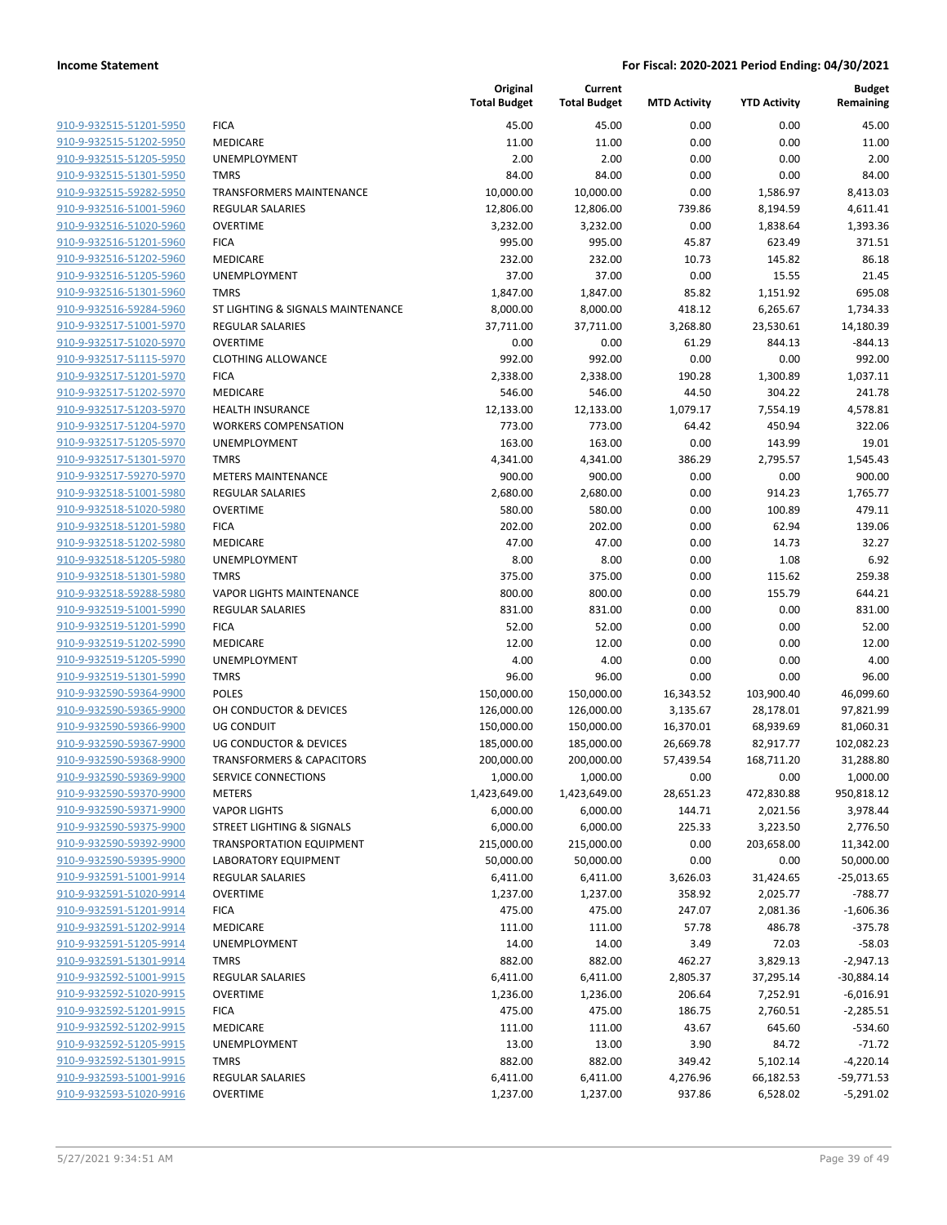| 910-9-932515-51201-5950        |
|--------------------------------|
| 910-9-932515-51202-5950        |
| <u>910-9-932515-51205-5950</u> |
| 910-9-932515-51301-5950        |
| 910-9-932515-59282-5950        |
| 910-9-932516-51001-5960        |
| 910-9-932516-51020-5960        |
| <u>910-9-932516-51201-5960</u> |
| 910-9-932516-51202-5960        |
| 910-9-932516-51205-5960        |
| 910-9-932516-51301-5960        |
| 910-9-932516-59284-5960        |
| 910-9-932517-51001-5970        |
| 910-9-932517-51020-5970        |
| 910-9-932517-51115-5970        |
| 910-9-932517-51201-5970        |
| 910-9-932517-51202-5970        |
| 910-9-932517-51203-5970        |
| 910-9-932517-51204-5970        |
| 910-9-932517-51205-5970        |
| 910-9-932517-51301-5970        |
| 910-9-932517-59270-5970        |
| 910-9-932518-51001-5980        |
| 910-9-932518-51020-5980        |
| 910-9-932518-51201-5980        |
| 910-9-932518-51202-5980        |
| 910-9-932518-51205-5980        |
|                                |
| 910-9-932518-51301-5980        |
| <u>910-9-932518-59288-5980</u> |
| 910-9-932519-51001-5990        |
| 910-9-932519-51201-5990        |
| 910-9-932519-51202-5990        |
| <u>910-9-932519-51205-5990</u> |
| 910-9-932519-51301-5990        |
| 910-9-932590-59364-9900        |
| 910-9-932590-59365-9900        |
| 910-9-932590-59366-9900        |
| <u>910-9-932590-59367-9900</u> |
| 910-9-932590-59368-9900        |
| 910-9-932590-59369-9900        |
| 910-9-932590-59370-9900        |
| 910-9-932590-59371-9900        |
| 910-9-932590-59375-9900        |
| 910-9-932590-59392-9900        |
| 910-9-932590-59395-9900        |
| 910-9-932591-51001-9914        |
| 910-9-932591-51020-9914        |
| <u>910-9-932591-51201-9914</u> |
| 910-9-932591-51202-9914        |
| 910-9-932591-51205-9914        |
| 910-9-932591-51301-9914        |
| 910-9-932592-51001-9915        |
| 910-9-932592-51020-9915        |
| 910-9-932592-51201-9915        |
| 910-9-932592-51202-9915        |
| 910-9-932592-51205-9915        |
| 910-9-932592-51301-9915        |
| <u>910-9-932593-51001-9916</u> |
| 910-9-932593-51020-9916        |
|                                |

|                                                    |                                            | Original<br><b>Total Budget</b> | Current<br><b>Total Budget</b> | <b>MTD Activity</b> | <b>YTD Activity</b> | <b>Budget</b><br>Remaining |
|----------------------------------------------------|--------------------------------------------|---------------------------------|--------------------------------|---------------------|---------------------|----------------------------|
| 910-9-932515-51201-5950                            | <b>FICA</b>                                | 45.00                           | 45.00                          | 0.00                | 0.00                | 45.00                      |
| 910-9-932515-51202-5950                            | MEDICARE                                   | 11.00                           | 11.00                          | 0.00                | 0.00                | 11.00                      |
| 910-9-932515-51205-5950                            | <b>UNEMPLOYMENT</b>                        | 2.00                            | 2.00                           | 0.00                | 0.00                | 2.00                       |
| 910-9-932515-51301-5950                            | <b>TMRS</b>                                | 84.00                           | 84.00                          | 0.00                | 0.00                | 84.00                      |
| 910-9-932515-59282-5950                            | TRANSFORMERS MAINTENANCE                   | 10,000.00                       | 10,000.00                      | 0.00                | 1,586.97            | 8,413.03                   |
| 910-9-932516-51001-5960                            | <b>REGULAR SALARIES</b>                    | 12,806.00                       | 12,806.00                      | 739.86              | 8,194.59            | 4,611.41                   |
| 910-9-932516-51020-5960                            | <b>OVERTIME</b>                            | 3,232.00                        | 3,232.00                       | 0.00                | 1,838.64            | 1,393.36                   |
| 910-9-932516-51201-5960                            | <b>FICA</b>                                | 995.00                          | 995.00                         | 45.87               | 623.49              | 371.51                     |
| 910-9-932516-51202-5960                            | <b>MEDICARE</b>                            | 232.00                          | 232.00                         | 10.73               | 145.82              | 86.18                      |
| 910-9-932516-51205-5960                            | <b>UNEMPLOYMENT</b>                        | 37.00                           | 37.00                          | 0.00                | 15.55               | 21.45                      |
| 910-9-932516-51301-5960                            | <b>TMRS</b>                                | 1,847.00                        | 1,847.00                       | 85.82               | 1,151.92            | 695.08                     |
| 910-9-932516-59284-5960                            | ST LIGHTING & SIGNALS MAINTENANCE          | 8,000.00                        | 8,000.00                       | 418.12              | 6,265.67            | 1,734.33                   |
| 910-9-932517-51001-5970                            | REGULAR SALARIES                           | 37,711.00                       | 37,711.00                      | 3,268.80            | 23,530.61           | 14,180.39                  |
| 910-9-932517-51020-5970                            | <b>OVERTIME</b>                            | 0.00                            | 0.00                           | 61.29               | 844.13              | $-844.13$                  |
| 910-9-932517-51115-5970                            | <b>CLOTHING ALLOWANCE</b>                  | 992.00                          | 992.00                         | 0.00                | 0.00                | 992.00                     |
| 910-9-932517-51201-5970                            | <b>FICA</b>                                | 2,338.00                        | 2,338.00                       | 190.28              | 1,300.89            | 1,037.11                   |
| 910-9-932517-51202-5970                            | MEDICARE                                   | 546.00                          | 546.00                         | 44.50               | 304.22              | 241.78                     |
| 910-9-932517-51203-5970                            | <b>HEALTH INSURANCE</b>                    | 12,133.00                       | 12,133.00                      | 1,079.17            | 7,554.19            | 4,578.81                   |
| 910-9-932517-51204-5970                            | <b>WORKERS COMPENSATION</b>                | 773.00                          | 773.00                         | 64.42               | 450.94              | 322.06                     |
| 910-9-932517-51205-5970                            | UNEMPLOYMENT                               | 163.00                          | 163.00                         | 0.00                | 143.99              | 19.01                      |
| 910-9-932517-51301-5970                            | <b>TMRS</b>                                | 4,341.00                        | 4,341.00                       | 386.29              | 2,795.57            | 1,545.43                   |
| 910-9-932517-59270-5970                            | <b>METERS MAINTENANCE</b>                  | 900.00                          | 900.00                         | 0.00                | 0.00                | 900.00                     |
| 910-9-932518-51001-5980                            | REGULAR SALARIES                           | 2,680.00                        | 2,680.00                       | 0.00                | 914.23              | 1,765.77                   |
| 910-9-932518-51020-5980                            | <b>OVERTIME</b>                            | 580.00                          | 580.00                         | 0.00                | 100.89              | 479.11                     |
| 910-9-932518-51201-5980                            | <b>FICA</b>                                | 202.00                          | 202.00                         | 0.00                | 62.94               | 139.06                     |
| 910-9-932518-51202-5980                            | MEDICARE                                   | 47.00                           | 47.00                          | 0.00                | 14.73               | 32.27                      |
| 910-9-932518-51205-5980                            | UNEMPLOYMENT                               | 8.00                            | 8.00                           | 0.00                | 1.08                | 6.92                       |
| 910-9-932518-51301-5980                            | <b>TMRS</b>                                | 375.00                          | 375.00                         | 0.00                | 115.62              | 259.38                     |
| 910-9-932518-59288-5980                            | <b>VAPOR LIGHTS MAINTENANCE</b>            | 800.00                          | 800.00                         | 0.00                | 155.79              | 644.21                     |
| 910-9-932519-51001-5990<br>910-9-932519-51201-5990 | <b>REGULAR SALARIES</b><br><b>FICA</b>     | 831.00                          | 831.00                         | 0.00                | 0.00<br>0.00        | 831.00<br>52.00            |
| 910-9-932519-51202-5990                            | MEDICARE                                   | 52.00<br>12.00                  | 52.00<br>12.00                 | 0.00<br>0.00        | 0.00                | 12.00                      |
| 910-9-932519-51205-5990                            | UNEMPLOYMENT                               | 4.00                            | 4.00                           | 0.00                | 0.00                | 4.00                       |
| 910-9-932519-51301-5990                            | <b>TMRS</b>                                | 96.00                           | 96.00                          | 0.00                | 0.00                | 96.00                      |
| 910-9-932590-59364-9900                            | <b>POLES</b>                               | 150,000.00                      | 150,000.00                     | 16,343.52           | 103,900.40          | 46,099.60                  |
| 910-9-932590-59365-9900                            | OH CONDUCTOR & DEVICES                     | 126,000.00                      | 126,000.00                     | 3,135.67            | 28,178.01           | 97,821.99                  |
| 910-9-932590-59366-9900                            | <b>UG CONDUIT</b>                          | 150,000.00                      | 150,000.00                     | 16,370.01           | 68,939.69           | 81,060.31                  |
| 910-9-932590-59367-9900                            | <b>UG CONDUCTOR &amp; DEVICES</b>          | 185,000.00                      | 185,000.00                     | 26,669.78           | 82,917.77           | 102,082.23                 |
| 910-9-932590-59368-9900                            | <b>TRANSFORMERS &amp; CAPACITORS</b>       | 200,000.00                      | 200,000.00                     | 57,439.54           | 168,711.20          | 31,288.80                  |
| 910-9-932590-59369-9900                            | SERVICE CONNECTIONS                        | 1,000.00                        | 1,000.00                       | 0.00                | 0.00                | 1,000.00                   |
| 910-9-932590-59370-9900                            | METERS                                     | 1,423,649.00                    | 1,423,649.00                   | 28,651.23           | 472,830.88          | 950,818.12                 |
| 910-9-932590-59371-9900                            | <b>VAPOR LIGHTS</b>                        | 6,000.00                        | 6,000.00                       | 144.71              | 2,021.56            | 3,978.44                   |
| 910-9-932590-59375-9900                            | STREET LIGHTING & SIGNALS                  | 6,000.00                        | 6,000.00                       | 225.33              | 3,223.50            | 2,776.50                   |
| 910-9-932590-59392-9900                            | <b>TRANSPORTATION EQUIPMENT</b>            | 215,000.00                      | 215,000.00                     | 0.00                | 203,658.00          | 11,342.00                  |
| 910-9-932590-59395-9900                            | LABORATORY EQUIPMENT                       | 50,000.00                       | 50,000.00                      | 0.00                | 0.00                | 50,000.00                  |
| 910-9-932591-51001-9914                            | REGULAR SALARIES                           | 6,411.00                        | 6,411.00                       | 3,626.03            | 31,424.65           | $-25,013.65$               |
| 910-9-932591-51020-9914                            | <b>OVERTIME</b>                            | 1,237.00                        | 1,237.00                       | 358.92              | 2,025.77            | $-788.77$                  |
| 910-9-932591-51201-9914                            | <b>FICA</b>                                | 475.00                          | 475.00                         | 247.07              | 2,081.36            | $-1,606.36$                |
| 910-9-932591-51202-9914                            | <b>MEDICARE</b>                            | 111.00                          | 111.00                         | 57.78               | 486.78              | $-375.78$                  |
| 910-9-932591-51205-9914                            | UNEMPLOYMENT                               | 14.00                           | 14.00                          | 3.49                | 72.03               | $-58.03$                   |
| 910-9-932591-51301-9914                            | <b>TMRS</b>                                | 882.00                          | 882.00                         | 462.27              | 3,829.13            | $-2,947.13$                |
| 910-9-932592-51001-9915                            | REGULAR SALARIES                           | 6,411.00                        | 6,411.00                       | 2,805.37            | 37,295.14           | $-30,884.14$               |
| 910-9-932592-51020-9915                            | <b>OVERTIME</b>                            | 1,236.00                        | 1,236.00                       | 206.64              | 7,252.91            | $-6,016.91$                |
| 910-9-932592-51201-9915                            | <b>FICA</b>                                | 475.00                          | 475.00                         | 186.75              | 2,760.51            | $-2,285.51$                |
| 910-9-932592-51202-9915                            | MEDICARE                                   | 111.00                          | 111.00                         | 43.67               | 645.60              | $-534.60$                  |
| 910-9-932592-51205-9915                            | UNEMPLOYMENT                               | 13.00                           | 13.00                          | 3.90                | 84.72               | $-71.72$                   |
| 910-9-932592-51301-9915                            | <b>TMRS</b>                                | 882.00                          | 882.00                         | 349.42              | 5,102.14            | $-4,220.14$                |
| 910-9-932593-51001-9916<br>910-9-932593-51020-9916 | <b>REGULAR SALARIES</b><br><b>OVERTIME</b> | 6,411.00                        | 6,411.00                       | 4,276.96<br>937.86  | 66,182.53           | -59,771.53                 |
|                                                    |                                            | 1,237.00                        | 1,237.00                       |                     | 6,528.02            | $-5,291.02$                |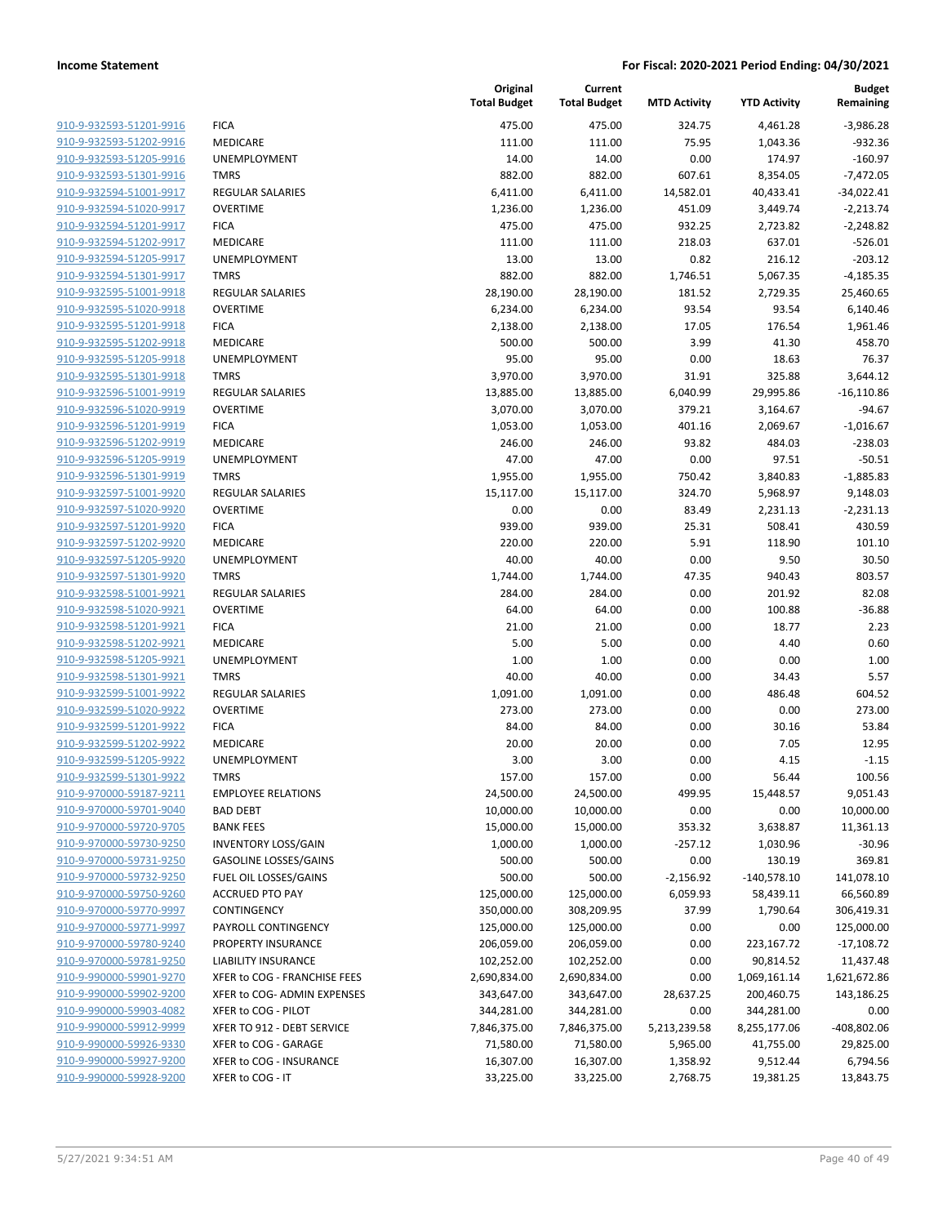| 910-9-932593-51201-9916                            |
|----------------------------------------------------|
| 910-9-932593-51202-9916                            |
| 910-9-932593-51205-9916                            |
| 910-9-932593-51301-9916                            |
| 910-9-932594-51001-9917                            |
| 910-9-932594-51020-9917                            |
| 910-9-932594-51201-9917<br>910-9-932594-51202-9917 |
| 910-9-932594-51205-9917                            |
| 910-9-932594-51301-9917                            |
| 910-9-932595-51001-9918                            |
| 910-9-932595-51020-9918                            |
| 910-9-932595-51201-9918                            |
| 910-9-932595-51202-9918                            |
| 910-9-932595-51205-9918                            |
| 910-9-932595-51301-9918                            |
| 910-9-932596-51001-9919                            |
| 910-9-932596-51020-9919                            |
| 910-9-932596-51201-9919                            |
| 910-9-932596-51202-9919                            |
| 910-9-932596-51205-9919                            |
| 910-9-932596-51301-9919                            |
| 910-9-932597-51001-9920                            |
| 910-9-932597-51020-9920                            |
| 910-9-932597-51201-9920                            |
| 910-9-932597-51202-9920                            |
| 910-9-932597-51205-9920                            |
| 910-9-932597-51301-9920                            |
| 910-9-932598-51001-9921                            |
| 910-9-932598-51020-9921                            |
| 910-9-932598-51201-9921                            |
| 910-9-932598-51202-9921<br>910-9-932598-51205-9921 |
| 910-9-932598-51301-9921                            |
| 910-9-932599-51001-9922                            |
| 910-9-932599-51020-9922                            |
| 910-9-932599-51201-9922                            |
| 910-9-932599-51202-9922                            |
| 910-9-932599-51205-9922                            |
| 910-9-932599-51301-9922                            |
| 910-9-970000-59187-9211                            |
| 910-9-970000-59701-9040                            |
| 910-9-970000-59720-9705                            |
| 910-9-970000-59730-9250                            |
| 910-9-970000-59731-9250                            |
| 910-9-970000-59732-9250                            |
| 910-9-970000-59750-9260                            |
| 910-9-970000-59770-9997                            |
| 910-9-970000-59771-9997                            |
| 910-9-970000-59780-9240                            |
| 910-9-970000-59781-9250                            |
| 910-9-990000-59901-9270                            |
| 910-9-990000-59902-9200                            |
| 910-9-990000-59903-4082                            |
| 910-9-990000-59912-9999                            |
| 910-9-990000-59926-9330                            |
| 910-9-990000-59927-9200                            |
| 910-9-990000-59928-9200                            |

|                         |                              | Original<br><b>Total Budget</b> | Current<br><b>Total Budget</b> | <b>MTD Activity</b> | <b>YTD Activity</b> | <b>Budget</b><br>Remaining |
|-------------------------|------------------------------|---------------------------------|--------------------------------|---------------------|---------------------|----------------------------|
| 910-9-932593-51201-9916 | <b>FICA</b>                  | 475.00                          | 475.00                         | 324.75              | 4,461.28            | $-3,986.28$                |
| 910-9-932593-51202-9916 | MEDICARE                     | 111.00                          | 111.00                         | 75.95               | 1,043.36            | $-932.36$                  |
| 910-9-932593-51205-9916 | UNEMPLOYMENT                 | 14.00                           | 14.00                          | 0.00                | 174.97              | $-160.97$                  |
| 910-9-932593-51301-9916 | <b>TMRS</b>                  | 882.00                          | 882.00                         | 607.61              | 8,354.05            | $-7,472.05$                |
| 910-9-932594-51001-9917 | <b>REGULAR SALARIES</b>      | 6,411.00                        | 6,411.00                       | 14,582.01           | 40,433.41           | $-34,022.41$               |
| 910-9-932594-51020-9917 | <b>OVERTIME</b>              | 1,236.00                        | 1,236.00                       | 451.09              | 3,449.74            | $-2,213.74$                |
| 910-9-932594-51201-9917 | <b>FICA</b>                  | 475.00                          | 475.00                         | 932.25              | 2,723.82            | $-2,248.82$                |
| 910-9-932594-51202-9917 | MEDICARE                     | 111.00                          | 111.00                         | 218.03              | 637.01              | $-526.01$                  |
| 910-9-932594-51205-9917 | <b>UNEMPLOYMENT</b>          | 13.00                           | 13.00                          | 0.82                | 216.12              | $-203.12$                  |
| 910-9-932594-51301-9917 | <b>TMRS</b>                  | 882.00                          | 882.00                         | 1,746.51            | 5,067.35            | $-4,185.35$                |
| 910-9-932595-51001-9918 | REGULAR SALARIES             | 28,190.00                       | 28,190.00                      | 181.52              | 2,729.35            | 25,460.65                  |
| 910-9-932595-51020-9918 | <b>OVERTIME</b>              | 6,234.00                        | 6,234.00                       | 93.54               | 93.54               | 6,140.46                   |
| 910-9-932595-51201-9918 | <b>FICA</b>                  | 2,138.00                        | 2,138.00                       | 17.05               | 176.54              | 1,961.46                   |
| 910-9-932595-51202-9918 | MEDICARE                     | 500.00                          | 500.00                         | 3.99                | 41.30               | 458.70                     |
| 910-9-932595-51205-9918 | <b>UNEMPLOYMENT</b>          | 95.00                           | 95.00                          | 0.00                | 18.63               | 76.37                      |
| 910-9-932595-51301-9918 | <b>TMRS</b>                  | 3,970.00                        | 3,970.00                       | 31.91               | 325.88              | 3,644.12                   |
| 910-9-932596-51001-9919 | REGULAR SALARIES             | 13,885.00                       | 13,885.00                      | 6,040.99            | 29,995.86           | $-16,110.86$               |
| 910-9-932596-51020-9919 | <b>OVERTIME</b>              | 3,070.00                        | 3,070.00                       | 379.21              | 3,164.67            | $-94.67$                   |
| 910-9-932596-51201-9919 | <b>FICA</b>                  | 1,053.00                        | 1,053.00                       | 401.16              | 2,069.67            | $-1,016.67$                |
| 910-9-932596-51202-9919 | MEDICARE                     | 246.00                          | 246.00                         | 93.82               | 484.03              | $-238.03$                  |
| 910-9-932596-51205-9919 | UNEMPLOYMENT                 | 47.00                           | 47.00                          | 0.00                | 97.51               | $-50.51$                   |
| 910-9-932596-51301-9919 | <b>TMRS</b>                  | 1,955.00                        | 1,955.00                       | 750.42              | 3,840.83            | $-1,885.83$                |
| 910-9-932597-51001-9920 | <b>REGULAR SALARIES</b>      | 15,117.00                       | 15,117.00                      | 324.70              | 5,968.97            | 9,148.03                   |
| 910-9-932597-51020-9920 | <b>OVERTIME</b>              | 0.00                            | 0.00                           | 83.49               | 2,231.13            | $-2,231.13$                |
| 910-9-932597-51201-9920 | <b>FICA</b>                  | 939.00                          | 939.00                         | 25.31               | 508.41              | 430.59                     |
| 910-9-932597-51202-9920 | MEDICARE                     | 220.00                          | 220.00                         | 5.91                | 118.90              | 101.10                     |
| 910-9-932597-51205-9920 | UNEMPLOYMENT                 | 40.00                           | 40.00                          | 0.00                | 9.50                | 30.50                      |
| 910-9-932597-51301-9920 | <b>TMRS</b>                  | 1,744.00                        | 1,744.00                       | 47.35               | 940.43              | 803.57                     |
| 910-9-932598-51001-9921 | <b>REGULAR SALARIES</b>      | 284.00                          | 284.00                         | 0.00                | 201.92              | 82.08                      |
| 910-9-932598-51020-9921 | <b>OVERTIME</b>              | 64.00                           | 64.00                          | 0.00                | 100.88              | $-36.88$                   |
| 910-9-932598-51201-9921 | <b>FICA</b>                  | 21.00                           | 21.00                          | 0.00                | 18.77               | 2.23                       |
| 910-9-932598-51202-9921 | MEDICARE                     | 5.00                            | 5.00                           | 0.00                | 4.40                | 0.60                       |
| 910-9-932598-51205-9921 | UNEMPLOYMENT                 | 1.00                            | 1.00                           | 0.00                | 0.00                | 1.00                       |
| 910-9-932598-51301-9921 | <b>TMRS</b>                  | 40.00                           | 40.00                          | 0.00                | 34.43               | 5.57                       |
| 910-9-932599-51001-9922 | <b>REGULAR SALARIES</b>      | 1,091.00                        | 1,091.00                       | 0.00                | 486.48              | 604.52                     |
| 910-9-932599-51020-9922 | <b>OVERTIME</b>              | 273.00                          | 273.00                         | 0.00                | 0.00                | 273.00                     |
| 910-9-932599-51201-9922 | <b>FICA</b>                  | 84.00                           | 84.00                          | 0.00                | 30.16               | 53.84                      |
| 910-9-932599-51202-9922 | <b>MEDICARE</b>              | 20.00                           | 20.00                          | 0.00                | 7.05                | 12.95                      |
| 910-9-932599-51205-9922 | <b>UNEMPLOYMENT</b>          | 3.00                            | 3.00                           | 0.00                | 4.15                | $-1.15$                    |
| 910-9-932599-51301-9922 | <b>TMRS</b>                  | 157.00                          | 157.00                         | 0.00                | 56.44               | 100.56                     |
| 910-9-970000-59187-9211 | <b>EMPLOYEE RELATIONS</b>    | 24,500.00                       | 24,500.00                      | 499.95              | 15,448.57           | 9,051.43                   |
| 910-9-970000-59701-9040 | <b>BAD DEBT</b>              | 10,000.00                       | 10,000.00                      | 0.00                | 0.00                | 10,000.00                  |
| 910-9-970000-59720-9705 | <b>BANK FEES</b>             | 15,000.00                       | 15,000.00                      | 353.32              | 3,638.87            | 11,361.13                  |
| 910-9-970000-59730-9250 | <b>INVENTORY LOSS/GAIN</b>   | 1,000.00                        | 1,000.00                       | $-257.12$           | 1,030.96            | $-30.96$                   |
| 910-9-970000-59731-9250 | <b>GASOLINE LOSSES/GAINS</b> | 500.00                          | 500.00                         | 0.00                | 130.19              | 369.81                     |
| 910-9-970000-59732-9250 | FUEL OIL LOSSES/GAINS        | 500.00                          | 500.00                         | $-2,156.92$         | $-140,578.10$       | 141,078.10                 |
| 910-9-970000-59750-9260 | <b>ACCRUED PTO PAY</b>       | 125,000.00                      | 125,000.00                     | 6,059.93            | 58,439.11           | 66,560.89                  |
| 910-9-970000-59770-9997 | CONTINGENCY                  | 350,000.00                      | 308,209.95                     | 37.99               | 1,790.64            | 306,419.31                 |
| 910-9-970000-59771-9997 | PAYROLL CONTINGENCY          | 125,000.00                      | 125,000.00                     | 0.00                | 0.00                | 125,000.00                 |
| 910-9-970000-59780-9240 | PROPERTY INSURANCE           | 206,059.00                      | 206,059.00                     | 0.00                | 223,167.72          | $-17,108.72$               |
| 910-9-970000-59781-9250 | <b>LIABILITY INSURANCE</b>   | 102,252.00                      | 102,252.00                     | 0.00                | 90,814.52           | 11,437.48                  |
| 910-9-990000-59901-9270 | XFER to COG - FRANCHISE FEES | 2,690,834.00                    | 2,690,834.00                   | 0.00                | 1,069,161.14        | 1,621,672.86               |
| 910-9-990000-59902-9200 | XFER to COG- ADMIN EXPENSES  | 343,647.00                      | 343,647.00                     | 28,637.25           | 200,460.75          | 143,186.25                 |
| 910-9-990000-59903-4082 | XFER to COG - PILOT          | 344,281.00                      | 344,281.00                     | 0.00                | 344,281.00          | 0.00                       |
| 910-9-990000-59912-9999 | XFER TO 912 - DEBT SERVICE   | 7,846,375.00                    | 7,846,375.00                   | 5,213,239.58        | 8,255,177.06        | -408,802.06                |
| 910-9-990000-59926-9330 | XFER to COG - GARAGE         |                                 |                                |                     |                     | 29,825.00                  |
| 910-9-990000-59927-9200 | XFER to COG - INSURANCE      | 71,580.00                       | 71,580.00                      | 5,965.00            | 41,755.00           |                            |
|                         |                              | 16,307.00                       | 16,307.00                      | 1,358.92            | 9,512.44            | 6,794.56                   |
| 910-9-990000-59928-9200 | XFER to COG - IT             | 33,225.00                       | 33,225.00                      | 2,768.75            | 19,381.25           | 13,843.75                  |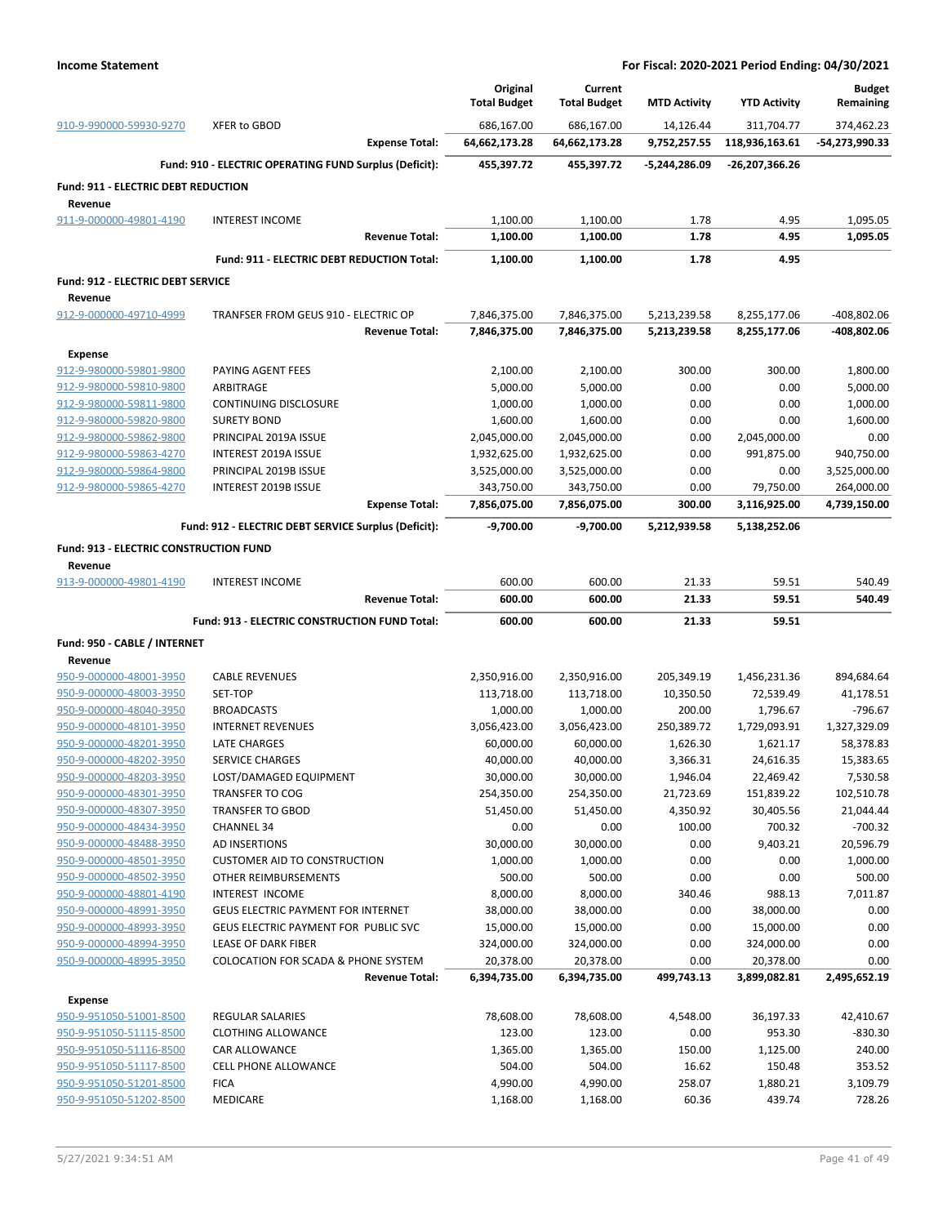|                                                    |                                                             | Original                     | Current                  |                     |                      | <b>Budget</b>      |
|----------------------------------------------------|-------------------------------------------------------------|------------------------------|--------------------------|---------------------|----------------------|--------------------|
|                                                    |                                                             | <b>Total Budget</b>          | <b>Total Budget</b>      | <b>MTD Activity</b> | <b>YTD Activity</b>  | Remaining          |
| 910-9-990000-59930-9270                            | <b>XFER to GBOD</b>                                         | 686,167.00                   | 686,167.00               | 14,126.44           | 311,704.77           | 374,462.23         |
|                                                    | <b>Expense Total:</b>                                       | 64,662,173.28                | 64,662,173.28            | 9,752,257.55        | 118,936,163.61       | -54,273,990.33     |
|                                                    | Fund: 910 - ELECTRIC OPERATING FUND Surplus (Deficit):      | 455,397.72                   | 455,397.72               | -5,244,286.09       | -26,207,366.26       |                    |
| <b>Fund: 911 - ELECTRIC DEBT REDUCTION</b>         |                                                             |                              |                          |                     |                      |                    |
| Revenue                                            |                                                             |                              |                          |                     |                      |                    |
| 911-9-000000-49801-4190                            | <b>INTEREST INCOME</b>                                      | 1,100.00                     | 1,100.00                 | 1.78                | 4.95                 | 1,095.05           |
|                                                    | <b>Revenue Total:</b>                                       | 1,100.00                     | 1,100.00                 | 1.78                | 4.95                 | 1,095.05           |
|                                                    | Fund: 911 - ELECTRIC DEBT REDUCTION Total:                  | 1,100.00                     | 1,100.00                 | 1.78                | 4.95                 |                    |
| <b>Fund: 912 - ELECTRIC DEBT SERVICE</b>           |                                                             |                              |                          |                     |                      |                    |
| Revenue                                            |                                                             |                              |                          |                     |                      |                    |
| 912-9-000000-49710-4999                            | TRANFSER FROM GEUS 910 - ELECTRIC OP                        | 7,846,375.00                 | 7,846,375.00             | 5,213,239.58        | 8,255,177.06         | -408,802.06        |
|                                                    | <b>Revenue Total:</b>                                       | 7,846,375.00                 | 7,846,375.00             | 5,213,239.58        | 8,255,177.06         | -408,802.06        |
| <b>Expense</b>                                     |                                                             |                              |                          |                     |                      |                    |
| 912-9-980000-59801-9800                            | PAYING AGENT FEES                                           | 2,100.00                     | 2,100.00                 | 300.00              | 300.00               | 1,800.00           |
| 912-9-980000-59810-9800                            | ARBITRAGE                                                   | 5,000.00                     | 5,000.00                 | 0.00                | 0.00                 | 5,000.00           |
| 912-9-980000-59811-9800                            | <b>CONTINUING DISCLOSURE</b>                                | 1,000.00                     | 1,000.00                 | 0.00                | 0.00                 | 1,000.00           |
| 912-9-980000-59820-9800<br>912-9-980000-59862-9800 | <b>SURETY BOND</b>                                          | 1,600.00                     | 1,600.00<br>2,045,000.00 | 0.00                | 0.00<br>2,045,000.00 | 1,600.00<br>0.00   |
| 912-9-980000-59863-4270                            | PRINCIPAL 2019A ISSUE<br>INTEREST 2019A ISSUE               | 2,045,000.00<br>1,932,625.00 | 1,932,625.00             | 0.00<br>0.00        | 991,875.00           | 940,750.00         |
| 912-9-980000-59864-9800                            | PRINCIPAL 2019B ISSUE                                       | 3,525,000.00                 | 3,525,000.00             | 0.00                | 0.00                 | 3,525,000.00       |
| 912-9-980000-59865-4270                            | INTEREST 2019B ISSUE                                        | 343,750.00                   | 343,750.00               | 0.00                | 79,750.00            | 264,000.00         |
|                                                    | <b>Expense Total:</b>                                       | 7,856,075.00                 | 7,856,075.00             | 300.00              | 3,116,925.00         | 4,739,150.00       |
|                                                    | Fund: 912 - ELECTRIC DEBT SERVICE Surplus (Deficit):        | $-9,700.00$                  | $-9,700.00$              | 5,212,939.58        | 5,138,252.06         |                    |
|                                                    |                                                             |                              |                          |                     |                      |                    |
| Fund: 913 - ELECTRIC CONSTRUCTION FUND             |                                                             |                              |                          |                     |                      |                    |
| Revenue<br>913-9-000000-49801-4190                 | <b>INTEREST INCOME</b>                                      | 600.00                       | 600.00                   | 21.33               | 59.51                | 540.49             |
|                                                    | <b>Revenue Total:</b>                                       | 600.00                       | 600.00                   | 21.33               | 59.51                | 540.49             |
|                                                    | Fund: 913 - ELECTRIC CONSTRUCTION FUND Total:               | 600.00                       | 600.00                   | 21.33               | 59.51                |                    |
|                                                    |                                                             |                              |                          |                     |                      |                    |
| Fund: 950 - CABLE / INTERNET<br>Revenue            |                                                             |                              |                          |                     |                      |                    |
| 950-9-000000-48001-3950                            | <b>CABLE REVENUES</b>                                       | 2,350,916.00                 | 2,350,916.00             | 205,349.19          | 1,456,231.36         | 894,684.64         |
| 950-9-000000-48003-3950                            | SET-TOP                                                     | 113,718.00                   | 113,718.00               | 10,350.50           | 72,539.49            | 41,178.51          |
| 950-9-000000-48040-3950                            | <b>BROADCASTS</b>                                           | 1,000.00                     | 1,000.00                 | 200.00              | 1,796.67             | $-796.67$          |
| 950-9-000000-48101-3950                            | <b>INTERNET REVENUES</b>                                    | 3,056,423.00                 | 3,056,423.00             | 250,389.72          | 1,729,093.91         | 1,327,329.09       |
| 950-9-000000-48201-3950                            | LATE CHARGES                                                | 60,000.00                    | 60,000.00                | 1,626.30            | 1,621.17             | 58,378.83          |
| 950-9-000000-48202-3950                            | <b>SERVICE CHARGES</b>                                      | 40,000.00                    | 40,000.00                | 3,366.31            | 24,616.35            | 15,383.65          |
| 950-9-000000-48203-3950                            | LOST/DAMAGED EQUIPMENT                                      | 30,000.00                    | 30,000.00                | 1,946.04            | 22,469.42            | 7,530.58           |
| 950-9-000000-48301-3950                            | <b>TRANSFER TO COG</b>                                      | 254,350.00                   | 254,350.00               | 21,723.69           | 151,839.22           | 102,510.78         |
| 950-9-000000-48307-3950                            | <b>TRANSFER TO GBOD</b>                                     | 51,450.00                    | 51,450.00                | 4,350.92            | 30,405.56            | 21,044.44          |
| 950-9-000000-48434-3950                            | <b>CHANNEL 34</b>                                           | 0.00                         | 0.00                     | 100.00              | 700.32               | $-700.32$          |
| 950-9-000000-48488-3950                            | AD INSERTIONS                                               | 30,000.00                    | 30,000.00                | 0.00                | 9,403.21             | 20,596.79          |
| 950-9-000000-48501-3950                            | <b>CUSTOMER AID TO CONSTRUCTION</b><br>OTHER REIMBURSEMENTS | 1,000.00                     | 1,000.00                 | 0.00                | 0.00                 | 1,000.00           |
| 950-9-000000-48502-3950<br>950-9-000000-48801-4190 | INTEREST INCOME                                             | 500.00<br>8,000.00           | 500.00<br>8,000.00       | 0.00<br>340.46      | 0.00<br>988.13       | 500.00<br>7,011.87 |
| 950-9-000000-48991-3950                            | <b>GEUS ELECTRIC PAYMENT FOR INTERNET</b>                   | 38,000.00                    | 38,000.00                | 0.00                | 38,000.00            | 0.00               |
| 950-9-000000-48993-3950                            | GEUS ELECTRIC PAYMENT FOR PUBLIC SVC                        | 15,000.00                    | 15,000.00                | 0.00                | 15,000.00            | 0.00               |
| 950-9-000000-48994-3950                            | LEASE OF DARK FIBER                                         | 324,000.00                   | 324,000.00               | 0.00                | 324,000.00           | 0.00               |
| 950-9-000000-48995-3950                            | <b>COLOCATION FOR SCADA &amp; PHONE SYSTEM</b>              | 20,378.00                    | 20,378.00                | 0.00                | 20,378.00            | 0.00               |
|                                                    | <b>Revenue Total:</b>                                       | 6,394,735.00                 | 6,394,735.00             | 499,743.13          | 3,899,082.81         | 2,495,652.19       |
| <b>Expense</b>                                     |                                                             |                              |                          |                     |                      |                    |
| 950-9-951050-51001-8500                            | REGULAR SALARIES                                            | 78,608.00                    | 78,608.00                | 4,548.00            | 36,197.33            | 42,410.67          |
| 950-9-951050-51115-8500                            | <b>CLOTHING ALLOWANCE</b>                                   | 123.00                       | 123.00                   | 0.00                | 953.30               | -830.30            |
| 950-9-951050-51116-8500                            |                                                             |                              |                          | 150.00              | 1,125.00             | 240.00             |
|                                                    | <b>CAR ALLOWANCE</b>                                        | 1,365.00                     | 1,365.00                 |                     |                      |                    |
| 950-9-951050-51117-8500                            | <b>CELL PHONE ALLOWANCE</b>                                 | 504.00                       | 504.00                   | 16.62               | 150.48               | 353.52             |
| 950-9-951050-51201-8500                            | <b>FICA</b>                                                 | 4,990.00                     | 4,990.00                 | 258.07              | 1,880.21             | 3,109.79           |
| 950-9-951050-51202-8500                            | <b>MEDICARE</b>                                             | 1,168.00                     | 1,168.00                 | 60.36               | 439.74               | 728.26             |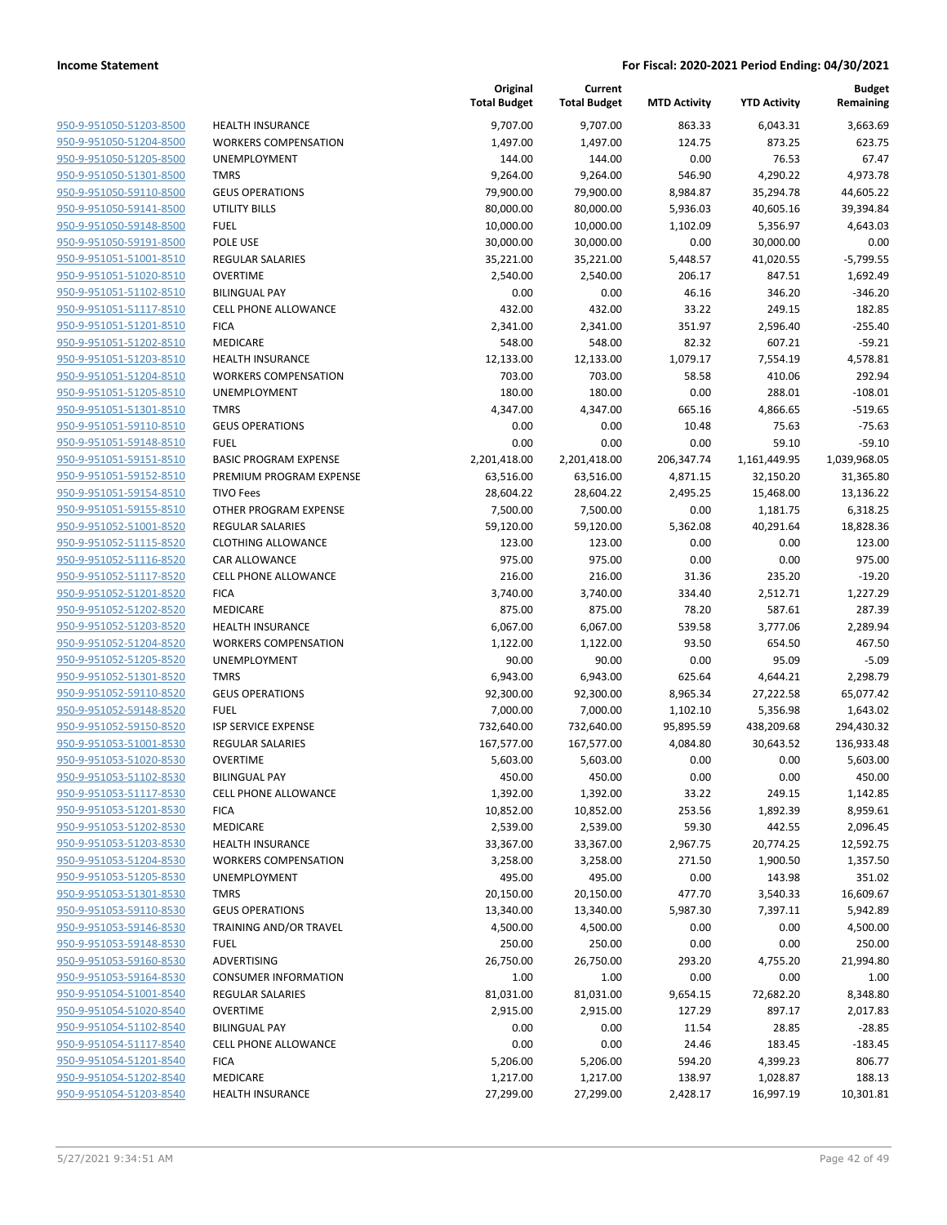| 950-9-951050-51203-8500 | HEALTH          |
|-------------------------|-----------------|
| 950-9-951050-51204-8500 | <b>WORKEF</b>   |
| 950-9-951050-51205-8500 | UNEMPL          |
| 950-9-951050-51301-8500 | <b>TMRS</b>     |
| 950-9-951050-59110-8500 | <b>GEUS OF</b>  |
| 950-9-951050-59141-8500 | UTILITY I       |
| 950-9-951050-59148-8500 | FUEL            |
| 950-9-951050-59191-8500 | POLE US         |
| 950-9-951051-51001-8510 | <b>REGULAI</b>  |
| 950-9-951051-51020-8510 | <b>OVERTIN</b>  |
| 950-9-951051-51102-8510 | <b>BILINGU</b>  |
| 950-9-951051-51117-8510 | CELL PH         |
| 950-9-951051-51201-8510 | <b>FICA</b>     |
| 950-9-951051-51202-8510 | <b>MEDICA</b>   |
| 950-9-951051-51203-8510 | HEALTH          |
| 950-9-951051-51204-8510 | WORKEF          |
| 950-9-951051-51205-8510 | <b>UNEMPL</b>   |
| 950-9-951051-51301-8510 | TMRS            |
| 950-9-951051-59110-8510 | <b>GEUS OF</b>  |
| 950-9-951051-59148-8510 | <b>FUEL</b>     |
| 950-9-951051-59151-8510 | <b>BASIC PF</b> |
| 950-9-951051-59152-8510 | PREMIUI         |
| 950-9-951051-59154-8510 | TIVO Fee        |
| 950-9-951051-59155-8510 | <b>OTHER P</b>  |
| 950-9-951052-51001-8520 | REGULAI         |
| 950-9-951052-51115-8520 | <b>CLOTHIN</b>  |
| 950-9-951052-51116-8520 | CAR ALL         |
| 950-9-951052-51117-8520 | CELL PH         |
| 950-9-951052-51201-8520 | <b>FICA</b>     |
| 950-9-951052-51202-8520 | <b>MEDICA</b>   |
| 950-9-951052-51203-8520 | HEALTH          |
| 950-9-951052-51204-8520 | <b>WORKEF</b>   |
| 950-9-951052-51205-8520 | <b>UNEMPL</b>   |
| 950-9-951052-51301-8520 | TMRS            |
| 950-9-951052-59110-8520 | <b>GEUS OF</b>  |
| 950-9-951052-59148-8520 | FUEL            |
| 950-9-951052-59150-8520 | <b>ISP SERV</b> |
| 950-9-951053-51001-8530 | <b>REGULAI</b>  |
| 950-9-951053-51020-8530 | <b>OVERTIN</b>  |
| 950-9-951053-51102-8530 | <b>BILINGU</b>  |
| 950-9-951053-51117-8530 | <b>CELL PHO</b> |
| 950-9-951053-51201-8530 | <b>FICA</b>     |
| 950-9-951053-51202-8530 | <b>MEDICA</b>   |
| 950-9-951053-51203-8530 | <b>HEALTH</b>   |
| 950-9-951053-51204-8530 | WORKEF          |
| 950-9-951053-51205-8530 | UNEMPL          |
| 950-9-951053-51301-8530 | TMRS            |
| 950-9-951053-59110-8530 | <b>GEUS OF</b>  |
| 950-9-951053-59146-8530 | <b>TRAININ</b>  |
| 950-9-951053-59148-8530 | <b>FUEL</b>     |
| 950-9-951053-59160-8530 | <b>ADVERTI</b>  |
| 950-9-951053-59164-8530 | CONSUN          |
| 950-9-951054-51001-8540 | <b>REGULAI</b>  |
| 950-9-951054-51020-8540 | <b>OVERTIN</b>  |
| 950-9-951054-51102-8540 | <b>BILINGU</b>  |
| 950-9-951054-51117-8540 | <b>CELL PH</b>  |
| 950-9-951054-51201-8540 | <b>FICA</b>     |
| 950-9-951054-51202-8540 | <b>MEDICA</b>   |
| 950-9-951054-51203-8540 | HEALTH          |
|                         |                 |

|                         |                              | Original<br><b>Total Budget</b> | Current<br><b>Total Budget</b> | <b>MTD Activity</b> | <b>YTD Activity</b> | <b>Budget</b><br>Remaining |
|-------------------------|------------------------------|---------------------------------|--------------------------------|---------------------|---------------------|----------------------------|
| 950-9-951050-51203-8500 | <b>HEALTH INSURANCE</b>      | 9,707.00                        | 9,707.00                       | 863.33              | 6,043.31            | 3,663.69                   |
| 950-9-951050-51204-8500 | <b>WORKERS COMPENSATION</b>  | 1,497.00                        | 1,497.00                       | 124.75              | 873.25              | 623.75                     |
| 950-9-951050-51205-8500 | UNEMPLOYMENT                 | 144.00                          | 144.00                         | 0.00                | 76.53               | 67.47                      |
| 950-9-951050-51301-8500 | <b>TMRS</b>                  | 9,264.00                        | 9,264.00                       | 546.90              | 4,290.22            | 4,973.78                   |
| 950-9-951050-59110-8500 | <b>GEUS OPERATIONS</b>       | 79,900.00                       | 79,900.00                      | 8,984.87            | 35,294.78           | 44,605.22                  |
| 950-9-951050-59141-8500 | <b>UTILITY BILLS</b>         | 80,000.00                       | 80,000.00                      | 5,936.03            | 40,605.16           | 39,394.84                  |
| 950-9-951050-59148-8500 | <b>FUEL</b>                  | 10,000.00                       | 10,000.00                      | 1,102.09            | 5,356.97            | 4,643.03                   |
| 950-9-951050-59191-8500 | POLE USE                     | 30,000.00                       | 30,000.00                      | 0.00                | 30,000.00           | 0.00                       |
| 950-9-951051-51001-8510 | <b>REGULAR SALARIES</b>      | 35,221.00                       | 35,221.00                      | 5,448.57            | 41,020.55           | $-5,799.55$                |
| 950-9-951051-51020-8510 | <b>OVERTIME</b>              | 2,540.00                        | 2,540.00                       | 206.17              | 847.51              | 1,692.49                   |
| 950-9-951051-51102-8510 | <b>BILINGUAL PAY</b>         | 0.00                            | 0.00                           | 46.16               | 346.20              | $-346.20$                  |
| 950-9-951051-51117-8510 | CELL PHONE ALLOWANCE         | 432.00                          | 432.00                         | 33.22               | 249.15              | 182.85                     |
| 950-9-951051-51201-8510 | <b>FICA</b>                  | 2,341.00                        | 2,341.00                       | 351.97              | 2,596.40            | $-255.40$                  |
| 950-9-951051-51202-8510 | MEDICARE                     | 548.00                          | 548.00                         | 82.32               | 607.21              | $-59.21$                   |
| 950-9-951051-51203-8510 | <b>HEALTH INSURANCE</b>      | 12,133.00                       | 12,133.00                      | 1,079.17            | 7,554.19            | 4,578.81                   |
| 950-9-951051-51204-8510 | <b>WORKERS COMPENSATION</b>  | 703.00                          | 703.00                         | 58.58               | 410.06              | 292.94                     |
| 950-9-951051-51205-8510 | UNEMPLOYMENT                 | 180.00                          | 180.00                         | 0.00                | 288.01              | $-108.01$                  |
| 950-9-951051-51301-8510 | <b>TMRS</b>                  | 4,347.00                        | 4,347.00                       | 665.16              | 4,866.65            | $-519.65$                  |
| 950-9-951051-59110-8510 | <b>GEUS OPERATIONS</b>       | 0.00                            | 0.00                           | 10.48               | 75.63               | $-75.63$                   |
| 950-9-951051-59148-8510 | <b>FUEL</b>                  | 0.00                            | 0.00                           | 0.00                | 59.10               | $-59.10$                   |
| 950-9-951051-59151-8510 | <b>BASIC PROGRAM EXPENSE</b> | 2,201,418.00                    | 2,201,418.00                   | 206,347.74          | 1,161,449.95        | 1,039,968.05               |
| 950-9-951051-59152-8510 | PREMIUM PROGRAM EXPENSE      | 63,516.00                       | 63,516.00                      | 4,871.15            | 32,150.20           | 31,365.80                  |
| 950-9-951051-59154-8510 | <b>TIVO Fees</b>             | 28,604.22                       | 28,604.22                      | 2,495.25            | 15,468.00           | 13,136.22                  |
| 950-9-951051-59155-8510 | OTHER PROGRAM EXPENSE        | 7,500.00                        | 7,500.00                       | 0.00                | 1,181.75            | 6,318.25                   |
| 950-9-951052-51001-8520 | <b>REGULAR SALARIES</b>      | 59,120.00                       | 59,120.00                      | 5,362.08            | 40,291.64           | 18,828.36                  |
| 950-9-951052-51115-8520 | <b>CLOTHING ALLOWANCE</b>    | 123.00                          | 123.00                         | 0.00                | 0.00                | 123.00                     |
| 950-9-951052-51116-8520 | CAR ALLOWANCE                | 975.00                          | 975.00                         | 0.00                | 0.00                | 975.00                     |
| 950-9-951052-51117-8520 | <b>CELL PHONE ALLOWANCE</b>  | 216.00                          | 216.00                         | 31.36               | 235.20              | $-19.20$                   |
| 950-9-951052-51201-8520 | <b>FICA</b>                  | 3,740.00                        | 3,740.00                       | 334.40              | 2,512.71            | 1,227.29                   |
| 950-9-951052-51202-8520 | MEDICARE                     | 875.00                          | 875.00                         | 78.20               | 587.61              | 287.39                     |
| 950-9-951052-51203-8520 | <b>HEALTH INSURANCE</b>      | 6,067.00                        | 6,067.00                       | 539.58              | 3,777.06            | 2,289.94                   |
| 950-9-951052-51204-8520 | <b>WORKERS COMPENSATION</b>  | 1,122.00                        | 1,122.00                       | 93.50               | 654.50              | 467.50                     |
| 950-9-951052-51205-8520 | UNEMPLOYMENT                 | 90.00                           | 90.00                          | 0.00                | 95.09               | $-5.09$                    |
| 950-9-951052-51301-8520 | <b>TMRS</b>                  | 6,943.00                        | 6,943.00                       | 625.64              | 4,644.21            | 2,298.79                   |
| 950-9-951052-59110-8520 | <b>GEUS OPERATIONS</b>       | 92,300.00                       | 92,300.00                      | 8,965.34            | 27,222.58           | 65,077.42                  |
| 950-9-951052-59148-8520 | <b>FUEL</b>                  | 7,000.00                        | 7,000.00                       | 1,102.10            | 5,356.98            | 1,643.02                   |
| 950-9-951052-59150-8520 | ISP SERVICE EXPENSE          | 732,640.00                      | 732,640.00                     | 95,895.59           | 438,209.68          | 294,430.32                 |
| 950-9-951053-51001-8530 | <b>REGULAR SALARIES</b>      | 167,577.00                      | 167,577.00                     | 4,084.80            | 30,643.52           | 136,933.48                 |
| 950-9-951053-51020-8530 | <b>OVERTIME</b>              | 5,603.00                        | 5,603.00                       | 0.00                | 0.00                | 5,603.00                   |
| 950-9-951053-51102-8530 | <b>BILINGUAL PAY</b>         | 450.00                          | 450.00                         | 0.00                | 0.00                | 450.00                     |
| 950-9-951053-51117-8530 | <b>CELL PHONE ALLOWANCE</b>  | 1,392.00                        | 1,392.00                       | 33.22               | 249.15              | 1,142.85                   |
| 950-9-951053-51201-8530 | <b>FICA</b>                  | 10,852.00                       | 10,852.00                      | 253.56              | 1,892.39            | 8,959.61                   |
| 950-9-951053-51202-8530 | MEDICARE                     | 2,539.00                        | 2,539.00                       | 59.30               | 442.55              | 2,096.45                   |
| 950-9-951053-51203-8530 | <b>HEALTH INSURANCE</b>      | 33,367.00                       | 33,367.00                      | 2,967.75            | 20,774.25           | 12,592.75                  |
| 950-9-951053-51204-8530 | <b>WORKERS COMPENSATION</b>  | 3,258.00                        | 3,258.00                       | 271.50              | 1,900.50            | 1,357.50                   |
| 950-9-951053-51205-8530 | UNEMPLOYMENT                 | 495.00                          | 495.00                         | 0.00                | 143.98              | 351.02                     |
| 950-9-951053-51301-8530 | <b>TMRS</b>                  | 20,150.00                       | 20,150.00                      | 477.70              | 3,540.33            | 16,609.67                  |
| 950-9-951053-59110-8530 | <b>GEUS OPERATIONS</b>       | 13,340.00                       | 13,340.00                      | 5,987.30            | 7,397.11            | 5,942.89                   |
| 950-9-951053-59146-8530 | TRAINING AND/OR TRAVEL       | 4,500.00                        | 4,500.00                       | 0.00                | 0.00                | 4,500.00                   |
| 950-9-951053-59148-8530 | <b>FUEL</b>                  | 250.00                          | 250.00                         | 0.00                | 0.00                | 250.00                     |
| 950-9-951053-59160-8530 | ADVERTISING                  | 26,750.00                       | 26,750.00                      | 293.20              | 4,755.20            | 21,994.80                  |
| 950-9-951053-59164-8530 | <b>CONSUMER INFORMATION</b>  | 1.00                            | 1.00                           | 0.00                | 0.00                | 1.00                       |
| 950-9-951054-51001-8540 | <b>REGULAR SALARIES</b>      | 81,031.00                       | 81,031.00                      | 9,654.15            | 72,682.20           | 8,348.80                   |
| 950-9-951054-51020-8540 | <b>OVERTIME</b>              | 2,915.00                        | 2,915.00                       | 127.29              | 897.17              | 2,017.83                   |
| 950-9-951054-51102-8540 | <b>BILINGUAL PAY</b>         | 0.00                            | 0.00                           | 11.54               | 28.85               | $-28.85$                   |
| 950-9-951054-51117-8540 | CELL PHONE ALLOWANCE         | 0.00                            | 0.00                           | 24.46               | 183.45              | $-183.45$                  |
| 950-9-951054-51201-8540 | <b>FICA</b>                  | 5,206.00                        | 5,206.00                       | 594.20              | 4,399.23            | 806.77                     |
| 950-9-951054-51202-8540 | MEDICARE                     | 1,217.00                        | 1,217.00                       | 138.97              | 1,028.87            | 188.13                     |
| 950-9-951054-51203-8540 | HEALTH INSURANCE             | 27,299.00                       | 27,299.00                      | 2,428.17            | 16,997.19           | 10,301.81                  |
|                         |                              |                                 |                                |                     |                     |                            |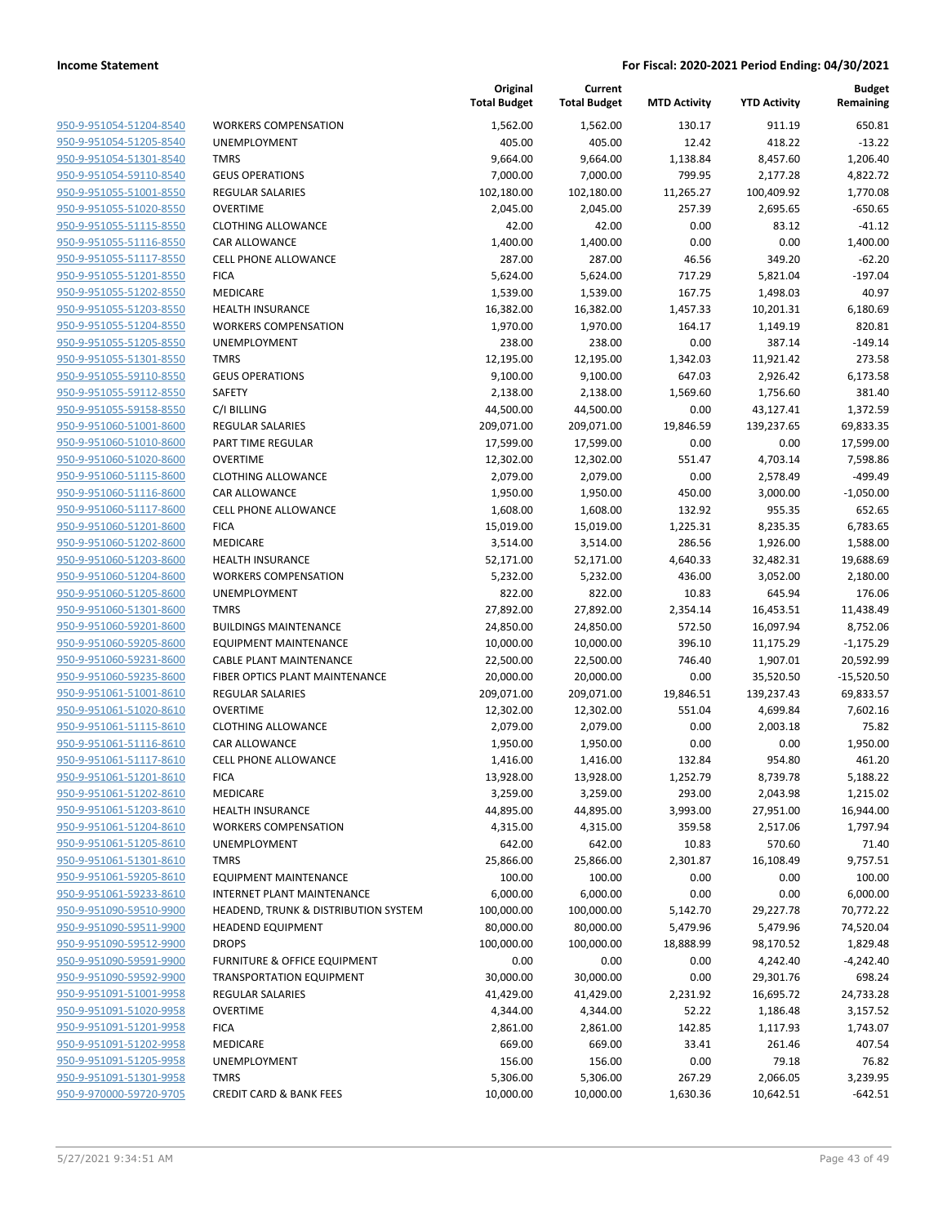| 950-9-951054-51204-8540        |  |
|--------------------------------|--|
| 950-9-951054-51205-8540        |  |
| 950-9-951054-51301-8540        |  |
| 950-9-951054-59110-8540        |  |
| 950-9-951055-51001-8550        |  |
|                                |  |
| <u>950-9-951055-51020-8550</u> |  |
| 950-9-951055-51115-8550        |  |
| 950-9-951055-51116-8550        |  |
| 950-9-951055-51117-8550        |  |
| 950-9-951055-51201-8550        |  |
| 950-9-951055-51202-8550        |  |
| 950-9-951055-51203-8550        |  |
| 950-9-951055-51204-8550        |  |
| 950-9-951055-51205-8550        |  |
| 950-9-951055-51301-8550        |  |
| 950-9-951055-59110-8550        |  |
| 950-9-951055-59112-8550        |  |
| 950-9-951055-59158-8550        |  |
| 950-9-951060-51001-8600        |  |
|                                |  |
| <u>950-9-951060-51010-8600</u> |  |
| 950-9-951060-51020-8600        |  |
| 950-9-951060-51115-8600        |  |
| 950-9-951060-51116-8600        |  |
| 950-9-951060-51117-8600        |  |
| <u>950-9-951060-51201-8600</u> |  |
| 950-9-951060-51202-8600        |  |
| 950-9-951060-51203-8600        |  |
| 950-9-951060-51204-8600        |  |
| 950-9-951060-51205-8600        |  |
| <u>950-9-951060-51301-8600</u> |  |
| 950-9-951060-59201-8600        |  |
| 950-9-951060-59205-8600        |  |
| 950-9-951060-59231-8600        |  |
|                                |  |
| 950-9-951060-59235-8600        |  |
| <u>950-9-951061-51001-8610</u> |  |
| <u>950-9-951061-51020-8610</u> |  |
| 950-9-951061-51115-8610        |  |
| 950-9-951061-51116-8610        |  |
| 950-9-951061-51117-8610        |  |
| 950-9-951061-51201-8610        |  |
| 950-9-951061-51202-8610        |  |
| <u>950-9-951061-51203-8610</u> |  |
| 950-9-951061-51204-8610        |  |
| 950-9-951061-51205-8610        |  |
| 950-9-951061-51301-8610        |  |
| 950-9-951061-59205-8610        |  |
| 950-9-951061-59233-8610        |  |
| 950-9-951090-59510-9900        |  |
|                                |  |
| 950-9-951090-59511-9900        |  |
| <u>950-9-951090-59512-9900</u> |  |
| 950-9-951090-59591-9900        |  |
| 950-9-951090-59592-9900        |  |
| 950-9-951091-51001-9958        |  |
| 950-9-951091-51020-9958        |  |
| 950-9-951091-51201-9958        |  |
| 950-9-951091-51202-9958        |  |
| 950-9-951091-51205-9958        |  |
| 950-9-951091-51301-9958        |  |
| 950-9-970000-59720-9705        |  |
|                                |  |
|                                |  |

|                         |                                      | Original<br><b>Total Budget</b> | Current<br><b>Total Budget</b> | <b>MTD Activity</b> | <b>YTD Activity</b> | <b>Budget</b><br>Remaining |
|-------------------------|--------------------------------------|---------------------------------|--------------------------------|---------------------|---------------------|----------------------------|
| 950-9-951054-51204-8540 | <b>WORKERS COMPENSATION</b>          | 1,562.00                        | 1,562.00                       | 130.17              | 911.19              | 650.81                     |
| 950-9-951054-51205-8540 | UNEMPLOYMENT                         | 405.00                          | 405.00                         | 12.42               | 418.22              | $-13.22$                   |
| 950-9-951054-51301-8540 | <b>TMRS</b>                          | 9,664.00                        | 9,664.00                       | 1,138.84            | 8,457.60            | 1,206.40                   |
| 950-9-951054-59110-8540 | <b>GEUS OPERATIONS</b>               | 7,000.00                        | 7,000.00                       | 799.95              | 2,177.28            | 4,822.72                   |
| 950-9-951055-51001-8550 | REGULAR SALARIES                     | 102,180.00                      | 102,180.00                     | 11,265.27           | 100,409.92          | 1,770.08                   |
| 950-9-951055-51020-8550 | <b>OVERTIME</b>                      | 2,045.00                        | 2,045.00                       | 257.39              | 2,695.65            | $-650.65$                  |
| 950-9-951055-51115-8550 | <b>CLOTHING ALLOWANCE</b>            | 42.00                           | 42.00                          | 0.00                | 83.12               | $-41.12$                   |
| 950-9-951055-51116-8550 | CAR ALLOWANCE                        | 1,400.00                        | 1,400.00                       | 0.00                | 0.00                | 1,400.00                   |
| 950-9-951055-51117-8550 | CELL PHONE ALLOWANCE                 | 287.00                          | 287.00                         | 46.56               | 349.20              | $-62.20$                   |
| 950-9-951055-51201-8550 | <b>FICA</b>                          | 5,624.00                        | 5,624.00                       | 717.29              | 5,821.04            | $-197.04$                  |
| 950-9-951055-51202-8550 | MEDICARE                             | 1,539.00                        | 1,539.00                       | 167.75              | 1,498.03            | 40.97                      |
| 950-9-951055-51203-8550 | <b>HEALTH INSURANCE</b>              | 16,382.00                       | 16,382.00                      | 1,457.33            | 10,201.31           | 6,180.69                   |
| 950-9-951055-51204-8550 | <b>WORKERS COMPENSATION</b>          | 1,970.00                        | 1,970.00                       | 164.17              | 1,149.19            | 820.81                     |
| 950-9-951055-51205-8550 | UNEMPLOYMENT                         | 238.00                          | 238.00                         | 0.00                | 387.14              | $-149.14$                  |
| 950-9-951055-51301-8550 | <b>TMRS</b>                          | 12,195.00                       | 12,195.00                      | 1,342.03            | 11,921.42           | 273.58                     |
| 950-9-951055-59110-8550 | <b>GEUS OPERATIONS</b>               | 9,100.00                        | 9,100.00                       | 647.03              | 2,926.42            | 6,173.58                   |
| 950-9-951055-59112-8550 | <b>SAFETY</b>                        | 2,138.00                        | 2,138.00                       | 1,569.60            | 1,756.60            | 381.40                     |
| 950-9-951055-59158-8550 | C/I BILLING                          | 44,500.00                       | 44,500.00                      | 0.00                | 43,127.41           | 1,372.59                   |
| 950-9-951060-51001-8600 | REGULAR SALARIES                     | 209,071.00                      | 209,071.00                     | 19,846.59           | 139,237.65          | 69,833.35                  |
| 950-9-951060-51010-8600 | PART TIME REGULAR                    | 17,599.00                       | 17,599.00                      | 0.00                | 0.00                | 17,599.00                  |
| 950-9-951060-51020-8600 | <b>OVERTIME</b>                      | 12,302.00                       | 12,302.00                      | 551.47              | 4,703.14            | 7,598.86                   |
| 950-9-951060-51115-8600 | <b>CLOTHING ALLOWANCE</b>            | 2,079.00                        | 2,079.00                       | 0.00                | 2,578.49            | $-499.49$                  |
| 950-9-951060-51116-8600 | CAR ALLOWANCE                        | 1,950.00                        | 1,950.00                       | 450.00              | 3,000.00            | $-1,050.00$                |
| 950-9-951060-51117-8600 | <b>CELL PHONE ALLOWANCE</b>          | 1,608.00                        | 1,608.00                       | 132.92              | 955.35              | 652.65                     |
| 950-9-951060-51201-8600 | <b>FICA</b>                          | 15,019.00                       | 15,019.00                      | 1,225.31            | 8,235.35            | 6,783.65                   |
| 950-9-951060-51202-8600 | MEDICARE                             | 3,514.00                        | 3,514.00                       | 286.56              | 1,926.00            | 1,588.00                   |
| 950-9-951060-51203-8600 | <b>HEALTH INSURANCE</b>              | 52,171.00                       | 52,171.00                      | 4,640.33            | 32,482.31           | 19,688.69                  |
| 950-9-951060-51204-8600 | <b>WORKERS COMPENSATION</b>          | 5,232.00                        | 5,232.00                       | 436.00              | 3,052.00            | 2,180.00                   |
| 950-9-951060-51205-8600 | UNEMPLOYMENT                         | 822.00                          | 822.00                         | 10.83               | 645.94              | 176.06                     |
| 950-9-951060-51301-8600 | <b>TMRS</b>                          | 27,892.00                       | 27,892.00                      | 2,354.14            | 16,453.51           | 11,438.49                  |
| 950-9-951060-59201-8600 | <b>BUILDINGS MAINTENANCE</b>         | 24,850.00                       | 24,850.00                      | 572.50              | 16,097.94           | 8,752.06                   |
| 950-9-951060-59205-8600 | <b>EQUIPMENT MAINTENANCE</b>         | 10,000.00                       | 10,000.00                      | 396.10              | 11,175.29           | $-1,175.29$                |
| 950-9-951060-59231-8600 | <b>CABLE PLANT MAINTENANCE</b>       | 22,500.00                       | 22,500.00                      | 746.40              | 1,907.01            | 20,592.99                  |
| 950-9-951060-59235-8600 | FIBER OPTICS PLANT MAINTENANCE       | 20,000.00                       | 20,000.00                      | 0.00                | 35,520.50           | $-15,520.50$               |
| 950-9-951061-51001-8610 | <b>REGULAR SALARIES</b>              | 209,071.00                      | 209,071.00                     | 19,846.51           | 139,237.43          | 69,833.57                  |
| 950-9-951061-51020-8610 | <b>OVERTIME</b>                      | 12,302.00                       | 12,302.00                      | 551.04              | 4,699.84            | 7,602.16                   |
| 950-9-951061-51115-8610 | <b>CLOTHING ALLOWANCE</b>            | 2,079.00                        | 2,079.00                       | 0.00                | 2,003.18            | 75.82                      |
| 950-9-951061-51116-8610 | <b>CAR ALLOWANCE</b>                 | 1,950.00                        | 1,950.00                       | 0.00                | 0.00                | 1,950.00                   |
| 950-9-951061-51117-8610 | CELL PHONE ALLOWANCE                 | 1,416.00                        | 1,416.00                       | 132.84              | 954.80              | 461.20                     |
| 950-9-951061-51201-8610 | <b>FICA</b>                          | 13,928.00                       | 13,928.00                      | 1,252.79            | 8,739.78            | 5,188.22                   |
| 950-9-951061-51202-8610 | MEDICARE                             | 3,259.00                        | 3,259.00                       | 293.00              | 2,043.98            | 1,215.02                   |
| 950-9-951061-51203-8610 | <b>HEALTH INSURANCE</b>              | 44,895.00                       | 44,895.00                      | 3,993.00            | 27,951.00           | 16,944.00                  |
| 950-9-951061-51204-8610 | <b>WORKERS COMPENSATION</b>          | 4,315.00                        | 4,315.00                       | 359.58              | 2,517.06            | 1,797.94                   |
| 950-9-951061-51205-8610 | <b>UNEMPLOYMENT</b>                  | 642.00                          | 642.00                         | 10.83               | 570.60              | 71.40                      |
| 950-9-951061-51301-8610 | <b>TMRS</b>                          | 25,866.00                       | 25,866.00                      | 2,301.87            | 16,108.49           | 9,757.51                   |
| 950-9-951061-59205-8610 | <b>EQUIPMENT MAINTENANCE</b>         | 100.00                          | 100.00                         | 0.00                | 0.00                | 100.00                     |
| 950-9-951061-59233-8610 | <b>INTERNET PLANT MAINTENANCE</b>    | 6,000.00                        | 6,000.00                       | 0.00                | 0.00                | 6,000.00                   |
| 950-9-951090-59510-9900 | HEADEND, TRUNK & DISTRIBUTION SYSTEM | 100,000.00                      | 100,000.00                     | 5,142.70            | 29,227.78           | 70,772.22                  |
| 950-9-951090-59511-9900 | <b>HEADEND EQUIPMENT</b>             | 80,000.00                       | 80,000.00                      | 5,479.96            | 5,479.96            | 74,520.04                  |
| 950-9-951090-59512-9900 | <b>DROPS</b>                         | 100,000.00                      | 100,000.00                     | 18,888.99           | 98,170.52           | 1,829.48                   |
| 950-9-951090-59591-9900 | FURNITURE & OFFICE EQUIPMENT         | 0.00                            | 0.00                           | 0.00                | 4,242.40            | $-4,242.40$                |
| 950-9-951090-59592-9900 | <b>TRANSPORTATION EQUIPMENT</b>      | 30,000.00                       | 30,000.00                      | 0.00                | 29,301.76           | 698.24                     |
| 950-9-951091-51001-9958 | <b>REGULAR SALARIES</b>              | 41,429.00                       | 41,429.00                      | 2,231.92            | 16,695.72           | 24,733.28                  |
| 950-9-951091-51020-9958 | <b>OVERTIME</b>                      | 4,344.00                        | 4,344.00                       | 52.22               | 1,186.48            | 3,157.52                   |
| 950-9-951091-51201-9958 | <b>FICA</b>                          | 2,861.00                        | 2,861.00                       | 142.85              | 1,117.93            | 1,743.07                   |
| 950-9-951091-51202-9958 | MEDICARE                             | 669.00                          | 669.00                         | 33.41               | 261.46              | 407.54                     |
| 950-9-951091-51205-9958 | UNEMPLOYMENT                         | 156.00                          | 156.00                         | 0.00                | 79.18               | 76.82                      |
| 950-9-951091-51301-9958 | <b>TMRS</b>                          | 5,306.00                        | 5,306.00                       | 267.29              | 2,066.05            | 3,239.95                   |
| 950-9-970000-59720-9705 | <b>CREDIT CARD &amp; BANK FEES</b>   | 10,000.00                       | 10,000.00                      | 1,630.36            | 10,642.51           | $-642.51$                  |
|                         |                                      |                                 |                                |                     |                     |                            |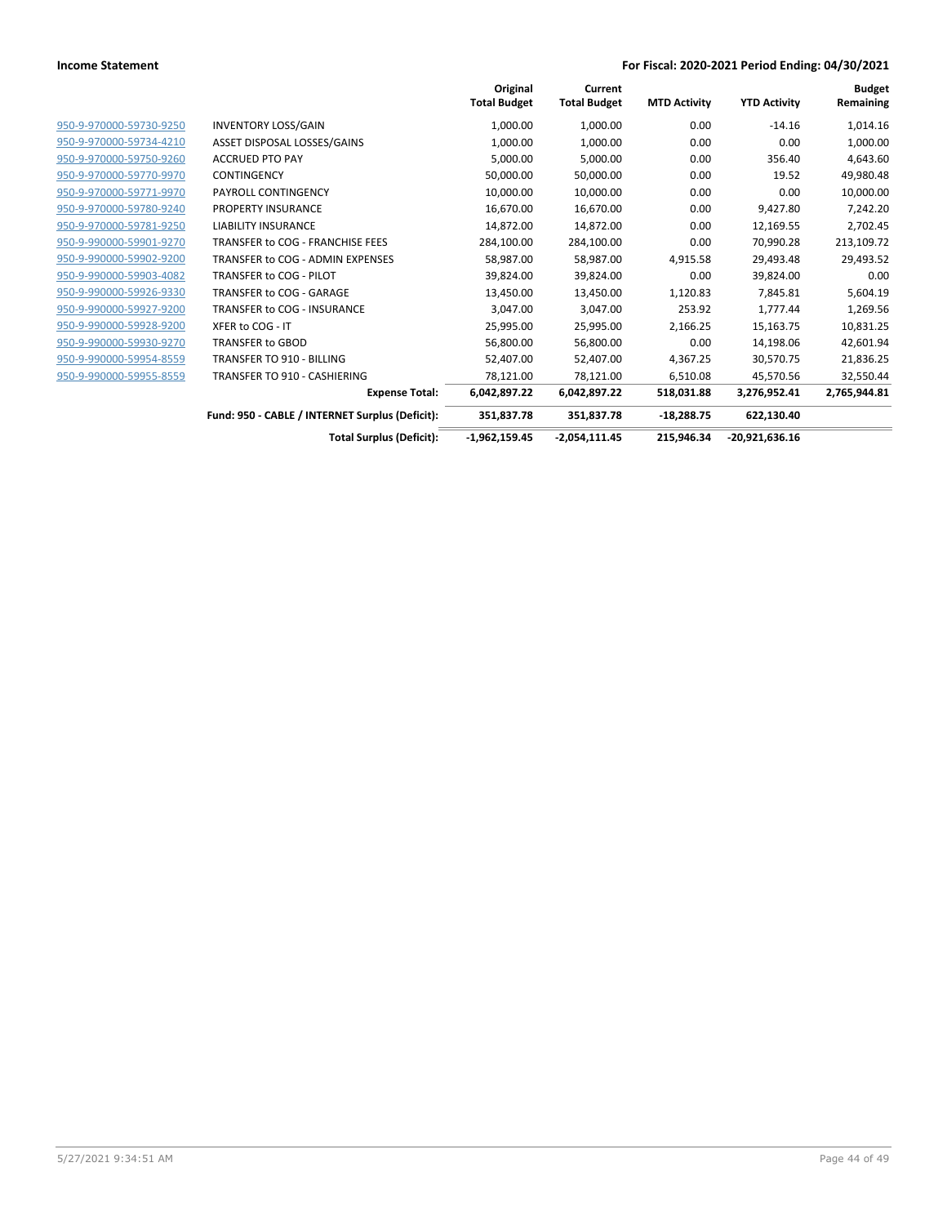|                         |                                                 | Original<br><b>Total Budget</b> | Current<br><b>Total Budget</b> | <b>MTD Activity</b> | <b>YTD Activity</b> | <b>Budget</b><br>Remaining |
|-------------------------|-------------------------------------------------|---------------------------------|--------------------------------|---------------------|---------------------|----------------------------|
| 950-9-970000-59730-9250 | <b>INVENTORY LOSS/GAIN</b>                      | 1,000.00                        | 1,000.00                       | 0.00                | $-14.16$            | 1,014.16                   |
| 950-9-970000-59734-4210 | ASSET DISPOSAL LOSSES/GAINS                     | 1,000.00                        | 1,000.00                       | 0.00                | 0.00                | 1,000.00                   |
| 950-9-970000-59750-9260 | <b>ACCRUED PTO PAY</b>                          | 5,000.00                        | 5,000.00                       | 0.00                | 356.40              | 4,643.60                   |
| 950-9-970000-59770-9970 | <b>CONTINGENCY</b>                              | 50,000.00                       | 50,000.00                      | 0.00                | 19.52               | 49,980.48                  |
| 950-9-970000-59771-9970 | PAYROLL CONTINGENCY                             | 10,000.00                       | 10,000.00                      | 0.00                | 0.00                | 10,000.00                  |
| 950-9-970000-59780-9240 | PROPERTY INSURANCE                              | 16,670.00                       | 16,670.00                      | 0.00                | 9,427.80            | 7,242.20                   |
| 950-9-970000-59781-9250 | <b>LIABILITY INSURANCE</b>                      | 14,872.00                       | 14,872.00                      | 0.00                | 12,169.55           | 2,702.45                   |
| 950-9-990000-59901-9270 | TRANSFER to COG - FRANCHISE FEES                | 284,100.00                      | 284,100.00                     | 0.00                | 70,990.28           | 213,109.72                 |
| 950-9-990000-59902-9200 | TRANSFER to COG - ADMIN EXPENSES                | 58,987.00                       | 58,987.00                      | 4,915.58            | 29,493.48           | 29,493.52                  |
| 950-9-990000-59903-4082 | TRANSFER to COG - PILOT                         | 39,824.00                       | 39,824.00                      | 0.00                | 39,824.00           | 0.00                       |
| 950-9-990000-59926-9330 | TRANSFER to COG - GARAGE                        | 13,450.00                       | 13,450.00                      | 1,120.83            | 7,845.81            | 5,604.19                   |
| 950-9-990000-59927-9200 | TRANSFER to COG - INSURANCE                     | 3,047.00                        | 3,047.00                       | 253.92              | 1,777.44            | 1,269.56                   |
| 950-9-990000-59928-9200 | XFER to COG - IT                                | 25,995.00                       | 25,995.00                      | 2,166.25            | 15,163.75           | 10,831.25                  |
| 950-9-990000-59930-9270 | <b>TRANSFER to GBOD</b>                         | 56,800.00                       | 56,800.00                      | 0.00                | 14,198.06           | 42,601.94                  |
| 950-9-990000-59954-8559 | <b>TRANSFER TO 910 - BILLING</b>                | 52,407.00                       | 52,407.00                      | 4,367.25            | 30,570.75           | 21,836.25                  |
| 950-9-990000-59955-8559 | TRANSFER TO 910 - CASHIERING                    | 78,121.00                       | 78,121.00                      | 6,510.08            | 45,570.56           | 32,550.44                  |
|                         | <b>Expense Total:</b>                           | 6,042,897.22                    | 6,042,897.22                   | 518,031.88          | 3,276,952.41        | 2,765,944.81               |
|                         | Fund: 950 - CABLE / INTERNET Surplus (Deficit): | 351,837.78                      | 351,837.78                     | $-18,288.75$        | 622,130.40          |                            |
|                         | <b>Total Surplus (Deficit):</b>                 | $-1,962,159.45$                 | $-2,054,111.45$                | 215.946.34          | $-20,921,636.16$    |                            |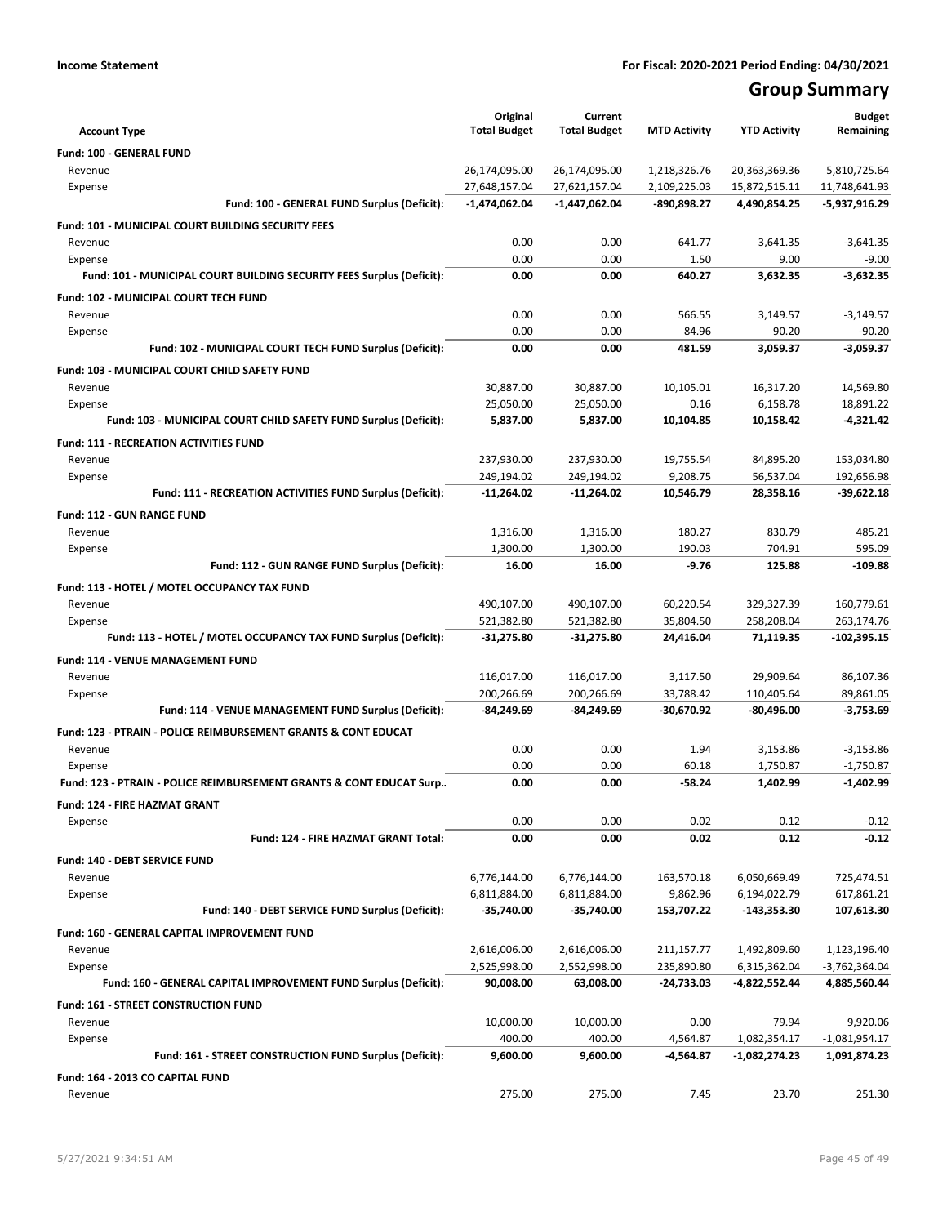## **Group Summary**

| <b>Account Type</b>                                                       | Original<br><b>Total Budget</b> | Current<br><b>Total Budget</b> | <b>MTD Activity</b> | <b>YTD Activity</b> | <b>Budget</b><br>Remaining |
|---------------------------------------------------------------------------|---------------------------------|--------------------------------|---------------------|---------------------|----------------------------|
| Fund: 100 - GENERAL FUND                                                  |                                 |                                |                     |                     |                            |
| Revenue                                                                   | 26,174,095.00                   | 26,174,095.00                  | 1,218,326.76        | 20,363,369.36       | 5,810,725.64               |
| Expense                                                                   | 27,648,157.04                   | 27,621,157.04                  | 2,109,225.03        | 15,872,515.11       | 11,748,641.93              |
| Fund: 100 - GENERAL FUND Surplus (Deficit):                               | $-1,474,062.04$                 | $-1,447,062.04$                | -890,898.27         | 4,490,854.25        | -5,937,916.29              |
| <b>Fund: 101 - MUNICIPAL COURT BUILDING SECURITY FEES</b>                 |                                 |                                |                     |                     |                            |
| Revenue                                                                   | 0.00                            | 0.00                           | 641.77              | 3,641.35            | $-3,641.35$                |
| Expense                                                                   | 0.00                            | 0.00                           | 1.50                | 9.00                | $-9.00$                    |
| Fund: 101 - MUNICIPAL COURT BUILDING SECURITY FEES Surplus (Deficit):     | 0.00                            | 0.00                           | 640.27              | 3,632.35            | $-3,632.35$                |
| Fund: 102 - MUNICIPAL COURT TECH FUND                                     |                                 |                                |                     |                     |                            |
| Revenue                                                                   | 0.00                            | 0.00                           | 566.55              | 3,149.57            | $-3,149.57$                |
| Expense                                                                   | 0.00                            | 0.00                           | 84.96               | 90.20               | $-90.20$                   |
| Fund: 102 - MUNICIPAL COURT TECH FUND Surplus (Deficit):                  | 0.00                            | 0.00                           | 481.59              | 3,059.37            | $-3,059.37$                |
| Fund: 103 - MUNICIPAL COURT CHILD SAFETY FUND                             |                                 |                                |                     |                     |                            |
| Revenue                                                                   | 30,887.00                       | 30,887.00                      | 10,105.01           | 16,317.20           | 14,569.80                  |
| Expense                                                                   | 25,050.00                       | 25,050.00                      | 0.16                | 6,158.78            | 18,891.22                  |
| Fund: 103 - MUNICIPAL COURT CHILD SAFETY FUND Surplus (Deficit):          | 5,837.00                        | 5,837.00                       | 10,104.85           | 10,158.42           | $-4,321.42$                |
| <b>Fund: 111 - RECREATION ACTIVITIES FUND</b>                             |                                 |                                |                     |                     |                            |
| Revenue                                                                   | 237,930.00                      | 237,930.00                     | 19,755.54           | 84,895.20           | 153,034.80                 |
| Expense                                                                   | 249,194.02                      | 249,194.02                     | 9,208.75            | 56,537.04           | 192,656.98                 |
| Fund: 111 - RECREATION ACTIVITIES FUND Surplus (Deficit):                 | $-11,264.02$                    | $-11,264.02$                   | 10,546.79           | 28,358.16           | -39,622.18                 |
| <b>Fund: 112 - GUN RANGE FUND</b>                                         |                                 |                                |                     |                     |                            |
| Revenue                                                                   | 1,316.00                        | 1,316.00                       | 180.27              | 830.79              | 485.21                     |
| Expense                                                                   | 1,300.00                        | 1,300.00                       | 190.03              | 704.91              | 595.09                     |
| Fund: 112 - GUN RANGE FUND Surplus (Deficit):                             | 16.00                           | 16.00                          | $-9.76$             | 125.88              | $-109.88$                  |
| Fund: 113 - HOTEL / MOTEL OCCUPANCY TAX FUND                              |                                 |                                |                     |                     |                            |
| Revenue                                                                   | 490,107.00                      | 490,107.00                     | 60,220.54           | 329,327.39          | 160,779.61                 |
| Expense                                                                   | 521,382.80                      | 521,382.80                     | 35,804.50           | 258,208.04          | 263,174.76                 |
| Fund: 113 - HOTEL / MOTEL OCCUPANCY TAX FUND Surplus (Deficit):           | -31,275.80                      | -31,275.80                     | 24,416.04           | 71,119.35           | -102,395.15                |
| Fund: 114 - VENUE MANAGEMENT FUND                                         |                                 |                                |                     |                     |                            |
| Revenue                                                                   | 116,017.00                      | 116,017.00                     | 3,117.50            | 29,909.64           | 86,107.36                  |
| Expense                                                                   | 200,266.69                      | 200,266.69                     | 33,788.42           | 110,405.64          | 89,861.05                  |
| Fund: 114 - VENUE MANAGEMENT FUND Surplus (Deficit):                      | -84,249.69                      | -84,249.69                     | -30,670.92          | $-80,496.00$        | $-3,753.69$                |
| <b>Fund: 123 - PTRAIN - POLICE REIMBURSEMENT GRANTS &amp; CONT EDUCAT</b> |                                 |                                |                     |                     |                            |
| Revenue                                                                   | 0.00                            | 0.00                           | 1.94                | 3,153.86            | $-3,153.86$                |
| Expense                                                                   | 0.00                            | 0.00                           | 60.18               | 1,750.87            | $-1,750.87$                |
| Fund: 123 - PTRAIN - POLICE REIMBURSEMENT GRANTS & CONT EDUCAT Surp       | 0.00                            | 0.00                           | $-58.24$            | 1,402.99            | $-1,402.99$                |
| Fund: 124 - FIRE HAZMAT GRANT                                             |                                 |                                |                     |                     |                            |
| Expense                                                                   | 0.00                            | 0.00                           | 0.02                | 0.12                | $-0.12$                    |
| Fund: 124 - FIRE HAZMAT GRANT Total:                                      | 0.00                            | 0.00                           | 0.02                | 0.12                | $-0.12$                    |
| Fund: 140 - DEBT SERVICE FUND                                             |                                 |                                |                     |                     |                            |
| Revenue                                                                   | 6,776,144.00                    | 6,776,144.00                   | 163,570.18          | 6,050,669.49        | 725,474.51                 |
| Expense                                                                   | 6,811,884.00                    | 6,811,884.00                   | 9,862.96            | 6,194,022.79        | 617,861.21                 |
| Fund: 140 - DEBT SERVICE FUND Surplus (Deficit):                          | -35,740.00                      | $-35,740.00$                   | 153,707.22          | -143,353.30         | 107,613.30                 |
| Fund: 160 - GENERAL CAPITAL IMPROVEMENT FUND                              |                                 |                                |                     |                     |                            |
| Revenue                                                                   | 2,616,006.00                    | 2,616,006.00                   | 211,157.77          | 1,492,809.60        | 1,123,196.40               |
| Expense                                                                   | 2,525,998.00                    | 2,552,998.00                   | 235,890.80          | 6,315,362.04        | -3,762,364.04              |
| Fund: 160 - GENERAL CAPITAL IMPROVEMENT FUND Surplus (Deficit):           | 90,008.00                       | 63,008.00                      | $-24,733.03$        | -4,822,552.44       | 4,885,560.44               |
| Fund: 161 - STREET CONSTRUCTION FUND                                      |                                 |                                |                     |                     |                            |
| Revenue                                                                   | 10,000.00                       | 10,000.00                      | 0.00                | 79.94               | 9,920.06                   |
| Expense                                                                   | 400.00                          | 400.00                         | 4,564.87            | 1,082,354.17        | $-1,081,954.17$            |
| Fund: 161 - STREET CONSTRUCTION FUND Surplus (Deficit):                   | 9,600.00                        | 9,600.00                       | -4,564.87           | -1,082,274.23       | 1,091,874.23               |
| Fund: 164 - 2013 CO CAPITAL FUND                                          |                                 |                                |                     |                     |                            |
| Revenue                                                                   | 275.00                          | 275.00                         | 7.45                | 23.70               | 251.30                     |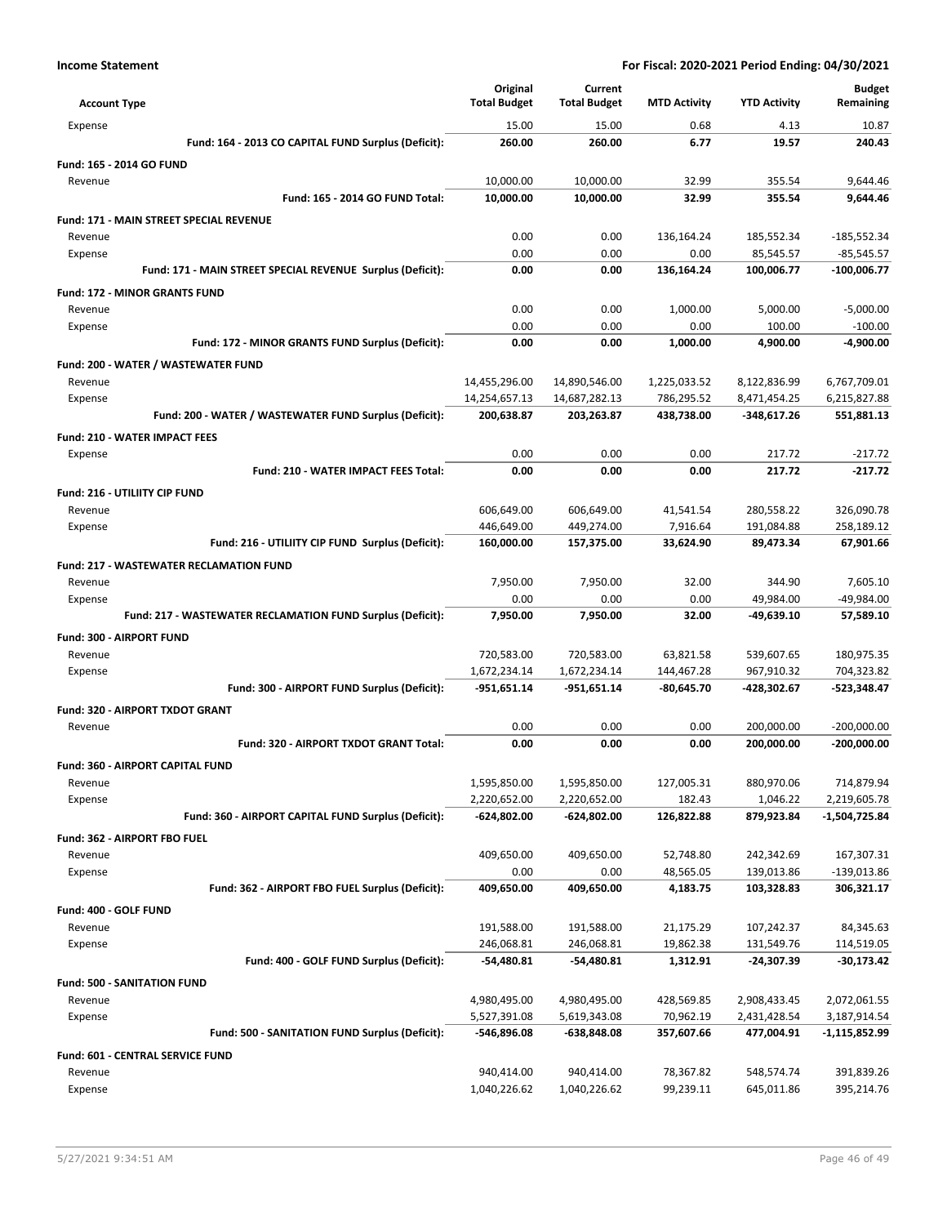|                                                            | Original            | Current             |                     |                     | <b>Budget</b> |
|------------------------------------------------------------|---------------------|---------------------|---------------------|---------------------|---------------|
| <b>Account Type</b>                                        | <b>Total Budget</b> | <b>Total Budget</b> | <b>MTD Activity</b> | <b>YTD Activity</b> | Remaining     |
| Expense                                                    | 15.00               | 15.00               | 0.68                | 4.13                | 10.87         |
| Fund: 164 - 2013 CO CAPITAL FUND Surplus (Deficit):        | 260.00              | 260.00              | 6.77                | 19.57               | 240.43        |
| Fund: 165 - 2014 GO FUND                                   |                     |                     |                     |                     |               |
| Revenue                                                    | 10.000.00           | 10,000.00           | 32.99               | 355.54              | 9,644.46      |
| Fund: 165 - 2014 GO FUND Total:                            | 10,000.00           | 10,000.00           | 32.99               | 355.54              | 9,644.46      |
| Fund: 171 - MAIN STREET SPECIAL REVENUE                    |                     |                     |                     |                     |               |
| Revenue                                                    | 0.00                | 0.00                | 136,164.24          | 185,552.34          | $-185,552.34$ |
| Expense                                                    | 0.00                | 0.00                | 0.00                | 85,545.57           | $-85,545.57$  |
| Fund: 171 - MAIN STREET SPECIAL REVENUE Surplus (Deficit): | 0.00                | 0.00                | 136,164.24          | 100,006.77          | $-100,006.77$ |
| <b>Fund: 172 - MINOR GRANTS FUND</b>                       |                     |                     |                     |                     |               |
| Revenue                                                    | 0.00                | 0.00                | 1,000.00            | 5,000.00            | $-5,000.00$   |
| Expense                                                    | 0.00                | 0.00                | 0.00                | 100.00              | $-100.00$     |
| Fund: 172 - MINOR GRANTS FUND Surplus (Deficit):           | 0.00                | 0.00                | 1,000.00            | 4,900.00            | $-4,900.00$   |
| Fund: 200 - WATER / WASTEWATER FUND                        |                     |                     |                     |                     |               |
| Revenue                                                    | 14,455,296.00       | 14,890,546.00       | 1,225,033.52        | 8,122,836.99        | 6,767,709.01  |
| Expense                                                    | 14,254,657.13       | 14,687,282.13       | 786,295.52          | 8,471,454.25        | 6,215,827.88  |
| Fund: 200 - WATER / WASTEWATER FUND Surplus (Deficit):     | 200,638.87          | 203,263.87          | 438,738.00          | -348,617.26         | 551,881.13    |
| <b>Fund: 210 - WATER IMPACT FEES</b>                       |                     |                     |                     |                     |               |
| Expense                                                    | 0.00                | 0.00                | 0.00                | 217.72              | $-217.72$     |
| Fund: 210 - WATER IMPACT FEES Total:                       | 0.00                | 0.00                | 0.00                | 217.72              | $-217.72$     |
| Fund: 216 - UTILIITY CIP FUND                              |                     |                     |                     |                     |               |
| Revenue                                                    | 606,649.00          | 606,649.00          | 41,541.54           | 280,558.22          | 326,090.78    |
| Expense                                                    | 446,649.00          | 449,274.00          | 7,916.64            | 191,084.88          | 258,189.12    |
| Fund: 216 - UTILIITY CIP FUND Surplus (Deficit):           | 160,000.00          | 157,375.00          | 33,624.90           | 89,473.34           | 67,901.66     |
| <b>Fund: 217 - WASTEWATER RECLAMATION FUND</b>             |                     |                     |                     |                     |               |
| Revenue                                                    | 7,950.00            | 7,950.00            | 32.00               | 344.90              | 7,605.10      |
| Expense                                                    | 0.00                | 0.00                | 0.00                | 49,984.00           | -49,984.00    |
| Fund: 217 - WASTEWATER RECLAMATION FUND Surplus (Deficit): | 7,950.00            | 7,950.00            | 32.00               | -49,639.10          | 57,589.10     |
| Fund: 300 - AIRPORT FUND                                   |                     |                     |                     |                     |               |
| Revenue                                                    | 720,583.00          | 720,583.00          | 63,821.58           | 539,607.65          | 180,975.35    |
| Expense                                                    | 1,672,234.14        | 1,672,234.14        | 144,467.28          | 967,910.32          | 704,323.82    |
| Fund: 300 - AIRPORT FUND Surplus (Deficit):                | $-951,651.14$       | -951,651.14         | $-80,645.70$        | -428,302.67         | $-523,348.47$ |
| Fund: 320 - AIRPORT TXDOT GRANT                            |                     |                     |                     |                     |               |
| Revenue                                                    | 0.00                | 0.00                | 0.00                | 200,000.00          | $-200,000.00$ |
| Fund: 320 - AIRPORT TXDOT GRANT Total:                     | 0.00                | 0.00                | 0.00                | 200,000.00          | $-200,000.00$ |
| <b>Fund: 360 - AIRPORT CAPITAL FUND</b>                    |                     |                     |                     |                     |               |
| Revenue                                                    | 1,595,850.00        | 1,595,850.00        | 127,005.31          | 880,970.06          | 714,879.94    |
| Expense                                                    | 2,220,652.00        | 2,220,652.00        | 182.43              | 1,046.22            | 2,219,605.78  |
| Fund: 360 - AIRPORT CAPITAL FUND Surplus (Deficit):        | -624,802.00         | $-624,802.00$       | 126,822.88          | 879,923.84          | -1,504,725.84 |
| Fund: 362 - AIRPORT FBO FUEL                               |                     |                     |                     |                     |               |
| Revenue                                                    | 409,650.00          | 409,650.00          | 52,748.80           | 242,342.69          | 167,307.31    |
| Expense                                                    | 0.00                | 0.00                | 48,565.05           | 139,013.86          | $-139,013.86$ |
| Fund: 362 - AIRPORT FBO FUEL Surplus (Deficit):            | 409,650.00          | 409,650.00          | 4,183.75            | 103,328.83          | 306,321.17    |
| Fund: 400 - GOLF FUND                                      |                     |                     |                     |                     |               |
| Revenue                                                    | 191,588.00          | 191,588.00          | 21,175.29           | 107,242.37          | 84,345.63     |
| Expense                                                    | 246,068.81          | 246,068.81          | 19,862.38           | 131,549.76          | 114,519.05    |
| Fund: 400 - GOLF FUND Surplus (Deficit):                   | $-54,480.81$        | -54,480.81          | 1,312.91            | -24,307.39          | $-30,173.42$  |
| <b>Fund: 500 - SANITATION FUND</b>                         |                     |                     |                     |                     |               |
| Revenue                                                    | 4,980,495.00        | 4,980,495.00        | 428,569.85          | 2,908,433.45        | 2,072,061.55  |
| Expense<br>Fund: 500 - SANITATION FUND Surplus (Deficit):  | 5,527,391.08        | 5,619,343.08        | 70,962.19           | 2,431,428.54        | 3,187,914.54  |
|                                                            | -546,896.08         | -638,848.08         | 357,607.66          | 477,004.91          | -1,115,852.99 |
| Fund: 601 - CENTRAL SERVICE FUND                           |                     |                     |                     |                     |               |
| Revenue                                                    | 940,414.00          | 940,414.00          | 78,367.82           | 548,574.74          | 391,839.26    |
| Expense                                                    | 1,040,226.62        | 1,040,226.62        | 99,239.11           | 645,011.86          | 395,214.76    |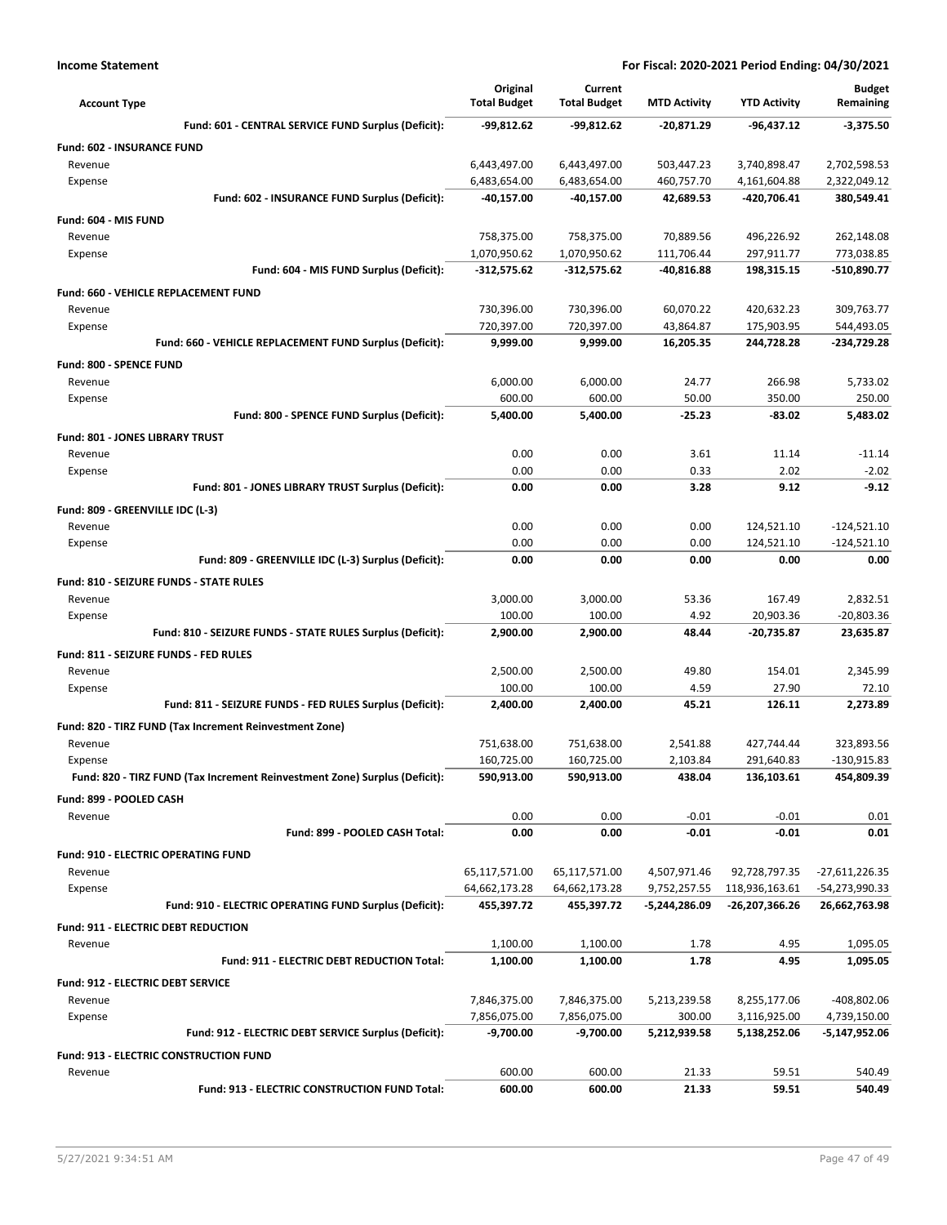| <b>Account Type</b>                                                        | Original<br><b>Total Budget</b> | Current<br><b>Total Budget</b> | <b>MTD Activity</b>    | <b>YTD Activity</b>      | <b>Budget</b><br>Remaining |
|----------------------------------------------------------------------------|---------------------------------|--------------------------------|------------------------|--------------------------|----------------------------|
| Fund: 601 - CENTRAL SERVICE FUND Surplus (Deficit):                        | -99,812.62                      | $-99,812.62$                   | -20,871.29             | -96,437.12               | $-3,375.50$                |
| <b>Fund: 602 - INSURANCE FUND</b>                                          |                                 |                                |                        |                          |                            |
| Revenue                                                                    | 6,443,497.00                    | 6,443,497.00                   | 503,447.23             | 3,740,898.47             | 2,702,598.53               |
| Expense                                                                    | 6,483,654.00                    | 6,483,654.00                   | 460,757.70             | 4,161,604.88             | 2,322,049.12               |
| Fund: 602 - INSURANCE FUND Surplus (Deficit):                              | -40,157.00                      | -40,157.00                     | 42,689.53              | -420,706.41              | 380,549.41                 |
| Fund: 604 - MIS FUND                                                       |                                 |                                |                        |                          |                            |
| Revenue                                                                    | 758,375.00                      | 758,375.00                     | 70,889.56              | 496,226.92               | 262,148.08                 |
| Expense                                                                    | 1,070,950.62                    | 1,070,950.62                   | 111,706.44             | 297,911.77               | 773,038.85                 |
| Fund: 604 - MIS FUND Surplus (Deficit):                                    | $-312,575.62$                   | $-312,575.62$                  | -40,816.88             | 198,315.15               | -510,890.77                |
| Fund: 660 - VEHICLE REPLACEMENT FUND                                       |                                 |                                |                        |                          |                            |
| Revenue<br>Expense                                                         | 730,396.00<br>720,397.00        | 730,396.00<br>720,397.00       | 60,070.22<br>43,864.87 | 420,632.23<br>175,903.95 | 309,763.77<br>544,493.05   |
| Fund: 660 - VEHICLE REPLACEMENT FUND Surplus (Deficit):                    | 9,999.00                        | 9,999.00                       | 16,205.35              | 244,728.28               | -234,729.28                |
| Fund: 800 - SPENCE FUND                                                    |                                 |                                |                        |                          |                            |
| Revenue                                                                    | 6,000.00                        | 6,000.00                       | 24.77                  | 266.98                   | 5,733.02                   |
| Expense                                                                    | 600.00                          | 600.00                         | 50.00                  | 350.00                   | 250.00                     |
| Fund: 800 - SPENCE FUND Surplus (Deficit):                                 | 5,400.00                        | 5,400.00                       | -25.23                 | $-83.02$                 | 5,483.02                   |
| <b>Fund: 801 - JONES LIBRARY TRUST</b>                                     |                                 |                                |                        |                          |                            |
| Revenue                                                                    | 0.00                            | 0.00                           | 3.61                   | 11.14                    | $-11.14$                   |
| Expense                                                                    | 0.00                            | 0.00                           | 0.33                   | 2.02                     | $-2.02$                    |
| Fund: 801 - JONES LIBRARY TRUST Surplus (Deficit):                         | 0.00                            | 0.00                           | 3.28                   | 9.12                     | $-9.12$                    |
| Fund: 809 - GREENVILLE IDC (L-3)                                           |                                 |                                |                        |                          |                            |
| Revenue                                                                    | 0.00                            | 0.00                           | 0.00                   | 124,521.10               | $-124,521.10$              |
| Expense                                                                    | 0.00                            | 0.00                           | 0.00                   | 124,521.10               | $-124,521.10$              |
| Fund: 809 - GREENVILLE IDC (L-3) Surplus (Deficit):                        | 0.00                            | 0.00                           | 0.00                   | 0.00                     | 0.00                       |
| Fund: 810 - SEIZURE FUNDS - STATE RULES                                    |                                 |                                |                        |                          |                            |
| Revenue                                                                    | 3,000.00                        | 3,000.00                       | 53.36                  | 167.49                   | 2,832.51                   |
| Expense                                                                    | 100.00                          | 100.00                         | 4.92                   | 20,903.36                | $-20,803.36$               |
| Fund: 810 - SEIZURE FUNDS - STATE RULES Surplus (Deficit):                 | 2,900.00                        | 2,900.00                       | 48.44                  | $-20,735.87$             | 23,635.87                  |
| Fund: 811 - SEIZURE FUNDS - FED RULES                                      |                                 |                                |                        |                          |                            |
| Revenue<br>Expense                                                         | 2,500.00<br>100.00              | 2,500.00<br>100.00             | 49.80<br>4.59          | 154.01<br>27.90          | 2,345.99<br>72.10          |
| Fund: 811 - SEIZURE FUNDS - FED RULES Surplus (Deficit):                   | 2,400.00                        | 2,400.00                       | 45.21                  | 126.11                   | 2,273.89                   |
| Fund: 820 - TIRZ FUND (Tax Increment Reinvestment Zone)                    |                                 |                                |                        |                          |                            |
| Revenue                                                                    | 751,638.00                      | 751,638.00                     | 2.541.88               | 427.744.44               | 323,893.56                 |
| Expense                                                                    | 160,725.00                      | 160,725.00                     | 2,103.84               | 291,640.83               | $-130,915.83$              |
| Fund: 820 - TIRZ FUND (Tax Increment Reinvestment Zone) Surplus (Deficit): | 590,913.00                      | 590,913.00                     | 438.04                 | 136,103.61               | 454,809.39                 |
| Fund: 899 - POOLED CASH                                                    |                                 |                                |                        |                          |                            |
| Revenue                                                                    | 0.00                            | 0.00                           | $-0.01$                | $-0.01$                  | 0.01                       |
| Fund: 899 - POOLED CASH Total:                                             | 0.00                            | 0.00                           | $-0.01$                | $-0.01$                  | 0.01                       |
| Fund: 910 - ELECTRIC OPERATING FUND                                        |                                 |                                |                        |                          |                            |
| Revenue                                                                    | 65,117,571.00                   | 65,117,571.00                  | 4,507,971.46           | 92,728,797.35            | $-27,611,226.35$           |
| Expense                                                                    | 64,662,173.28                   | 64,662,173.28                  | 9,752,257.55           | 118,936,163.61           | -54,273,990.33             |
| Fund: 910 - ELECTRIC OPERATING FUND Surplus (Deficit):                     | 455,397.72                      | 455,397.72                     | -5,244,286.09          | -26,207,366.26           | 26,662,763.98              |
| Fund: 911 - ELECTRIC DEBT REDUCTION                                        |                                 |                                |                        |                          |                            |
| Revenue                                                                    | 1,100.00                        | 1,100.00                       | 1.78                   | 4.95                     | 1,095.05                   |
| Fund: 911 - ELECTRIC DEBT REDUCTION Total:                                 | 1,100.00                        | 1,100.00                       | 1.78                   | 4.95                     | 1,095.05                   |
| <b>Fund: 912 - ELECTRIC DEBT SERVICE</b>                                   |                                 |                                |                        |                          |                            |
| Revenue                                                                    | 7,846,375.00                    | 7,846,375.00                   | 5,213,239.58           | 8,255,177.06             | -408,802.06                |
| Expense                                                                    | 7,856,075.00                    | 7,856,075.00                   | 300.00                 | 3,116,925.00             | 4,739,150.00               |
| Fund: 912 - ELECTRIC DEBT SERVICE Surplus (Deficit):                       | -9,700.00                       | -9,700.00                      | 5,212,939.58           | 5,138,252.06             | -5,147,952.06              |
| <b>Fund: 913 - ELECTRIC CONSTRUCTION FUND</b>                              |                                 |                                |                        |                          |                            |
| Revenue<br>Fund: 913 - ELECTRIC CONSTRUCTION FUND Total:                   | 600.00<br>600.00                | 600.00<br>600.00               | 21.33<br>21.33         | 59.51<br>59.51           | 540.49<br>540.49           |
|                                                                            |                                 |                                |                        |                          |                            |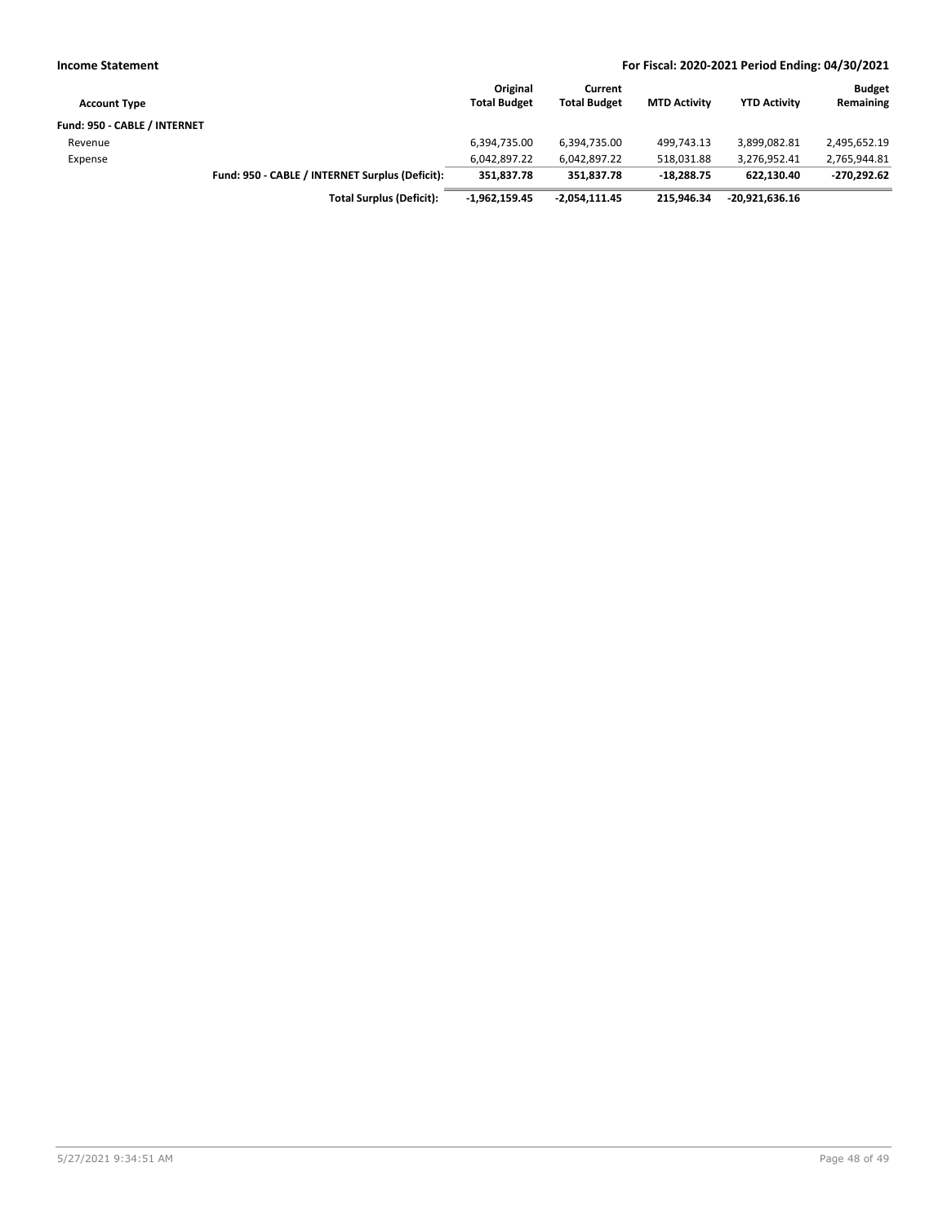| <b>Income Statement</b>      |                                                 |                                 |                                |                     | For Fiscal: 2020-2021 Period Ending: 04/30/2021 |                            |
|------------------------------|-------------------------------------------------|---------------------------------|--------------------------------|---------------------|-------------------------------------------------|----------------------------|
| <b>Account Type</b>          |                                                 | Original<br><b>Total Budget</b> | Current<br><b>Total Budget</b> | <b>MTD Activity</b> | <b>YTD Activity</b>                             | <b>Budget</b><br>Remaining |
| Fund: 950 - CABLE / INTERNET |                                                 |                                 |                                |                     |                                                 |                            |
| Revenue                      |                                                 | 6,394,735.00                    | 6,394,735.00                   | 499.743.13          | 3,899,082.81                                    | 2,495,652.19               |
| Expense                      |                                                 | 6,042,897.22                    | 6,042,897.22                   | 518,031.88          | 3,276,952.41                                    | 2,765,944.81               |
|                              | Fund: 950 - CABLE / INTERNET Surplus (Deficit): | 351.837.78                      | 351,837.78                     | $-18.288.75$        | 622.130.40                                      | $-270,292.62$              |
|                              | <b>Total Surplus (Deficit):</b>                 | $-1,962,159.45$                 | -2,054,111.45                  | 215.946.34          | $-20,921,636.16$                                |                            |